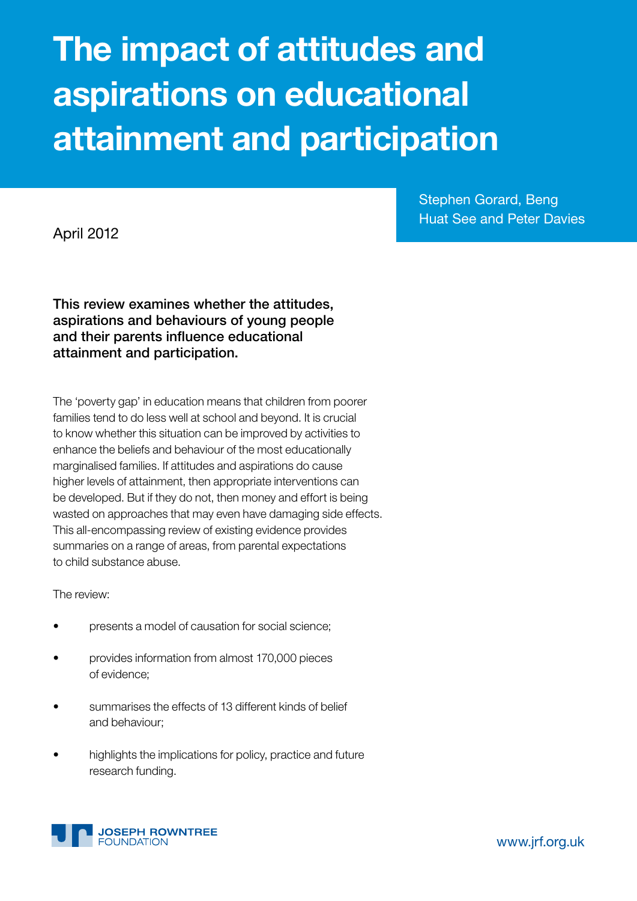# The impact of attitudes and aspirations on educational attainment and participation

April 2012

Stephen Gorard, Beng Huat See and Peter Davies

This review examines whether the attitudes, aspirations and behaviours of young people and their parents influence educational attainment and participation.

The 'poverty gap' in education means that children from poorer families tend to do less well at school and beyond. It is crucial to know whether this situation can be improved by activities to enhance the beliefs and behaviour of the most educationally marginalised families. If attitudes and aspirations do cause higher levels of attainment, then appropriate interventions can be developed. But if they do not, then money and effort is being wasted on approaches that may even have damaging side effects. This all-encompassing review of existing evidence provides summaries on a range of areas, from parental expectations to child substance abuse.

The review:

- presents a model of causation for social science;
- • provides information from almost 170,000 pieces of evidence;
- summarises the effects of 13 different kinds of belief and behaviour;
- highlights the implications for policy, practice and future research funding.



www.jrf.org.uk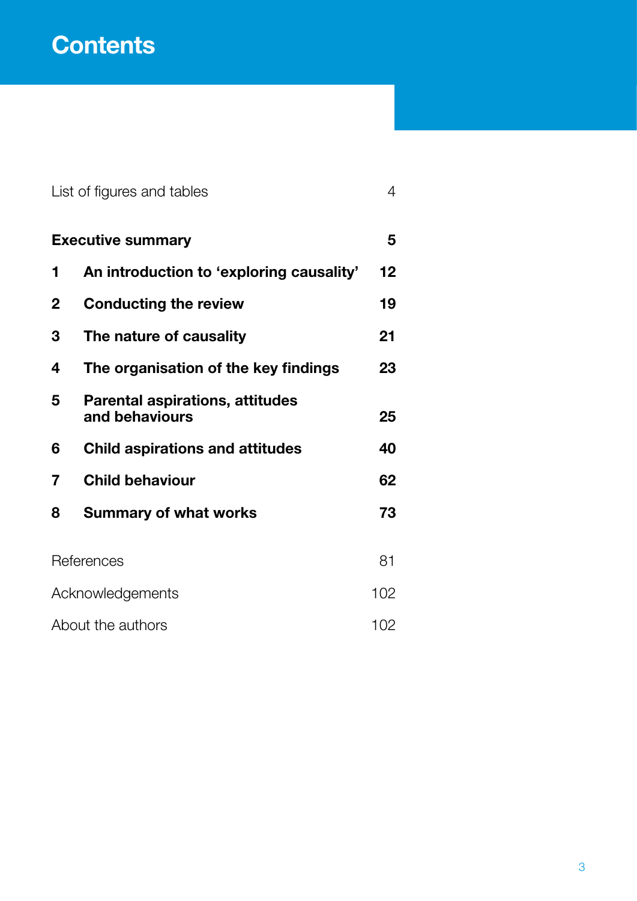# **Contents**

|   | List of figures and tables                               | 4   |
|---|----------------------------------------------------------|-----|
|   | <b>Executive summary</b>                                 | 5   |
| 1 | An introduction to 'exploring causality'                 | 12  |
| 2 | <b>Conducting the review</b>                             | 19  |
| 3 | The nature of causality                                  | 21  |
| 4 | The organisation of the key findings                     | 23  |
| 5 | <b>Parental aspirations, attitudes</b><br>and behaviours | 25  |
| 6 | <b>Child aspirations and attitudes</b>                   | 40  |
| 7 | <b>Child behaviour</b>                                   | 62  |
| 8 | <b>Summary of what works</b>                             | 73  |
|   | References                                               | 81  |
|   | Acknowledgements                                         | 102 |
|   | About the authors                                        | 102 |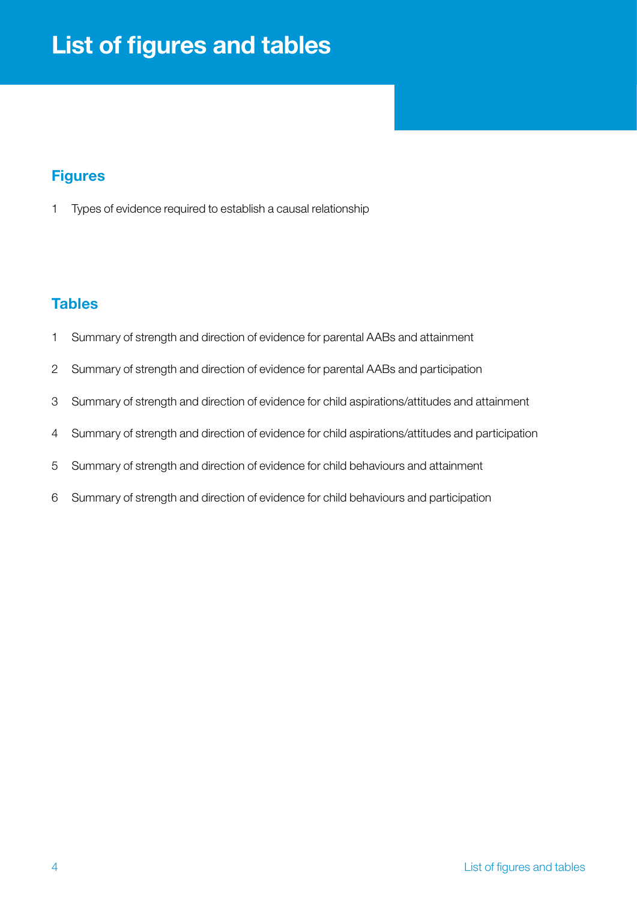# <span id="page-3-0"></span>List of figures and tables

# **Figures**

Types of evidence required to establish a causal relationship

# **Tables**

- Summary of strength and direction of evidence for parental AABs and attainment
- Summary of strength and direction of evidence for parental AABs and participation
- Summary of strength and direction of evidence for child aspirations/attitudes and attainment
- Summary of strength and direction of evidence for child aspirations/attitudes and participation
- Summary of strength and direction of evidence for child behaviours and attainment
- Summary of strength and direction of evidence for child behaviours and participation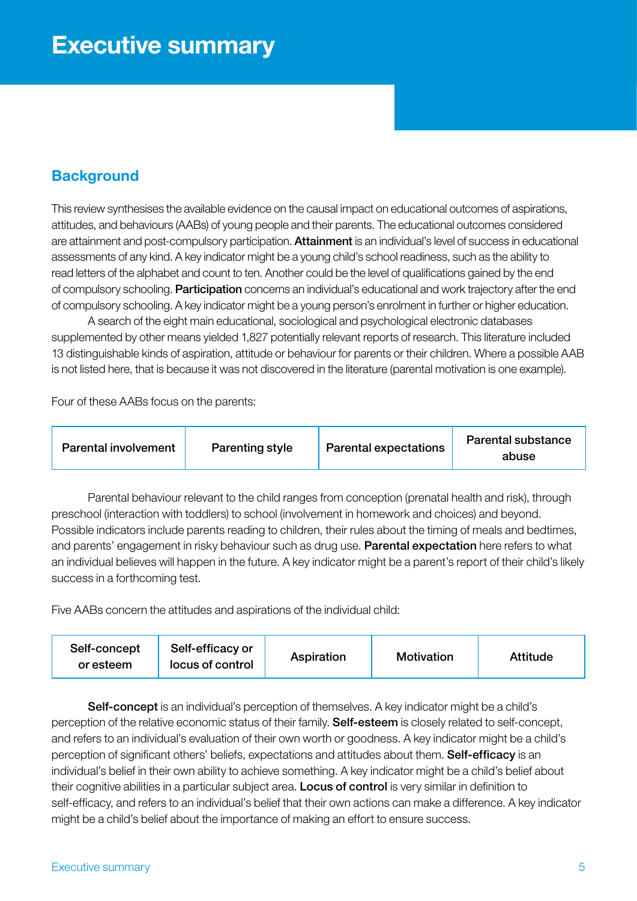# <span id="page-4-0"></span>**Background**

This review synthesises the available evidence on the causal impact on educational outcomes of aspirations, attitudes, and behaviours (AABs) of young people and their parents. The educational outcomes considered are attainment and post-compulsory participation. Attainment is an individual's level of success in educational assessments of any kind. A key indicator might be a young child's school readiness, such as the ability to read letters of the alphabet and count to ten. Another could be the level of qualifications gained by the end of compulsory schooling. Participation concerns an individual's educational and work trajectory after the end of compulsory schooling. A key indicator might be a young person's enrolment in further or higher education.

A search of the eight main educational, sociological and psychological electronic databases supplemented by other means yielded 1,827 potentially relevant reports of research. This literature included 13 distinguishable kinds of aspiration, attitude or behaviour for parents or their children. Where a possible AAB is not listed here, that is because it was not discovered in the literature (parental motivation is one example).

Four of these AABs focus on the parents:

Parental behaviour relevant to the child ranges from conception (prenatal health and risk), through preschool (interaction with toddlers) to school (involvement in homework and choices) and beyond. Possible indicators include parents reading to children, their rules about the timing of meals and bedtimes, and parents' engagement in risky behaviour such as drug use. Parental expectation here refers to what an individual believes will happen in the future. A key indicator might be a parent's report of their child's likely success in a forthcoming test.

Five AABs concern the attitudes and aspirations of the individual child:

| Self-concept<br>or esteem | Self-efficacy or<br>locus of control | Aspiration | <b>Motivation</b> | <b>Attitude</b> |
|---------------------------|--------------------------------------|------------|-------------------|-----------------|
|---------------------------|--------------------------------------|------------|-------------------|-----------------|

Self-concept is an individual's perception of themselves. A key indicator might be a child's perception of the relative economic status of their family. Self-esteem is closely related to self-concept, and refers to an individual's evaluation of their own worth or goodness. A key indicator might be a child's perception of significant others' beliefs, expectations and attitudes about them. Self-efficacy is an individual's belief in their own ability to achieve something. A key indicator might be a child's belief about their cognitive abilities in a particular subject area. Locus of control is very similar in definition to self-efficacy, and refers to an individual's belief that their own actions can make a difference. A key indicator might be a child's belief about the importance of making an effort to ensure success.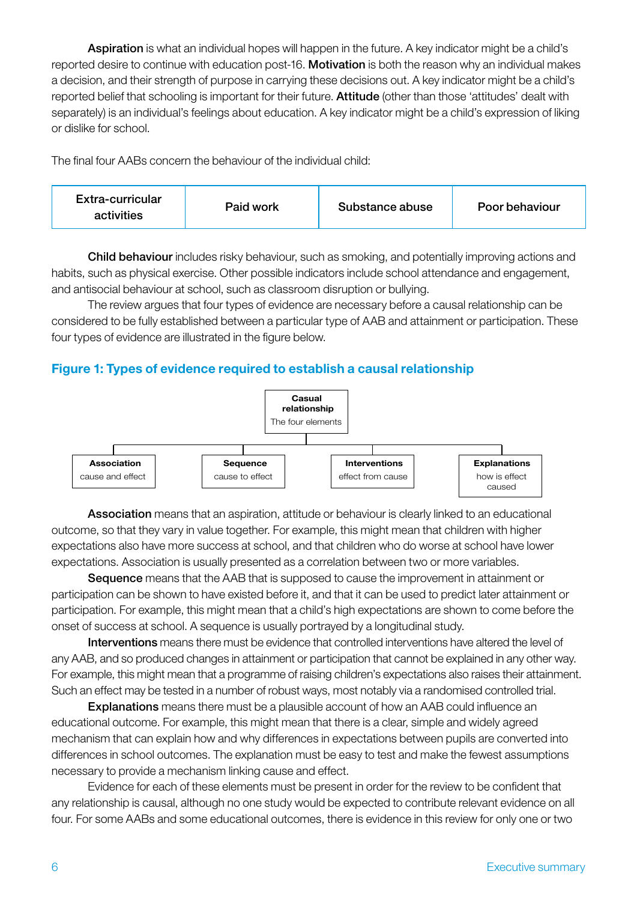Aspiration is what an individual hopes will happen in the future. A key indicator might be a child's reported desire to continue with education post-16. Motivation is both the reason why an individual makes a decision, and their strength of purpose in carrying these decisions out. A key indicator might be a child's reported belief that schooling is important for their future. Attitude (other than those 'attitudes' dealt with separately) is an individual's feelings about education. A key indicator might be a child's expression of liking or dislike for school.

The final four AABs concern the behaviour of the individual child:

| Extra-curricular<br>Paid work<br>activities | Substance abuse | Poor behaviour |
|---------------------------------------------|-----------------|----------------|
|---------------------------------------------|-----------------|----------------|

Child behaviour includes risky behaviour, such as smoking, and potentially improving actions and habits, such as physical exercise. Other possible indicators include school attendance and engagement, and antisocial behaviour at school, such as classroom disruption or bullying.

The review argues that four types of evidence are necessary before a causal relationship can be considered to be fully established between a particular type of AAB and attainment or participation. These four types of evidence are illustrated in the figure below.

# Figure 1: Types of evidence required to establish a causal relationship



Association means that an aspiration, attitude or behaviour is clearly linked to an educational outcome, so that they vary in value together. For example, this might mean that children with higher expectations also have more success at school, and that children who do worse at school have lower expectations. Association is usually presented as a correlation between two or more variables.

Sequence means that the AAB that is supposed to cause the improvement in attainment or participation can be shown to have existed before it, and that it can be used to predict later attainment or participation. For example, this might mean that a child's high expectations are shown to come before the onset of success at school. A sequence is usually portrayed by a longitudinal study.

Interventions means there must be evidence that controlled interventions have altered the level of any AAB, and so produced changes in attainment or participation that cannot be explained in any other way. For example, this might mean that a programme of raising children's expectations also raises their attainment. Such an effect may be tested in a number of robust ways, most notably via a randomised controlled trial.

Explanations means there must be a plausible account of how an AAB could influence an educational outcome. For example, this might mean that there is a clear, simple and widely agreed mechanism that can explain how and why differences in expectations between pupils are converted into differences in school outcomes. The explanation must be easy to test and make the fewest assumptions necessary to provide a mechanism linking cause and effect.

Evidence for each of these elements must be present in order for the review to be confident that any relationship is causal, although no one study would be expected to contribute relevant evidence on all four. For some AABs and some educational outcomes, there is evidence in this review for only one or two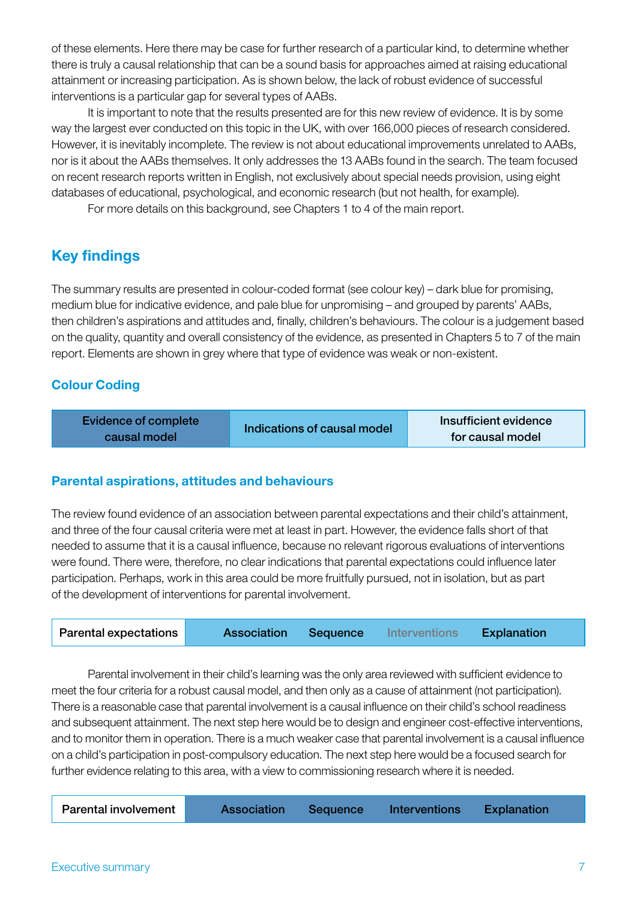of these elements. Here there may be case for further research of a particular kind, to determine whether there is truly a causal relationship that can be a sound basis for approaches aimed at raising educational attainment or increasing participation. As is shown below, the lack of robust evidence of successful interventions is a particular gap for several types of AABs.

It is important to note that the results presented are for this new review of evidence. It is by some way the largest ever conducted on this topic in the UK, with over 166,000 pieces of research considered. However, it is inevitably incomplete. The review is not about educational improvements unrelated to AABs, nor is it about the AABs themselves. It only addresses the 13 AABs found in the search. The team focused on recent research reports written in English, not exclusively about special needs provision, using eight databases of educational, psychological, and economic research (but not health, for example).

For more details on this background, see Chapters 1 to 4 of the main report.

# Key findings

The summary results are presented in colour-coded format (see colour key) – dark blue for promising, medium blue for indicative evidence, and pale blue for unpromising – and grouped by parents' AABs, then children's aspirations and attitudes and, finally, children's behaviours. The colour is a judgement based on the quality, quantity and overall consistency of the evidence, as presented in Chapters 5 to 7 of the main report. Elements are shown in grey where that type of evidence was weak or non-existent.

# Colour Coding

| Evidence of complete |                             | Insufficient evidence |
|----------------------|-----------------------------|-----------------------|
| causal model         | Indications of causal model | for causal model      |

# Parental aspirations, attitudes and behaviours

The review found evidence of an association between parental expectations and their child's attainment, and three of the four causal criteria were met at least in part. However, the evidence falls short of that needed to assume that it is a causal influence, because no relevant rigorous evaluations of interventions were found. There were, therefore, no clear indications that parental expectations could influence later participation. Perhaps, work in this area could be more fruitfully pursued, not in isolation, but as part of the development of interventions for parental involvement.

| <b>Parental expectations</b> | <b>Association</b> | <b>Sequence</b> | <b>Interventions</b> | Explanation |  |
|------------------------------|--------------------|-----------------|----------------------|-------------|--|
|                              |                    |                 |                      |             |  |

Parental involvement in their child's learning was the only area reviewed with sufficient evidence to meet the four criteria for a robust causal model, and then only as a cause of attainment (not participation). There is a reasonable case that parental involvement is a causal influence on their child's school readiness and subsequent attainment. The next step here would be to design and engineer cost-effective interventions, and to monitor them in operation. There is a much weaker case that parental involvement is a causal influence on a child's participation in post-compulsory education. The next step here would be a focused search for further evidence relating to this area, with a view to commissioning research where it is needed.

| <b>Parental involvement</b> | <b>Association</b> | Sequence | Interventions | <b>Explanation</b> |  |
|-----------------------------|--------------------|----------|---------------|--------------------|--|
|                             |                    |          |               |                    |  |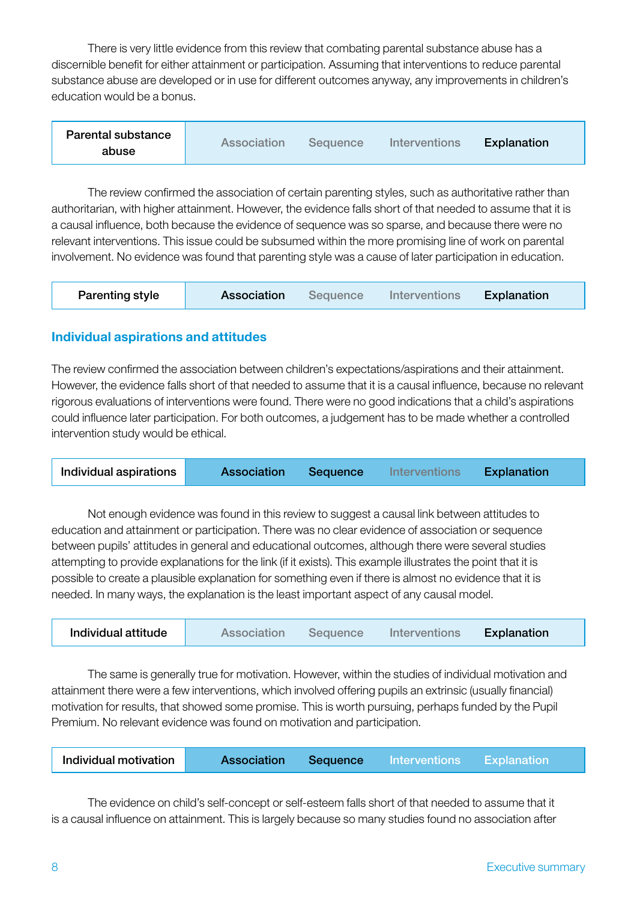There is very little evidence from this review that combating parental substance abuse has a discernible benefit for either attainment or participation. Assuming that interventions to reduce parental substance abuse are developed or in use for different outcomes anyway, any improvements in children's education would be a bonus.

| Parental substance | Association | Sequence | Interventions | Explanation |
|--------------------|-------------|----------|---------------|-------------|
| abuse              |             |          |               |             |

The review confirmed the association of certain parenting styles, such as authoritative rather than authoritarian, with higher attainment. However, the evidence falls short of that needed to assume that it is a causal influence, both because the evidence of sequence was so sparse, and because there were no relevant interventions. This issue could be subsumed within the more promising line of work on parental involvement. No evidence was found that parenting style was a cause of later participation in education.

| <b>Parenting style</b> | Association | Sequence | Interventions | Explanation |
|------------------------|-------------|----------|---------------|-------------|
|------------------------|-------------|----------|---------------|-------------|

#### Individual aspirations and attitudes

The review confirmed the association between children's expectations/aspirations and their attainment. However, the evidence falls short of that needed to assume that it is a causal influence, because no relevant rigorous evaluations of interventions were found. There were no good indications that a child's aspirations could influence later participation. For both outcomes, a judgement has to be made whether a controlled intervention study would be ethical.

| Individual aspirations | <b>Association</b> | Sequence | <b>Interventions</b> | Explanation |  |
|------------------------|--------------------|----------|----------------------|-------------|--|
|------------------------|--------------------|----------|----------------------|-------------|--|

Not enough evidence was found in this review to suggest a causal link between attitudes to education and attainment or participation. There was no clear evidence of association or sequence between pupils' attitudes in general and educational outcomes, although there were several studies attempting to provide explanations for the link (if it exists). This example illustrates the point that it is possible to create a plausible explanation for something even if there is almost no evidence that it is needed. In many ways, the explanation is the least important aspect of any causal model.

| Individual attitude | Association | Sequence | Interventions | <b>Explanation</b> |
|---------------------|-------------|----------|---------------|--------------------|
|---------------------|-------------|----------|---------------|--------------------|

The same is generally true for motivation. However, within the studies of individual motivation and attainment there were a few interventions, which involved offering pupils an extrinsic (usually financial) motivation for results, that showed some promise. This is worth pursuing, perhaps funded by the Pupil Premium. No relevant evidence was found on motivation and participation.

| Individual motivation<br>Sequence<br><b>Association</b><br>Explanation<br>Interventions |  |  |  |  |  |  |
|-----------------------------------------------------------------------------------------|--|--|--|--|--|--|
|-----------------------------------------------------------------------------------------|--|--|--|--|--|--|

The evidence on child's self-concept or self-esteem falls short of that needed to assume that it is a causal influence on attainment. This is largely because so many studies found no association after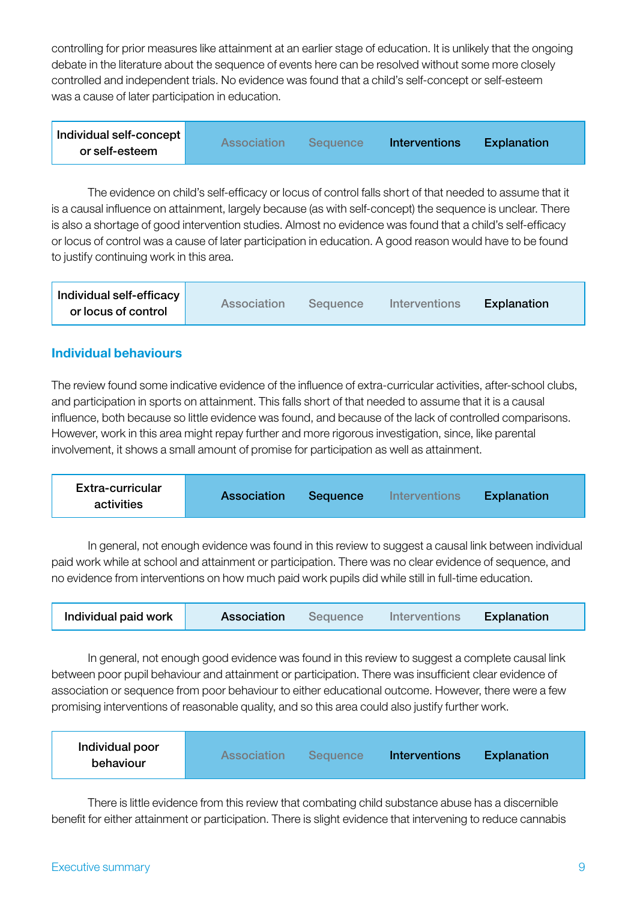controlling for prior measures like attainment at an earlier stage of education. It is unlikely that the ongoing debate in the literature about the sequence of events here can be resolved without some more closely controlled and independent trials. No evidence was found that a child's self-concept or self-esteem was a cause of later participation in education.

| Individual self-concept | <b>Association</b> | <b>Sequence</b> | Interventions | <b>Explanation</b> |
|-------------------------|--------------------|-----------------|---------------|--------------------|
| or self-esteem          |                    |                 |               |                    |

The evidence on child's self-efficacy or locus of control falls short of that needed to assume that it is a causal influence on attainment, largely because (as with self-concept) the sequence is unclear. There is also a shortage of good intervention studies. Almost no evidence was found that a child's self-efficacy or locus of control was a cause of later participation in education. A good reason would have to be found to justify continuing work in this area.

| Individual self-efficacy | Association |          |               |             |
|--------------------------|-------------|----------|---------------|-------------|
| or locus of control      |             | Sequence | Interventions | Explanation |

#### Individual behaviours

The review found some indicative evidence of the influence of extra-curricular activities, after-school clubs, and participation in sports on attainment. This falls short of that needed to assume that it is a causal influence, both because so little evidence was found, and because of the lack of controlled comparisons. However, work in this area might repay further and more rigorous investigation, since, like parental involvement, it shows a small amount of promise for participation as well as attainment.

| Extra-curricular<br>activities | <b>Association</b> | <b>Sequence</b> | <b>Interventions</b> | <b>Explanation</b> |
|--------------------------------|--------------------|-----------------|----------------------|--------------------|
|--------------------------------|--------------------|-----------------|----------------------|--------------------|

In general, not enough evidence was found in this review to suggest a causal link between individual paid work while at school and attainment or participation. There was no clear evidence of sequence, and no evidence from interventions on how much paid work pupils did while still in full-time education.

| Individual paid work<br>Association | Sequence | Interventions | Explanation |
|-------------------------------------|----------|---------------|-------------|
|-------------------------------------|----------|---------------|-------------|

In general, not enough good evidence was found in this review to suggest a complete causal link between poor pupil behaviour and attainment or participation. There was insufficient clear evidence of association or sequence from poor behaviour to either educational outcome. However, there were a few promising interventions of reasonable quality, and so this area could also justify further work.

| Individual poor<br>Association<br>behaviour | Sequence <sup>7</sup> | <b>Interventions</b> | <b>Explanation</b> |
|---------------------------------------------|-----------------------|----------------------|--------------------|
|---------------------------------------------|-----------------------|----------------------|--------------------|

There is little evidence from this review that combating child substance abuse has a discernible benefit for either attainment or participation. There is slight evidence that intervening to reduce cannabis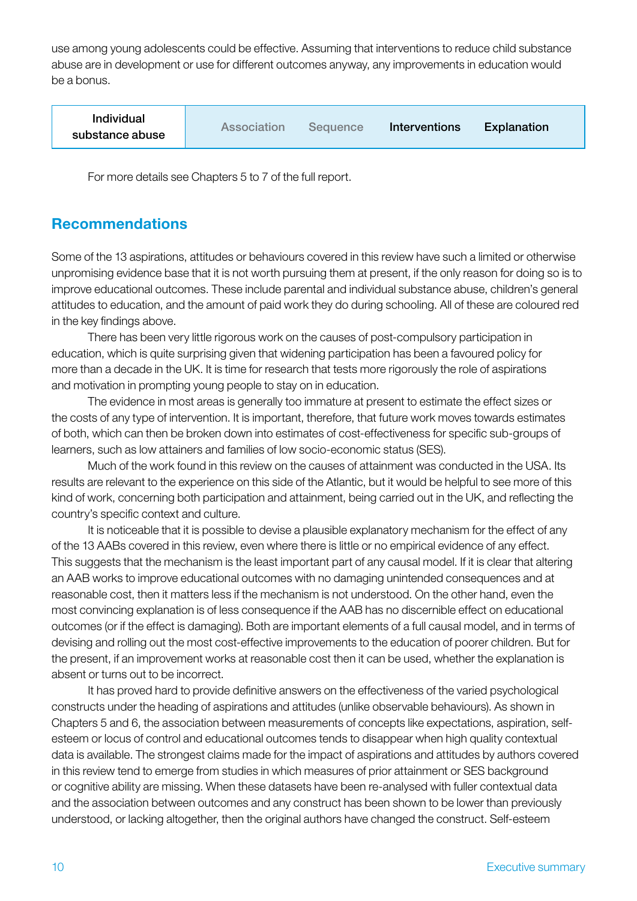use among young adolescents could be effective. Assuming that interventions to reduce child substance abuse are in development or use for different outcomes anyway, any improvements in education would be a bonus.

| <b>Individual</b><br>substance abuse | Association | <b>Sequence</b> | Interventions | Explanation |
|--------------------------------------|-------------|-----------------|---------------|-------------|
|--------------------------------------|-------------|-----------------|---------------|-------------|

For more details see Chapters 5 to 7 of the full report.

# Recommendations

Some of the 13 aspirations, attitudes or behaviours covered in this review have such a limited or otherwise unpromising evidence base that it is not worth pursuing them at present, if the only reason for doing so is to improve educational outcomes. These include parental and individual substance abuse, children's general attitudes to education, and the amount of paid work they do during schooling. All of these are coloured red in the key findings above.

There has been very little rigorous work on the causes of post-compulsory participation in education, which is quite surprising given that widening participation has been a favoured policy for more than a decade in the UK. It is time for research that tests more rigorously the role of aspirations and motivation in prompting young people to stay on in education.

The evidence in most areas is generally too immature at present to estimate the effect sizes or the costs of any type of intervention. It is important, therefore, that future work moves towards estimates of both, which can then be broken down into estimates of cost-effectiveness for specific sub-groups of learners, such as low attainers and families of low socio-economic status (SES).

Much of the work found in this review on the causes of attainment was conducted in the USA. Its results are relevant to the experience on this side of the Atlantic, but it would be helpful to see more of this kind of work, concerning both participation and attainment, being carried out in the UK, and reflecting the country's specific context and culture.

It is noticeable that it is possible to devise a plausible explanatory mechanism for the effect of any of the 13 AABs covered in this review, even where there is little or no empirical evidence of any effect. This suggests that the mechanism is the least important part of any causal model. If it is clear that altering an AAB works to improve educational outcomes with no damaging unintended consequences and at reasonable cost, then it matters less if the mechanism is not understood. On the other hand, even the most convincing explanation is of less consequence if the AAB has no discernible effect on educational outcomes (or if the effect is damaging). Both are important elements of a full causal model, and in terms of devising and rolling out the most cost-effective improvements to the education of poorer children. But for the present, if an improvement works at reasonable cost then it can be used, whether the explanation is absent or turns out to be incorrect.

It has proved hard to provide definitive answers on the effectiveness of the varied psychological constructs under the heading of aspirations and attitudes (unlike observable behaviours). As shown in Chapters 5 and 6, the association between measurements of concepts like expectations, aspiration, selfesteem or locus of control and educational outcomes tends to disappear when high quality contextual data is available. The strongest claims made for the impact of aspirations and attitudes by authors covered in this review tend to emerge from studies in which measures of prior attainment or SES background or cognitive ability are missing. When these datasets have been re-analysed with fuller contextual data and the association between outcomes and any construct has been shown to be lower than previously understood, or lacking altogether, then the original authors have changed the construct. Self-esteem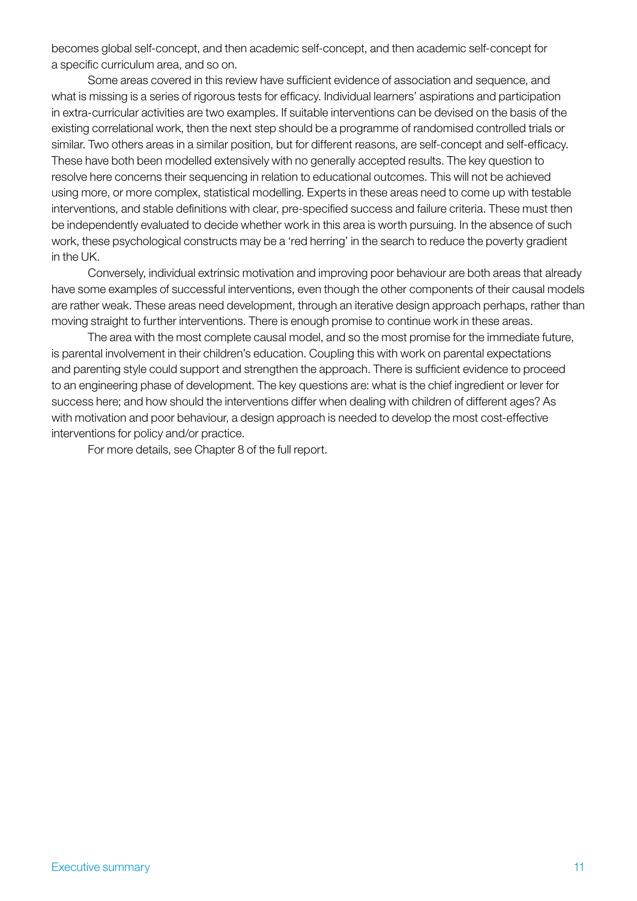becomes global self-concept, and then academic self-concept, and then academic self-concept for a specific curriculum area, and so on.

Some areas covered in this review have sufficient evidence of association and sequence, and what is missing is a series of rigorous tests for efficacy. Individual learners' aspirations and participation in extra-curricular activities are two examples. If suitable interventions can be devised on the basis of the existing correlational work, then the next step should be a programme of randomised controlled trials or similar. Two others areas in a similar position, but for different reasons, are self-concept and self-efficacy. These have both been modelled extensively with no generally accepted results. The key question to resolve here concerns their sequencing in relation to educational outcomes. This will not be achieved using more, or more complex, statistical modelling. Experts in these areas need to come up with testable interventions, and stable definitions with clear, pre-specified success and failure criteria. These must then be independently evaluated to decide whether work in this area is worth pursuing. In the absence of such work, these psychological constructs may be a 'red herring' in the search to reduce the poverty gradient in the UK.

Conversely, individual extrinsic motivation and improving poor behaviour are both areas that already have some examples of successful interventions, even though the other components of their causal models are rather weak. These areas need development, through an iterative design approach perhaps, rather than moving straight to further interventions. There is enough promise to continue work in these areas.

The area with the most complete causal model, and so the most promise for the immediate future, is parental involvement in their children's education. Coupling this with work on parental expectations and parenting style could support and strengthen the approach. There is sufficient evidence to proceed to an engineering phase of development. The key questions are: what is the chief ingredient or lever for success here; and how should the interventions differ when dealing with children of different ages? As with motivation and poor behaviour, a design approach is needed to develop the most cost-effective interventions for policy and/or practice.

For more details, see Chapter 8 of the full report.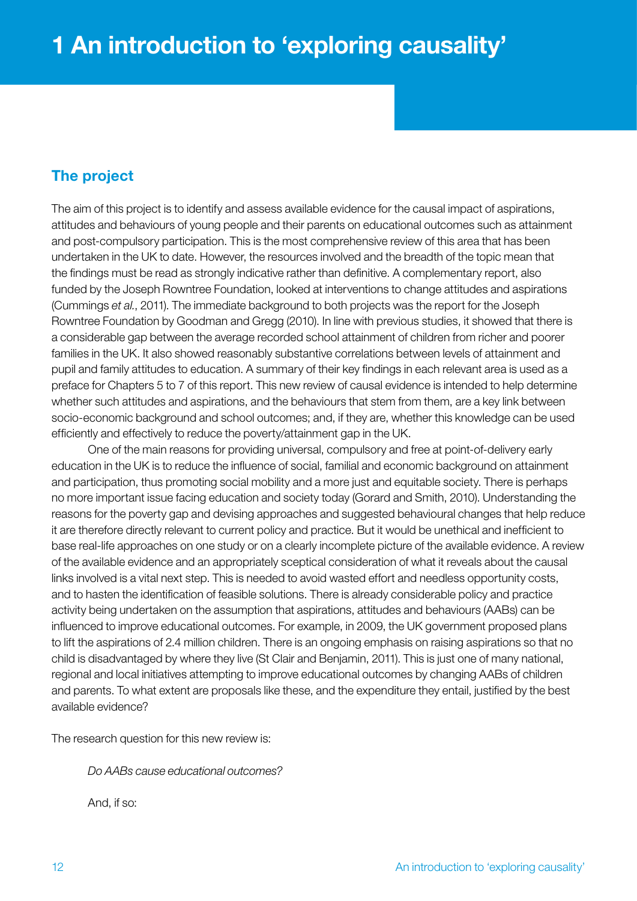# <span id="page-11-0"></span>The project

The aim of this project is to identify and assess available evidence for the causal impact of aspirations, attitudes and behaviours of young people and their parents on educational outcomes such as attainment and post-compulsory participation. This is the most comprehensive review of this area that has been undertaken in the UK to date. However, the resources involved and the breadth of the topic mean that the findings must be read as strongly indicative rather than definitive. A complementary report, also funded by the Joseph Rowntree Foundation, looked at interventions to change attitudes and aspirations (Cummings *et al.*, 2011). The immediate background to both projects was the report for the Joseph Rowntree Foundation by Goodman and Gregg (2010). In line with previous studies, it showed that there is a considerable gap between the average recorded school attainment of children from richer and poorer families in the UK. It also showed reasonably substantive correlations between levels of attainment and pupil and family attitudes to education. A summary of their key findings in each relevant area is used as a preface for Chapters 5 to 7 of this report. This new review of causal evidence is intended to help determine whether such attitudes and aspirations, and the behaviours that stem from them, are a key link between socio-economic background and school outcomes; and, if they are, whether this knowledge can be used efficiently and effectively to reduce the poverty/attainment gap in the UK.

One of the main reasons for providing universal, compulsory and free at point-of-delivery early education in the UK is to reduce the influence of social, familial and economic background on attainment and participation, thus promoting social mobility and a more just and equitable society. There is perhaps no more important issue facing education and society today (Gorard and Smith, 2010). Understanding the reasons for the poverty gap and devising approaches and suggested behavioural changes that help reduce it are therefore directly relevant to current policy and practice. But it would be unethical and inefficient to base real-life approaches on one study or on a clearly incomplete picture of the available evidence. A review of the available evidence and an appropriately sceptical consideration of what it reveals about the causal links involved is a vital next step. This is needed to avoid wasted effort and needless opportunity costs, and to hasten the identification of feasible solutions. There is already considerable policy and practice activity being undertaken on the assumption that aspirations, attitudes and behaviours (AABs) can be influenced to improve educational outcomes. For example, in 2009, the UK government proposed plans to lift the aspirations of 2.4 million children. There is an ongoing emphasis on raising aspirations so that no child is disadvantaged by where they live (St Clair and Benjamin, 2011). This is just one of many national, regional and local initiatives attempting to improve educational outcomes by changing AABs of children and parents. To what extent are proposals like these, and the expenditure they entail, justified by the best available evidence?

The research question for this new review is:

*Do AABs cause educational outcomes?* 

And, if so: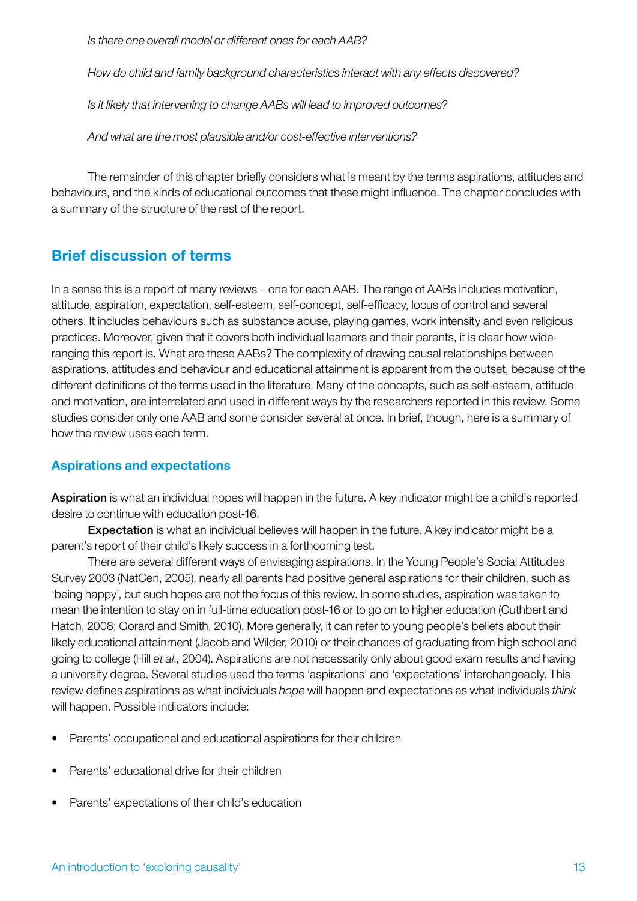*Is there one overall model or different ones for each AAB?*

*How do child and family background characteristics interact with any effects discovered?*

*Is it likely that intervening to change AABs will lead to improved outcomes?* 

*And what are the most plausible and/or cost-effective interventions?*

The remainder of this chapter briefly considers what is meant by the terms aspirations, attitudes and behaviours, and the kinds of educational outcomes that these might influence. The chapter concludes with a summary of the structure of the rest of the report.

# Brief discussion of terms

In a sense this is a report of many reviews – one for each AAB. The range of AABs includes motivation, attitude, aspiration, expectation, self-esteem, self-concept, self-efficacy, locus of control and several others. It includes behaviours such as substance abuse, playing games, work intensity and even religious practices. Moreover, given that it covers both individual learners and their parents, it is clear how wideranging this report is. What are these AABs? The complexity of drawing causal relationships between aspirations, attitudes and behaviour and educational attainment is apparent from the outset, because of the different definitions of the terms used in the literature. Many of the concepts, such as self-esteem, attitude and motivation, are interrelated and used in different ways by the researchers reported in this review. Some studies consider only one AAB and some consider several at once. In brief, though, here is a summary of how the review uses each term.

# Aspirations and expectations

Aspiration is what an individual hopes will happen in the future. A key indicator might be a child's reported desire to continue with education post-16.

Expectation is what an individual believes will happen in the future. A key indicator might be a parent's report of their child's likely success in a forthcoming test.

There are several different ways of envisaging aspirations. In the Young People's Social Attitudes Survey 2003 (NatCen, 2005), nearly all parents had positive general aspirations for their children, such as 'being happy', but such hopes are not the focus of this review. In some studies, aspiration was taken to mean the intention to stay on in full-time education post-16 or to go on to higher education (Cuthbert and Hatch, 2008; Gorard and Smith, 2010). More generally, it can refer to young people's beliefs about their likely educational attainment (Jacob and Wilder, 2010) or their chances of graduating from high school and going to college (Hill *et al*., 2004). Aspirations are not necessarily only about good exam results and having a university degree. Several studies used the terms 'aspirations' and 'expectations' interchangeably. This review defines aspirations as what individuals *hope* will happen and expectations as what individuals *think* will happen. Possible indicators include:

- Parents' occupational and educational aspirations for their children
- Parents' educational drive for their children
- Parents' expectations of their child's education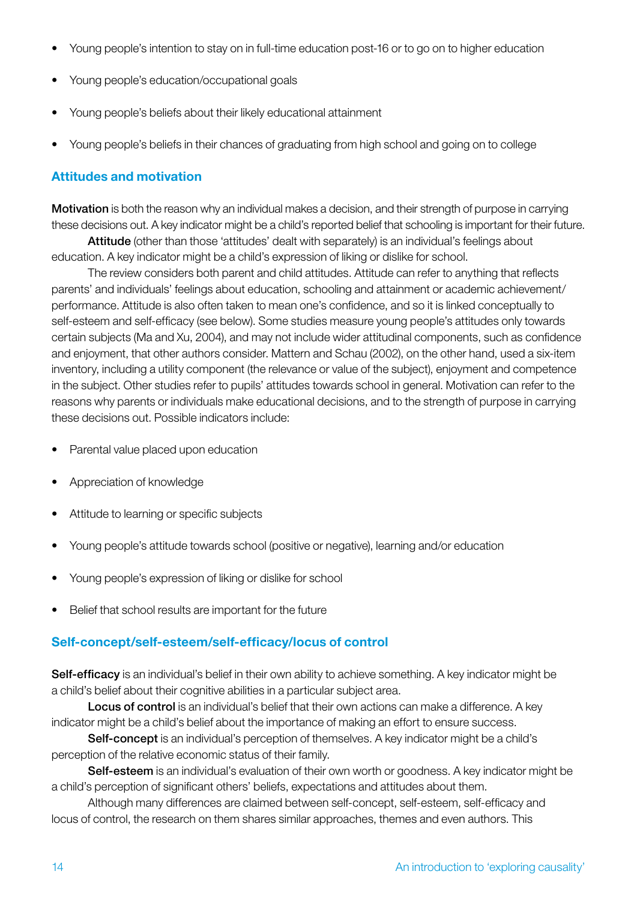- Young people's intention to stay on in full-time education post-16 or to go on to higher education
- Young people's education/occupational goals
- Young people's beliefs about their likely educational attainment
- Young people's beliefs in their chances of graduating from high school and going on to college

#### Attitudes and motivation

Motivation is both the reason why an individual makes a decision, and their strength of purpose in carrying these decisions out. A key indicator might be a child's reported belief that schooling is important for their future.

Attitude (other than those 'attitudes' dealt with separately) is an individual's feelings about education. A key indicator might be a child's expression of liking or dislike for school.

The review considers both parent and child attitudes. Attitude can refer to anything that reflects parents' and individuals' feelings about education, schooling and attainment or academic achievement/ performance. Attitude is also often taken to mean one's confidence, and so it is linked conceptually to self-esteem and self-efficacy (see below). Some studies measure young people's attitudes only towards certain subjects (Ma and Xu, 2004), and may not include wider attitudinal components, such as confidence and enjoyment, that other authors consider. Mattern and Schau (2002), on the other hand, used a six-item inventory, including a utility component (the relevance or value of the subject), enjoyment and competence in the subject. Other studies refer to pupils' attitudes towards school in general. Motivation can refer to the reasons why parents or individuals make educational decisions, and to the strength of purpose in carrying these decisions out. Possible indicators include:

- Parental value placed upon education
- Appreciation of knowledge
- • Attitude to learning or specific subjects
- Young people's attitude towards school (positive or negative), learning and/or education
- Young people's expression of liking or dislike for school
- • Belief that school results are important for the future

#### Self-concept/self-esteem/self-efficacy/locus of control

Self-efficacy is an individual's belief in their own ability to achieve something. A key indicator might be a child's belief about their cognitive abilities in a particular subject area.

Locus of control is an individual's belief that their own actions can make a difference. A key indicator might be a child's belief about the importance of making an effort to ensure success.

Self-concept is an individual's perception of themselves. A key indicator might be a child's perception of the relative economic status of their family.

Self-esteem is an individual's evaluation of their own worth or goodness. A key indicator might be a child's perception of significant others' beliefs, expectations and attitudes about them.

Although many differences are claimed between self-concept, self-esteem, self-efficacy and locus of control, the research on them shares similar approaches, themes and even authors. This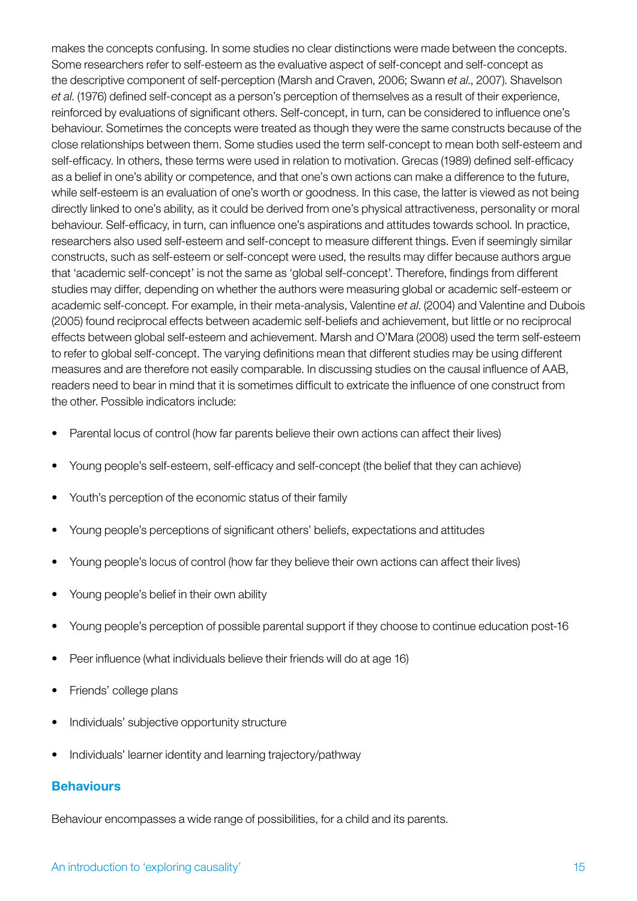makes the concepts confusing. In some studies no clear distinctions were made between the concepts. Some researchers refer to self-esteem as the evaluative aspect of self-concept and self-concept as the descriptive component of self-perception (Marsh and Craven, 2006; Swann *et al*., 2007). Shavelson *et al*. (1976) defined self-concept as a person's perception of themselves as a result of their experience, reinforced by evaluations of significant others. Self-concept, in turn, can be considered to influence one's behaviour. Sometimes the concepts were treated as though they were the same constructs because of the close relationships between them. Some studies used the term self-concept to mean both self-esteem and self-efficacy. In others, these terms were used in relation to motivation. Grecas (1989) defined self-efficacy as a belief in one's ability or competence, and that one's own actions can make a difference to the future, while self-esteem is an evaluation of one's worth or goodness. In this case, the latter is viewed as not being directly linked to one's ability, as it could be derived from one's physical attractiveness, personality or moral behaviour. Self-efficacy, in turn, can influence one's aspirations and attitudes towards school. In practice, researchers also used self-esteem and self-concept to measure different things. Even if seemingly similar constructs, such as self-esteem or self-concept were used, the results may differ because authors argue that 'academic self-concept' is not the same as 'global self-concept'. Therefore, findings from different studies may differ, depending on whether the authors were measuring global or academic self-esteem or academic self-concept. For example, in their meta-analysis, Valentine *et al*. (2004) and Valentine and Dubois (2005) found reciprocal effects between academic self-beliefs and achievement, but little or no reciprocal effects between global self-esteem and achievement. Marsh and O'Mara (2008) used the term self-esteem to refer to global self-concept. The varying definitions mean that different studies may be using different measures and are therefore not easily comparable. In discussing studies on the causal influence of AAB, readers need to bear in mind that it is sometimes difficult to extricate the influence of one construct from the other. Possible indicators include:

- Parental locus of control (how far parents believe their own actions can affect their lives)
- Young people's self-esteem, self-efficacy and self-concept (the belief that they can achieve)
- Youth's perception of the economic status of their family
- Young people's perceptions of significant others' beliefs, expectations and attitudes
- Young people's locus of control (how far they believe their own actions can affect their lives)
- Young people's belief in their own ability
- Young people's perception of possible parental support if they choose to continue education post-16
- Peer influence (what individuals believe their friends will do at age 16)
- Friends' college plans
- Individuals' subjective opportunity structure
- Individuals' learner identity and learning trajectory/pathway

#### **Behaviours**

Behaviour encompasses a wide range of possibilities, for a child and its parents.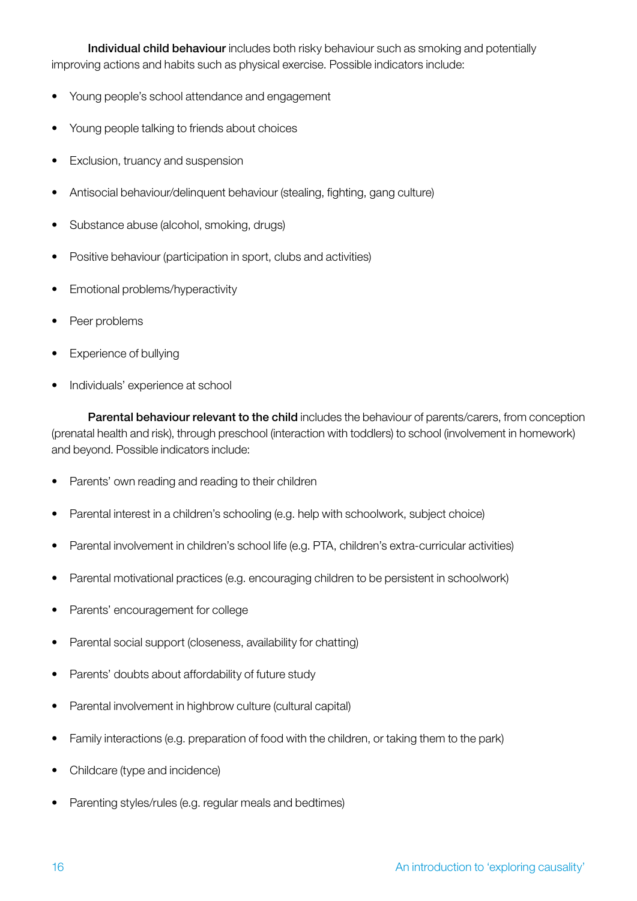Individual child behaviour includes both risky behaviour such as smoking and potentially improving actions and habits such as physical exercise. Possible indicators include:

- Young people's school attendance and engagement
- Young people talking to friends about choices
- **Exclusion, truancy and suspension**
- Antisocial behaviour/delinquent behaviour (stealing, fighting, gang culture)
- Substance abuse (alcohol, smoking, drugs)
- Positive behaviour (participation in sport, clubs and activities)
- Emotional problems/hyperactivity
- Peer problems
- **Experience of bullying**
- Individuals' experience at school

Parental behaviour relevant to the child includes the behaviour of parents/carers, from conception (prenatal health and risk), through preschool (interaction with toddlers) to school (involvement in homework) and beyond. Possible indicators include:

- Parents' own reading and reading to their children
- Farental interest in a children's schooling (e.g. help with schoolwork, subject choice)
- Parental involvement in children's school life (e.g. PTA, children's extra-curricular activities)
- Parental motivational practices (e.g. encouraging children to be persistent in schoolwork)
- Parents' encouragement for college
- Parental social support (closeness, availability for chatting)
- Parents' doubts about affordability of future study
- Parental involvement in highbrow culture (cultural capital)
- Family interactions (e.g. preparation of food with the children, or taking them to the park)
- Childcare (type and incidence)
- Parenting styles/rules (e.g. regular meals and bedtimes)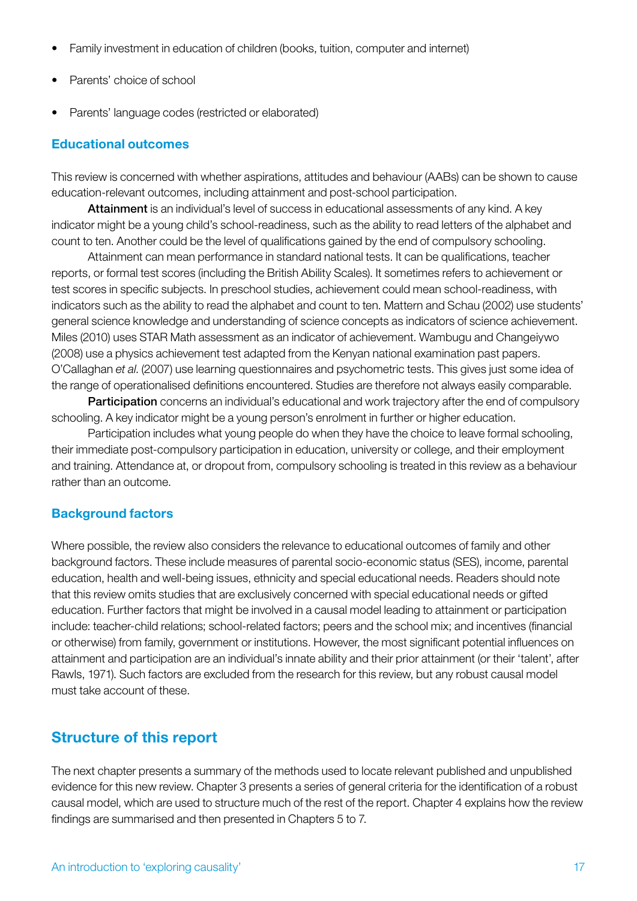- Family investment in education of children (books, tuition, computer and internet)
- Parents' choice of school
- Parents' language codes (restricted or elaborated)

# Educational outcomes

This review is concerned with whether aspirations, attitudes and behaviour (AABs) can be shown to cause education-relevant outcomes, including attainment and post-school participation.

Attainment is an individual's level of success in educational assessments of any kind. A key indicator might be a young child's school-readiness, such as the ability to read letters of the alphabet and count to ten. Another could be the level of qualifications gained by the end of compulsory schooling.

Attainment can mean performance in standard national tests. It can be qualifications, teacher reports, or formal test scores (including the British Ability Scales). It sometimes refers to achievement or test scores in specific subjects. In preschool studies, achievement could mean school-readiness, with indicators such as the ability to read the alphabet and count to ten. Mattern and Schau (2002) use students' general science knowledge and understanding of science concepts as indicators of science achievement. Miles (2010) uses STAR Math assessment as an indicator of achievement. Wambugu and Changeiywo (2008) use a physics achievement test adapted from the Kenyan national examination past papers. O'Callaghan *et al*. (2007) use learning questionnaires and psychometric tests. This gives just some idea of the range of operationalised definitions encountered. Studies are therefore not always easily comparable.

**Participation** concerns an individual's educational and work trajectory after the end of compulsory schooling. A key indicator might be a young person's enrolment in further or higher education.

Participation includes what young people do when they have the choice to leave formal schooling, their immediate post-compulsory participation in education, university or college, and their employment and training. Attendance at, or dropout from, compulsory schooling is treated in this review as a behaviour rather than an outcome.

# Background factors

Where possible, the review also considers the relevance to educational outcomes of family and other background factors. These include measures of parental socio-economic status (SES), income, parental education, health and well-being issues, ethnicity and special educational needs. Readers should note that this review omits studies that are exclusively concerned with special educational needs or gifted education. Further factors that might be involved in a causal model leading to attainment or participation include: teacher-child relations; school-related factors; peers and the school mix; and incentives (financial or otherwise) from family, government or institutions. However, the most significant potential influences on attainment and participation are an individual's innate ability and their prior attainment (or their 'talent', after Rawls, 1971). Such factors are excluded from the research for this review, but any robust causal model must take account of these.

# Structure of this report

The next chapter presents a summary of the methods used to locate relevant published and unpublished evidence for this new review. Chapter 3 presents a series of general criteria for the identification of a robust causal model, which are used to structure much of the rest of the report. Chapter 4 explains how the review findings are summarised and then presented in Chapters 5 to 7.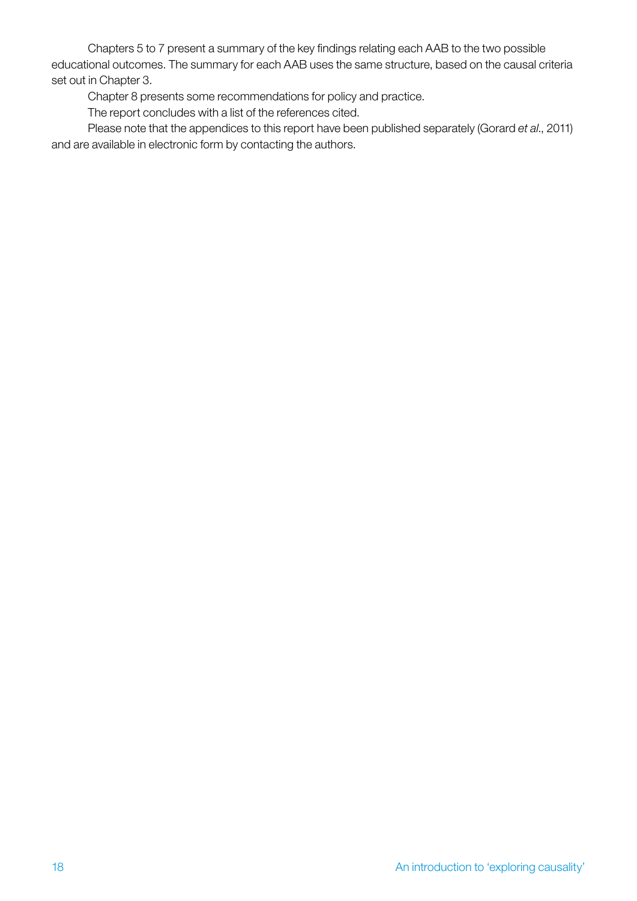Chapters 5 to 7 present a summary of the key findings relating each AAB to the two possible educational outcomes. The summary for each AAB uses the same structure, based on the causal criteria set out in Chapter 3.

Chapter 8 presents some recommendations for policy and practice.

The report concludes with a list of the references cited.

Please note that the appendices to this report have been published separately (Gorard *et al*., 2011) and are available in electronic form by contacting the authors.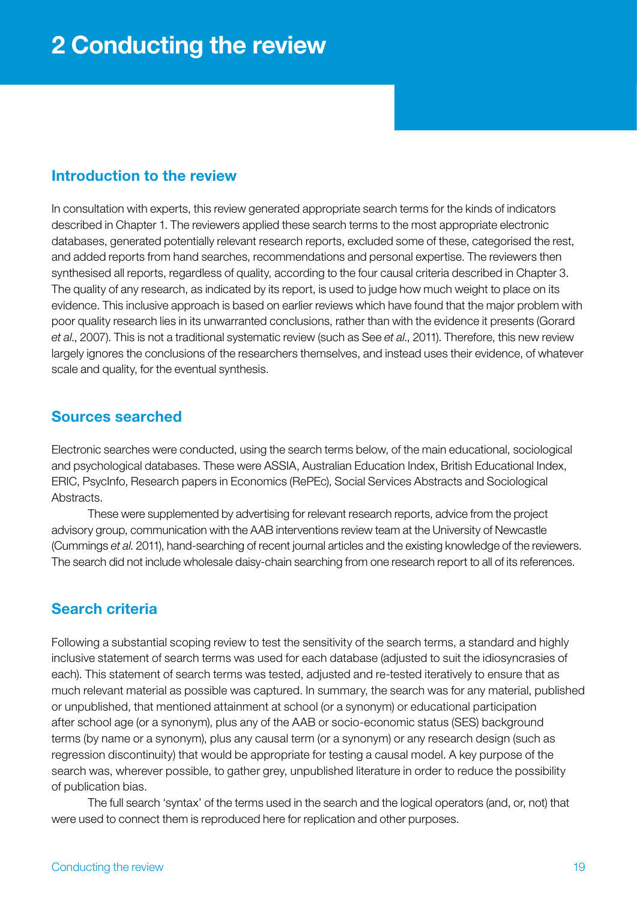# <span id="page-18-0"></span>Introduction to the review

In consultation with experts, this review generated appropriate search terms for the kinds of indicators described in Chapter 1. The reviewers applied these search terms to the most appropriate electronic databases, generated potentially relevant research reports, excluded some of these, categorised the rest, and added reports from hand searches, recommendations and personal expertise. The reviewers then synthesised all reports, regardless of quality, according to the four causal criteria described in Chapter 3. The quality of any research, as indicated by its report, is used to judge how much weight to place on its evidence. This inclusive approach is based on earlier reviews which have found that the major problem with poor quality research lies in its unwarranted conclusions, rather than with the evidence it presents (Gorard *et al*., 2007). This is not a traditional systematic review (such as See *et al*., 2011). Therefore, this new review largely ignores the conclusions of the researchers themselves, and instead uses their evidence, of whatever scale and quality, for the eventual synthesis.

# Sources searched

Electronic searches were conducted, using the search terms below, of the main educational, sociological and psychological databases. These were ASSIA, Australian Education Index, British Educational Index, ERIC, PsycInfo, Research papers in Economics (RePEc), Social Services Abstracts and Sociological Abstracts.

These were supplemented by advertising for relevant research reports, advice from the project advisory group, communication with the AAB interventions review team at the University of Newcastle (Cummings *et al*. 2011), hand-searching of recent journal articles and the existing knowledge of the reviewers. The search did not include wholesale daisy-chain searching from one research report to all of its references.

# Search criteria

Following a substantial scoping review to test the sensitivity of the search terms, a standard and highly inclusive statement of search terms was used for each database (adjusted to suit the idiosyncrasies of each). This statement of search terms was tested, adjusted and re-tested iteratively to ensure that as much relevant material as possible was captured. In summary, the search was for any material, published or unpublished, that mentioned attainment at school (or a synonym) or educational participation after school age (or a synonym), plus any of the AAB or socio-economic status (SES) background terms (by name or a synonym), plus any causal term (or a synonym) or any research design (such as regression discontinuity) that would be appropriate for testing a causal model. A key purpose of the search was, wherever possible, to gather grey, unpublished literature in order to reduce the possibility of publication bias.

The full search 'syntax' of the terms used in the search and the logical operators (and, or, not) that were used to connect them is reproduced here for replication and other purposes.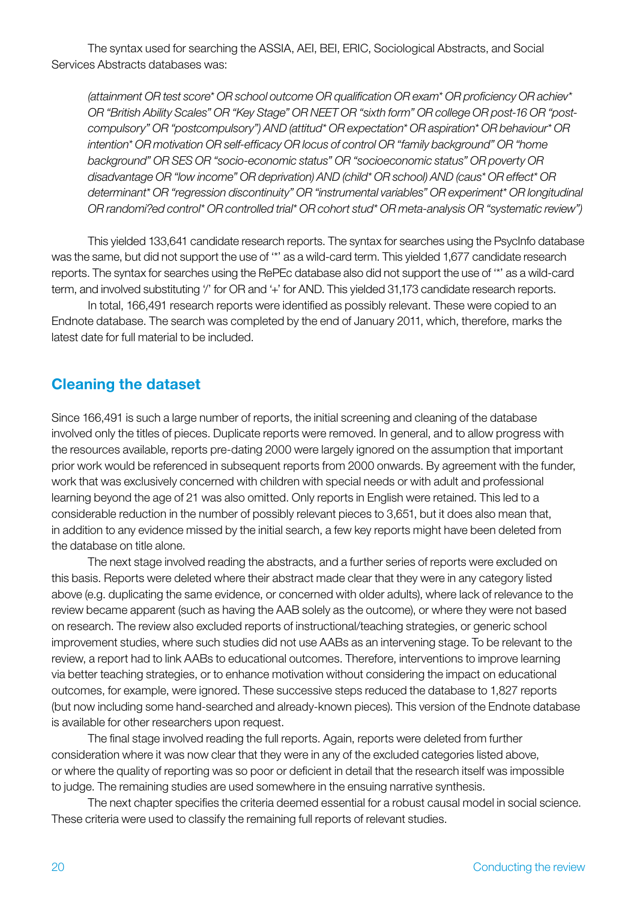The syntax used for searching the ASSIA, AEI, BEI, ERIC, Sociological Abstracts, and Social Services Abstracts databases was:

*(attainment OR test score\* OR school outcome OR qualification OR exam\* OR proficiency OR achiev\* OR "British Ability Scales" OR "Key Stage" OR NEET OR "sixth form" OR college OR post-16 OR "postcompulsory" OR "postcompulsory") AND (attitud\* OR expectation\* OR aspiration\* OR behaviour\* OR intention\* OR motivation OR self-efficacy OR locus of control OR "family background" OR "home background" OR SES OR "socio-economic status" OR "socioeconomic status" OR poverty OR disadvantage OR "low income" OR deprivation) AND (child\* OR school) AND (caus\* OR effect\* OR determinant\* OR "regression discontinuity" OR "instrumental variables" OR experiment\* OR longitudinal OR randomi?ed control\* OR controlled trial\* OR cohort stud\* OR meta-analysis OR "systematic review")*

This yielded 133,641 candidate research reports. The syntax for searches using the PsycInfo database was the same, but did not support the use of '\*' as a wild-card term. This yielded 1,677 candidate research reports. The syntax for searches using the RePEc database also did not support the use of '\*' as a wild-card term, and involved substituting '/' for OR and '+' for AND. This yielded 31,173 candidate research reports.

In total, 166,491 research reports were identified as possibly relevant. These were copied to an Endnote database. The search was completed by the end of January 2011, which, therefore, marks the latest date for full material to be included.

# Cleaning the dataset

Since 166,491 is such a large number of reports, the initial screening and cleaning of the database involved only the titles of pieces. Duplicate reports were removed. In general, and to allow progress with the resources available, reports pre-dating 2000 were largely ignored on the assumption that important prior work would be referenced in subsequent reports from 2000 onwards. By agreement with the funder, work that was exclusively concerned with children with special needs or with adult and professional learning beyond the age of 21 was also omitted. Only reports in English were retained. This led to a considerable reduction in the number of possibly relevant pieces to 3,651, but it does also mean that, in addition to any evidence missed by the initial search, a few key reports might have been deleted from the database on title alone.

The next stage involved reading the abstracts, and a further series of reports were excluded on this basis. Reports were deleted where their abstract made clear that they were in any category listed above (e.g. duplicating the same evidence, or concerned with older adults), where lack of relevance to the review became apparent (such as having the AAB solely as the outcome), or where they were not based on research. The review also excluded reports of instructional/teaching strategies, or generic school improvement studies, where such studies did not use AABs as an intervening stage. To be relevant to the review, a report had to link AABs to educational outcomes. Therefore, interventions to improve learning via better teaching strategies, or to enhance motivation without considering the impact on educational outcomes, for example, were ignored. These successive steps reduced the database to 1,827 reports (but now including some hand-searched and already-known pieces). This version of the Endnote database is available for other researchers upon request.

The final stage involved reading the full reports. Again, reports were deleted from further consideration where it was now clear that they were in any of the excluded categories listed above, or where the quality of reporting was so poor or deficient in detail that the research itself was impossible to judge. The remaining studies are used somewhere in the ensuing narrative synthesis.

The next chapter specifies the criteria deemed essential for a robust causal model in social science. These criteria were used to classify the remaining full reports of relevant studies.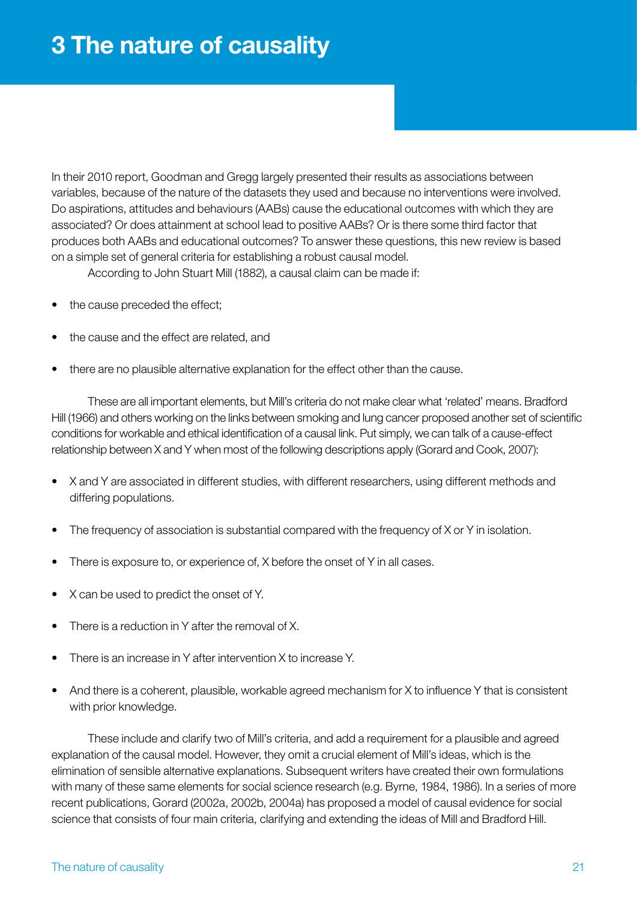<span id="page-20-0"></span>In their 2010 report, Goodman and Gregg largely presented their results as associations between variables, because of the nature of the datasets they used and because no interventions were involved. Do aspirations, attitudes and behaviours (AABs) cause the educational outcomes with which they are associated? Or does attainment at school lead to positive AABs? Or is there some third factor that produces both AABs and educational outcomes? To answer these questions, this new review is based on a simple set of general criteria for establishing a robust causal model.

According to John Stuart Mill (1882), a causal claim can be made if:

- the cause preceded the effect;
- the cause and the effect are related, and
- there are no plausible alternative explanation for the effect other than the cause.

These are all important elements, but Mill's criteria do not make clear what 'related' means. Bradford Hill (1966) and others working on the links between smoking and lung cancer proposed another set of scientific conditions for workable and ethical identification of a causal link. Put simply, we can talk of a cause-effect relationship between X and Y when most of the following descriptions apply (Gorard and Cook, 2007):

- X and Y are associated in different studies, with different researchers, using different methods and differing populations.
- The frequency of association is substantial compared with the frequency of X or Y in isolation.
- There is exposure to, or experience of, X before the onset of Y in all cases.
- X can be used to predict the onset of Y.
- There is a reduction in Y after the removal of X.
- There is an increase in Y after intervention X to increase Y.
- And there is a coherent, plausible, workable agreed mechanism for X to influence Y that is consistent with prior knowledge.

These include and clarify two of Mill's criteria, and add a requirement for a plausible and agreed explanation of the causal model. However, they omit a crucial element of Mill's ideas, which is the elimination of sensible alternative explanations. Subsequent writers have created their own formulations with many of these same elements for social science research (e.g. Byrne, 1984, 1986). In a series of more recent publications, Gorard (2002a, 2002b, 2004a) has proposed a model of causal evidence for social science that consists of four main criteria, clarifying and extending the ideas of Mill and Bradford Hill.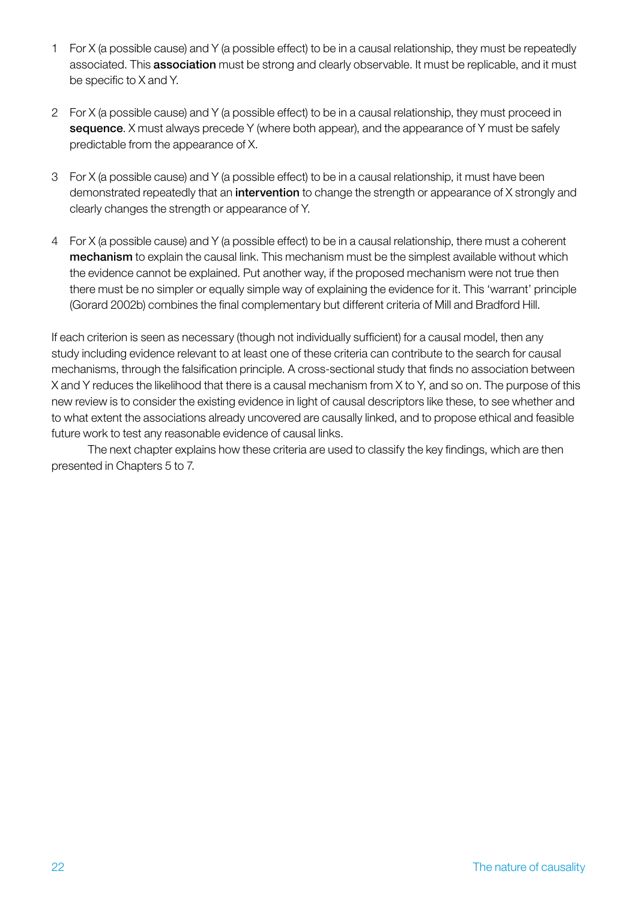- 1 For X (a possible cause) and Y (a possible effect) to be in a causal relationship, they must be repeatedly associated. This association must be strong and clearly observable. It must be replicable, and it must be specific to X and Y.
- 2 For X (a possible cause) and Y (a possible effect) to be in a causal relationship, they must proceed in sequence. X must always precede Y (where both appear), and the appearance of Y must be safely predictable from the appearance of X.
- 3 For X (a possible cause) and Y (a possible effect) to be in a causal relationship, it must have been demonstrated repeatedly that an intervention to change the strength or appearance of X strongly and clearly changes the strength or appearance of Y.
- 4 For X (a possible cause) and Y (a possible effect) to be in a causal relationship, there must a coherent mechanism to explain the causal link. This mechanism must be the simplest available without which the evidence cannot be explained. Put another way, if the proposed mechanism were not true then there must be no simpler or equally simple way of explaining the evidence for it. This 'warrant' principle (Gorard 2002b) combines the final complementary but different criteria of Mill and Bradford Hill.

If each criterion is seen as necessary (though not individually sufficient) for a causal model, then any study including evidence relevant to at least one of these criteria can contribute to the search for causal mechanisms, through the falsification principle. A cross-sectional study that finds no association between X and Y reduces the likelihood that there is a causal mechanism from X to Y, and so on. The purpose of this new review is to consider the existing evidence in light of causal descriptors like these, to see whether and to what extent the associations already uncovered are causally linked, and to propose ethical and feasible future work to test any reasonable evidence of causal links.

The next chapter explains how these criteria are used to classify the key findings, which are then presented in Chapters 5 to 7.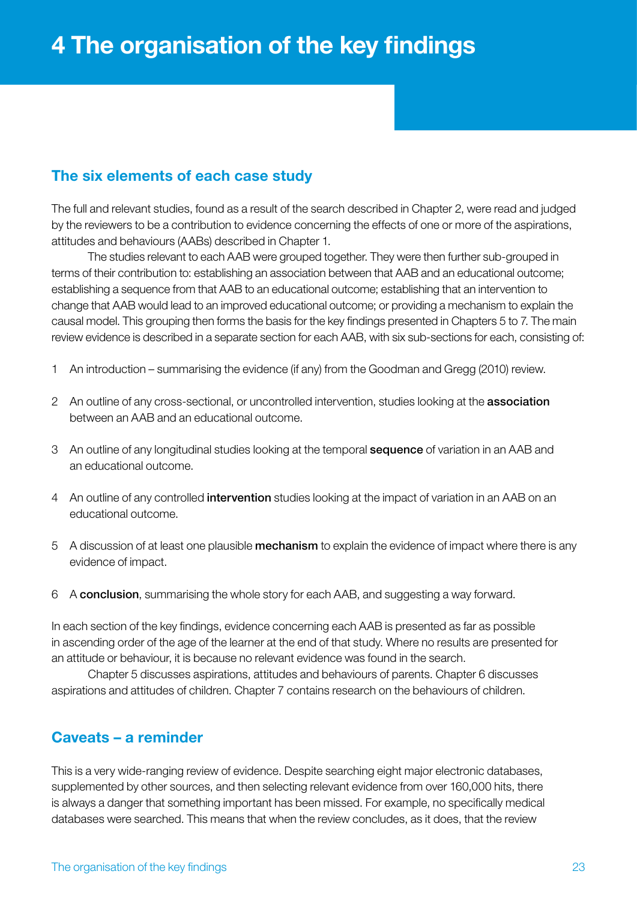# <span id="page-22-0"></span>The six elements of each case study

The full and relevant studies, found as a result of the search described in Chapter 2, were read and judged by the reviewers to be a contribution to evidence concerning the effects of one or more of the aspirations, attitudes and behaviours (AABs) described in Chapter 1.

The studies relevant to each AAB were grouped together. They were then further sub-grouped in terms of their contribution to: establishing an association between that AAB and an educational outcome; establishing a sequence from that AAB to an educational outcome; establishing that an intervention to change that AAB would lead to an improved educational outcome; or providing a mechanism to explain the causal model. This grouping then forms the basis for the key findings presented in Chapters 5 to 7. The main review evidence is described in a separate section for each AAB, with six sub-sections for each, consisting of:

- 1 An introduction summarising the evidence (if any) from the Goodman and Gregg (2010) review.
- 2 An outline of any cross-sectional, or uncontrolled intervention, studies looking at the **association** between an AAB and an educational outcome.
- 3 An outline of any longitudinal studies looking at the temporal sequence of variation in an AAB and an educational outcome.
- 4 An outline of any controlled **intervention** studies looking at the impact of variation in an AAB on an educational outcome.
- 5 A discussion of at least one plausible mechanism to explain the evidence of impact where there is any evidence of impact.
- 6 A conclusion, summarising the whole story for each AAB, and suggesting a way forward.

In each section of the key findings, evidence concerning each AAB is presented as far as possible in ascending order of the age of the learner at the end of that study. Where no results are presented for an attitude or behaviour, it is because no relevant evidence was found in the search.

Chapter 5 discusses aspirations, attitudes and behaviours of parents. Chapter 6 discusses aspirations and attitudes of children. Chapter 7 contains research on the behaviours of children.

# Caveats – a reminder

This is a very wide-ranging review of evidence. Despite searching eight major electronic databases, supplemented by other sources, and then selecting relevant evidence from over 160,000 hits, there is always a danger that something important has been missed. For example, no specifically medical databases were searched. This means that when the review concludes, as it does, that the review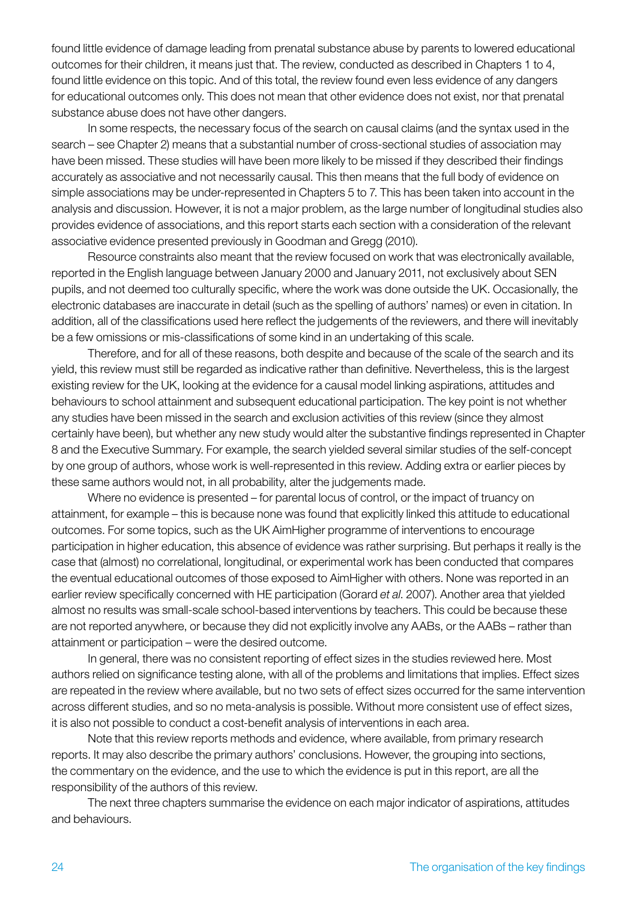found little evidence of damage leading from prenatal substance abuse by parents to lowered educational outcomes for their children, it means just that. The review, conducted as described in Chapters 1 to 4, found little evidence on this topic. And of this total, the review found even less evidence of any dangers for educational outcomes only. This does not mean that other evidence does not exist, nor that prenatal substance abuse does not have other dangers.

In some respects, the necessary focus of the search on causal claims (and the syntax used in the search – see Chapter 2) means that a substantial number of cross-sectional studies of association may have been missed. These studies will have been more likely to be missed if they described their findings accurately as associative and not necessarily causal. This then means that the full body of evidence on simple associations may be under-represented in Chapters 5 to 7. This has been taken into account in the analysis and discussion. However, it is not a major problem, as the large number of longitudinal studies also provides evidence of associations, and this report starts each section with a consideration of the relevant associative evidence presented previously in Goodman and Gregg (2010).

Resource constraints also meant that the review focused on work that was electronically available, reported in the English language between January 2000 and January 2011, not exclusively about SEN pupils, and not deemed too culturally specific, where the work was done outside the UK. Occasionally, the electronic databases are inaccurate in detail (such as the spelling of authors' names) or even in citation. In addition, all of the classifications used here reflect the judgements of the reviewers, and there will inevitably be a few omissions or mis-classifications of some kind in an undertaking of this scale.

Therefore, and for all of these reasons, both despite and because of the scale of the search and its yield, this review must still be regarded as indicative rather than definitive. Nevertheless, this is the largest existing review for the UK, looking at the evidence for a causal model linking aspirations, attitudes and behaviours to school attainment and subsequent educational participation. The key point is not whether any studies have been missed in the search and exclusion activities of this review (since they almost certainly have been), but whether any new study would alter the substantive findings represented in Chapter 8 and the Executive Summary. For example, the search yielded several similar studies of the self-concept by one group of authors, whose work is well-represented in this review. Adding extra or earlier pieces by these same authors would not, in all probability, alter the judgements made.

Where no evidence is presented – for parental locus of control, or the impact of truancy on attainment, for example – this is because none was found that explicitly linked this attitude to educational outcomes. For some topics, such as the UK AimHigher programme of interventions to encourage participation in higher education, this absence of evidence was rather surprising. But perhaps it really is the case that (almost) no correlational, longitudinal, or experimental work has been conducted that compares the eventual educational outcomes of those exposed to AimHigher with others. None was reported in an earlier review specifically concerned with HE participation (Gorard *et al*. 2007). Another area that yielded almost no results was small-scale school-based interventions by teachers. This could be because these are not reported anywhere, or because they did not explicitly involve any AABs, or the AABs – rather than attainment or participation – were the desired outcome.

In general, there was no consistent reporting of effect sizes in the studies reviewed here. Most authors relied on significance testing alone, with all of the problems and limitations that implies. Effect sizes are repeated in the review where available, but no two sets of effect sizes occurred for the same intervention across different studies, and so no meta-analysis is possible. Without more consistent use of effect sizes, it is also not possible to conduct a cost-benefit analysis of interventions in each area.

Note that this review reports methods and evidence, where available, from primary research reports. It may also describe the primary authors' conclusions. However, the grouping into sections, the commentary on the evidence, and the use to which the evidence is put in this report, are all the responsibility of the authors of this review.

The next three chapters summarise the evidence on each major indicator of aspirations, attitudes and behaviours.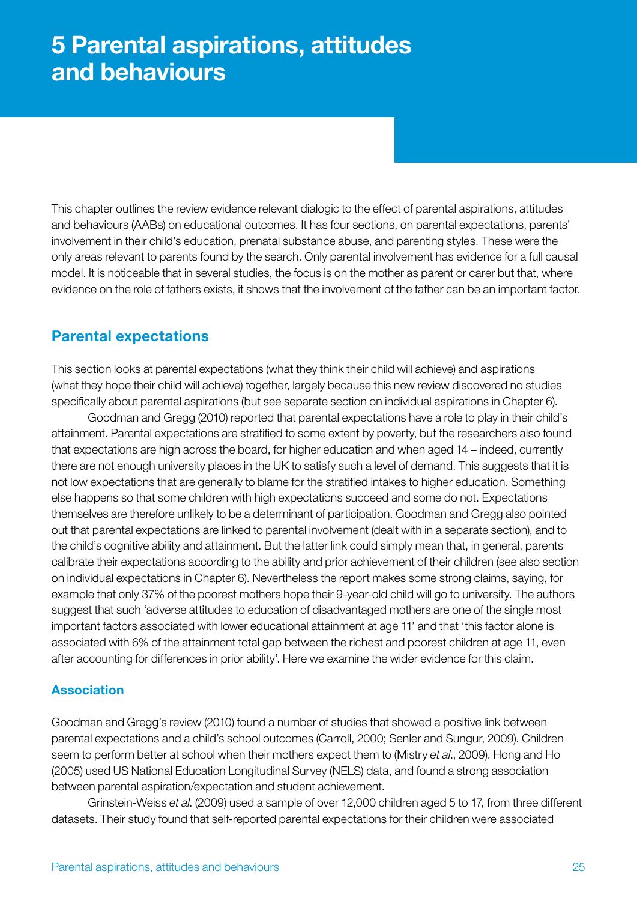<span id="page-24-0"></span>This chapter outlines the review evidence relevant dialogic to the effect of parental aspirations, attitudes and behaviours (AABs) on educational outcomes. It has four sections, on parental expectations, parents' involvement in their child's education, prenatal substance abuse, and parenting styles. These were the only areas relevant to parents found by the search. Only parental involvement has evidence for a full causal model. It is noticeable that in several studies, the focus is on the mother as parent or carer but that, where evidence on the role of fathers exists, it shows that the involvement of the father can be an important factor.

# Parental expectations

This section looks at parental expectations (what they think their child will achieve) and aspirations (what they hope their child will achieve) together, largely because this new review discovered no studies specifically about parental aspirations (but see separate section on individual aspirations in Chapter 6).

Goodman and Gregg (2010) reported that parental expectations have a role to play in their child's attainment. Parental expectations are stratified to some extent by poverty, but the researchers also found that expectations are high across the board, for higher education and when aged 14 – indeed, currently there are not enough university places in the UK to satisfy such a level of demand. This suggests that it is not low expectations that are generally to blame for the stratified intakes to higher education. Something else happens so that some children with high expectations succeed and some do not. Expectations themselves are therefore unlikely to be a determinant of participation. Goodman and Gregg also pointed out that parental expectations are linked to parental involvement (dealt with in a separate section), and to the child's cognitive ability and attainment. But the latter link could simply mean that, in general, parents calibrate their expectations according to the ability and prior achievement of their children (see also section on individual expectations in Chapter 6). Nevertheless the report makes some strong claims, saying, for example that only 37% of the poorest mothers hope their 9-year-old child will go to university. The authors suggest that such 'adverse attitudes to education of disadvantaged mothers are one of the single most important factors associated with lower educational attainment at age 11' and that 'this factor alone is associated with 6% of the attainment total gap between the richest and poorest children at age 11, even after accounting for differences in prior ability'. Here we examine the wider evidence for this claim.

# Association

Goodman and Gregg's review (2010) found a number of studies that showed a positive link between parental expectations and a child's school outcomes (Carroll, 2000; Senler and Sungur, 2009). Children seem to perform better at school when their mothers expect them to (Mistry *et al*., 2009). Hong and Ho (2005) used US National Education Longitudinal Survey (NELS) data, and found a strong association between parental aspiration/expectation and student achievement.

Grinstein-Weiss *et al*. (2009) used a sample of over 12,000 children aged 5 to 17, from three different datasets. Their study found that self-reported parental expectations for their children were associated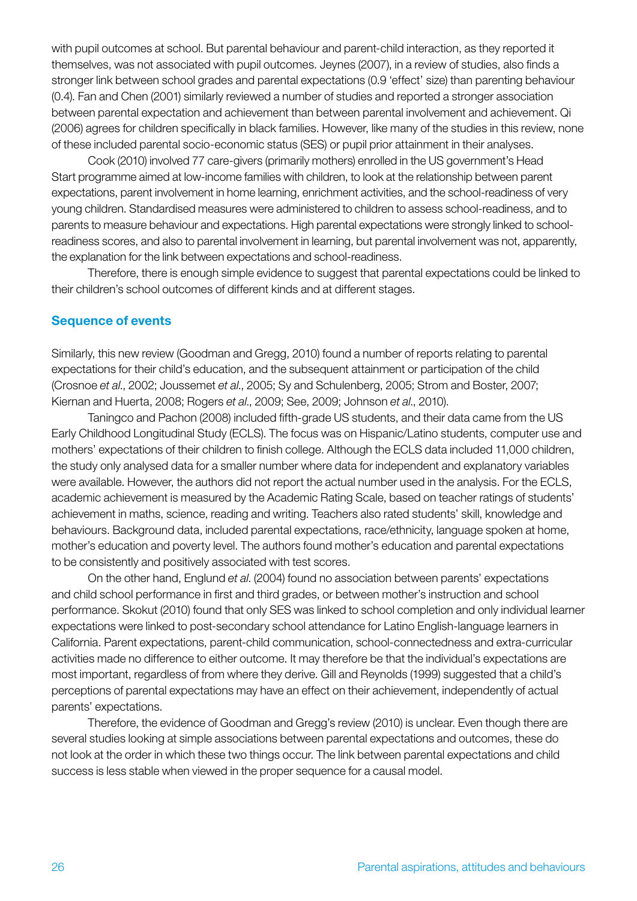with pupil outcomes at school. But parental behaviour and parent-child interaction, as they reported it themselves, was not associated with pupil outcomes. Jeynes (2007), in a review of studies, also finds a stronger link between school grades and parental expectations (0.9 'effect' size) than parenting behaviour (0.4). Fan and Chen (2001) similarly reviewed a number of studies and reported a stronger association between parental expectation and achievement than between parental involvement and achievement. Qi (2006) agrees for children specifically in black families. However, like many of the studies in this review, none of these included parental socio-economic status (SES) or pupil prior attainment in their analyses.

Cook (2010) involved 77 care-givers (primarily mothers) enrolled in the US government's Head Start programme aimed at low-income families with children, to look at the relationship between parent expectations, parent involvement in home learning, enrichment activities, and the school-readiness of very young children. Standardised measures were administered to children to assess school-readiness, and to parents to measure behaviour and expectations. High parental expectations were strongly linked to schoolreadiness scores, and also to parental involvement in learning, but parental involvement was not, apparently, the explanation for the link between expectations and school-readiness.

Therefore, there is enough simple evidence to suggest that parental expectations could be linked to their children's school outcomes of different kinds and at different stages.

#### Sequence of events

Similarly, this new review (Goodman and Gregg, 2010) found a number of reports relating to parental expectations for their child's education, and the subsequent attainment or participation of the child (Crosnoe *et al*., 2002; Joussemet *et al*., 2005; Sy and Schulenberg, 2005; Strom and Boster, 2007; Kiernan and Huerta, 2008; Rogers *et al*., 2009; See, 2009; Johnson *et al*., 2010).

Taningco and Pachon (2008) included fifth-grade US students, and their data came from the US Early Childhood Longitudinal Study (ECLS). The focus was on Hispanic/Latino students, computer use and mothers' expectations of their children to finish college. Although the ECLS data included 11,000 children, the study only analysed data for a smaller number where data for independent and explanatory variables were available. However, the authors did not report the actual number used in the analysis. For the ECLS, academic achievement is measured by the Academic Rating Scale, based on teacher ratings of students' achievement in maths, science, reading and writing. Teachers also rated students' skill, knowledge and behaviours. Background data, included parental expectations, race/ethnicity, language spoken at home, mother's education and poverty level. The authors found mother's education and parental expectations to be consistently and positively associated with test scores.

On the other hand, Englund *et al*. (2004) found no association between parents' expectations and child school performance in first and third grades, or between mother's instruction and school performance. Skokut (2010) found that only SES was linked to school completion and only individual learner expectations were linked to post-secondary school attendance for Latino English-language learners in California. Parent expectations, parent-child communication, school-connectedness and extra-curricular activities made no difference to either outcome. It may therefore be that the individual's expectations are most important, regardless of from where they derive. Gill and Reynolds (1999) suggested that a child's perceptions of parental expectations may have an effect on their achievement, independently of actual parents' expectations.

Therefore, the evidence of Goodman and Gregg's review (2010) is unclear. Even though there are several studies looking at simple associations between parental expectations and outcomes, these do not look at the order in which these two things occur. The link between parental expectations and child success is less stable when viewed in the proper sequence for a causal model.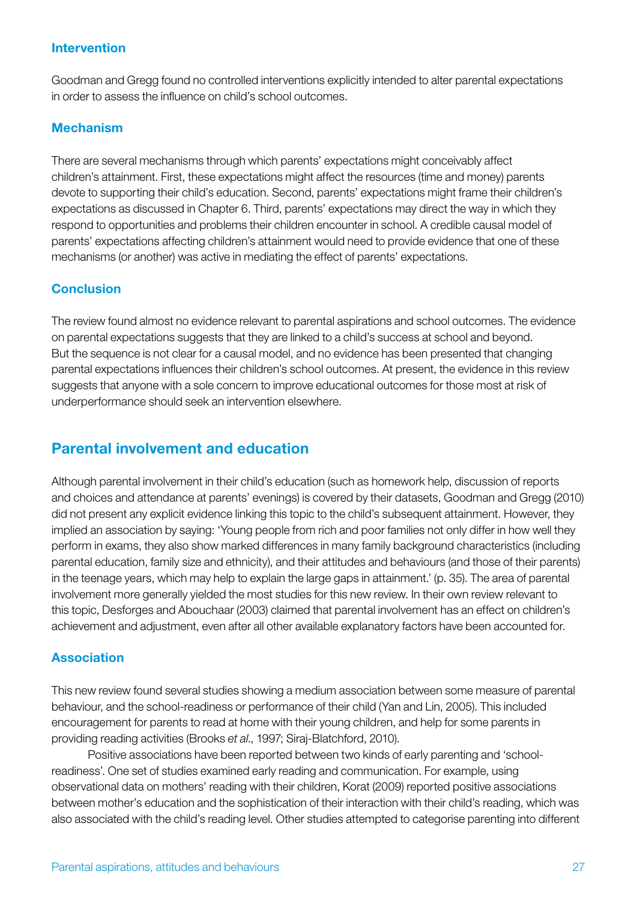#### Intervention

Goodman and Gregg found no controlled interventions explicitly intended to alter parental expectations in order to assess the influence on child's school outcomes.

#### Mechanism

There are several mechanisms through which parents' expectations might conceivably affect children's attainment. First, these expectations might affect the resources (time and money) parents devote to supporting their child's education. Second, parents' expectations might frame their children's expectations as discussed in Chapter 6. Third, parents' expectations may direct the way in which they respond to opportunities and problems their children encounter in school. A credible causal model of parents' expectations affecting children's attainment would need to provide evidence that one of these mechanisms (or another) was active in mediating the effect of parents' expectations.

# **Conclusion**

The review found almost no evidence relevant to parental aspirations and school outcomes. The evidence on parental expectations suggests that they are linked to a child's success at school and beyond. But the sequence is not clear for a causal model, and no evidence has been presented that changing parental expectations influences their children's school outcomes. At present, the evidence in this review suggests that anyone with a sole concern to improve educational outcomes for those most at risk of underperformance should seek an intervention elsewhere.

# Parental involvement and education

Although parental involvement in their child's education (such as homework help, discussion of reports and choices and attendance at parents' evenings) is covered by their datasets, Goodman and Gregg (2010) did not present any explicit evidence linking this topic to the child's subsequent attainment. However, they implied an association by saying: 'Young people from rich and poor families not only differ in how well they perform in exams, they also show marked differences in many family background characteristics (including parental education, family size and ethnicity), and their attitudes and behaviours (and those of their parents) in the teenage years, which may help to explain the large gaps in attainment.' (p. 35). The area of parental involvement more generally yielded the most studies for this new review. In their own review relevant to this topic, Desforges and Abouchaar (2003) claimed that parental involvement has an effect on children's achievement and adjustment, even after all other available explanatory factors have been accounted for.

#### Association

This new review found several studies showing a medium association between some measure of parental behaviour, and the school-readiness or performance of their child (Yan and Lin, 2005). This included encouragement for parents to read at home with their young children, and help for some parents in providing reading activities (Brooks *et al*., 1997; Siraj-Blatchford, 2010).

Positive associations have been reported between two kinds of early parenting and 'schoolreadiness'. One set of studies examined early reading and communication. For example, using observational data on mothers' reading with their children, Korat (2009) reported positive associations between mother's education and the sophistication of their interaction with their child's reading, which was also associated with the child's reading level. Other studies attempted to categorise parenting into different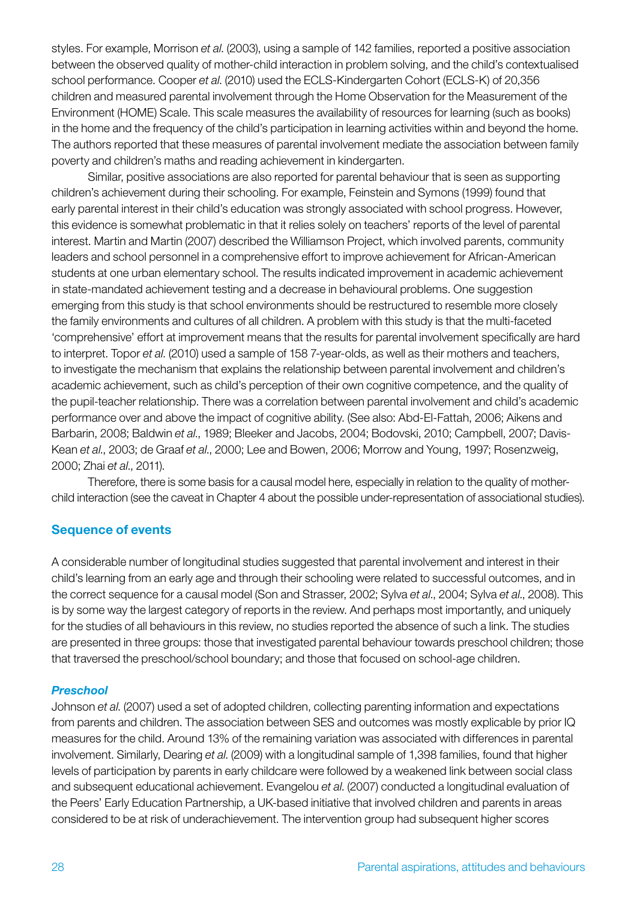styles. For example, Morrison *et al*. (2003), using a sample of 142 families, reported a positive association between the observed quality of mother-child interaction in problem solving, and the child's contextualised school performance. Cooper *et al*. (2010) used the ECLS-Kindergarten Cohort (ECLS-K) of 20,356 children and measured parental involvement through the Home Observation for the Measurement of the Environment (HOME) Scale. This scale measures the availability of resources for learning (such as books) in the home and the frequency of the child's participation in learning activities within and beyond the home. The authors reported that these measures of parental involvement mediate the association between family poverty and children's maths and reading achievement in kindergarten.

Similar, positive associations are also reported for parental behaviour that is seen as supporting children's achievement during their schooling. For example, Feinstein and Symons (1999) found that early parental interest in their child's education was strongly associated with school progress. However, this evidence is somewhat problematic in that it relies solely on teachers' reports of the level of parental interest. Martin and Martin (2007) described the Williamson Project, which involved parents, community leaders and school personnel in a comprehensive effort to improve achievement for African-American students at one urban elementary school. The results indicated improvement in academic achievement in state-mandated achievement testing and a decrease in behavioural problems. One suggestion emerging from this study is that school environments should be restructured to resemble more closely the family environments and cultures of all children. A problem with this study is that the multi-faceted 'comprehensive' effort at improvement means that the results for parental involvement specifically are hard to interpret. Topor *et al*. (2010) used a sample of 158 7-year-olds, as well as their mothers and teachers, to investigate the mechanism that explains the relationship between parental involvement and children's academic achievement, such as child's perception of their own cognitive competence, and the quality of the pupil-teacher relationship. There was a correlation between parental involvement and child's academic performance over and above the impact of cognitive ability. (See also: Abd-El-Fattah, 2006; Aikens and Barbarin, 2008; Baldwin *et al*., 1989; Bleeker and Jacobs, 2004; Bodovski, 2010; Campbell, 2007; Davis-Kean *et al*., 2003; de Graaf *et al*., 2000; Lee and Bowen, 2006; Morrow and Young, 1997; Rosenzweig, 2000; Zhai *et al*., 2011).

Therefore, there is some basis for a causal model here, especially in relation to the quality of motherchild interaction (see the caveat in Chapter 4 about the possible under-representation of associational studies).

#### Sequence of events

A considerable number of longitudinal studies suggested that parental involvement and interest in their child's learning from an early age and through their schooling were related to successful outcomes, and in the correct sequence for a causal model (Son and Strasser, 2002; Sylva *et al*., 2004; Sylva *et al*., 2008). This is by some way the largest category of reports in the review. And perhaps most importantly, and uniquely for the studies of all behaviours in this review, no studies reported the absence of such a link. The studies are presented in three groups: those that investigated parental behaviour towards preschool children; those that traversed the preschool/school boundary; and those that focused on school-age children.

#### *Preschool*

Johnson *et al*. (2007) used a set of adopted children, collecting parenting information and expectations from parents and children. The association between SES and outcomes was mostly explicable by prior IQ measures for the child. Around 13% of the remaining variation was associated with differences in parental involvement. Similarly, Dearing *et al*. (2009) with a longitudinal sample of 1,398 families, found that higher levels of participation by parents in early childcare were followed by a weakened link between social class and subsequent educational achievement. Evangelou *et al*. (2007) conducted a longitudinal evaluation of the Peers' Early Education Partnership, a UK-based initiative that involved children and parents in areas considered to be at risk of underachievement. The intervention group had subsequent higher scores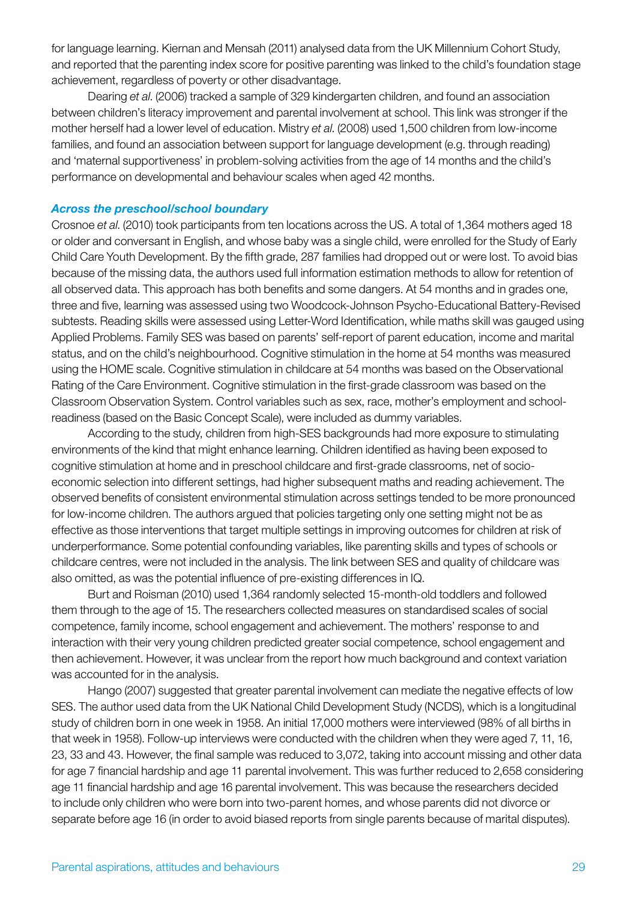for language learning. Kiernan and Mensah (2011) analysed data from the UK Millennium Cohort Study, and reported that the parenting index score for positive parenting was linked to the child's foundation stage achievement, regardless of poverty or other disadvantage.

Dearing *et al*. (2006) tracked a sample of 329 kindergarten children, and found an association between children's literacy improvement and parental involvement at school. This link was stronger if the mother herself had a lower level of education. Mistry *et al*. (2008) used 1,500 children from low-income families, and found an association between support for language development (e.g. through reading) and 'maternal supportiveness' in problem-solving activities from the age of 14 months and the child's performance on developmental and behaviour scales when aged 42 months.

#### *Across the preschool/school boundary*

Crosnoe *et al*. (2010) took participants from ten locations across the US. A total of 1,364 mothers aged 18 or older and conversant in English, and whose baby was a single child, were enrolled for the Study of Early Child Care Youth Development. By the fifth grade, 287 families had dropped out or were lost. To avoid bias because of the missing data, the authors used full information estimation methods to allow for retention of all observed data. This approach has both benefits and some dangers. At 54 months and in grades one, three and five, learning was assessed using two Woodcock-Johnson Psycho-Educational Battery-Revised subtests. Reading skills were assessed using Letter-Word Identification, while maths skill was gauged using Applied Problems. Family SES was based on parents' self-report of parent education, income and marital status, and on the child's neighbourhood. Cognitive stimulation in the home at 54 months was measured using the HOME scale. Cognitive stimulation in childcare at 54 months was based on the Observational Rating of the Care Environment. Cognitive stimulation in the first-grade classroom was based on the Classroom Observation System. Control variables such as sex, race, mother's employment and schoolreadiness (based on the Basic Concept Scale), were included as dummy variables.

According to the study, children from high-SES backgrounds had more exposure to stimulating environments of the kind that might enhance learning. Children identified as having been exposed to cognitive stimulation at home and in preschool childcare and first-grade classrooms, net of socioeconomic selection into different settings, had higher subsequent maths and reading achievement. The observed benefits of consistent environmental stimulation across settings tended to be more pronounced for low-income children. The authors argued that policies targeting only one setting might not be as effective as those interventions that target multiple settings in improving outcomes for children at risk of underperformance. Some potential confounding variables, like parenting skills and types of schools or childcare centres, were not included in the analysis. The link between SES and quality of childcare was also omitted, as was the potential influence of pre-existing differences in IQ.

Burt and Roisman (2010) used 1,364 randomly selected 15-month-old toddlers and followed them through to the age of 15. The researchers collected measures on standardised scales of social competence, family income, school engagement and achievement. The mothers' response to and interaction with their very young children predicted greater social competence, school engagement and then achievement. However, it was unclear from the report how much background and context variation was accounted for in the analysis.

Hango (2007) suggested that greater parental involvement can mediate the negative effects of low SES. The author used data from the UK National Child Development Study (NCDS), which is a longitudinal study of children born in one week in 1958. An initial 17,000 mothers were interviewed (98% of all births in that week in 1958). Follow-up interviews were conducted with the children when they were aged 7, 11, 16, 23, 33 and 43. However, the final sample was reduced to 3,072, taking into account missing and other data for age 7 financial hardship and age 11 parental involvement. This was further reduced to 2,658 considering age 11 financial hardship and age 16 parental involvement. This was because the researchers decided to include only children who were born into two-parent homes, and whose parents did not divorce or separate before age 16 (in order to avoid biased reports from single parents because of marital disputes).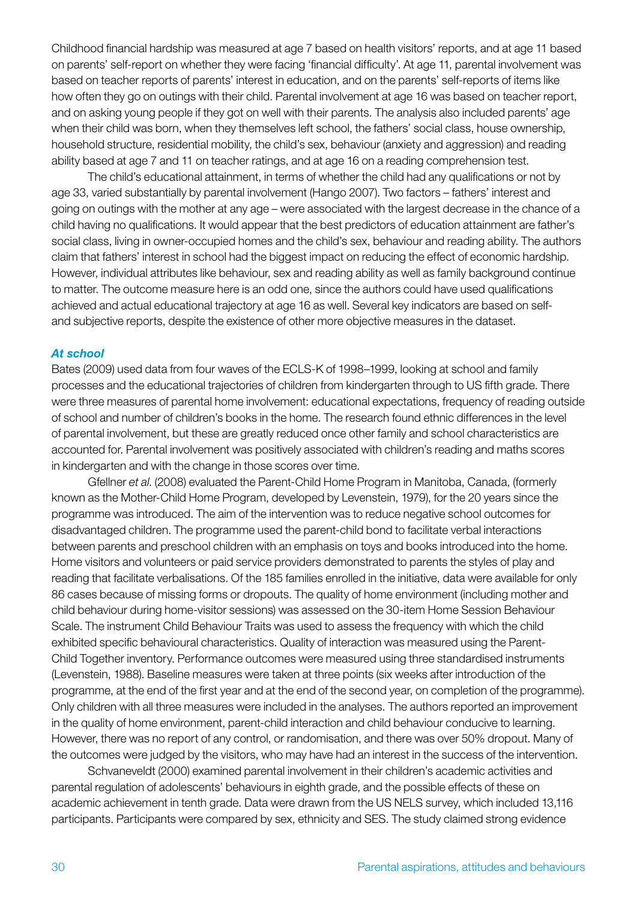Childhood financial hardship was measured at age 7 based on health visitors' reports, and at age 11 based on parents' self-report on whether they were facing 'financial difficulty'. At age 11, parental involvement was based on teacher reports of parents' interest in education, and on the parents' self-reports of items like how often they go on outings with their child. Parental involvement at age 16 was based on teacher report, and on asking young people if they got on well with their parents. The analysis also included parents' age when their child was born, when they themselves left school, the fathers' social class, house ownership, household structure, residential mobility, the child's sex, behaviour (anxiety and aggression) and reading ability based at age 7 and 11 on teacher ratings, and at age 16 on a reading comprehension test.

The child's educational attainment, in terms of whether the child had any qualifications or not by age 33, varied substantially by parental involvement (Hango 2007). Two factors – fathers' interest and going on outings with the mother at any age – were associated with the largest decrease in the chance of a child having no qualifications. It would appear that the best predictors of education attainment are father's social class, living in owner-occupied homes and the child's sex, behaviour and reading ability. The authors claim that fathers' interest in school had the biggest impact on reducing the effect of economic hardship. However, individual attributes like behaviour, sex and reading ability as well as family background continue to matter. The outcome measure here is an odd one, since the authors could have used qualifications achieved and actual educational trajectory at age 16 as well. Several key indicators are based on selfand subjective reports, despite the existence of other more objective measures in the dataset.

#### *At school*

Bates (2009) used data from four waves of the ECLS-K of 1998–1999, looking at school and family processes and the educational trajectories of children from kindergarten through to US fifth grade. There were three measures of parental home involvement: educational expectations, frequency of reading outside of school and number of children's books in the home. The research found ethnic differences in the level of parental involvement, but these are greatly reduced once other family and school characteristics are accounted for. Parental involvement was positively associated with children's reading and maths scores in kindergarten and with the change in those scores over time.

Gfellner *et al*. (2008) evaluated the Parent-Child Home Program in Manitoba, Canada, (formerly known as the Mother-Child Home Program, developed by Levenstein, 1979), for the 20 years since the programme was introduced. The aim of the intervention was to reduce negative school outcomes for disadvantaged children. The programme used the parent-child bond to facilitate verbal interactions between parents and preschool children with an emphasis on toys and books introduced into the home. Home visitors and volunteers or paid service providers demonstrated to parents the styles of play and reading that facilitate verbalisations. Of the 185 families enrolled in the initiative, data were available for only 86 cases because of missing forms or dropouts. The quality of home environment (including mother and child behaviour during home-visitor sessions) was assessed on the 30-item Home Session Behaviour Scale. The instrument Child Behaviour Traits was used to assess the frequency with which the child exhibited specific behavioural characteristics. Quality of interaction was measured using the Parent-Child Together inventory. Performance outcomes were measured using three standardised instruments (Levenstein, 1988). Baseline measures were taken at three points (six weeks after introduction of the programme, at the end of the first year and at the end of the second year, on completion of the programme). Only children with all three measures were included in the analyses. The authors reported an improvement in the quality of home environment, parent-child interaction and child behaviour conducive to learning. However, there was no report of any control, or randomisation, and there was over 50% dropout. Many of the outcomes were judged by the visitors, who may have had an interest in the success of the intervention.

Schvaneveldt (2000) examined parental involvement in their children's academic activities and parental regulation of adolescents' behaviours in eighth grade, and the possible effects of these on academic achievement in tenth grade. Data were drawn from the US NELS survey, which included 13,116 participants. Participants were compared by sex, ethnicity and SES. The study claimed strong evidence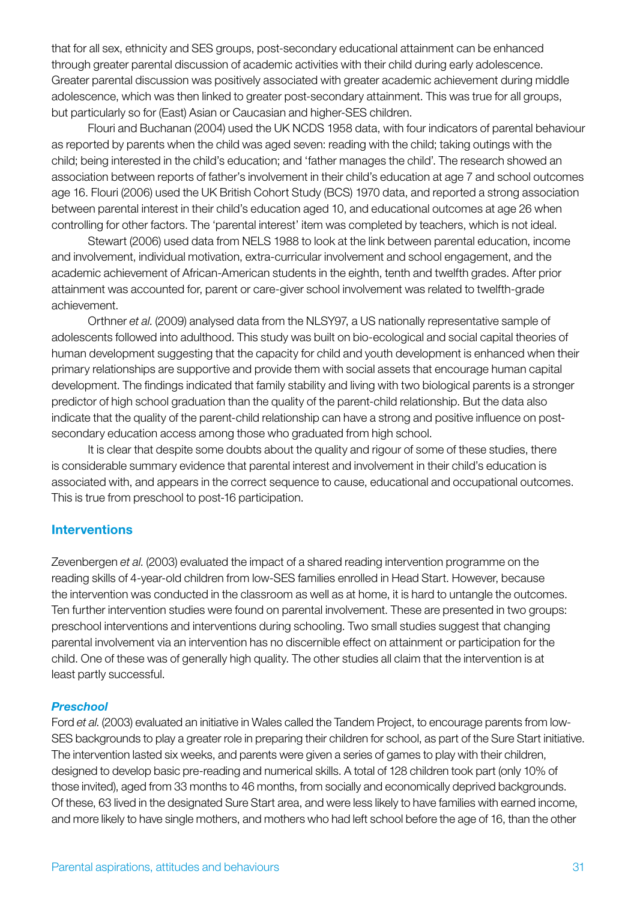that for all sex, ethnicity and SES groups, post-secondary educational attainment can be enhanced through greater parental discussion of academic activities with their child during early adolescence. Greater parental discussion was positively associated with greater academic achievement during middle adolescence, which was then linked to greater post-secondary attainment. This was true for all groups, but particularly so for (East) Asian or Caucasian and higher-SES children.

Flouri and Buchanan (2004) used the UK NCDS 1958 data, with four indicators of parental behaviour as reported by parents when the child was aged seven: reading with the child; taking outings with the child; being interested in the child's education; and 'father manages the child'. The research showed an association between reports of father's involvement in their child's education at age 7 and school outcomes age 16. Flouri (2006) used the UK British Cohort Study (BCS) 1970 data, and reported a strong association between parental interest in their child's education aged 10, and educational outcomes at age 26 when controlling for other factors. The 'parental interest' item was completed by teachers, which is not ideal.

Stewart (2006) used data from NELS 1988 to look at the link between parental education, income and involvement, individual motivation, extra-curricular involvement and school engagement, and the academic achievement of African-American students in the eighth, tenth and twelfth grades. After prior attainment was accounted for, parent or care-giver school involvement was related to twelfth-grade achievement.

Orthner *et al*. (2009) analysed data from the NLSY97, a US nationally representative sample of adolescents followed into adulthood. This study was built on bio-ecological and social capital theories of human development suggesting that the capacity for child and youth development is enhanced when their primary relationships are supportive and provide them with social assets that encourage human capital development. The findings indicated that family stability and living with two biological parents is a stronger predictor of high school graduation than the quality of the parent-child relationship. But the data also indicate that the quality of the parent-child relationship can have a strong and positive influence on postsecondary education access among those who graduated from high school.

It is clear that despite some doubts about the quality and rigour of some of these studies, there is considerable summary evidence that parental interest and involvement in their child's education is associated with, and appears in the correct sequence to cause, educational and occupational outcomes. This is true from preschool to post-16 participation.

#### **Interventions**

Zevenbergen *et al*. (2003) evaluated the impact of a shared reading intervention programme on the reading skills of 4-year-old children from low-SES families enrolled in Head Start. However, because the intervention was conducted in the classroom as well as at home, it is hard to untangle the outcomes. Ten further intervention studies were found on parental involvement. These are presented in two groups: preschool interventions and interventions during schooling. Two small studies suggest that changing parental involvement via an intervention has no discernible effect on attainment or participation for the child. One of these was of generally high quality. The other studies all claim that the intervention is at least partly successful.

#### *Preschool*

Ford *et al*. (2003) evaluated an initiative in Wales called the Tandem Project, to encourage parents from low-SES backgrounds to play a greater role in preparing their children for school, as part of the Sure Start initiative. The intervention lasted six weeks, and parents were given a series of games to play with their children, designed to develop basic pre-reading and numerical skills. A total of 128 children took part (only 10% of those invited), aged from 33 months to 46 months, from socially and economically deprived backgrounds. Of these, 63 lived in the designated Sure Start area, and were less likely to have families with earned income, and more likely to have single mothers, and mothers who had left school before the age of 16, than the other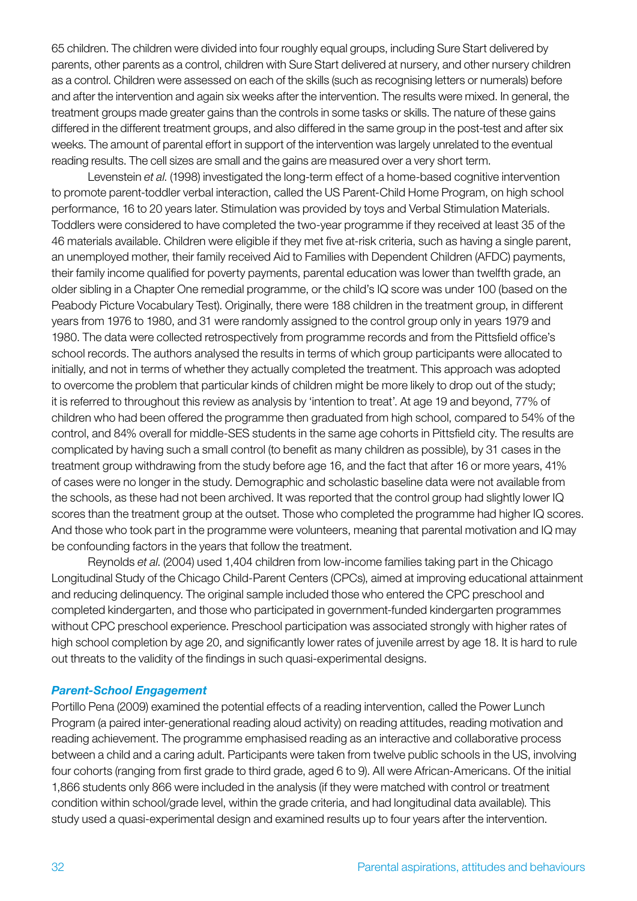65 children. The children were divided into four roughly equal groups, including Sure Start delivered by parents, other parents as a control, children with Sure Start delivered at nursery, and other nursery children as a control. Children were assessed on each of the skills (such as recognising letters or numerals) before and after the intervention and again six weeks after the intervention. The results were mixed. In general, the treatment groups made greater gains than the controls in some tasks or skills. The nature of these gains differed in the different treatment groups, and also differed in the same group in the post-test and after six weeks. The amount of parental effort in support of the intervention was largely unrelated to the eventual reading results. The cell sizes are small and the gains are measured over a very short term.

Levenstein *et al*. (1998) investigated the long-term effect of a home-based cognitive intervention to promote parent-toddler verbal interaction, called the US Parent-Child Home Program, on high school performance, 16 to 20 years later. Stimulation was provided by toys and Verbal Stimulation Materials. Toddlers were considered to have completed the two-year programme if they received at least 35 of the 46 materials available. Children were eligible if they met five at-risk criteria, such as having a single parent, an unemployed mother, their family received Aid to Families with Dependent Children (AFDC) payments, their family income qualified for poverty payments, parental education was lower than twelfth grade, an older sibling in a Chapter One remedial programme, or the child's IQ score was under 100 (based on the Peabody Picture Vocabulary Test). Originally, there were 188 children in the treatment group, in different years from 1976 to 1980, and 31 were randomly assigned to the control group only in years 1979 and 1980. The data were collected retrospectively from programme records and from the Pittsfield office's school records. The authors analysed the results in terms of which group participants were allocated to initially, and not in terms of whether they actually completed the treatment. This approach was adopted to overcome the problem that particular kinds of children might be more likely to drop out of the study; it is referred to throughout this review as analysis by 'intention to treat'. At age 19 and beyond, 77% of children who had been offered the programme then graduated from high school, compared to 54% of the control, and 84% overall for middle-SES students in the same age cohorts in Pittsfield city. The results are complicated by having such a small control (to benefit as many children as possible), by 31 cases in the treatment group withdrawing from the study before age 16, and the fact that after 16 or more years, 41% of cases were no longer in the study. Demographic and scholastic baseline data were not available from the schools, as these had not been archived. It was reported that the control group had slightly lower IQ scores than the treatment group at the outset. Those who completed the programme had higher IQ scores. And those who took part in the programme were volunteers, meaning that parental motivation and IQ may be confounding factors in the years that follow the treatment.

Reynolds *et al*. (2004) used 1,404 children from low-income families taking part in the Chicago Longitudinal Study of the Chicago Child-Parent Centers (CPCs), aimed at improving educational attainment and reducing delinquency. The original sample included those who entered the CPC preschool and completed kindergarten, and those who participated in government-funded kindergarten programmes without CPC preschool experience. Preschool participation was associated strongly with higher rates of high school completion by age 20, and significantly lower rates of juvenile arrest by age 18. It is hard to rule out threats to the validity of the findings in such quasi-experimental designs.

#### *Parent-School Engagement*

Portillo Pena (2009) examined the potential effects of a reading intervention, called the Power Lunch Program (a paired inter-generational reading aloud activity) on reading attitudes, reading motivation and reading achievement. The programme emphasised reading as an interactive and collaborative process between a child and a caring adult. Participants were taken from twelve public schools in the US, involving four cohorts (ranging from first grade to third grade, aged 6 to 9). All were African-Americans. Of the initial 1,866 students only 866 were included in the analysis (if they were matched with control or treatment condition within school/grade level, within the grade criteria, and had longitudinal data available). This study used a quasi-experimental design and examined results up to four years after the intervention.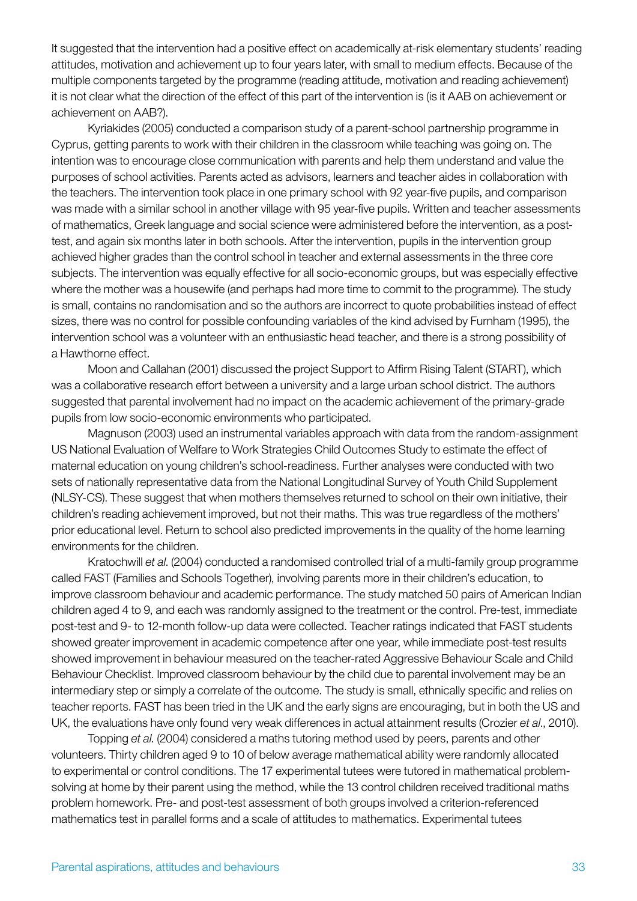It suggested that the intervention had a positive effect on academically at-risk elementary students' reading attitudes, motivation and achievement up to four years later, with small to medium effects. Because of the multiple components targeted by the programme (reading attitude, motivation and reading achievement) it is not clear what the direction of the effect of this part of the intervention is (is it AAB on achievement or achievement on AAB?).

Kyriakides (2005) conducted a comparison study of a parent-school partnership programme in Cyprus, getting parents to work with their children in the classroom while teaching was going on. The intention was to encourage close communication with parents and help them understand and value the purposes of school activities. Parents acted as advisors, learners and teacher aides in collaboration with the teachers. The intervention took place in one primary school with 92 year-five pupils, and comparison was made with a similar school in another village with 95 year-five pupils. Written and teacher assessments of mathematics, Greek language and social science were administered before the intervention, as a posttest, and again six months later in both schools. After the intervention, pupils in the intervention group achieved higher grades than the control school in teacher and external assessments in the three core subjects. The intervention was equally effective for all socio-economic groups, but was especially effective where the mother was a housewife (and perhaps had more time to commit to the programme). The study is small, contains no randomisation and so the authors are incorrect to quote probabilities instead of effect sizes, there was no control for possible confounding variables of the kind advised by Furnham (1995), the intervention school was a volunteer with an enthusiastic head teacher, and there is a strong possibility of a Hawthorne effect.

Moon and Callahan (2001) discussed the project Support to Affirm Rising Talent (START), which was a collaborative research effort between a university and a large urban school district. The authors suggested that parental involvement had no impact on the academic achievement of the primary-grade pupils from low socio-economic environments who participated.

Magnuson (2003) used an instrumental variables approach with data from the random-assignment US National Evaluation of Welfare to Work Strategies Child Outcomes Study to estimate the effect of maternal education on young children's school-readiness. Further analyses were conducted with two sets of nationally representative data from the National Longitudinal Survey of Youth Child Supplement (NLSY-CS). These suggest that when mothers themselves returned to school on their own initiative, their children's reading achievement improved, but not their maths. This was true regardless of the mothers' prior educational level. Return to school also predicted improvements in the quality of the home learning environments for the children.

Kratochwill *et al*. (2004) conducted a randomised controlled trial of a multi-family group programme called FAST (Families and Schools Together), involving parents more in their children's education, to improve classroom behaviour and academic performance. The study matched 50 pairs of American Indian children aged 4 to 9, and each was randomly assigned to the treatment or the control. Pre-test, immediate post-test and 9- to 12-month follow-up data were collected. Teacher ratings indicated that FAST students showed greater improvement in academic competence after one year, while immediate post-test results showed improvement in behaviour measured on the teacher-rated Aggressive Behaviour Scale and Child Behaviour Checklist. Improved classroom behaviour by the child due to parental involvement may be an intermediary step or simply a correlate of the outcome. The study is small, ethnically specific and relies on teacher reports. FAST has been tried in the UK and the early signs are encouraging, but in both the US and UK, the evaluations have only found very weak differences in actual attainment results (Crozier *et al*., 2010).

Topping *et al*. (2004) considered a maths tutoring method used by peers, parents and other volunteers. Thirty children aged 9 to 10 of below average mathematical ability were randomly allocated to experimental or control conditions. The 17 experimental tutees were tutored in mathematical problemsolving at home by their parent using the method, while the 13 control children received traditional maths problem homework. Pre- and post-test assessment of both groups involved a criterion-referenced mathematics test in parallel forms and a scale of attitudes to mathematics. Experimental tutees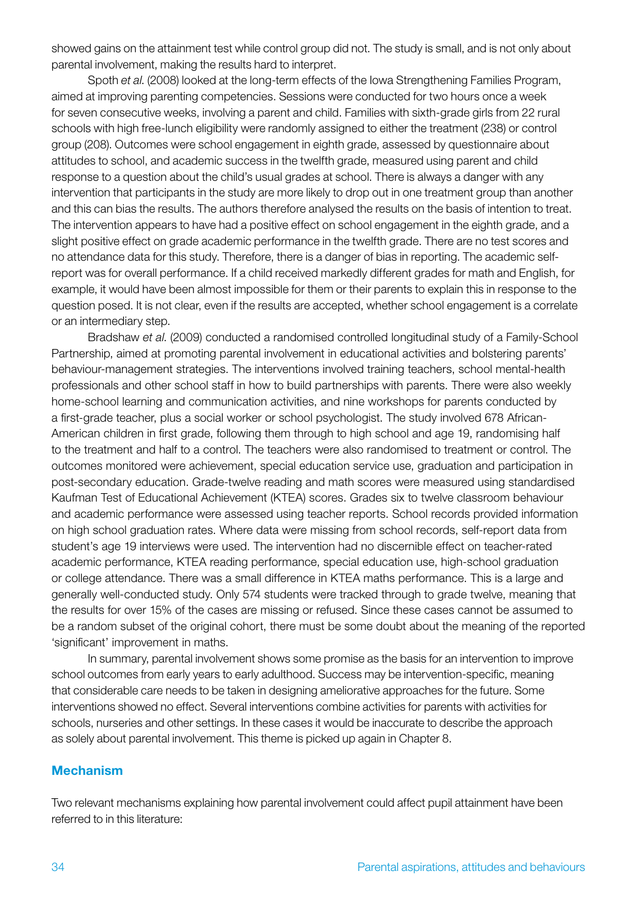showed gains on the attainment test while control group did not. The study is small, and is not only about parental involvement, making the results hard to interpret.

Spoth *et al*. (2008) looked at the long-term effects of the Iowa Strengthening Families Program, aimed at improving parenting competencies. Sessions were conducted for two hours once a week for seven consecutive weeks, involving a parent and child. Families with sixth-grade girls from 22 rural schools with high free-lunch eligibility were randomly assigned to either the treatment (238) or control group (208). Outcomes were school engagement in eighth grade, assessed by questionnaire about attitudes to school, and academic success in the twelfth grade, measured using parent and child response to a question about the child's usual grades at school. There is always a danger with any intervention that participants in the study are more likely to drop out in one treatment group than another and this can bias the results. The authors therefore analysed the results on the basis of intention to treat. The intervention appears to have had a positive effect on school engagement in the eighth grade, and a slight positive effect on grade academic performance in the twelfth grade. There are no test scores and no attendance data for this study. Therefore, there is a danger of bias in reporting. The academic selfreport was for overall performance. If a child received markedly different grades for math and English, for example, it would have been almost impossible for them or their parents to explain this in response to the question posed. It is not clear, even if the results are accepted, whether school engagement is a correlate or an intermediary step.

Bradshaw *et al*. (2009) conducted a randomised controlled longitudinal study of a Family-School Partnership, aimed at promoting parental involvement in educational activities and bolstering parents' behaviour-management strategies. The interventions involved training teachers, school mental-health professionals and other school staff in how to build partnerships with parents. There were also weekly home-school learning and communication activities, and nine workshops for parents conducted by a first-grade teacher, plus a social worker or school psychologist. The study involved 678 African-American children in first grade, following them through to high school and age 19, randomising half to the treatment and half to a control. The teachers were also randomised to treatment or control. The outcomes monitored were achievement, special education service use, graduation and participation in post-secondary education. Grade-twelve reading and math scores were measured using standardised Kaufman Test of Educational Achievement (KTEA) scores. Grades six to twelve classroom behaviour and academic performance were assessed using teacher reports. School records provided information on high school graduation rates. Where data were missing from school records, self-report data from student's age 19 interviews were used. The intervention had no discernible effect on teacher-rated academic performance, KTEA reading performance, special education use, high-school graduation or college attendance. There was a small difference in KTEA maths performance. This is a large and generally well-conducted study. Only 574 students were tracked through to grade twelve, meaning that the results for over 15% of the cases are missing or refused. Since these cases cannot be assumed to be a random subset of the original cohort, there must be some doubt about the meaning of the reported 'significant' improvement in maths.

In summary, parental involvement shows some promise as the basis for an intervention to improve school outcomes from early years to early adulthood. Success may be intervention-specific, meaning that considerable care needs to be taken in designing ameliorative approaches for the future. Some interventions showed no effect. Several interventions combine activities for parents with activities for schools, nurseries and other settings. In these cases it would be inaccurate to describe the approach as solely about parental involvement. This theme is picked up again in Chapter 8.

#### Mechanism

Two relevant mechanisms explaining how parental involvement could affect pupil attainment have been referred to in this literature: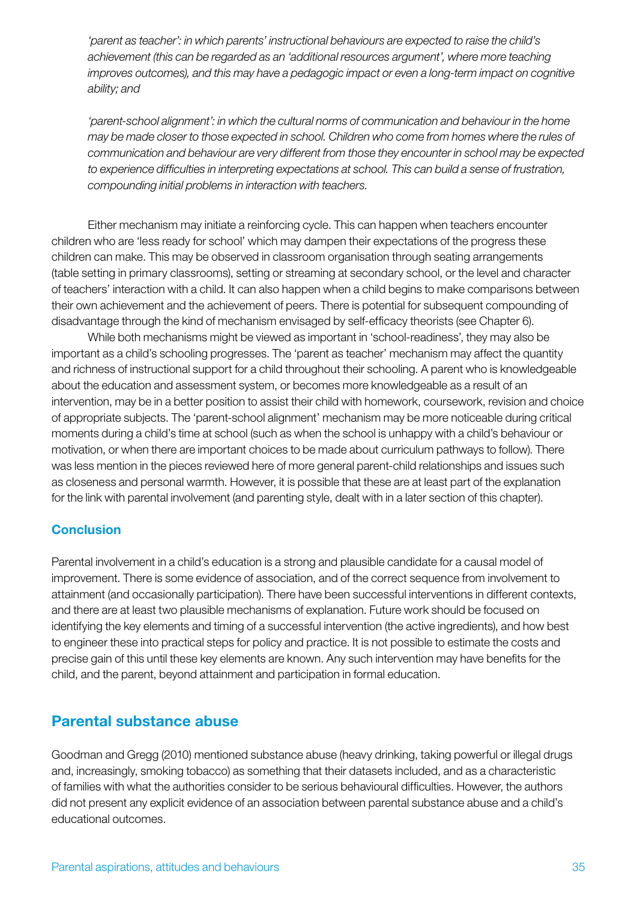*'parent as teacher': in which parents' instructional behaviours are expected to raise the child's achievement (this can be regarded as an 'additional resources argument', where more teaching improves outcomes), and this may have a pedagogic impact or even a long-term impact on cognitive ability; and*

*'parent-school alignment': in which the cultural norms of communication and behaviour in the home may be made closer to those expected in school. Children who come from homes where the rules of communication and behaviour are very different from those they encounter in school may be expected to experience difficulties in interpreting expectations at school. This can build a sense of frustration, compounding initial problems in interaction with teachers.* 

Either mechanism may initiate a reinforcing cycle. This can happen when teachers encounter children who are 'less ready for school' which may dampen their expectations of the progress these children can make. This may be observed in classroom organisation through seating arrangements (table setting in primary classrooms), setting or streaming at secondary school, or the level and character of teachers' interaction with a child. It can also happen when a child begins to make comparisons between their own achievement and the achievement of peers. There is potential for subsequent compounding of disadvantage through the kind of mechanism envisaged by self-efficacy theorists (see Chapter 6).

While both mechanisms might be viewed as important in 'school-readiness', they may also be important as a child's schooling progresses. The 'parent as teacher' mechanism may affect the quantity and richness of instructional support for a child throughout their schooling. A parent who is knowledgeable about the education and assessment system, or becomes more knowledgeable as a result of an intervention, may be in a better position to assist their child with homework, coursework, revision and choice of appropriate subjects. The 'parent-school alignment' mechanism may be more noticeable during critical moments during a child's time at school (such as when the school is unhappy with a child's behaviour or motivation, or when there are important choices to be made about curriculum pathways to follow). There was less mention in the pieces reviewed here of more general parent-child relationships and issues such as closeness and personal warmth. However, it is possible that these are at least part of the explanation for the link with parental involvement (and parenting style, dealt with in a later section of this chapter).

#### **Conclusion**

Parental involvement in a child's education is a strong and plausible candidate for a causal model of improvement. There is some evidence of association, and of the correct sequence from involvement to attainment (and occasionally participation). There have been successful interventions in different contexts, and there are at least two plausible mechanisms of explanation. Future work should be focused on identifying the key elements and timing of a successful intervention (the active ingredients), and how best to engineer these into practical steps for policy and practice. It is not possible to estimate the costs and precise gain of this until these key elements are known. Any such intervention may have benefits for the child, and the parent, beyond attainment and participation in formal education.

# Parental substance abuse

Goodman and Gregg (2010) mentioned substance abuse (heavy drinking, taking powerful or illegal drugs and, increasingly, smoking tobacco) as something that their datasets included, and as a characteristic of families with what the authorities consider to be serious behavioural difficulties. However, the authors did not present any explicit evidence of an association between parental substance abuse and a child's educational outcomes.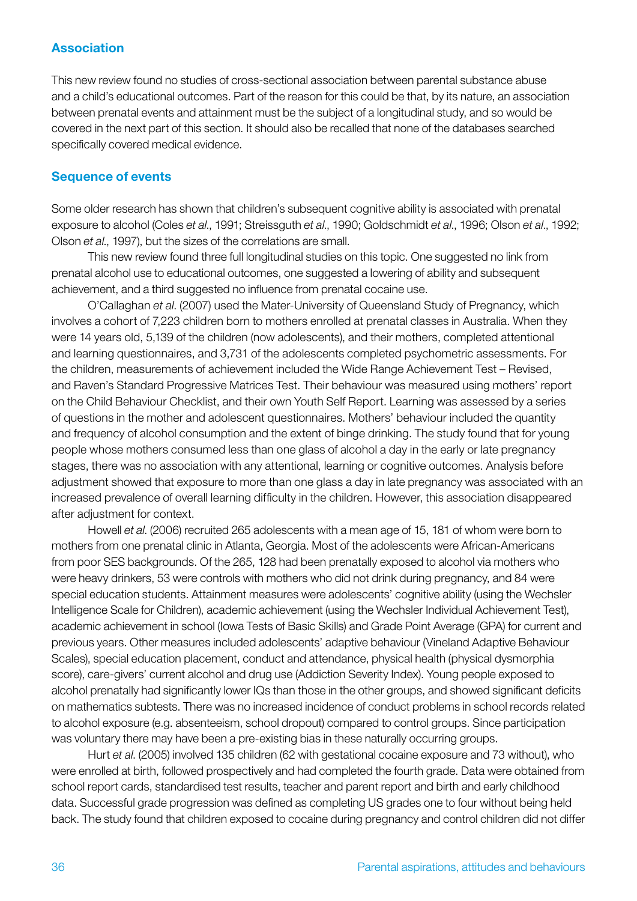#### Association

This new review found no studies of cross-sectional association between parental substance abuse and a child's educational outcomes. Part of the reason for this could be that, by its nature, an association between prenatal events and attainment must be the subject of a longitudinal study, and so would be covered in the next part of this section. It should also be recalled that none of the databases searched specifically covered medical evidence.

#### Sequence of events

Some older research has shown that children's subsequent cognitive ability is associated with prenatal exposure to alcohol (Coles *et al*., 1991; Streissguth *et al*., 1990; Goldschmidt *et al*., 1996; Olson *et al*., 1992; Olson *et al*., 1997), but the sizes of the correlations are small.

This new review found three full longitudinal studies on this topic. One suggested no link from prenatal alcohol use to educational outcomes, one suggested a lowering of ability and subsequent achievement, and a third suggested no influence from prenatal cocaine use.

O'Callaghan *et al*. (2007) used the Mater-University of Queensland Study of Pregnancy, which involves a cohort of 7,223 children born to mothers enrolled at prenatal classes in Australia. When they were 14 years old, 5,139 of the children (now adolescents), and their mothers, completed attentional and learning questionnaires, and 3,731 of the adolescents completed psychometric assessments. For the children, measurements of achievement included the Wide Range Achievement Test – Revised, and Raven's Standard Progressive Matrices Test. Their behaviour was measured using mothers' report on the Child Behaviour Checklist, and their own Youth Self Report. Learning was assessed by a series of questions in the mother and adolescent questionnaires. Mothers' behaviour included the quantity and frequency of alcohol consumption and the extent of binge drinking. The study found that for young people whose mothers consumed less than one glass of alcohol a day in the early or late pregnancy stages, there was no association with any attentional, learning or cognitive outcomes. Analysis before adjustment showed that exposure to more than one glass a day in late pregnancy was associated with an increased prevalence of overall learning difficulty in the children. However, this association disappeared after adjustment for context.

Howell *et al*. (2006) recruited 265 adolescents with a mean age of 15, 181 of whom were born to mothers from one prenatal clinic in Atlanta, Georgia. Most of the adolescents were African-Americans from poor SES backgrounds. Of the 265, 128 had been prenatally exposed to alcohol via mothers who were heavy drinkers, 53 were controls with mothers who did not drink during pregnancy, and 84 were special education students. Attainment measures were adolescents' cognitive ability (using the Wechsler Intelligence Scale for Children), academic achievement (using the Wechsler Individual Achievement Test), academic achievement in school (Iowa Tests of Basic Skills) and Grade Point Average (GPA) for current and previous years. Other measures included adolescents' adaptive behaviour (Vineland Adaptive Behaviour Scales), special education placement, conduct and attendance, physical health (physical dysmorphia score), care-givers' current alcohol and drug use (Addiction Severity Index). Young people exposed to alcohol prenatally had significantly lower IQs than those in the other groups, and showed significant deficits on mathematics subtests. There was no increased incidence of conduct problems in school records related to alcohol exposure (e.g. absenteeism, school dropout) compared to control groups. Since participation was voluntary there may have been a pre-existing bias in these naturally occurring groups.

Hurt *et al*. (2005) involved 135 children (62 with gestational cocaine exposure and 73 without), who were enrolled at birth, followed prospectively and had completed the fourth grade. Data were obtained from school report cards, standardised test results, teacher and parent report and birth and early childhood data. Successful grade progression was defined as completing US grades one to four without being held back. The study found that children exposed to cocaine during pregnancy and control children did not differ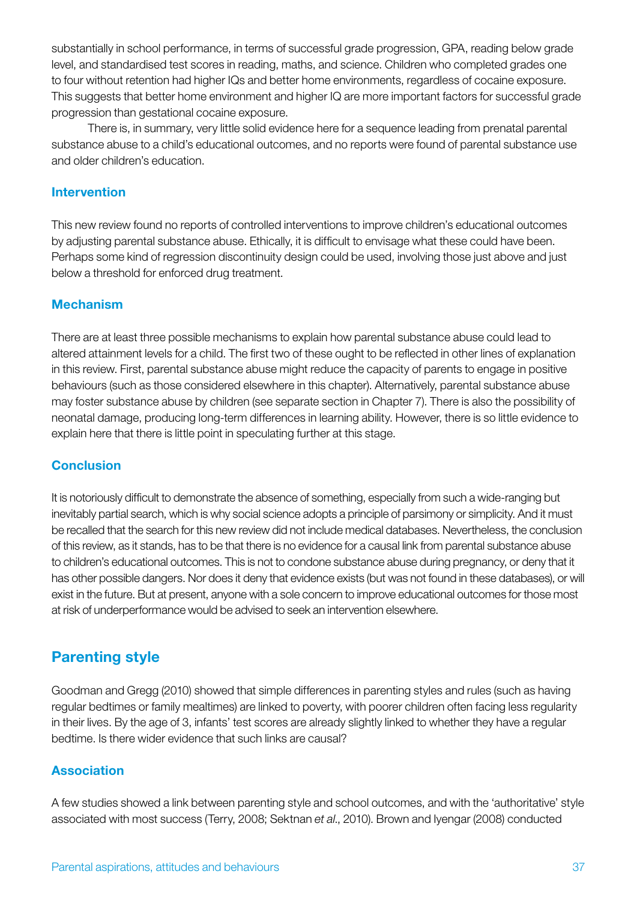substantially in school performance, in terms of successful grade progression, GPA, reading below grade level, and standardised test scores in reading, maths, and science. Children who completed grades one to four without retention had higher IQs and better home environments, regardless of cocaine exposure. This suggests that better home environment and higher IQ are more important factors for successful grade progression than gestational cocaine exposure.

There is, in summary, very little solid evidence here for a sequence leading from prenatal parental substance abuse to a child's educational outcomes, and no reports were found of parental substance use and older children's education.

### **Intervention**

This new review found no reports of controlled interventions to improve children's educational outcomes by adjusting parental substance abuse. Ethically, it is difficult to envisage what these could have been. Perhaps some kind of regression discontinuity design could be used, involving those just above and just below a threshold for enforced drug treatment.

# Mechanism

There are at least three possible mechanisms to explain how parental substance abuse could lead to altered attainment levels for a child. The first two of these ought to be reflected in other lines of explanation in this review. First, parental substance abuse might reduce the capacity of parents to engage in positive behaviours (such as those considered elsewhere in this chapter). Alternatively, parental substance abuse may foster substance abuse by children (see separate section in Chapter 7). There is also the possibility of neonatal damage, producing long-term differences in learning ability. However, there is so little evidence to explain here that there is little point in speculating further at this stage.

# **Conclusion**

It is notoriously difficult to demonstrate the absence of something, especially from such a wide-ranging but inevitably partial search, which is why social science adopts a principle of parsimony or simplicity. And it must be recalled that the search for this new review did not include medical databases. Nevertheless, the conclusion of this review, as it stands, has to be that there is no evidence for a causal link from parental substance abuse to children's educational outcomes. This is not to condone substance abuse during pregnancy, or deny that it has other possible dangers. Nor does it deny that evidence exists (but was not found in these databases), or will exist in the future. But at present, anyone with a sole concern to improve educational outcomes for those most at risk of underperformance would be advised to seek an intervention elsewhere.

# Parenting style

Goodman and Gregg (2010) showed that simple differences in parenting styles and rules (such as having regular bedtimes or family mealtimes) are linked to poverty, with poorer children often facing less regularity in their lives. By the age of 3, infants' test scores are already slightly linked to whether they have a regular bedtime. Is there wider evidence that such links are causal?

### Association

A few studies showed a link between parenting style and school outcomes, and with the 'authoritative' style associated with most success (Terry, 2008; Sektnan *et al*., 2010). Brown and Iyengar (2008) conducted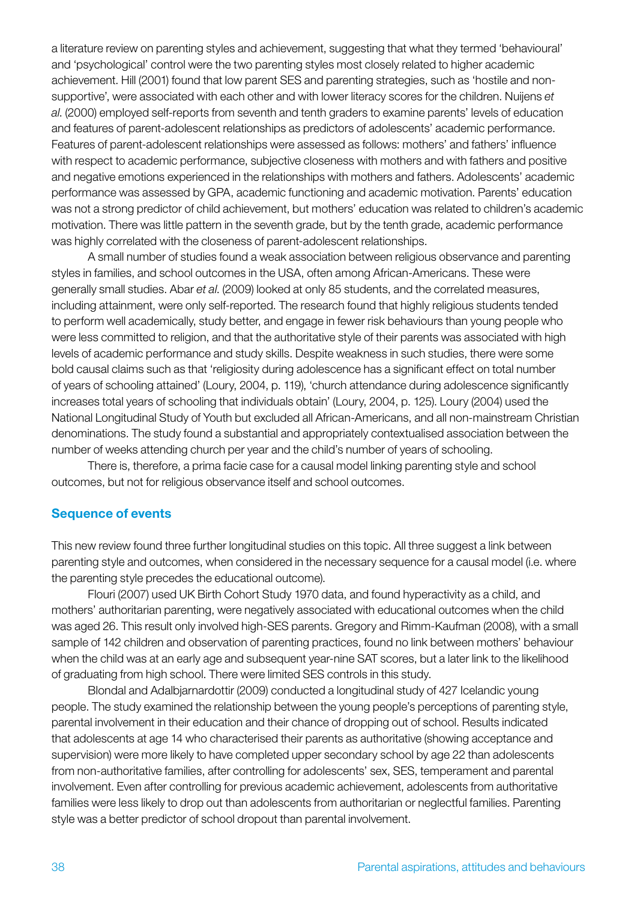a literature review on parenting styles and achievement, suggesting that what they termed 'behavioural' and 'psychological' control were the two parenting styles most closely related to higher academic achievement. Hill (2001) found that low parent SES and parenting strategies, such as 'hostile and nonsupportive', were associated with each other and with lower literacy scores for the children. Nuijens *et al*. (2000) employed self-reports from seventh and tenth graders to examine parents' levels of education and features of parent-adolescent relationships as predictors of adolescents' academic performance. Features of parent-adolescent relationships were assessed as follows: mothers' and fathers' influence with respect to academic performance, subjective closeness with mothers and with fathers and positive and negative emotions experienced in the relationships with mothers and fathers. Adolescents' academic performance was assessed by GPA, academic functioning and academic motivation. Parents' education was not a strong predictor of child achievement, but mothers' education was related to children's academic motivation. There was little pattern in the seventh grade, but by the tenth grade, academic performance was highly correlated with the closeness of parent-adolescent relationships.

A small number of studies found a weak association between religious observance and parenting styles in families, and school outcomes in the USA, often among African-Americans. These were generally small studies. Abar *et al*. (2009) looked at only 85 students, and the correlated measures, including attainment, were only self-reported. The research found that highly religious students tended to perform well academically, study better, and engage in fewer risk behaviours than young people who were less committed to religion, and that the authoritative style of their parents was associated with high levels of academic performance and study skills. Despite weakness in such studies, there were some bold causal claims such as that 'religiosity during adolescence has a significant effect on total number of years of schooling attained' (Loury, 2004, p. 119), 'church attendance during adolescence significantly increases total years of schooling that individuals obtain' (Loury, 2004, p. 125). Loury (2004) used the National Longitudinal Study of Youth but excluded all African-Americans, and all non-mainstream Christian denominations. The study found a substantial and appropriately contextualised association between the number of weeks attending church per year and the child's number of years of schooling.

There is, therefore, a prima facie case for a causal model linking parenting style and school outcomes, but not for religious observance itself and school outcomes.

#### Sequence of events

This new review found three further longitudinal studies on this topic. All three suggest a link between parenting style and outcomes, when considered in the necessary sequence for a causal model (i.e. where the parenting style precedes the educational outcome).

Flouri (2007) used UK Birth Cohort Study 1970 data, and found hyperactivity as a child, and mothers' authoritarian parenting, were negatively associated with educational outcomes when the child was aged 26. This result only involved high-SES parents. Gregory and Rimm-Kaufman (2008), with a small sample of 142 children and observation of parenting practices, found no link between mothers' behaviour when the child was at an early age and subsequent year-nine SAT scores, but a later link to the likelihood of graduating from high school. There were limited SES controls in this study.

Blondal and Adalbjarnardottir (2009) conducted a longitudinal study of 427 Icelandic young people. The study examined the relationship between the young people's perceptions of parenting style, parental involvement in their education and their chance of dropping out of school. Results indicated that adolescents at age 14 who characterised their parents as authoritative (showing acceptance and supervision) were more likely to have completed upper secondary school by age 22 than adolescents from non-authoritative families, after controlling for adolescents' sex, SES, temperament and parental involvement. Even after controlling for previous academic achievement, adolescents from authoritative families were less likely to drop out than adolescents from authoritarian or neglectful families. Parenting style was a better predictor of school dropout than parental involvement.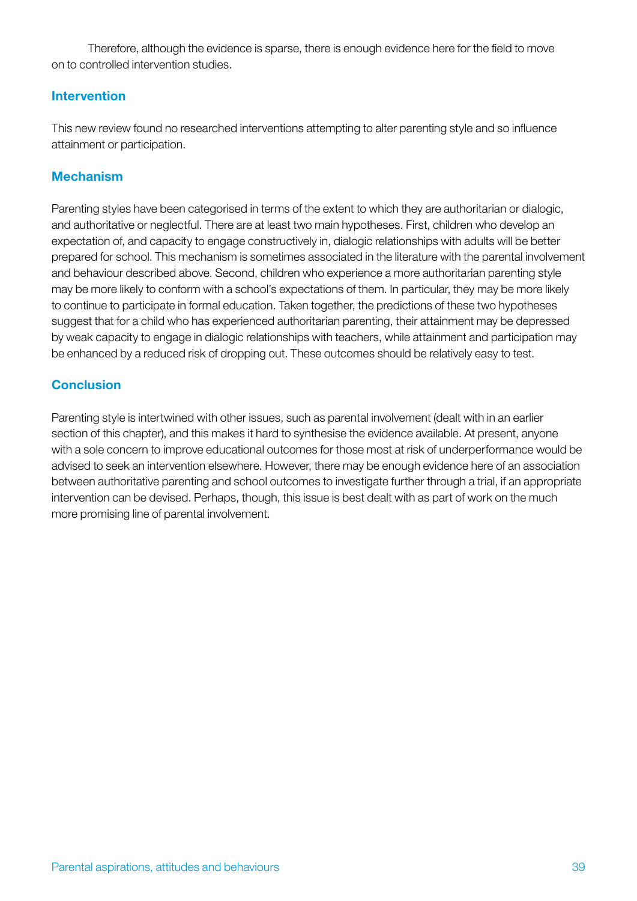Therefore, although the evidence is sparse, there is enough evidence here for the field to move on to controlled intervention studies.

# Intervention

This new review found no researched interventions attempting to alter parenting style and so influence attainment or participation.

# Mechanism

Parenting styles have been categorised in terms of the extent to which they are authoritarian or dialogic, and authoritative or neglectful. There are at least two main hypotheses. First, children who develop an expectation of, and capacity to engage constructively in, dialogic relationships with adults will be better prepared for school. This mechanism is sometimes associated in the literature with the parental involvement and behaviour described above. Second, children who experience a more authoritarian parenting style may be more likely to conform with a school's expectations of them. In particular, they may be more likely to continue to participate in formal education. Taken together, the predictions of these two hypotheses suggest that for a child who has experienced authoritarian parenting, their attainment may be depressed by weak capacity to engage in dialogic relationships with teachers, while attainment and participation may be enhanced by a reduced risk of dropping out. These outcomes should be relatively easy to test.

# **Conclusion**

Parenting style is intertwined with other issues, such as parental involvement (dealt with in an earlier section of this chapter), and this makes it hard to synthesise the evidence available. At present, anyone with a sole concern to improve educational outcomes for those most at risk of underperformance would be advised to seek an intervention elsewhere. However, there may be enough evidence here of an association between authoritative parenting and school outcomes to investigate further through a trial, if an appropriate intervention can be devised. Perhaps, though, this issue is best dealt with as part of work on the much more promising line of parental involvement.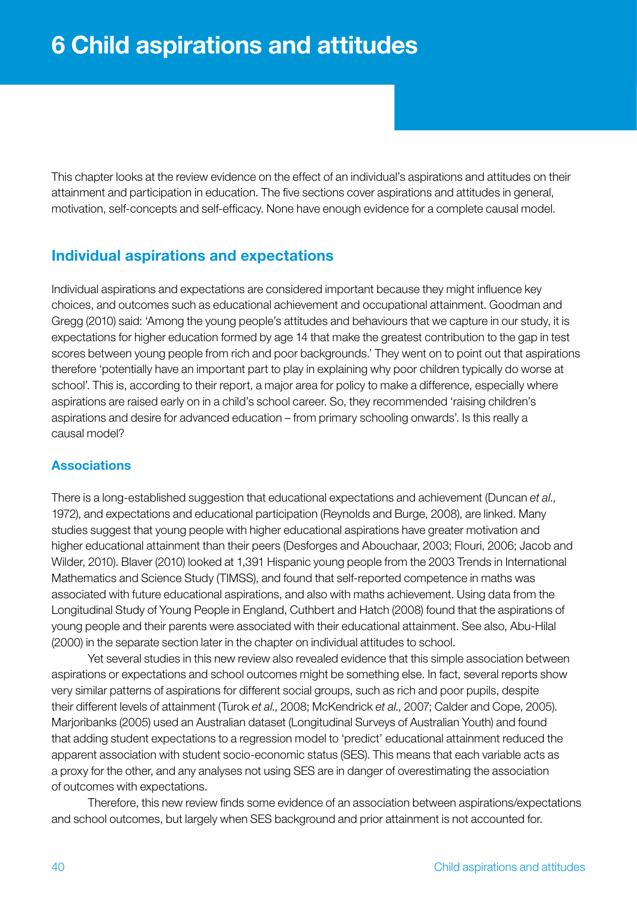This chapter looks at the review evidence on the effect of an individual's aspirations and attitudes on their attainment and participation in education. The five sections cover aspirations and attitudes in general, motivation, self-concepts and self-efficacy. None have enough evidence for a complete causal model.

# Individual aspirations and expectations

Individual aspirations and expectations are considered important because they might influence key choices, and outcomes such as educational achievement and occupational attainment. Goodman and Gregg (2010) said: 'Among the young people's attitudes and behaviours that we capture in our study, it is expectations for higher education formed by age 14 that make the greatest contribution to the gap in test scores between young people from rich and poor backgrounds.' They went on to point out that aspirations therefore 'potentially have an important part to play in explaining why poor children typically do worse at school'. This is, according to their report, a major area for policy to make a difference, especially where aspirations are raised early on in a child's school career. So, they recommended 'raising children's aspirations and desire for advanced education – from primary schooling onwards'. Is this really a causal model?

### **Associations**

There is a long-established suggestion that educational expectations and achievement (Duncan *et al*., 1972), and expectations and educational participation (Reynolds and Burge, 2008), are linked. Many studies suggest that young people with higher educational aspirations have greater motivation and higher educational attainment than their peers (Desforges and Abouchaar, 2003; Flouri, 2006; Jacob and Wilder, 2010). Blaver (2010) looked at 1,391 Hispanic young people from the 2003 Trends in International Mathematics and Science Study (TIMSS), and found that self-reported competence in maths was associated with future educational aspirations, and also with maths achievement. Using data from the Longitudinal Study of Young People in England, Cuthbert and Hatch (2008) found that the aspirations of young people and their parents were associated with their educational attainment. See also, Abu-Hilal (2000) in the separate section later in the chapter on individual attitudes to school.

Yet several studies in this new review also revealed evidence that this simple association between aspirations or expectations and school outcomes might be something else. In fact, several reports show very similar patterns of aspirations for different social groups, such as rich and poor pupils, despite their different levels of attainment (Turok *et al*., 2008; McKendrick *et al*., 2007; Calder and Cope, 2005). Marjoribanks (2005) used an Australian dataset (Longitudinal Surveys of Australian Youth) and found that adding student expectations to a regression model to 'predict' educational attainment reduced the apparent association with student socio-economic status (SES). This means that each variable acts as a proxy for the other, and any analyses not using SES are in danger of overestimating the association of outcomes with expectations.

Therefore, this new review finds some evidence of an association between aspirations/expectations and school outcomes, but largely when SES background and prior attainment is not accounted for.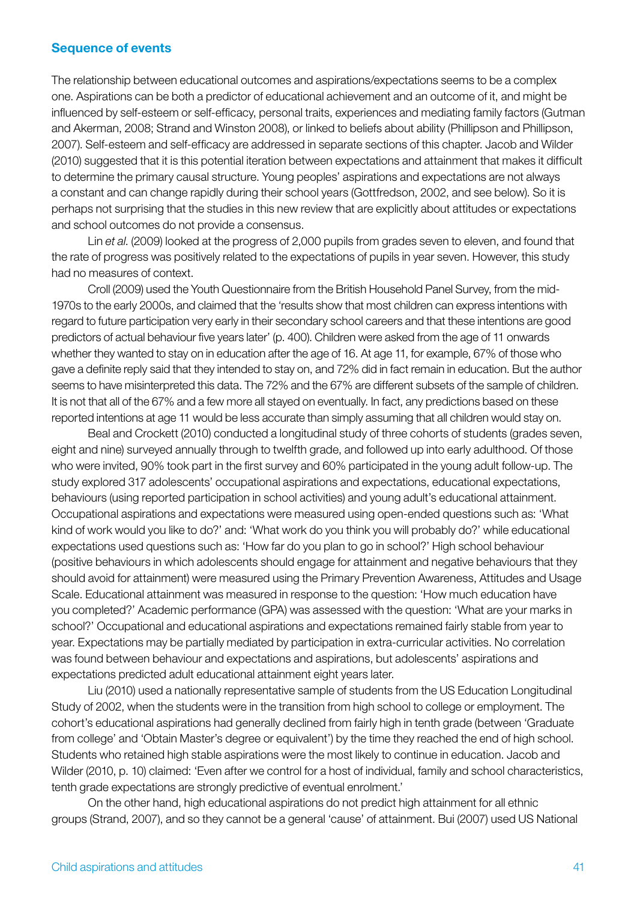### Sequence of events

The relationship between educational outcomes and aspirations/expectations seems to be a complex one. Aspirations can be both a predictor of educational achievement and an outcome of it, and might be influenced by self-esteem or self-efficacy, personal traits, experiences and mediating family factors (Gutman and Akerman, 2008; Strand and Winston 2008), or linked to beliefs about ability (Phillipson and Phillipson, 2007). Self-esteem and self-efficacy are addressed in separate sections of this chapter. Jacob and Wilder (2010) suggested that it is this potential iteration between expectations and attainment that makes it difficult to determine the primary causal structure. Young peoples' aspirations and expectations are not always a constant and can change rapidly during their school years (Gottfredson, 2002, and see below). So it is perhaps not surprising that the studies in this new review that are explicitly about attitudes or expectations and school outcomes do not provide a consensus.

Lin *et al*. (2009) looked at the progress of 2,000 pupils from grades seven to eleven, and found that the rate of progress was positively related to the expectations of pupils in year seven. However, this study had no measures of context.

Croll (2009) used the Youth Questionnaire from the British Household Panel Survey, from the mid-1970s to the early 2000s, and claimed that the 'results show that most children can express intentions with regard to future participation very early in their secondary school careers and that these intentions are good predictors of actual behaviour five years later' (p. 400). Children were asked from the age of 11 onwards whether they wanted to stay on in education after the age of 16. At age 11, for example, 67% of those who gave a definite reply said that they intended to stay on, and 72% did in fact remain in education. But the author seems to have misinterpreted this data. The 72% and the 67% are different subsets of the sample of children. It is not that all of the 67% and a few more all stayed on eventually. In fact, any predictions based on these reported intentions at age 11 would be less accurate than simply assuming that all children would stay on.

Beal and Crockett (2010) conducted a longitudinal study of three cohorts of students (grades seven, eight and nine) surveyed annually through to twelfth grade, and followed up into early adulthood. Of those who were invited, 90% took part in the first survey and 60% participated in the young adult follow-up. The study explored 317 adolescents' occupational aspirations and expectations, educational expectations, behaviours (using reported participation in school activities) and young adult's educational attainment. Occupational aspirations and expectations were measured using open-ended questions such as: 'What kind of work would you like to do?' and: 'What work do you think you will probably do?' while educational expectations used questions such as: 'How far do you plan to go in school?' High school behaviour (positive behaviours in which adolescents should engage for attainment and negative behaviours that they should avoid for attainment) were measured using the Primary Prevention Awareness, Attitudes and Usage Scale. Educational attainment was measured in response to the question: 'How much education have you completed?' Academic performance (GPA) was assessed with the question: 'What are your marks in school?' Occupational and educational aspirations and expectations remained fairly stable from year to year. Expectations may be partially mediated by participation in extra-curricular activities. No correlation was found between behaviour and expectations and aspirations, but adolescents' aspirations and expectations predicted adult educational attainment eight years later.

Liu (2010) used a nationally representative sample of students from the US Education Longitudinal Study of 2002, when the students were in the transition from high school to college or employment. The cohort's educational aspirations had generally declined from fairly high in tenth grade (between 'Graduate from college' and 'Obtain Master's degree or equivalent') by the time they reached the end of high school. Students who retained high stable aspirations were the most likely to continue in education. Jacob and Wilder (2010, p. 10) claimed: 'Even after we control for a host of individual, family and school characteristics, tenth grade expectations are strongly predictive of eventual enrolment.'

On the other hand, high educational aspirations do not predict high attainment for all ethnic groups (Strand, 2007), and so they cannot be a general 'cause' of attainment. Bui (2007) used US National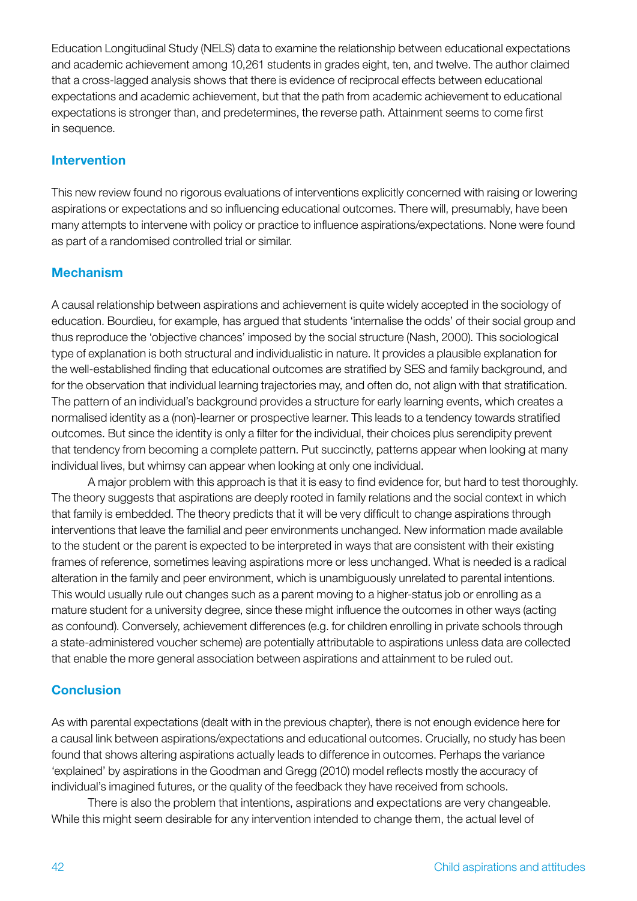Education Longitudinal Study (NELS) data to examine the relationship between educational expectations and academic achievement among 10,261 students in grades eight, ten, and twelve. The author claimed that a cross-lagged analysis shows that there is evidence of reciprocal effects between educational expectations and academic achievement, but that the path from academic achievement to educational expectations is stronger than, and predetermines, the reverse path. Attainment seems to come first in sequence.

### Intervention

This new review found no rigorous evaluations of interventions explicitly concerned with raising or lowering aspirations or expectations and so influencing educational outcomes. There will, presumably, have been many attempts to intervene with policy or practice to influence aspirations/expectations. None were found as part of a randomised controlled trial or similar.

# Mechanism

A causal relationship between aspirations and achievement is quite widely accepted in the sociology of education. Bourdieu, for example, has argued that students 'internalise the odds' of their social group and thus reproduce the 'objective chances' imposed by the social structure (Nash, 2000). This sociological type of explanation is both structural and individualistic in nature. It provides a plausible explanation for the well-established finding that educational outcomes are stratified by SES and family background, and for the observation that individual learning trajectories may, and often do, not align with that stratification. The pattern of an individual's background provides a structure for early learning events, which creates a normalised identity as a (non)-learner or prospective learner. This leads to a tendency towards stratified outcomes. But since the identity is only a filter for the individual, their choices plus serendipity prevent that tendency from becoming a complete pattern. Put succinctly, patterns appear when looking at many individual lives, but whimsy can appear when looking at only one individual.

A major problem with this approach is that it is easy to find evidence for, but hard to test thoroughly. The theory suggests that aspirations are deeply rooted in family relations and the social context in which that family is embedded. The theory predicts that it will be very difficult to change aspirations through interventions that leave the familial and peer environments unchanged. New information made available to the student or the parent is expected to be interpreted in ways that are consistent with their existing frames of reference, sometimes leaving aspirations more or less unchanged. What is needed is a radical alteration in the family and peer environment, which is unambiguously unrelated to parental intentions. This would usually rule out changes such as a parent moving to a higher-status job or enrolling as a mature student for a university degree, since these might influence the outcomes in other ways (acting as confound). Conversely, achievement differences (e.g. for children enrolling in private schools through a state-administered voucher scheme) are potentially attributable to aspirations unless data are collected that enable the more general association between aspirations and attainment to be ruled out.

# **Conclusion**

As with parental expectations (dealt with in the previous chapter), there is not enough evidence here for a causal link between aspirations/expectations and educational outcomes. Crucially, no study has been found that shows altering aspirations actually leads to difference in outcomes. Perhaps the variance 'explained' by aspirations in the Goodman and Gregg (2010) model reflects mostly the accuracy of individual's imagined futures, or the quality of the feedback they have received from schools.

There is also the problem that intentions, aspirations and expectations are very changeable. While this might seem desirable for any intervention intended to change them, the actual level of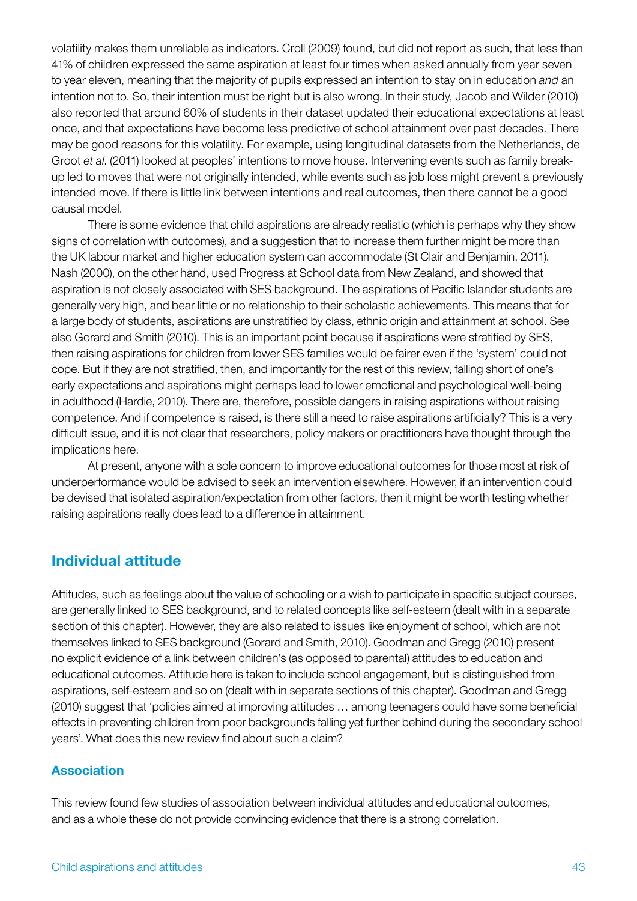volatility makes them unreliable as indicators. Croll (2009) found, but did not report as such, that less than 41% of children expressed the same aspiration at least four times when asked annually from year seven to year eleven, meaning that the majority of pupils expressed an intention to stay on in education *and* an intention not to. So, their intention must be right but is also wrong. In their study, Jacob and Wilder (2010) also reported that around 60% of students in their dataset updated their educational expectations at least once, and that expectations have become less predictive of school attainment over past decades. There may be good reasons for this volatility. For example, using longitudinal datasets from the Netherlands, de Groot *et al*. (2011) looked at peoples' intentions to move house. Intervening events such as family breakup led to moves that were not originally intended, while events such as job loss might prevent a previously intended move. If there is little link between intentions and real outcomes, then there cannot be a good causal model.

There is some evidence that child aspirations are already realistic (which is perhaps why they show signs of correlation with outcomes), and a suggestion that to increase them further might be more than the UK labour market and higher education system can accommodate (St Clair and Benjamin, 2011). Nash (2000), on the other hand, used Progress at School data from New Zealand, and showed that aspiration is not closely associated with SES background. The aspirations of Pacific Islander students are generally very high, and bear little or no relationship to their scholastic achievements. This means that for a large body of students, aspirations are unstratified by class, ethnic origin and attainment at school. See also Gorard and Smith (2010). This is an important point because if aspirations were stratified by SES, then raising aspirations for children from lower SES families would be fairer even if the 'system' could not cope. But if they are not stratified, then, and importantly for the rest of this review, falling short of one's early expectations and aspirations might perhaps lead to lower emotional and psychological well-being in adulthood (Hardie, 2010). There are, therefore, possible dangers in raising aspirations without raising competence. And if competence is raised, is there still a need to raise aspirations artificially? This is a very difficult issue, and it is not clear that researchers, policy makers or practitioners have thought through the implications here.

At present, anyone with a sole concern to improve educational outcomes for those most at risk of underperformance would be advised to seek an intervention elsewhere. However, if an intervention could be devised that isolated aspiration/expectation from other factors, then it might be worth testing whether raising aspirations really does lead to a difference in attainment.

# Individual attitude

Attitudes, such as feelings about the value of schooling or a wish to participate in specific subject courses, are generally linked to SES background, and to related concepts like self-esteem (dealt with in a separate section of this chapter). However, they are also related to issues like enjoyment of school, which are not themselves linked to SES background (Gorard and Smith, 2010). Goodman and Gregg (2010) present no explicit evidence of a link between children's (as opposed to parental) attitudes to education and educational outcomes. Attitude here is taken to include school engagement, but is distinguished from aspirations, self-esteem and so on (dealt with in separate sections of this chapter). Goodman and Gregg (2010) suggest that 'policies aimed at improving attitudes … among teenagers could have some beneficial effects in preventing children from poor backgrounds falling yet further behind during the secondary school years'. What does this new review find about such a claim?

# Association

This review found few studies of association between individual attitudes and educational outcomes, and as a whole these do not provide convincing evidence that there is a strong correlation.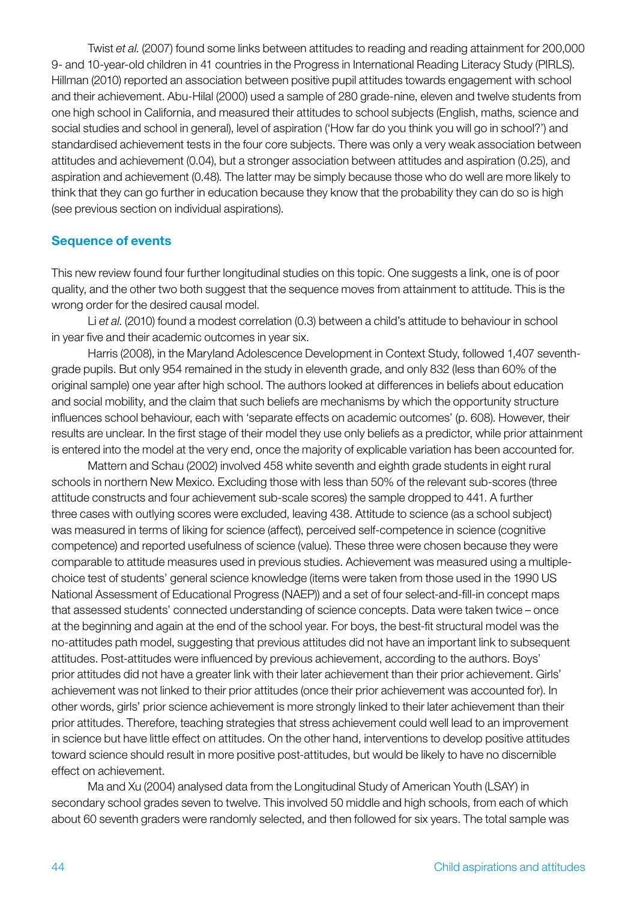Twist *et al*. (2007) found some links between attitudes to reading and reading attainment for 200,000 9- and 10-year-old children in 41 countries in the Progress in International Reading Literacy Study (PIRLS). Hillman (2010) reported an association between positive pupil attitudes towards engagement with school and their achievement. Abu-Hilal (2000) used a sample of 280 grade-nine, eleven and twelve students from one high school in California, and measured their attitudes to school subjects (English, maths, science and social studies and school in general), level of aspiration ('How far do you think you will go in school?') and standardised achievement tests in the four core subjects. There was only a very weak association between attitudes and achievement (0.04), but a stronger association between attitudes and aspiration (0.25), and aspiration and achievement (0.48). The latter may be simply because those who do well are more likely to think that they can go further in education because they know that the probability they can do so is high (see previous section on individual aspirations).

### Sequence of events

This new review found four further longitudinal studies on this topic. One suggests a link, one is of poor quality, and the other two both suggest that the sequence moves from attainment to attitude. This is the wrong order for the desired causal model.

Li *et al*. (2010) found a modest correlation (0.3) between a child's attitude to behaviour in school in year five and their academic outcomes in year six.

Harris (2008), in the Maryland Adolescence Development in Context Study, followed 1,407 seventhgrade pupils. But only 954 remained in the study in eleventh grade, and only 832 (less than 60% of the original sample) one year after high school. The authors looked at differences in beliefs about education and social mobility, and the claim that such beliefs are mechanisms by which the opportunity structure influences school behaviour, each with 'separate effects on academic outcomes' (p. 608). However, their results are unclear. In the first stage of their model they use only beliefs as a predictor, while prior attainment is entered into the model at the very end, once the majority of explicable variation has been accounted for.

Mattern and Schau (2002) involved 458 white seventh and eighth grade students in eight rural schools in northern New Mexico. Excluding those with less than 50% of the relevant sub-scores (three attitude constructs and four achievement sub-scale scores) the sample dropped to 441. A further three cases with outlying scores were excluded, leaving 438. Attitude to science (as a school subject) was measured in terms of liking for science (affect), perceived self-competence in science (cognitive competence) and reported usefulness of science (value). These three were chosen because they were comparable to attitude measures used in previous studies. Achievement was measured using a multiplechoice test of students' general science knowledge (items were taken from those used in the 1990 US National Assessment of Educational Progress (NAEP)) and a set of four select-and-fill-in concept maps that assessed students' connected understanding of science concepts. Data were taken twice – once at the beginning and again at the end of the school year. For boys, the best-fit structural model was the no-attitudes path model, suggesting that previous attitudes did not have an important link to subsequent attitudes. Post-attitudes were influenced by previous achievement, according to the authors. Boys' prior attitudes did not have a greater link with their later achievement than their prior achievement. Girls' achievement was not linked to their prior attitudes (once their prior achievement was accounted for). In other words, girls' prior science achievement is more strongly linked to their later achievement than their prior attitudes. Therefore, teaching strategies that stress achievement could well lead to an improvement in science but have little effect on attitudes. On the other hand, interventions to develop positive attitudes toward science should result in more positive post-attitudes, but would be likely to have no discernible effect on achievement.

Ma and Xu (2004) analysed data from the Longitudinal Study of American Youth (LSAY) in secondary school grades seven to twelve. This involved 50 middle and high schools, from each of which about 60 seventh graders were randomly selected, and then followed for six years. The total sample was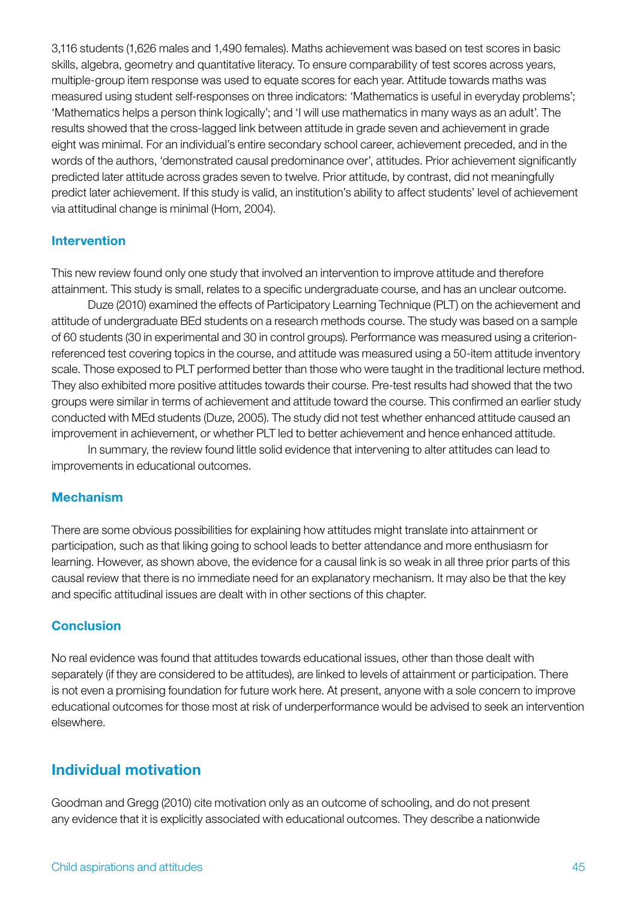3,116 students (1,626 males and 1,490 females). Maths achievement was based on test scores in basic skills, algebra, geometry and quantitative literacy. To ensure comparability of test scores across years, multiple-group item response was used to equate scores for each year. Attitude towards maths was measured using student self-responses on three indicators: 'Mathematics is useful in everyday problems'; 'Mathematics helps a person think logically'; and 'I will use mathematics in many ways as an adult'. The results showed that the cross-lagged link between attitude in grade seven and achievement in grade eight was minimal. For an individual's entire secondary school career, achievement preceded, and in the words of the authors, 'demonstrated causal predominance over', attitudes. Prior achievement significantly predicted later attitude across grades seven to twelve. Prior attitude, by contrast, did not meaningfully predict later achievement. If this study is valid, an institution's ability to affect students' level of achievement via attitudinal change is minimal (Hom, 2004).

### Intervention

This new review found only one study that involved an intervention to improve attitude and therefore attainment. This study is small, relates to a specific undergraduate course, and has an unclear outcome.

Duze (2010) examined the effects of Participatory Learning Technique (PLT) on the achievement and attitude of undergraduate BEd students on a research methods course. The study was based on a sample of 60 students (30 in experimental and 30 in control groups). Performance was measured using a criterionreferenced test covering topics in the course, and attitude was measured using a 50-item attitude inventory scale. Those exposed to PLT performed better than those who were taught in the traditional lecture method. They also exhibited more positive attitudes towards their course. Pre-test results had showed that the two groups were similar in terms of achievement and attitude toward the course. This confirmed an earlier study conducted with MEd students (Duze, 2005). The study did not test whether enhanced attitude caused an improvement in achievement, or whether PLT led to better achievement and hence enhanced attitude.

In summary, the review found little solid evidence that intervening to alter attitudes can lead to improvements in educational outcomes.

### Mechanism

There are some obvious possibilities for explaining how attitudes might translate into attainment or participation, such as that liking going to school leads to better attendance and more enthusiasm for learning. However, as shown above, the evidence for a causal link is so weak in all three prior parts of this causal review that there is no immediate need for an explanatory mechanism. It may also be that the key and specific attitudinal issues are dealt with in other sections of this chapter.

### **Conclusion**

No real evidence was found that attitudes towards educational issues, other than those dealt with separately (if they are considered to be attitudes), are linked to levels of attainment or participation. There is not even a promising foundation for future work here. At present, anyone with a sole concern to improve educational outcomes for those most at risk of underperformance would be advised to seek an intervention elsewhere.

# Individual motivation

Goodman and Gregg (2010) cite motivation only as an outcome of schooling, and do not present any evidence that it is explicitly associated with educational outcomes. They describe a nationwide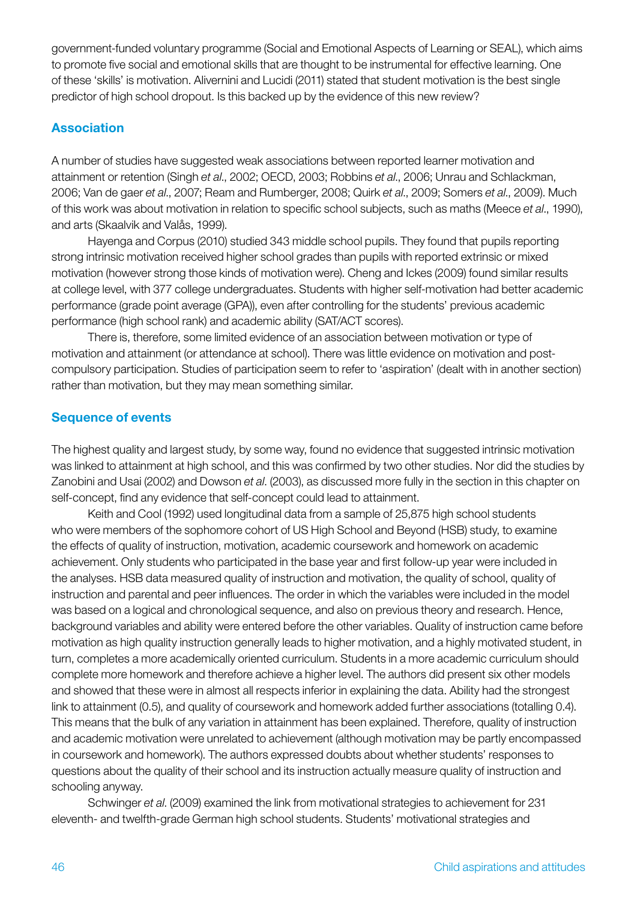government-funded voluntary programme (Social and Emotional Aspects of Learning or SEAL), which aims to promote five social and emotional skills that are thought to be instrumental for effective learning. One of these 'skills' is motivation. Alivernini and Lucidi (2011) stated that student motivation is the best single predictor of high school dropout. Is this backed up by the evidence of this new review?

### Association

A number of studies have suggested weak associations between reported learner motivation and attainment or retention (Singh *et al*., 2002; OECD, 2003; Robbins *et al*., 2006; Unrau and Schlackman, 2006; Van de gaer *et al*., 2007; Ream and Rumberger, 2008; Quirk *et al*., 2009; Somers *et al*., 2009). Much of this work was about motivation in relation to specific school subjects, such as maths (Meece *et al*., 1990), and arts (Skaalvik and Valås, 1999).

Hayenga and Corpus (2010) studied 343 middle school pupils. They found that pupils reporting strong intrinsic motivation received higher school grades than pupils with reported extrinsic or mixed motivation (however strong those kinds of motivation were). Cheng and Ickes (2009) found similar results at college level, with 377 college undergraduates. Students with higher self-motivation had better academic performance (grade point average (GPA)), even after controlling for the students' previous academic performance (high school rank) and academic ability (SAT/ACT scores).

There is, therefore, some limited evidence of an association between motivation or type of motivation and attainment (or attendance at school). There was little evidence on motivation and postcompulsory participation. Studies of participation seem to refer to 'aspiration' (dealt with in another section) rather than motivation, but they may mean something similar.

### Sequence of events

The highest quality and largest study, by some way, found no evidence that suggested intrinsic motivation was linked to attainment at high school, and this was confirmed by two other studies. Nor did the studies by Zanobini and Usai (2002) and Dowson *et al*. (2003), as discussed more fully in the section in this chapter on self-concept, find any evidence that self-concept could lead to attainment.

Keith and Cool (1992) used longitudinal data from a sample of 25,875 high school students who were members of the sophomore cohort of US High School and Beyond (HSB) study, to examine the effects of quality of instruction, motivation, academic coursework and homework on academic achievement. Only students who participated in the base year and first follow-up year were included in the analyses. HSB data measured quality of instruction and motivation, the quality of school, quality of instruction and parental and peer influences. The order in which the variables were included in the model was based on a logical and chronological sequence, and also on previous theory and research. Hence, background variables and ability were entered before the other variables. Quality of instruction came before motivation as high quality instruction generally leads to higher motivation, and a highly motivated student, in turn, completes a more academically oriented curriculum. Students in a more academic curriculum should complete more homework and therefore achieve a higher level. The authors did present six other models and showed that these were in almost all respects inferior in explaining the data. Ability had the strongest link to attainment (0.5), and quality of coursework and homework added further associations (totalling 0.4). This means that the bulk of any variation in attainment has been explained. Therefore, quality of instruction and academic motivation were unrelated to achievement (although motivation may be partly encompassed in coursework and homework). The authors expressed doubts about whether students' responses to questions about the quality of their school and its instruction actually measure quality of instruction and schooling anyway.

Schwinger *et al*. (2009) examined the link from motivational strategies to achievement for 231 eleventh- and twelfth-grade German high school students. Students' motivational strategies and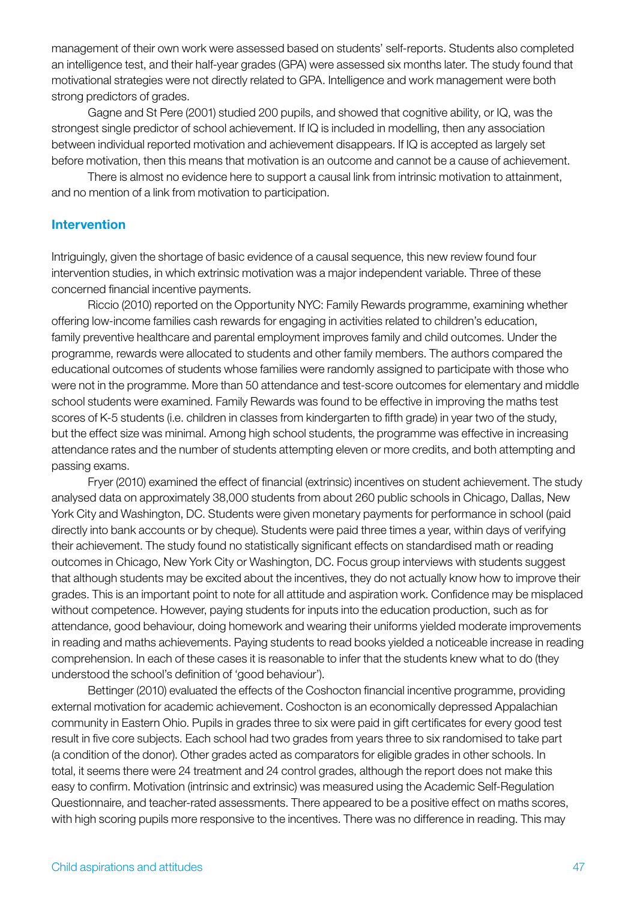management of their own work were assessed based on students' self-reports. Students also completed an intelligence test, and their half-year grades (GPA) were assessed six months later. The study found that motivational strategies were not directly related to GPA. Intelligence and work management were both strong predictors of grades.

Gagne and St Pere (2001) studied 200 pupils, and showed that cognitive ability, or IQ, was the strongest single predictor of school achievement. If IQ is included in modelling, then any association between individual reported motivation and achievement disappears. If IQ is accepted as largely set before motivation, then this means that motivation is an outcome and cannot be a cause of achievement.

There is almost no evidence here to support a causal link from intrinsic motivation to attainment, and no mention of a link from motivation to participation.

#### Intervention

Intriguingly, given the shortage of basic evidence of a causal sequence, this new review found four intervention studies, in which extrinsic motivation was a major independent variable. Three of these concerned financial incentive payments.

Riccio (2010) reported on the Opportunity NYC: Family Rewards programme, examining whether offering low-income families cash rewards for engaging in activities related to children's education, family preventive healthcare and parental employment improves family and child outcomes. Under the programme, rewards were allocated to students and other family members. The authors compared the educational outcomes of students whose families were randomly assigned to participate with those who were not in the programme. More than 50 attendance and test-score outcomes for elementary and middle school students were examined. Family Rewards was found to be effective in improving the maths test scores of K-5 students (i.e. children in classes from kindergarten to fifth grade) in year two of the study, but the effect size was minimal. Among high school students, the programme was effective in increasing attendance rates and the number of students attempting eleven or more credits, and both attempting and passing exams.

Fryer (2010) examined the effect of financial (extrinsic) incentives on student achievement. The study analysed data on approximately 38,000 students from about 260 public schools in Chicago, Dallas, New York City and Washington, DC. Students were given monetary payments for performance in school (paid directly into bank accounts or by cheque). Students were paid three times a year, within days of verifying their achievement. The study found no statistically significant effects on standardised math or reading outcomes in Chicago, New York City or Washington, DC. Focus group interviews with students suggest that although students may be excited about the incentives, they do not actually know how to improve their grades. This is an important point to note for all attitude and aspiration work. Confidence may be misplaced without competence. However, paying students for inputs into the education production, such as for attendance, good behaviour, doing homework and wearing their uniforms yielded moderate improvements in reading and maths achievements. Paying students to read books yielded a noticeable increase in reading comprehension. In each of these cases it is reasonable to infer that the students knew what to do (they understood the school's definition of 'good behaviour').

Bettinger (2010) evaluated the effects of the Coshocton financial incentive programme, providing external motivation for academic achievement. Coshocton is an economically depressed Appalachian community in Eastern Ohio. Pupils in grades three to six were paid in gift certificates for every good test result in five core subjects. Each school had two grades from years three to six randomised to take part (a condition of the donor). Other grades acted as comparators for eligible grades in other schools. In total, it seems there were 24 treatment and 24 control grades, although the report does not make this easy to confirm. Motivation (intrinsic and extrinsic) was measured using the Academic Self-Regulation Questionnaire, and teacher-rated assessments. There appeared to be a positive effect on maths scores, with high scoring pupils more responsive to the incentives. There was no difference in reading. This may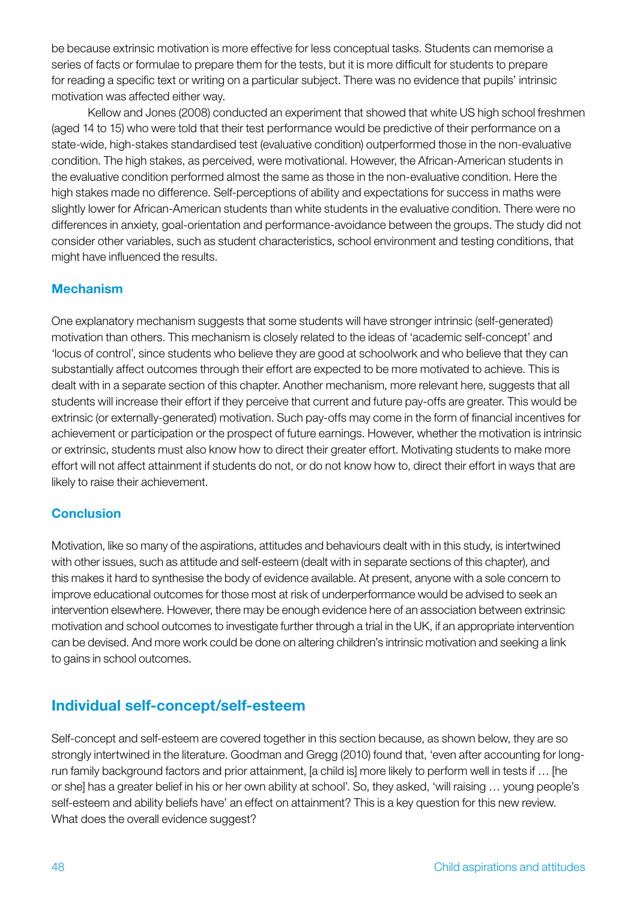be because extrinsic motivation is more effective for less conceptual tasks. Students can memorise a series of facts or formulae to prepare them for the tests, but it is more difficult for students to prepare for reading a specific text or writing on a particular subject. There was no evidence that pupils' intrinsic motivation was affected either way.

Kellow and Jones (2008) conducted an experiment that showed that white US high school freshmen (aged 14 to 15) who were told that their test performance would be predictive of their performance on a state-wide, high-stakes standardised test (evaluative condition) outperformed those in the non-evaluative condition. The high stakes, as perceived, were motivational. However, the African-American students in the evaluative condition performed almost the same as those in the non-evaluative condition. Here the high stakes made no difference. Self-perceptions of ability and expectations for success in maths were slightly lower for African-American students than white students in the evaluative condition. There were no differences in anxiety, goal-orientation and performance-avoidance between the groups. The study did not consider other variables, such as student characteristics, school environment and testing conditions, that might have influenced the results.

# Mechanism

One explanatory mechanism suggests that some students will have stronger intrinsic (self-generated) motivation than others. This mechanism is closely related to the ideas of 'academic self-concept' and 'locus of control', since students who believe they are good at schoolwork and who believe that they can substantially affect outcomes through their effort are expected to be more motivated to achieve. This is dealt with in a separate section of this chapter. Another mechanism, more relevant here, suggests that all students will increase their effort if they perceive that current and future pay-offs are greater. This would be extrinsic (or externally-generated) motivation. Such pay-offs may come in the form of financial incentives for achievement or participation or the prospect of future earnings. However, whether the motivation is intrinsic or extrinsic, students must also know how to direct their greater effort. Motivating students to make more effort will not affect attainment if students do not, or do not know how to, direct their effort in ways that are likely to raise their achievement.

# **Conclusion**

Motivation, like so many of the aspirations, attitudes and behaviours dealt with in this study, is intertwined with other issues, such as attitude and self-esteem (dealt with in separate sections of this chapter), and this makes it hard to synthesise the body of evidence available. At present, anyone with a sole concern to improve educational outcomes for those most at risk of underperformance would be advised to seek an intervention elsewhere. However, there may be enough evidence here of an association between extrinsic motivation and school outcomes to investigate further through a trial in the UK, if an appropriate intervention can be devised. And more work could be done on altering children's intrinsic motivation and seeking a link to gains in school outcomes.

# Individual self-concept/self-esteem

Self-concept and self-esteem are covered together in this section because, as shown below, they are so strongly intertwined in the literature. Goodman and Gregg (2010) found that, 'even after accounting for longrun family background factors and prior attainment, [a child is] more likely to perform well in tests if … [he or she] has a greater belief in his or her own ability at school'. So, they asked, 'will raising … young people's self-esteem and ability beliefs have' an effect on attainment? This is a key question for this new review. What does the overall evidence suggest?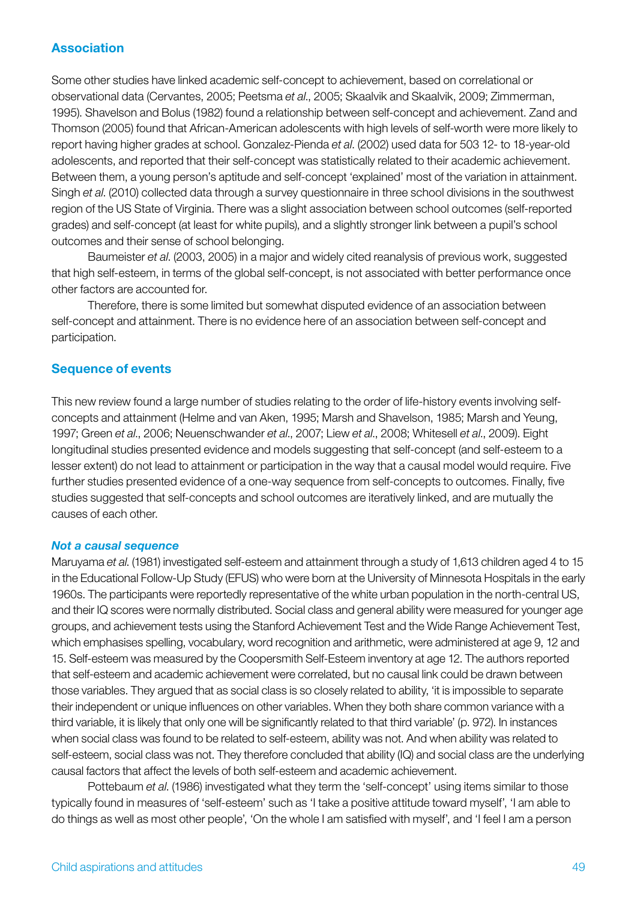### Association

Some other studies have linked academic self-concept to achievement, based on correlational or observational data (Cervantes, 2005; Peetsma *et al*., 2005; Skaalvik and Skaalvik, 2009; Zimmerman, 1995). Shavelson and Bolus (1982) found a relationship between self-concept and achievement. Zand and Thomson (2005) found that African-American adolescents with high levels of self-worth were more likely to report having higher grades at school. Gonzalez-Pienda *et al*. (2002) used data for 503 12- to 18-year-old adolescents, and reported that their self-concept was statistically related to their academic achievement. Between them, a young person's aptitude and self-concept 'explained' most of the variation in attainment. Singh *et al*. (2010) collected data through a survey questionnaire in three school divisions in the southwest region of the US State of Virginia. There was a slight association between school outcomes (self-reported grades) and self-concept (at least for white pupils), and a slightly stronger link between a pupil's school outcomes and their sense of school belonging.

Baumeister *et al*. (2003, 2005) in a major and widely cited reanalysis of previous work, suggested that high self-esteem, in terms of the global self-concept, is not associated with better performance once other factors are accounted for.

Therefore, there is some limited but somewhat disputed evidence of an association between self-concept and attainment. There is no evidence here of an association between self-concept and participation.

### Sequence of events

This new review found a large number of studies relating to the order of life-history events involving selfconcepts and attainment (Helme and van Aken, 1995; Marsh and Shavelson, 1985; Marsh and Yeung, 1997; Green *et al*., 2006; Neuenschwander *et al*., 2007; Liew *et al*., 2008; Whitesell *et al*., 2009). Eight longitudinal studies presented evidence and models suggesting that self-concept (and self-esteem to a lesser extent) do not lead to attainment or participation in the way that a causal model would require. Five further studies presented evidence of a one-way sequence from self-concepts to outcomes. Finally, five studies suggested that self-concepts and school outcomes are iteratively linked, and are mutually the causes of each other.

#### *Not a causal sequence*

Maruyama *et al*. (1981) investigated self-esteem and attainment through a study of 1,613 children aged 4 to 15 in the Educational Follow-Up Study (EFUS) who were born at the University of Minnesota Hospitals in the early 1960s. The participants were reportedly representative of the white urban population in the north-central US, and their IQ scores were normally distributed. Social class and general ability were measured for younger age groups, and achievement tests using the Stanford Achievement Test and the Wide Range Achievement Test, which emphasises spelling, vocabulary, word recognition and arithmetic, were administered at age 9, 12 and 15. Self-esteem was measured by the Coopersmith Self-Esteem inventory at age 12. The authors reported that self-esteem and academic achievement were correlated, but no causal link could be drawn between those variables. They argued that as social class is so closely related to ability, 'it is impossible to separate their independent or unique influences on other variables. When they both share common variance with a third variable, it is likely that only one will be significantly related to that third variable' (p. 972). In instances when social class was found to be related to self-esteem, ability was not. And when ability was related to self-esteem, social class was not. They therefore concluded that ability (IQ) and social class are the underlying causal factors that affect the levels of both self-esteem and academic achievement.

Pottebaum *et al*. (1986) investigated what they term the 'self-concept' using items similar to those typically found in measures of 'self-esteem' such as 'I take a positive attitude toward myself', 'I am able to do things as well as most other people', 'On the whole I am satisfied with myself', and 'I feel I am a person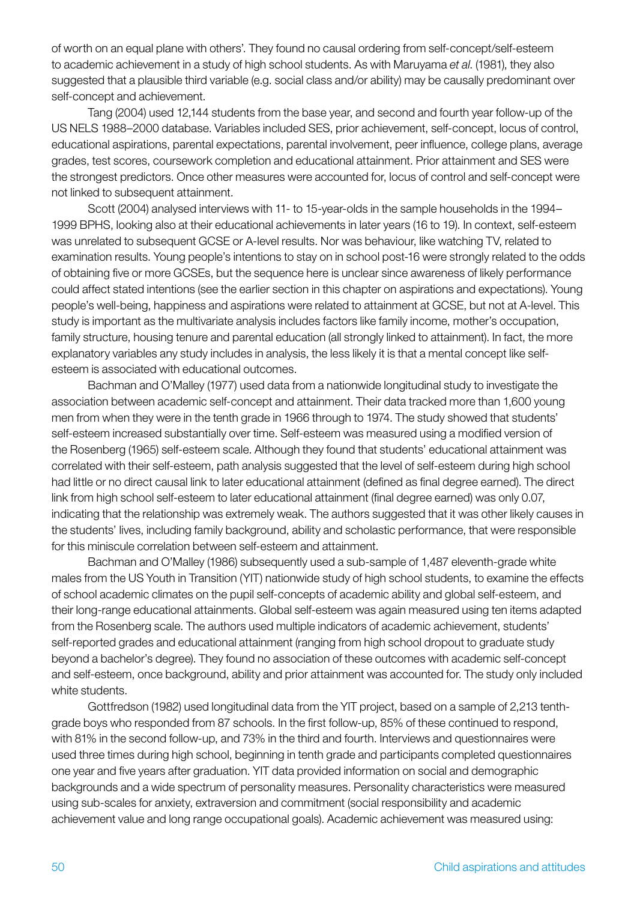of worth on an equal plane with others'. They found no causal ordering from self-concept/self-esteem to academic achievement in a study of high school students. As with Maruyama *et al*. (1981), they also suggested that a plausible third variable (e.g. social class and/or ability) may be causally predominant over self-concept and achievement.

Tang (2004) used 12,144 students from the base year, and second and fourth year follow-up of the US NELS 1988–2000 database. Variables included SES, prior achievement, self-concept, locus of control, educational aspirations, parental expectations, parental involvement, peer influence, college plans, average grades, test scores, coursework completion and educational attainment. Prior attainment and SES were the strongest predictors. Once other measures were accounted for, locus of control and self-concept were not linked to subsequent attainment.

Scott (2004) analysed interviews with 11- to 15-year-olds in the sample households in the 1994– 1999 BPHS, looking also at their educational achievements in later years (16 to 19). In context, self-esteem was unrelated to subsequent GCSE or A-level results. Nor was behaviour, like watching TV, related to examination results. Young people's intentions to stay on in school post-16 were strongly related to the odds of obtaining five or more GCSEs, but the sequence here is unclear since awareness of likely performance could affect stated intentions (see the earlier section in this chapter on aspirations and expectations). Young people's well-being, happiness and aspirations were related to attainment at GCSE, but not at A-level. This study is important as the multivariate analysis includes factors like family income, mother's occupation, family structure, housing tenure and parental education (all strongly linked to attainment). In fact, the more explanatory variables any study includes in analysis, the less likely it is that a mental concept like selfesteem is associated with educational outcomes.

Bachman and O'Malley (1977) used data from a nationwide longitudinal study to investigate the association between academic self-concept and attainment. Their data tracked more than 1,600 young men from when they were in the tenth grade in 1966 through to 1974. The study showed that students' self-esteem increased substantially over time. Self-esteem was measured using a modified version of the Rosenberg (1965) self-esteem scale. Although they found that students' educational attainment was correlated with their self-esteem, path analysis suggested that the level of self-esteem during high school had little or no direct causal link to later educational attainment (defined as final degree earned). The direct link from high school self-esteem to later educational attainment (final degree earned) was only 0.07, indicating that the relationship was extremely weak. The authors suggested that it was other likely causes in the students' lives, including family background, ability and scholastic performance, that were responsible for this miniscule correlation between self-esteem and attainment.

Bachman and O'Malley (1986) subsequently used a sub-sample of 1,487 eleventh-grade white males from the US Youth in Transition (YIT) nationwide study of high school students, to examine the effects of school academic climates on the pupil self-concepts of academic ability and global self-esteem, and their long-range educational attainments. Global self-esteem was again measured using ten items adapted from the Rosenberg scale. The authors used multiple indicators of academic achievement, students' self-reported grades and educational attainment (ranging from high school dropout to graduate study beyond a bachelor's degree). They found no association of these outcomes with academic self-concept and self-esteem, once background, ability and prior attainment was accounted for. The study only included white students.

Gottfredson (1982) used longitudinal data from the YIT project, based on a sample of 2,213 tenthgrade boys who responded from 87 schools. In the first follow-up, 85% of these continued to respond, with 81% in the second follow-up, and 73% in the third and fourth. Interviews and questionnaires were used three times during high school, beginning in tenth grade and participants completed questionnaires one year and five years after graduation. YIT data provided information on social and demographic backgrounds and a wide spectrum of personality measures. Personality characteristics were measured using sub-scales for anxiety, extraversion and commitment (social responsibility and academic achievement value and long range occupational goals). Academic achievement was measured using: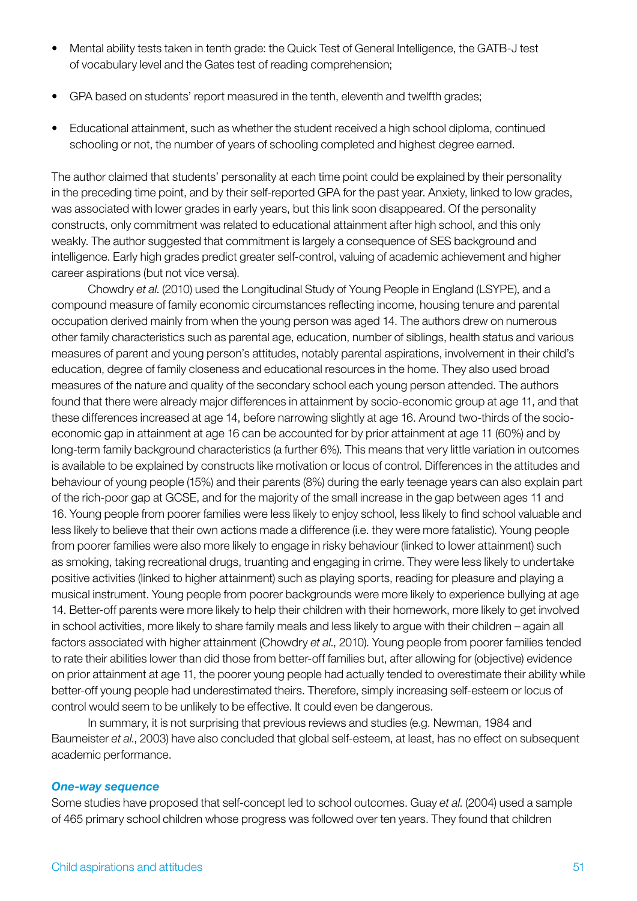- Mental ability tests taken in tenth grade: the Quick Test of General Intelligence, the GATB-J test of vocabulary level and the Gates test of reading comprehension;
- GPA based on students' report measured in the tenth, eleventh and twelfth grades;
- Educational attainment, such as whether the student received a high school diploma, continued schooling or not, the number of years of schooling completed and highest degree earned.

The author claimed that students' personality at each time point could be explained by their personality in the preceding time point, and by their self-reported GPA for the past year. Anxiety, linked to low grades, was associated with lower grades in early years, but this link soon disappeared. Of the personality constructs, only commitment was related to educational attainment after high school, and this only weakly. The author suggested that commitment is largely a consequence of SES background and intelligence. Early high grades predict greater self-control, valuing of academic achievement and higher career aspirations (but not vice versa).

Chowdry *et al*. (2010) used the Longitudinal Study of Young People in England (LSYPE), and a compound measure of family economic circumstances reflecting income, housing tenure and parental occupation derived mainly from when the young person was aged 14. The authors drew on numerous other family characteristics such as parental age, education, number of siblings, health status and various measures of parent and young person's attitudes, notably parental aspirations, involvement in their child's education, degree of family closeness and educational resources in the home. They also used broad measures of the nature and quality of the secondary school each young person attended. The authors found that there were already major differences in attainment by socio-economic group at age 11, and that these differences increased at age 14, before narrowing slightly at age 16. Around two-thirds of the socioeconomic gap in attainment at age 16 can be accounted for by prior attainment at age 11 (60%) and by long-term family background characteristics (a further 6%). This means that very little variation in outcomes is available to be explained by constructs like motivation or locus of control. Differences in the attitudes and behaviour of young people (15%) and their parents (8%) during the early teenage years can also explain part of the rich-poor gap at GCSE, and for the majority of the small increase in the gap between ages 11 and 16. Young people from poorer families were less likely to enjoy school, less likely to find school valuable and less likely to believe that their own actions made a difference (i.e. they were more fatalistic). Young people from poorer families were also more likely to engage in risky behaviour (linked to lower attainment) such as smoking, taking recreational drugs, truanting and engaging in crime. They were less likely to undertake positive activities (linked to higher attainment) such as playing sports, reading for pleasure and playing a musical instrument. Young people from poorer backgrounds were more likely to experience bullying at age 14. Better-off parents were more likely to help their children with their homework, more likely to get involved in school activities, more likely to share family meals and less likely to argue with their children – again all factors associated with higher attainment (Chowdry *et al*., 2010). Young people from poorer families tended to rate their abilities lower than did those from better-off families but, after allowing for (objective) evidence on prior attainment at age 11, the poorer young people had actually tended to overestimate their ability while better-off young people had underestimated theirs. Therefore, simply increasing self-esteem or locus of control would seem to be unlikely to be effective. It could even be dangerous.

In summary, it is not surprising that previous reviews and studies (e.g. Newman, 1984 and Baumeister *et al*., 2003) have also concluded that global self-esteem, at least, has no effect on subsequent academic performance.

#### *One-way sequence*

Some studies have proposed that self-concept led to school outcomes. Guay *et al*. (2004) used a sample of 465 primary school children whose progress was followed over ten years. They found that children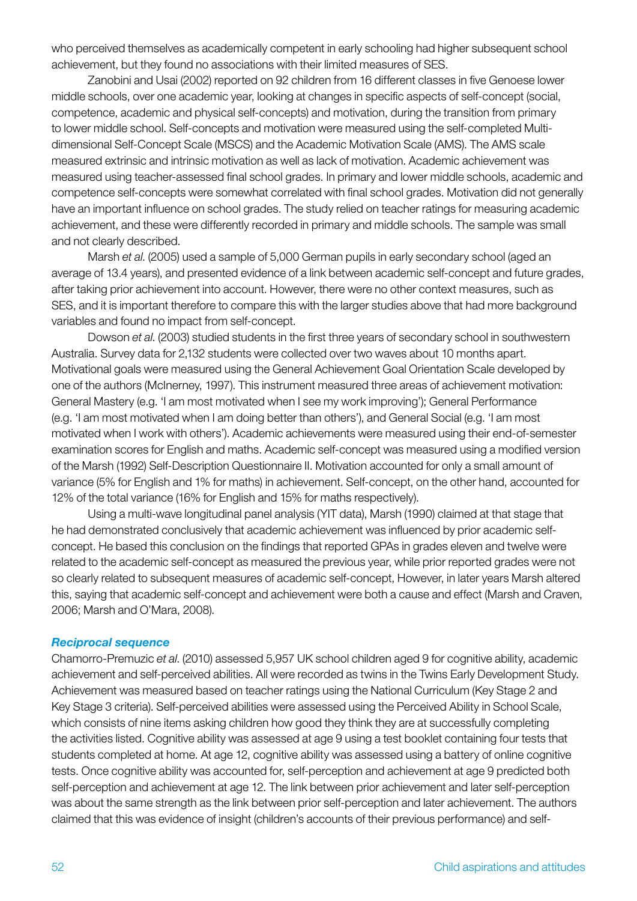who perceived themselves as academically competent in early schooling had higher subsequent school achievement, but they found no associations with their limited measures of SES.

Zanobini and Usai (2002) reported on 92 children from 16 different classes in five Genoese lower middle schools, over one academic year, looking at changes in specific aspects of self-concept (social, competence, academic and physical self-concepts) and motivation, during the transition from primary to lower middle school. Self-concepts and motivation were measured using the self-completed Multidimensional Self-Concept Scale (MSCS) and the Academic Motivation Scale (AMS). The AMS scale measured extrinsic and intrinsic motivation as well as lack of motivation. Academic achievement was measured using teacher-assessed final school grades. In primary and lower middle schools, academic and competence self-concepts were somewhat correlated with final school grades. Motivation did not generally have an important influence on school grades. The study relied on teacher ratings for measuring academic achievement, and these were differently recorded in primary and middle schools. The sample was small and not clearly described.

Marsh *et al*. (2005) used a sample of 5,000 German pupils in early secondary school (aged an average of 13.4 years), and presented evidence of a link between academic self-concept and future grades, after taking prior achievement into account. However, there were no other context measures, such as SES, and it is important therefore to compare this with the larger studies above that had more background variables and found no impact from self-concept.

Dowson *et al*. (2003) studied students in the first three years of secondary school in southwestern Australia. Survey data for 2,132 students were collected over two waves about 10 months apart. Motivational goals were measured using the General Achievement Goal Orientation Scale developed by one of the authors (McInerney, 1997). This instrument measured three areas of achievement motivation: General Mastery (e.g. 'I am most motivated when I see my work improving'); General Performance (e.g. 'I am most motivated when I am doing better than others'), and General Social (e.g. 'I am most motivated when I work with others'). Academic achievements were measured using their end-of-semester examination scores for English and maths. Academic self-concept was measured using a modified version of the Marsh (1992) Self-Description Questionnaire II. Motivation accounted for only a small amount of variance (5% for English and 1% for maths) in achievement. Self-concept, on the other hand, accounted for 12% of the total variance (16% for English and 15% for maths respectively).

Using a multi-wave longitudinal panel analysis (YIT data), Marsh (1990) claimed at that stage that he had demonstrated conclusively that academic achievement was influenced by prior academic selfconcept. He based this conclusion on the findings that reported GPAs in grades eleven and twelve were related to the academic self-concept as measured the previous year, while prior reported grades were not so clearly related to subsequent measures of academic self-concept, However, in later years Marsh altered this, saying that academic self-concept and achievement were both a cause and effect (Marsh and Craven, 2006; Marsh and O'Mara, 2008).

#### *Reciprocal sequence*

Chamorro-Premuzic *et al*. (2010) assessed 5,957 UK school children aged 9 for cognitive ability, academic achievement and self-perceived abilities. All were recorded as twins in the Twins Early Development Study. Achievement was measured based on teacher ratings using the National Curriculum (Key Stage 2 and Key Stage 3 criteria). Self-perceived abilities were assessed using the Perceived Ability in School Scale, which consists of nine items asking children how good they think they are at successfully completing the activities listed. Cognitive ability was assessed at age 9 using a test booklet containing four tests that students completed at home. At age 12, cognitive ability was assessed using a battery of online cognitive tests. Once cognitive ability was accounted for, self-perception and achievement at age 9 predicted both self-perception and achievement at age 12. The link between prior achievement and later self-perception was about the same strength as the link between prior self-perception and later achievement. The authors claimed that this was evidence of insight (children's accounts of their previous performance) and self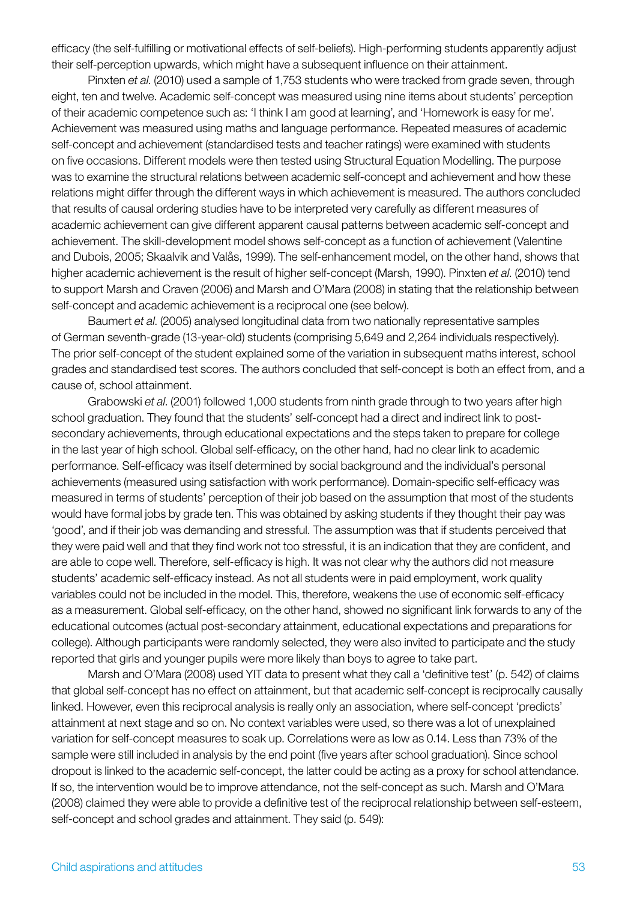efficacy (the self-fulfilling or motivational effects of self-beliefs). High-performing students apparently adjust their self-perception upwards, which might have a subsequent influence on their attainment.

Pinxten *et al*. (2010) used a sample of 1,753 students who were tracked from grade seven, through eight, ten and twelve. Academic self-concept was measured using nine items about students' perception of their academic competence such as: 'I think I am good at learning', and 'Homework is easy for me'. Achievement was measured using maths and language performance. Repeated measures of academic self-concept and achievement (standardised tests and teacher ratings) were examined with students on five occasions. Different models were then tested using Structural Equation Modelling. The purpose was to examine the structural relations between academic self-concept and achievement and how these relations might differ through the different ways in which achievement is measured. The authors concluded that results of causal ordering studies have to be interpreted very carefully as different measures of academic achievement can give different apparent causal patterns between academic self-concept and achievement. The skill-development model shows self-concept as a function of achievement (Valentine and Dubois, 2005; Skaalvik and Valås, 1999). The self-enhancement model, on the other hand, shows that higher academic achievement is the result of higher self-concept (Marsh, 1990). Pinxten *et al*. (2010) tend to support Marsh and Craven (2006) and Marsh and O'Mara (2008) in stating that the relationship between self-concept and academic achievement is a reciprocal one (see below).

Baumert *et al*. (2005) analysed longitudinal data from two nationally representative samples of German seventh-grade (13-year-old) students (comprising 5,649 and 2,264 individuals respectively). The prior self-concept of the student explained some of the variation in subsequent maths interest, school grades and standardised test scores. The authors concluded that self-concept is both an effect from, and a cause of, school attainment.

Grabowski *et al*. (2001) followed 1,000 students from ninth grade through to two years after high school graduation. They found that the students' self-concept had a direct and indirect link to postsecondary achievements, through educational expectations and the steps taken to prepare for college in the last year of high school. Global self-efficacy, on the other hand, had no clear link to academic performance. Self-efficacy was itself determined by social background and the individual's personal achievements (measured using satisfaction with work performance). Domain-specific self-efficacy was measured in terms of students' perception of their job based on the assumption that most of the students would have formal jobs by grade ten. This was obtained by asking students if they thought their pay was 'good', and if their job was demanding and stressful. The assumption was that if students perceived that they were paid well and that they find work not too stressful, it is an indication that they are confident, and are able to cope well. Therefore, self-efficacy is high. It was not clear why the authors did not measure students' academic self-efficacy instead. As not all students were in paid employment, work quality variables could not be included in the model. This, therefore, weakens the use of economic self-efficacy as a measurement. Global self-efficacy, on the other hand, showed no significant link forwards to any of the educational outcomes (actual post-secondary attainment, educational expectations and preparations for college). Although participants were randomly selected, they were also invited to participate and the study reported that girls and younger pupils were more likely than boys to agree to take part.

Marsh and O'Mara (2008) used YIT data to present what they call a 'definitive test' (p. 542) of claims that global self-concept has no effect on attainment, but that academic self-concept is reciprocally causally linked. However, even this reciprocal analysis is really only an association, where self-concept 'predicts' attainment at next stage and so on. No context variables were used, so there was a lot of unexplained variation for self-concept measures to soak up. Correlations were as low as 0.14. Less than 73% of the sample were still included in analysis by the end point (five years after school graduation). Since school dropout is linked to the academic self-concept, the latter could be acting as a proxy for school attendance. If so, the intervention would be to improve attendance, not the self-concept as such. Marsh and O'Mara (2008) claimed they were able to provide a definitive test of the reciprocal relationship between self-esteem, self-concept and school grades and attainment. They said (p. 549):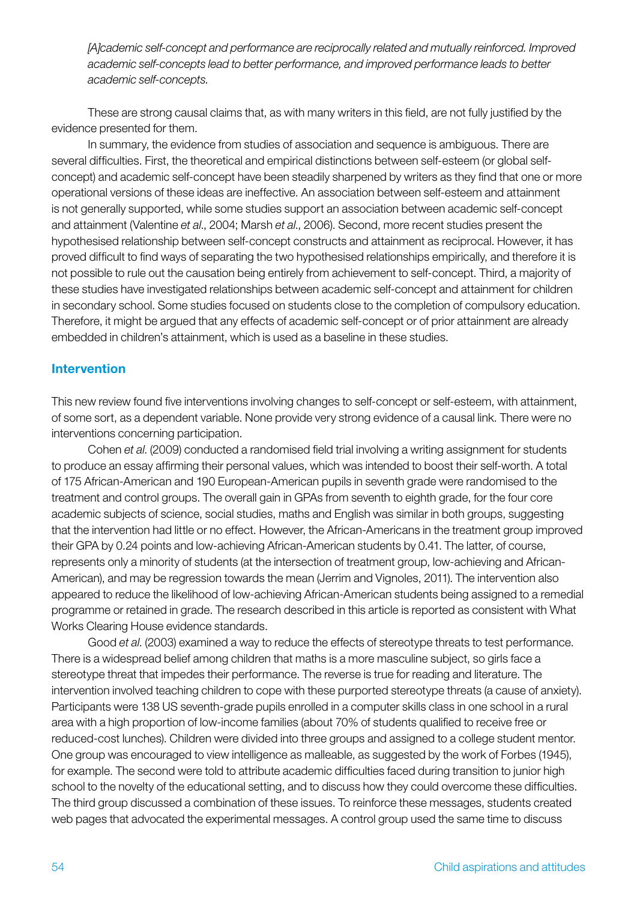*[A]cademic self-concept and performance are reciprocally related and mutually reinforced. Improved academic self-concepts lead to better performance, and improved performance leads to better academic self-concepts.*

These are strong causal claims that, as with many writers in this field, are not fully justified by the evidence presented for them.

In summary, the evidence from studies of association and sequence is ambiguous. There are several difficulties. First, the theoretical and empirical distinctions between self-esteem (or global selfconcept) and academic self-concept have been steadily sharpened by writers as they find that one or more operational versions of these ideas are ineffective. An association between self-esteem and attainment is not generally supported, while some studies support an association between academic self-concept and attainment (Valentine *et al*., 2004; Marsh *et al*., 2006). Second, more recent studies present the hypothesised relationship between self-concept constructs and attainment as reciprocal. However, it has proved difficult to find ways of separating the two hypothesised relationships empirically, and therefore it is not possible to rule out the causation being entirely from achievement to self-concept. Third, a majority of these studies have investigated relationships between academic self-concept and attainment for children in secondary school. Some studies focused on students close to the completion of compulsory education. Therefore, it might be argued that any effects of academic self-concept or of prior attainment are already embedded in children's attainment, which is used as a baseline in these studies.

### Intervention

This new review found five interventions involving changes to self-concept or self-esteem, with attainment, of some sort, as a dependent variable. None provide very strong evidence of a causal link. There were no interventions concerning participation.

Cohen *et al*. (2009) conducted a randomised field trial involving a writing assignment for students to produce an essay affirming their personal values, which was intended to boost their self-worth. A total of 175 African-American and 190 European-American pupils in seventh grade were randomised to the treatment and control groups. The overall gain in GPAs from seventh to eighth grade, for the four core academic subjects of science, social studies, maths and English was similar in both groups, suggesting that the intervention had little or no effect. However, the African-Americans in the treatment group improved their GPA by 0.24 points and low-achieving African-American students by 0.41. The latter, of course, represents only a minority of students (at the intersection of treatment group, low-achieving and African-American), and may be regression towards the mean (Jerrim and Vignoles, 2011). The intervention also appeared to reduce the likelihood of low-achieving African-American students being assigned to a remedial programme or retained in grade. The research described in this article is reported as consistent with What Works Clearing House evidence standards.

Good *et al*. (2003) examined a way to reduce the effects of stereotype threats to test performance. There is a widespread belief among children that maths is a more masculine subject, so girls face a stereotype threat that impedes their performance. The reverse is true for reading and literature. The intervention involved teaching children to cope with these purported stereotype threats (a cause of anxiety). Participants were 138 US seventh-grade pupils enrolled in a computer skills class in one school in a rural area with a high proportion of low-income families (about 70% of students qualified to receive free or reduced-cost lunches). Children were divided into three groups and assigned to a college student mentor. One group was encouraged to view intelligence as malleable, as suggested by the work of Forbes (1945), for example. The second were told to attribute academic difficulties faced during transition to junior high school to the novelty of the educational setting, and to discuss how they could overcome these difficulties. The third group discussed a combination of these issues. To reinforce these messages, students created web pages that advocated the experimental messages. A control group used the same time to discuss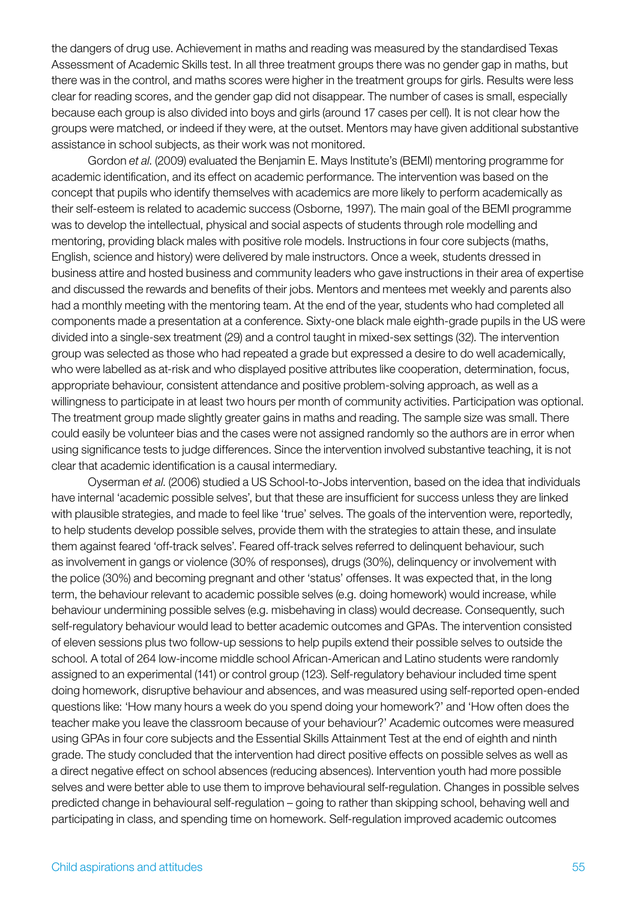the dangers of drug use. Achievement in maths and reading was measured by the standardised Texas Assessment of Academic Skills test. In all three treatment groups there was no gender gap in maths, but there was in the control, and maths scores were higher in the treatment groups for girls. Results were less clear for reading scores, and the gender gap did not disappear. The number of cases is small, especially because each group is also divided into boys and girls (around 17 cases per cell). It is not clear how the groups were matched, or indeed if they were, at the outset. Mentors may have given additional substantive assistance in school subjects, as their work was not monitored.

Gordon *et al*. (2009) evaluated the Benjamin E. Mays Institute's (BEMI) mentoring programme for academic identification, and its effect on academic performance. The intervention was based on the concept that pupils who identify themselves with academics are more likely to perform academically as their self-esteem is related to academic success (Osborne, 1997). The main goal of the BEMI programme was to develop the intellectual, physical and social aspects of students through role modelling and mentoring, providing black males with positive role models. Instructions in four core subjects (maths, English, science and history) were delivered by male instructors. Once a week, students dressed in business attire and hosted business and community leaders who gave instructions in their area of expertise and discussed the rewards and benefits of their jobs. Mentors and mentees met weekly and parents also had a monthly meeting with the mentoring team. At the end of the year, students who had completed all components made a presentation at a conference. Sixty-one black male eighth-grade pupils in the US were divided into a single-sex treatment (29) and a control taught in mixed-sex settings (32). The intervention group was selected as those who had repeated a grade but expressed a desire to do well academically, who were labelled as at-risk and who displayed positive attributes like cooperation, determination, focus, appropriate behaviour, consistent attendance and positive problem-solving approach, as well as a willingness to participate in at least two hours per month of community activities. Participation was optional. The treatment group made slightly greater gains in maths and reading. The sample size was small. There could easily be volunteer bias and the cases were not assigned randomly so the authors are in error when using significance tests to judge differences. Since the intervention involved substantive teaching, it is not clear that academic identification is a causal intermediary.

Oyserman *et al*. (2006) studied a US School-to-Jobs intervention, based on the idea that individuals have internal 'academic possible selves', but that these are insufficient for success unless they are linked with plausible strategies, and made to feel like 'true' selves. The goals of the intervention were, reportedly, to help students develop possible selves, provide them with the strategies to attain these, and insulate them against feared 'off-track selves'. Feared off-track selves referred to delinquent behaviour, such as involvement in gangs or violence (30% of responses), drugs (30%), delinquency or involvement with the police (30%) and becoming pregnant and other 'status' offenses. It was expected that, in the long term, the behaviour relevant to academic possible selves (e.g. doing homework) would increase, while behaviour undermining possible selves (e.g. misbehaving in class) would decrease. Consequently, such self-regulatory behaviour would lead to better academic outcomes and GPAs. The intervention consisted of eleven sessions plus two follow-up sessions to help pupils extend their possible selves to outside the school. A total of 264 low-income middle school African-American and Latino students were randomly assigned to an experimental (141) or control group (123). Self-regulatory behaviour included time spent doing homework, disruptive behaviour and absences, and was measured using self-reported open-ended questions like: 'How many hours a week do you spend doing your homework?' and 'How often does the teacher make you leave the classroom because of your behaviour?' Academic outcomes were measured using GPAs in four core subjects and the Essential Skills Attainment Test at the end of eighth and ninth grade. The study concluded that the intervention had direct positive effects on possible selves as well as a direct negative effect on school absences (reducing absences). Intervention youth had more possible selves and were better able to use them to improve behavioural self-regulation. Changes in possible selves predicted change in behavioural self-regulation – going to rather than skipping school, behaving well and participating in class, and spending time on homework. Self-regulation improved academic outcomes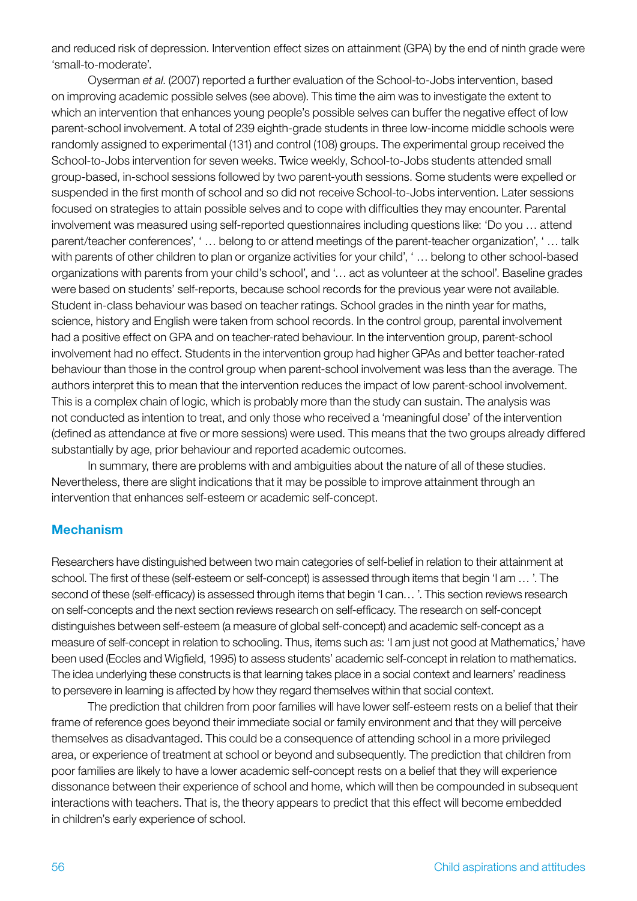and reduced risk of depression. Intervention effect sizes on attainment (GPA) by the end of ninth grade were 'small-to-moderate'.

Oyserman *et al*. (2007) reported a further evaluation of the School-to-Jobs intervention, based on improving academic possible selves (see above). This time the aim was to investigate the extent to which an intervention that enhances young people's possible selves can buffer the negative effect of low parent-school involvement. A total of 239 eighth-grade students in three low-income middle schools were randomly assigned to experimental (131) and control (108) groups. The experimental group received the School-to-Jobs intervention for seven weeks. Twice weekly, School-to-Jobs students attended small group-based, in-school sessions followed by two parent-youth sessions. Some students were expelled or suspended in the first month of school and so did not receive School-to-Jobs intervention. Later sessions focused on strategies to attain possible selves and to cope with difficulties they may encounter. Parental involvement was measured using self-reported questionnaires including questions like: 'Do you … attend parent/teacher conferences', ' … belong to or attend meetings of the parent-teacher organization', ' … talk with parents of other children to plan or organize activities for your child', ' … belong to other school-based organizations with parents from your child's school', and '… act as volunteer at the school'. Baseline grades were based on students' self-reports, because school records for the previous year were not available. Student in-class behaviour was based on teacher ratings. School grades in the ninth year for maths, science, history and English were taken from school records. In the control group, parental involvement had a positive effect on GPA and on teacher-rated behaviour. In the intervention group, parent-school involvement had no effect. Students in the intervention group had higher GPAs and better teacher-rated behaviour than those in the control group when parent-school involvement was less than the average. The authors interpret this to mean that the intervention reduces the impact of low parent-school involvement. This is a complex chain of logic, which is probably more than the study can sustain. The analysis was not conducted as intention to treat, and only those who received a 'meaningful dose' of the intervention (defined as attendance at five or more sessions) were used. This means that the two groups already differed substantially by age, prior behaviour and reported academic outcomes.

In summary, there are problems with and ambiguities about the nature of all of these studies. Nevertheless, there are slight indications that it may be possible to improve attainment through an intervention that enhances self-esteem or academic self-concept.

### Mechanism

Researchers have distinguished between two main categories of self-belief in relation to their attainment at school. The first of these (self-esteem or self-concept) is assessed through items that begin 'I am … '. The second of these (self-efficacy) is assessed through items that begin 'I can… '. This section reviews research on self-concepts and the next section reviews research on self-efficacy. The research on self-concept distinguishes between self-esteem (a measure of global self-concept) and academic self-concept as a measure of self-concept in relation to schooling. Thus, items such as: 'I am just not good at Mathematics,' have been used (Eccles and Wigfield, 1995) to assess students' academic self-concept in relation to mathematics. The idea underlying these constructs is that learning takes place in a social context and learners' readiness to persevere in learning is affected by how they regard themselves within that social context.

The prediction that children from poor families will have lower self-esteem rests on a belief that their frame of reference goes beyond their immediate social or family environment and that they will perceive themselves as disadvantaged. This could be a consequence of attending school in a more privileged area, or experience of treatment at school or beyond and subsequently. The prediction that children from poor families are likely to have a lower academic self-concept rests on a belief that they will experience dissonance between their experience of school and home, which will then be compounded in subsequent interactions with teachers. That is, the theory appears to predict that this effect will become embedded in children's early experience of school.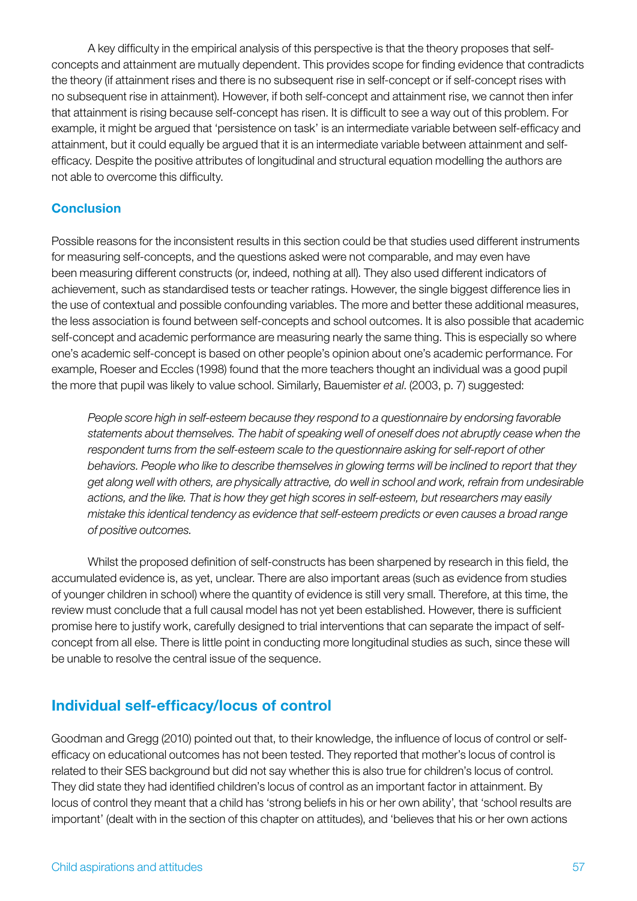A key difficulty in the empirical analysis of this perspective is that the theory proposes that selfconcepts and attainment are mutually dependent. This provides scope for finding evidence that contradicts the theory (if attainment rises and there is no subsequent rise in self-concept or if self-concept rises with no subsequent rise in attainment). However, if both self-concept and attainment rise, we cannot then infer that attainment is rising because self-concept has risen. It is difficult to see a way out of this problem. For example, it might be argued that 'persistence on task' is an intermediate variable between self-efficacy and attainment, but it could equally be argued that it is an intermediate variable between attainment and selfefficacy. Despite the positive attributes of longitudinal and structural equation modelling the authors are not able to overcome this difficulty.

### **Conclusion**

Possible reasons for the inconsistent results in this section could be that studies used different instruments for measuring self-concepts, and the questions asked were not comparable, and may even have been measuring different constructs (or, indeed, nothing at all). They also used different indicators of achievement, such as standardised tests or teacher ratings. However, the single biggest difference lies in the use of contextual and possible confounding variables. The more and better these additional measures, the less association is found between self-concepts and school outcomes. It is also possible that academic self-concept and academic performance are measuring nearly the same thing. This is especially so where one's academic self-concept is based on other people's opinion about one's academic performance. For example, Roeser and Eccles (1998) found that the more teachers thought an individual was a good pupil the more that pupil was likely to value school. Similarly, Bauemister *et al*. (2003, p. 7) suggested:

*People score high in self-esteem because they respond to a questionnaire by endorsing favorable statements about themselves. The habit of speaking well of oneself does not abruptly cease when the respondent turns from the self-esteem scale to the questionnaire asking for self-report of other behaviors. People who like to describe themselves in glowing terms will be inclined to report that they get along well with others, are physically attractive, do well in school and work, refrain from undesirable actions, and the like. That is how they get high scores in self-esteem, but researchers may easily mistake this identical tendency as evidence that self-esteem predicts or even causes a broad range of positive outcomes.*

Whilst the proposed definition of self-constructs has been sharpened by research in this field, the accumulated evidence is, as yet, unclear. There are also important areas (such as evidence from studies of younger children in school) where the quantity of evidence is still very small. Therefore, at this time, the review must conclude that a full causal model has not yet been established. However, there is sufficient promise here to justify work, carefully designed to trial interventions that can separate the impact of selfconcept from all else. There is little point in conducting more longitudinal studies as such, since these will be unable to resolve the central issue of the sequence.

# Individual self-efficacy/locus of control

Goodman and Gregg (2010) pointed out that, to their knowledge, the influence of locus of control or selfefficacy on educational outcomes has not been tested. They reported that mother's locus of control is related to their SES background but did not say whether this is also true for children's locus of control. They did state they had identified children's locus of control as an important factor in attainment. By locus of control they meant that a child has 'strong beliefs in his or her own ability', that 'school results are important' (dealt with in the section of this chapter on attitudes), and 'believes that his or her own actions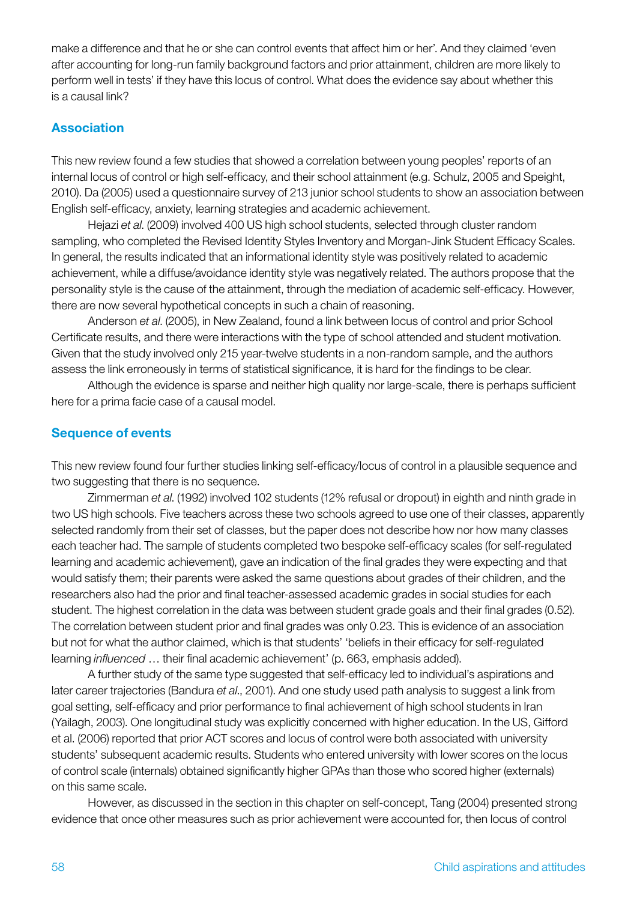make a difference and that he or she can control events that affect him or her'. And they claimed 'even after accounting for long-run family background factors and prior attainment, children are more likely to perform well in tests' if they have this locus of control. What does the evidence say about whether this is a causal link?

### Association

This new review found a few studies that showed a correlation between young peoples' reports of an internal locus of control or high self-efficacy, and their school attainment (e.g. Schulz, 2005 and Speight, 2010). Da (2005) used a questionnaire survey of 213 junior school students to show an association between English self-efficacy, anxiety, learning strategies and academic achievement.

Hejazi *et al*. (2009) involved 400 US high school students, selected through cluster random sampling, who completed the Revised Identity Styles Inventory and Morgan-Jink Student Efficacy Scales. In general, the results indicated that an informational identity style was positively related to academic achievement, while a diffuse/avoidance identity style was negatively related. The authors propose that the personality style is the cause of the attainment, through the mediation of academic self-efficacy. However, there are now several hypothetical concepts in such a chain of reasoning.

Anderson *et al*. (2005), in New Zealand, found a link between locus of control and prior School Certificate results, and there were interactions with the type of school attended and student motivation. Given that the study involved only 215 year-twelve students in a non-random sample, and the authors assess the link erroneously in terms of statistical significance, it is hard for the findings to be clear.

Although the evidence is sparse and neither high quality nor large-scale, there is perhaps sufficient here for a prima facie case of a causal model.

### Sequence of events

This new review found four further studies linking self-efficacy/locus of control in a plausible sequence and two suggesting that there is no sequence.

Zimmerman *et al*. (1992) involved 102 students (12% refusal or dropout) in eighth and ninth grade in two US high schools. Five teachers across these two schools agreed to use one of their classes, apparently selected randomly from their set of classes, but the paper does not describe how nor how many classes each teacher had. The sample of students completed two bespoke self-efficacy scales (for self-regulated learning and academic achievement), gave an indication of the final grades they were expecting and that would satisfy them; their parents were asked the same questions about grades of their children, and the researchers also had the prior and final teacher-assessed academic grades in social studies for each student. The highest correlation in the data was between student grade goals and their final grades (0.52). The correlation between student prior and final grades was only 0.23. This is evidence of an association but not for what the author claimed, which is that students' 'beliefs in their efficacy for self-regulated learning *influenced* … their final academic achievement' (p. 663, emphasis added).

A further study of the same type suggested that self-efficacy led to individual's aspirations and later career trajectories (Bandura *et al*., 2001). And one study used path analysis to suggest a link from goal setting, self-efficacy and prior performance to final achievement of high school students in Iran (Yailagh, 2003). One longitudinal study was explicitly concerned with higher education. In the US, Gifford et al. (2006) reported that prior ACT scores and locus of control were both associated with university students' subsequent academic results. Students who entered university with lower scores on the locus of control scale (internals) obtained significantly higher GPAs than those who scored higher (externals) on this same scale.

However, as discussed in the section in this chapter on self-concept, Tang (2004) presented strong evidence that once other measures such as prior achievement were accounted for, then locus of control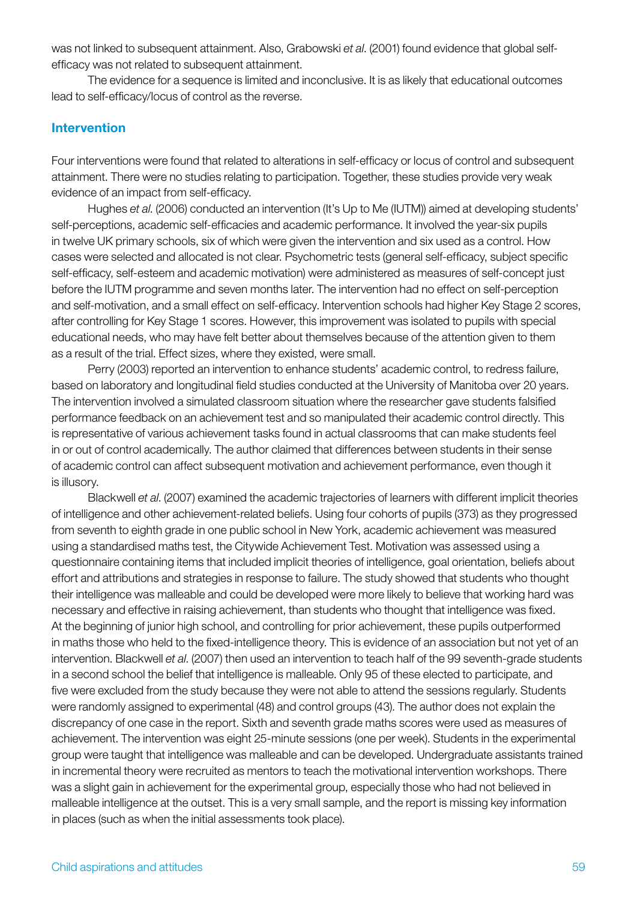was not linked to subsequent attainment. Also, Grabowski *et al*. (2001) found evidence that global selfefficacy was not related to subsequent attainment.

The evidence for a sequence is limited and inconclusive. It is as likely that educational outcomes lead to self-efficacy/locus of control as the reverse.

#### Intervention

Four interventions were found that related to alterations in self-efficacy or locus of control and subsequent attainment. There were no studies relating to participation. Together, these studies provide very weak evidence of an impact from self-efficacy.

Hughes *et al*. (2006) conducted an intervention (It's Up to Me (IUTM)) aimed at developing students' self-perceptions, academic self-efficacies and academic performance. It involved the year-six pupils in twelve UK primary schools, six of which were given the intervention and six used as a control. How cases were selected and allocated is not clear. Psychometric tests (general self-efficacy, subject specific self-efficacy, self-esteem and academic motivation) were administered as measures of self-concept just before the IUTM programme and seven months later. The intervention had no effect on self-perception and self-motivation, and a small effect on self-efficacy. Intervention schools had higher Key Stage 2 scores, after controlling for Key Stage 1 scores. However, this improvement was isolated to pupils with special educational needs, who may have felt better about themselves because of the attention given to them as a result of the trial. Effect sizes, where they existed, were small.

Perry (2003) reported an intervention to enhance students' academic control, to redress failure, based on laboratory and longitudinal field studies conducted at the University of Manitoba over 20 years. The intervention involved a simulated classroom situation where the researcher gave students falsified performance feedback on an achievement test and so manipulated their academic control directly. This is representative of various achievement tasks found in actual classrooms that can make students feel in or out of control academically. The author claimed that differences between students in their sense of academic control can affect subsequent motivation and achievement performance, even though it is illusory.

Blackwell *et al*. (2007) examined the academic trajectories of learners with different implicit theories of intelligence and other achievement-related beliefs. Using four cohorts of pupils (373) as they progressed from seventh to eighth grade in one public school in New York, academic achievement was measured using a standardised maths test, the Citywide Achievement Test. Motivation was assessed using a questionnaire containing items that included implicit theories of intelligence, goal orientation, beliefs about effort and attributions and strategies in response to failure. The study showed that students who thought their intelligence was malleable and could be developed were more likely to believe that working hard was necessary and effective in raising achievement, than students who thought that intelligence was fixed. At the beginning of junior high school, and controlling for prior achievement, these pupils outperformed in maths those who held to the fixed-intelligence theory. This is evidence of an association but not yet of an intervention. Blackwell *et al*. (2007) then used an intervention to teach half of the 99 seventh-grade students in a second school the belief that intelligence is malleable. Only 95 of these elected to participate, and five were excluded from the study because they were not able to attend the sessions regularly. Students were randomly assigned to experimental (48) and control groups (43). The author does not explain the discrepancy of one case in the report. Sixth and seventh grade maths scores were used as measures of achievement. The intervention was eight 25-minute sessions (one per week). Students in the experimental group were taught that intelligence was malleable and can be developed. Undergraduate assistants trained in incremental theory were recruited as mentors to teach the motivational intervention workshops. There was a slight gain in achievement for the experimental group, especially those who had not believed in malleable intelligence at the outset. This is a very small sample, and the report is missing key information in places (such as when the initial assessments took place).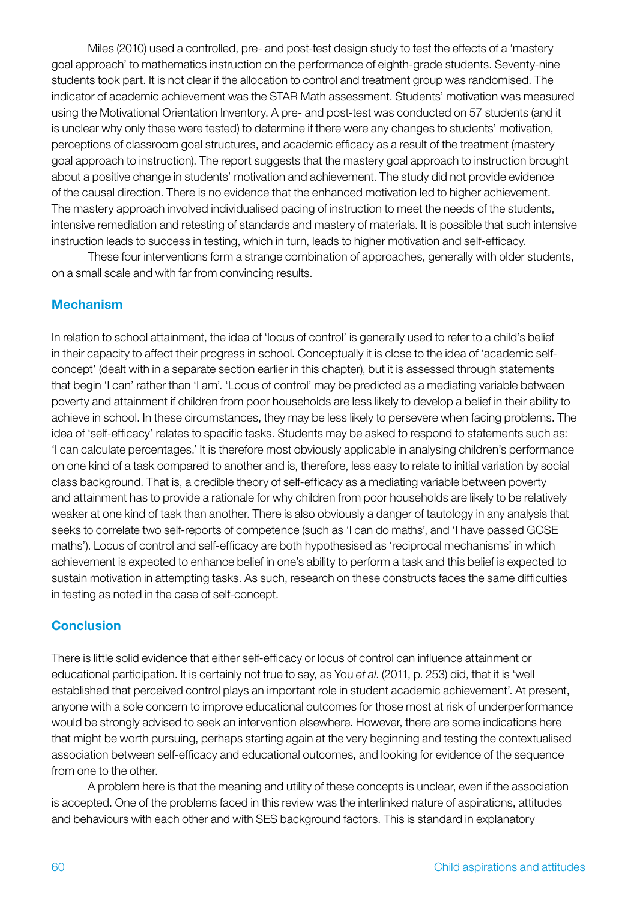Miles (2010) used a controlled, pre- and post-test design study to test the effects of a 'mastery goal approach' to mathematics instruction on the performance of eighth-grade students. Seventy-nine students took part. It is not clear if the allocation to control and treatment group was randomised. The indicator of academic achievement was the STAR Math assessment. Students' motivation was measured using the Motivational Orientation Inventory. A pre- and post-test was conducted on 57 students (and it is unclear why only these were tested) to determine if there were any changes to students' motivation, perceptions of classroom goal structures, and academic efficacy as a result of the treatment (mastery goal approach to instruction). The report suggests that the mastery goal approach to instruction brought about a positive change in students' motivation and achievement. The study did not provide evidence of the causal direction. There is no evidence that the enhanced motivation led to higher achievement. The mastery approach involved individualised pacing of instruction to meet the needs of the students, intensive remediation and retesting of standards and mastery of materials. It is possible that such intensive instruction leads to success in testing, which in turn, leads to higher motivation and self-efficacy.

These four interventions form a strange combination of approaches, generally with older students, on a small scale and with far from convincing results.

### Mechanism

In relation to school attainment, the idea of 'locus of control' is generally used to refer to a child's belief in their capacity to affect their progress in school. Conceptually it is close to the idea of 'academic selfconcept' (dealt with in a separate section earlier in this chapter), but it is assessed through statements that begin 'I can' rather than 'I am'. 'Locus of control' may be predicted as a mediating variable between poverty and attainment if children from poor households are less likely to develop a belief in their ability to achieve in school. In these circumstances, they may be less likely to persevere when facing problems. The idea of 'self-efficacy' relates to specific tasks. Students may be asked to respond to statements such as: 'I can calculate percentages.' It is therefore most obviously applicable in analysing children's performance on one kind of a task compared to another and is, therefore, less easy to relate to initial variation by social class background. That is, a credible theory of self-efficacy as a mediating variable between poverty and attainment has to provide a rationale for why children from poor households are likely to be relatively weaker at one kind of task than another. There is also obviously a danger of tautology in any analysis that seeks to correlate two self-reports of competence (such as 'I can do maths', and 'I have passed GCSE maths'). Locus of control and self-efficacy are both hypothesised as 'reciprocal mechanisms' in which achievement is expected to enhance belief in one's ability to perform a task and this belief is expected to sustain motivation in attempting tasks. As such, research on these constructs faces the same difficulties in testing as noted in the case of self-concept.

# **Conclusion**

There is little solid evidence that either self-efficacy or locus of control can influence attainment or educational participation. It is certainly not true to say, as You *et al*. (2011, p. 253) did, that it is 'well established that perceived control plays an important role in student academic achievement'. At present, anyone with a sole concern to improve educational outcomes for those most at risk of underperformance would be strongly advised to seek an intervention elsewhere. However, there are some indications here that might be worth pursuing, perhaps starting again at the very beginning and testing the contextualised association between self-efficacy and educational outcomes, and looking for evidence of the sequence from one to the other.

A problem here is that the meaning and utility of these concepts is unclear, even if the association is accepted. One of the problems faced in this review was the interlinked nature of aspirations, attitudes and behaviours with each other and with SES background factors. This is standard in explanatory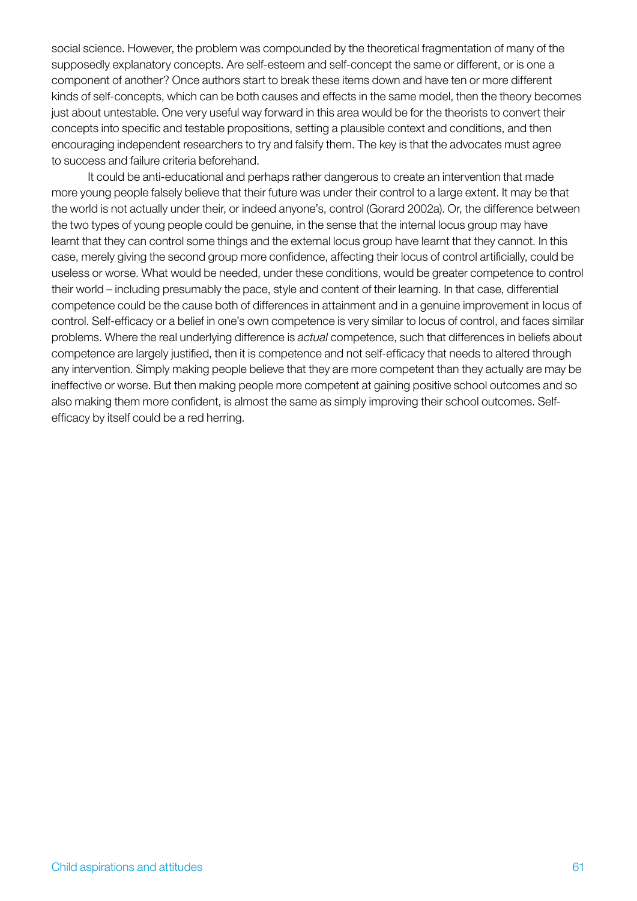social science. However, the problem was compounded by the theoretical fragmentation of many of the supposedly explanatory concepts. Are self-esteem and self-concept the same or different, or is one a component of another? Once authors start to break these items down and have ten or more different kinds of self-concepts, which can be both causes and effects in the same model, then the theory becomes just about untestable. One very useful way forward in this area would be for the theorists to convert their concepts into specific and testable propositions, setting a plausible context and conditions, and then encouraging independent researchers to try and falsify them. The key is that the advocates must agree to success and failure criteria beforehand.

It could be anti-educational and perhaps rather dangerous to create an intervention that made more young people falsely believe that their future was under their control to a large extent. It may be that the world is not actually under their, or indeed anyone's, control (Gorard 2002a). Or, the difference between the two types of young people could be genuine, in the sense that the internal locus group may have learnt that they can control some things and the external locus group have learnt that they cannot. In this case, merely giving the second group more confidence, affecting their locus of control artificially, could be useless or worse. What would be needed, under these conditions, would be greater competence to control their world – including presumably the pace, style and content of their learning. In that case, differential competence could be the cause both of differences in attainment and in a genuine improvement in locus of control. Self-efficacy or a belief in one's own competence is very similar to locus of control, and faces similar problems. Where the real underlying difference is *actual* competence, such that differences in beliefs about competence are largely justified, then it is competence and not self-efficacy that needs to altered through any intervention. Simply making people believe that they are more competent than they actually are may be ineffective or worse. But then making people more competent at gaining positive school outcomes and so also making them more confident, is almost the same as simply improving their school outcomes. Selfefficacy by itself could be a red herring.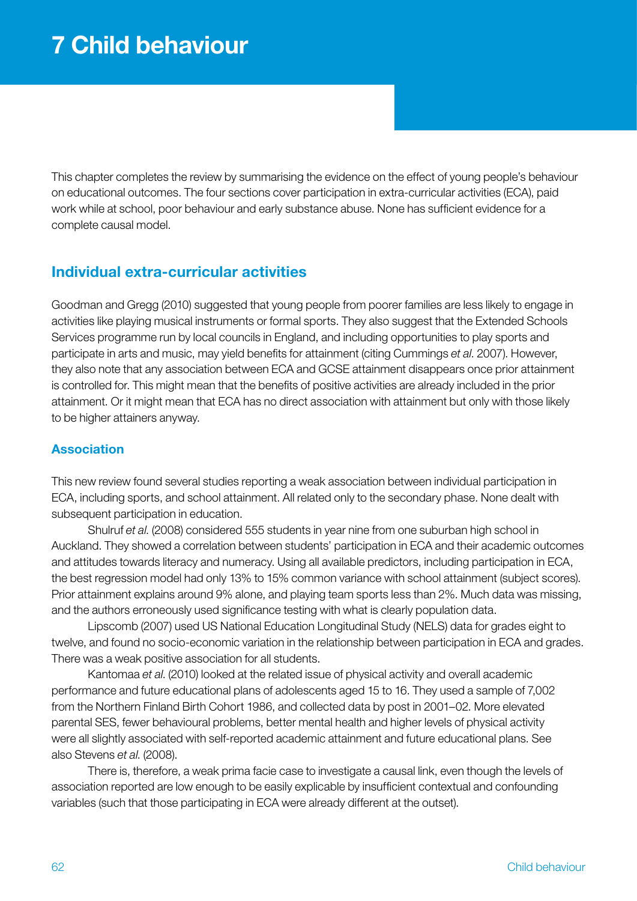This chapter completes the review by summarising the evidence on the effect of young people's behaviour on educational outcomes. The four sections cover participation in extra-curricular activities (ECA), paid work while at school, poor behaviour and early substance abuse. None has sufficient evidence for a complete causal model.

# Individual extra-curricular activities

Goodman and Gregg (2010) suggested that young people from poorer families are less likely to engage in activities like playing musical instruments or formal sports. They also suggest that the Extended Schools Services programme run by local councils in England, and including opportunities to play sports and participate in arts and music, may yield benefits for attainment (citing Cummings *et al*. 2007). However, they also note that any association between ECA and GCSE attainment disappears once prior attainment is controlled for. This might mean that the benefits of positive activities are already included in the prior attainment. Or it might mean that ECA has no direct association with attainment but only with those likely to be higher attainers anyway.

### **Association**

This new review found several studies reporting a weak association between individual participation in ECA, including sports, and school attainment. All related only to the secondary phase. None dealt with subsequent participation in education.

Shulruf *et al*. (2008) considered 555 students in year nine from one suburban high school in Auckland. They showed a correlation between students' participation in ECA and their academic outcomes and attitudes towards literacy and numeracy. Using all available predictors, including participation in ECA, the best regression model had only 13% to 15% common variance with school attainment (subject scores). Prior attainment explains around 9% alone, and playing team sports less than 2%. Much data was missing, and the authors erroneously used significance testing with what is clearly population data.

Lipscomb (2007) used US National Education Longitudinal Study (NELS) data for grades eight to twelve, and found no socio-economic variation in the relationship between participation in ECA and grades. There was a weak positive association for all students.

Kantomaa *et al*. (2010) looked at the related issue of physical activity and overall academic performance and future educational plans of adolescents aged 15 to 16. They used a sample of 7,002 from the Northern Finland Birth Cohort 1986, and collected data by post in 2001–02. More elevated parental SES, fewer behavioural problems, better mental health and higher levels of physical activity were all slightly associated with self-reported academic attainment and future educational plans. See also Stevens *et al*. (2008).

There is, therefore, a weak prima facie case to investigate a causal link, even though the levels of association reported are low enough to be easily explicable by insufficient contextual and confounding variables (such that those participating in ECA were already different at the outset).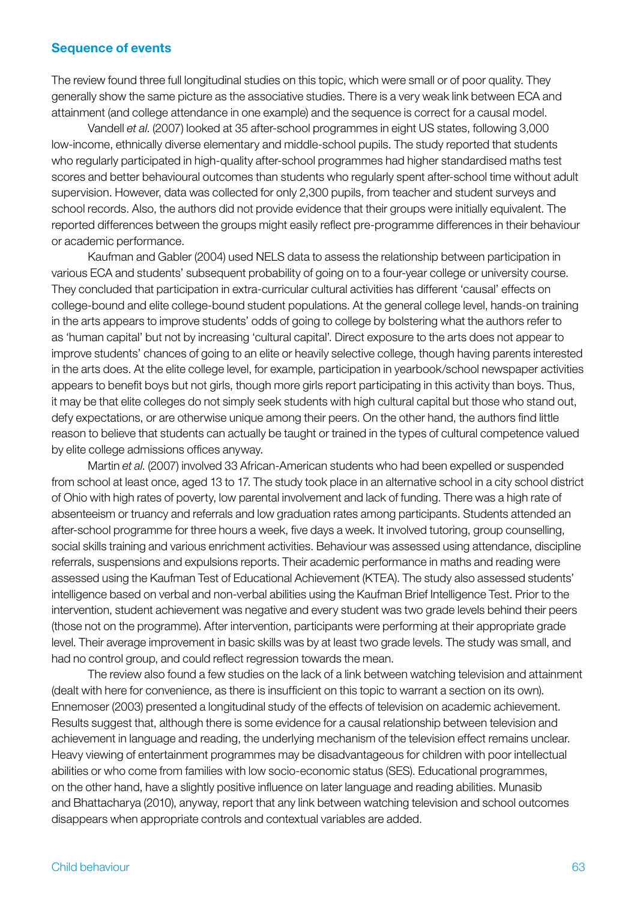#### Sequence of events

The review found three full longitudinal studies on this topic, which were small or of poor quality. They generally show the same picture as the associative studies. There is a very weak link between ECA and attainment (and college attendance in one example) and the sequence is correct for a causal model.

Vandell *et al*. (2007) looked at 35 after-school programmes in eight US states, following 3,000 low-income, ethnically diverse elementary and middle-school pupils. The study reported that students who regularly participated in high-quality after-school programmes had higher standardised maths test scores and better behavioural outcomes than students who regularly spent after-school time without adult supervision. However, data was collected for only 2,300 pupils, from teacher and student surveys and school records. Also, the authors did not provide evidence that their groups were initially equivalent. The reported differences between the groups might easily reflect pre-programme differences in their behaviour or academic performance.

Kaufman and Gabler (2004) used NELS data to assess the relationship between participation in various ECA and students' subsequent probability of going on to a four-year college or university course. They concluded that participation in extra-curricular cultural activities has different 'causal' effects on college-bound and elite college-bound student populations. At the general college level, hands-on training in the arts appears to improve students' odds of going to college by bolstering what the authors refer to as 'human capital' but not by increasing 'cultural capital'. Direct exposure to the arts does not appear to improve students' chances of going to an elite or heavily selective college, though having parents interested in the arts does. At the elite college level, for example, participation in yearbook/school newspaper activities appears to benefit boys but not girls, though more girls report participating in this activity than boys. Thus, it may be that elite colleges do not simply seek students with high cultural capital but those who stand out, defy expectations, or are otherwise unique among their peers. On the other hand, the authors find little reason to believe that students can actually be taught or trained in the types of cultural competence valued by elite college admissions offices anyway.

Martin *et al*. (2007) involved 33 African-American students who had been expelled or suspended from school at least once, aged 13 to 17. The study took place in an alternative school in a city school district of Ohio with high rates of poverty, low parental involvement and lack of funding. There was a high rate of absenteeism or truancy and referrals and low graduation rates among participants. Students attended an after-school programme for three hours a week, five days a week. It involved tutoring, group counselling, social skills training and various enrichment activities. Behaviour was assessed using attendance, discipline referrals, suspensions and expulsions reports. Their academic performance in maths and reading were assessed using the Kaufman Test of Educational Achievement (KTEA). The study also assessed students' intelligence based on verbal and non-verbal abilities using the Kaufman Brief Intelligence Test. Prior to the intervention, student achievement was negative and every student was two grade levels behind their peers (those not on the programme). After intervention, participants were performing at their appropriate grade level. Their average improvement in basic skills was by at least two grade levels. The study was small, and had no control group, and could reflect regression towards the mean.

The review also found a few studies on the lack of a link between watching television and attainment (dealt with here for convenience, as there is insufficient on this topic to warrant a section on its own). Ennemoser (2003) presented a longitudinal study of the effects of television on academic achievement. Results suggest that, although there is some evidence for a causal relationship between television and achievement in language and reading, the underlying mechanism of the television effect remains unclear. Heavy viewing of entertainment programmes may be disadvantageous for children with poor intellectual abilities or who come from families with low socio-economic status (SES). Educational programmes, on the other hand, have a slightly positive influence on later language and reading abilities. Munasib and Bhattacharya (2010), anyway, report that any link between watching television and school outcomes disappears when appropriate controls and contextual variables are added.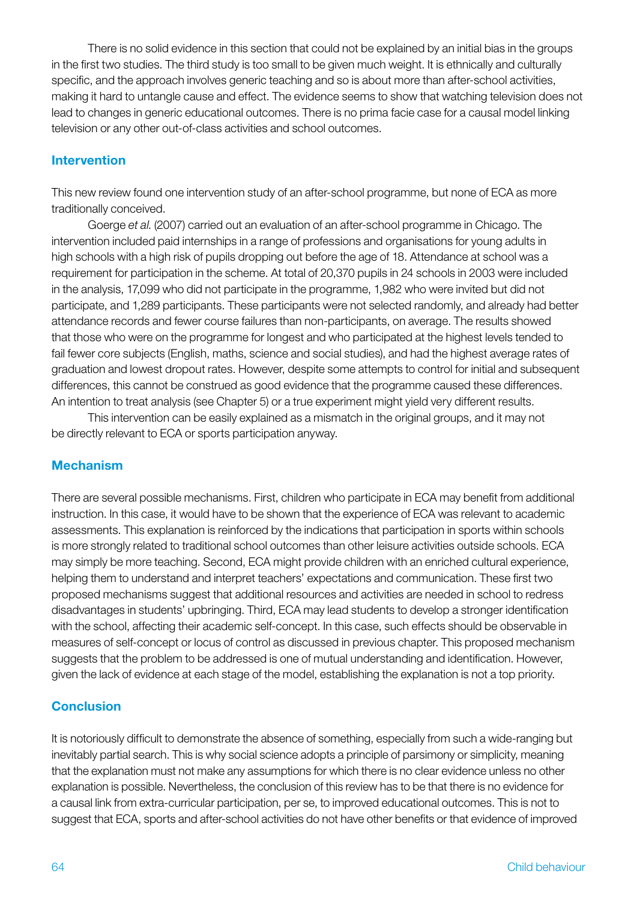There is no solid evidence in this section that could not be explained by an initial bias in the groups in the first two studies. The third study is too small to be given much weight. It is ethnically and culturally specific, and the approach involves generic teaching and so is about more than after-school activities, making it hard to untangle cause and effect. The evidence seems to show that watching television does not lead to changes in generic educational outcomes. There is no prima facie case for a causal model linking television or any other out-of-class activities and school outcomes.

### Intervention

This new review found one intervention study of an after-school programme, but none of ECA as more traditionally conceived.

Goerge *et al*. (2007) carried out an evaluation of an after-school programme in Chicago. The intervention included paid internships in a range of professions and organisations for young adults in high schools with a high risk of pupils dropping out before the age of 18. Attendance at school was a requirement for participation in the scheme. At total of 20,370 pupils in 24 schools in 2003 were included in the analysis, 17,099 who did not participate in the programme, 1,982 who were invited but did not participate, and 1,289 participants. These participants were not selected randomly, and already had better attendance records and fewer course failures than non-participants, on average. The results showed that those who were on the programme for longest and who participated at the highest levels tended to fail fewer core subjects (English, maths, science and social studies), and had the highest average rates of graduation and lowest dropout rates. However, despite some attempts to control for initial and subsequent differences, this cannot be construed as good evidence that the programme caused these differences. An intention to treat analysis (see Chapter 5) or a true experiment might yield very different results.

This intervention can be easily explained as a mismatch in the original groups, and it may not be directly relevant to ECA or sports participation anyway.

# Mechanism

There are several possible mechanisms. First, children who participate in ECA may benefit from additional instruction. In this case, it would have to be shown that the experience of ECA was relevant to academic assessments. This explanation is reinforced by the indications that participation in sports within schools is more strongly related to traditional school outcomes than other leisure activities outside schools. ECA may simply be more teaching. Second, ECA might provide children with an enriched cultural experience, helping them to understand and interpret teachers' expectations and communication. These first two proposed mechanisms suggest that additional resources and activities are needed in school to redress disadvantages in students' upbringing. Third, ECA may lead students to develop a stronger identification with the school, affecting their academic self-concept. In this case, such effects should be observable in measures of self-concept or locus of control as discussed in previous chapter. This proposed mechanism suggests that the problem to be addressed is one of mutual understanding and identification. However, given the lack of evidence at each stage of the model, establishing the explanation is not a top priority.

# **Conclusion**

It is notoriously difficult to demonstrate the absence of something, especially from such a wide-ranging but inevitably partial search. This is why social science adopts a principle of parsimony or simplicity, meaning that the explanation must not make any assumptions for which there is no clear evidence unless no other explanation is possible. Nevertheless, the conclusion of this review has to be that there is no evidence for a causal link from extra-curricular participation, per se, to improved educational outcomes. This is not to suggest that ECA, sports and after-school activities do not have other benefits or that evidence of improved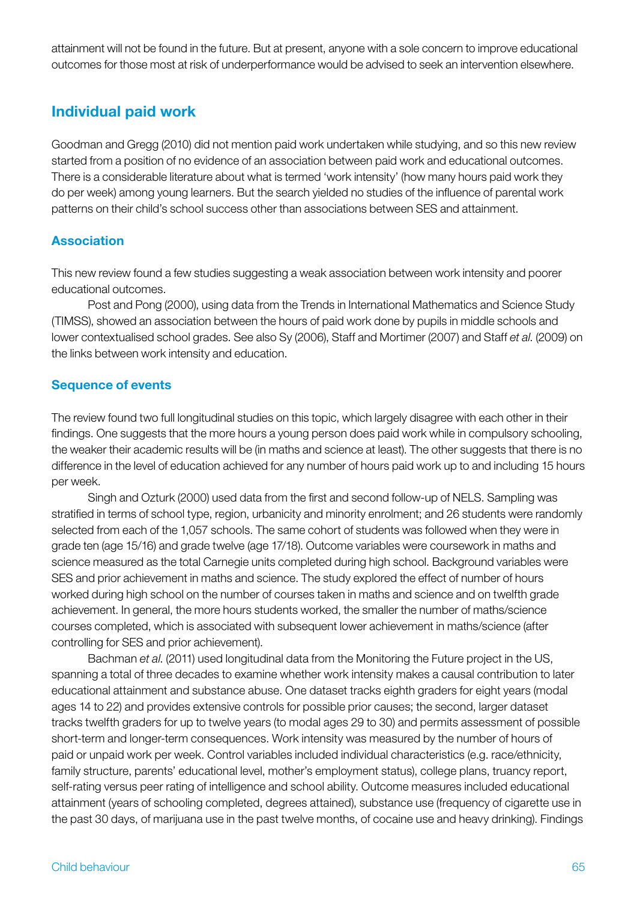attainment will not be found in the future. But at present, anyone with a sole concern to improve educational outcomes for those most at risk of underperformance would be advised to seek an intervention elsewhere.

# Individual paid work

Goodman and Gregg (2010) did not mention paid work undertaken while studying, and so this new review started from a position of no evidence of an association between paid work and educational outcomes. There is a considerable literature about what is termed 'work intensity' (how many hours paid work they do per week) among young learners. But the search yielded no studies of the influence of parental work patterns on their child's school success other than associations between SES and attainment.

### Association

This new review found a few studies suggesting a weak association between work intensity and poorer educational outcomes.

Post and Pong (2000), using data from the Trends in International Mathematics and Science Study (TIMSS), showed an association between the hours of paid work done by pupils in middle schools and lower contextualised school grades. See also Sy (2006), Staff and Mortimer (2007) and Staff *et al*. (2009) on the links between work intensity and education.

### Sequence of events

The review found two full longitudinal studies on this topic, which largely disagree with each other in their findings. One suggests that the more hours a young person does paid work while in compulsory schooling, the weaker their academic results will be (in maths and science at least). The other suggests that there is no difference in the level of education achieved for any number of hours paid work up to and including 15 hours per week.

Singh and Ozturk (2000) used data from the first and second follow-up of NELS. Sampling was stratified in terms of school type, region, urbanicity and minority enrolment; and 26 students were randomly selected from each of the 1,057 schools. The same cohort of students was followed when they were in grade ten (age 15/16) and grade twelve (age 17/18). Outcome variables were coursework in maths and science measured as the total Carnegie units completed during high school. Background variables were SES and prior achievement in maths and science. The study explored the effect of number of hours worked during high school on the number of courses taken in maths and science and on twelfth grade achievement. In general, the more hours students worked, the smaller the number of maths/science courses completed, which is associated with subsequent lower achievement in maths/science (after controlling for SES and prior achievement).

Bachman *et al*. (2011) used longitudinal data from the Monitoring the Future project in the US, spanning a total of three decades to examine whether work intensity makes a causal contribution to later educational attainment and substance abuse. One dataset tracks eighth graders for eight years (modal ages 14 to 22) and provides extensive controls for possible prior causes; the second, larger dataset tracks twelfth graders for up to twelve years (to modal ages 29 to 30) and permits assessment of possible short-term and longer-term consequences. Work intensity was measured by the number of hours of paid or unpaid work per week. Control variables included individual characteristics (e.g. race/ethnicity, family structure, parents' educational level, mother's employment status), college plans, truancy report, self-rating versus peer rating of intelligence and school ability. Outcome measures included educational attainment (years of schooling completed, degrees attained), substance use (frequency of cigarette use in the past 30 days, of marijuana use in the past twelve months, of cocaine use and heavy drinking). Findings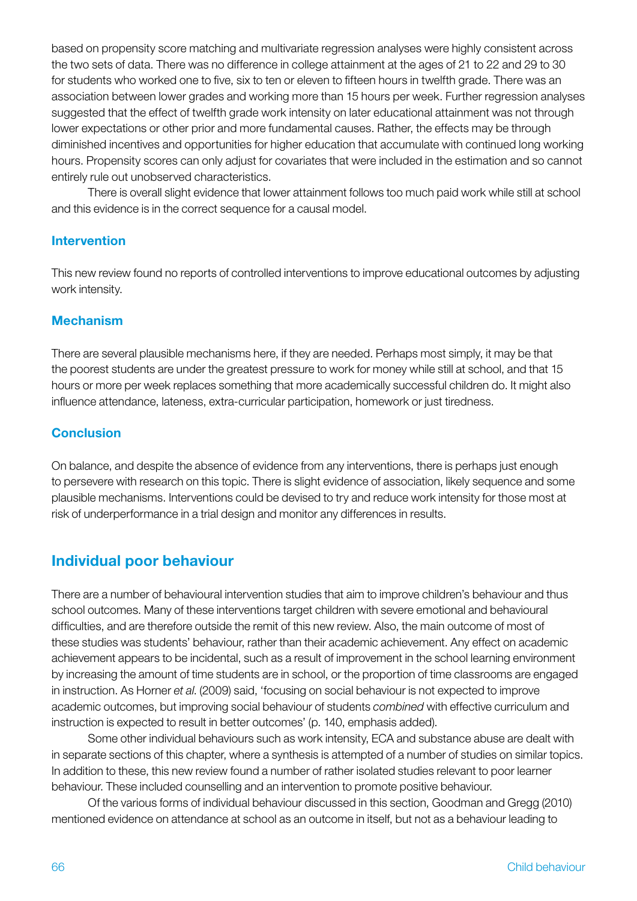based on propensity score matching and multivariate regression analyses were highly consistent across the two sets of data. There was no difference in college attainment at the ages of 21 to 22 and 29 to 30 for students who worked one to five, six to ten or eleven to fifteen hours in twelfth grade. There was an association between lower grades and working more than 15 hours per week. Further regression analyses suggested that the effect of twelfth grade work intensity on later educational attainment was not through lower expectations or other prior and more fundamental causes. Rather, the effects may be through diminished incentives and opportunities for higher education that accumulate with continued long working hours. Propensity scores can only adjust for covariates that were included in the estimation and so cannot entirely rule out unobserved characteristics.

There is overall slight evidence that lower attainment follows too much paid work while still at school and this evidence is in the correct sequence for a causal model.

### Intervention

This new review found no reports of controlled interventions to improve educational outcomes by adjusting work intensity.

### **Mechanism**

There are several plausible mechanisms here, if they are needed. Perhaps most simply, it may be that the poorest students are under the greatest pressure to work for money while still at school, and that 15 hours or more per week replaces something that more academically successful children do. It might also influence attendance, lateness, extra-curricular participation, homework or just tiredness.

# **Conclusion**

On balance, and despite the absence of evidence from any interventions, there is perhaps just enough to persevere with research on this topic. There is slight evidence of association, likely sequence and some plausible mechanisms. Interventions could be devised to try and reduce work intensity for those most at risk of underperformance in a trial design and monitor any differences in results.

# Individual poor behaviour

There are a number of behavioural intervention studies that aim to improve children's behaviour and thus school outcomes. Many of these interventions target children with severe emotional and behavioural difficulties, and are therefore outside the remit of this new review. Also, the main outcome of most of these studies was students' behaviour, rather than their academic achievement. Any effect on academic achievement appears to be incidental, such as a result of improvement in the school learning environment by increasing the amount of time students are in school, or the proportion of time classrooms are engaged in instruction. As Horner *et al*. (2009) said, 'focusing on social behaviour is not expected to improve academic outcomes, but improving social behaviour of students *combined* with effective curriculum and instruction is expected to result in better outcomes' (p. 140, emphasis added).

Some other individual behaviours such as work intensity, ECA and substance abuse are dealt with in separate sections of this chapter, where a synthesis is attempted of a number of studies on similar topics. In addition to these, this new review found a number of rather isolated studies relevant to poor learner behaviour. These included counselling and an intervention to promote positive behaviour.

Of the various forms of individual behaviour discussed in this section, Goodman and Gregg (2010) mentioned evidence on attendance at school as an outcome in itself, but not as a behaviour leading to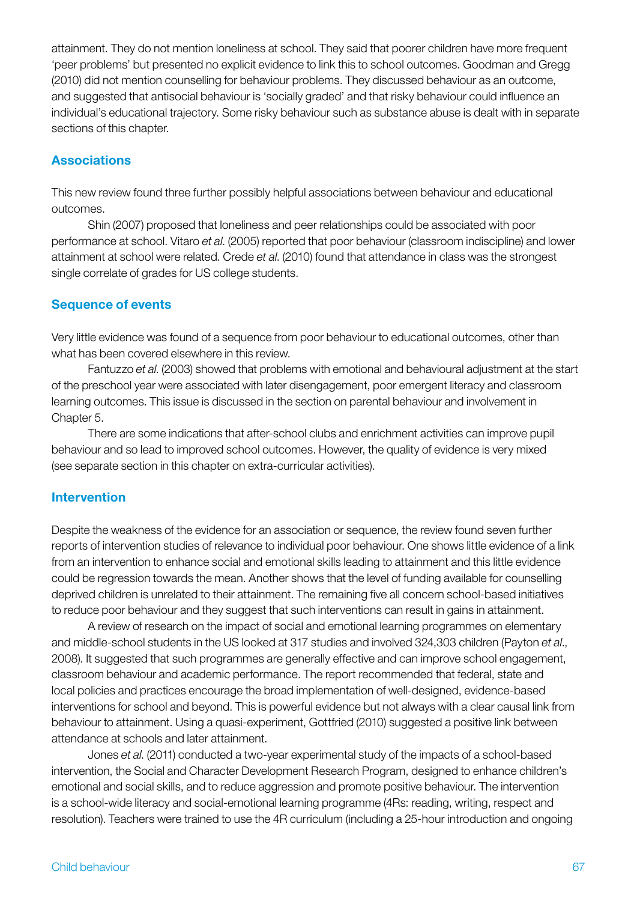attainment. They do not mention loneliness at school. They said that poorer children have more frequent 'peer problems' but presented no explicit evidence to link this to school outcomes. Goodman and Gregg (2010) did not mention counselling for behaviour problems. They discussed behaviour as an outcome, and suggested that antisocial behaviour is 'socially graded' and that risky behaviour could influence an individual's educational trajectory. Some risky behaviour such as substance abuse is dealt with in separate sections of this chapter.

### **Associations**

This new review found three further possibly helpful associations between behaviour and educational outcomes.

Shin (2007) proposed that loneliness and peer relationships could be associated with poor performance at school. Vitaro *et al*. (2005) reported that poor behaviour (classroom indiscipline) and lower attainment at school were related. Crede *et al*. (2010) found that attendance in class was the strongest single correlate of grades for US college students.

### Sequence of events

Very little evidence was found of a sequence from poor behaviour to educational outcomes, other than what has been covered elsewhere in this review.

Fantuzzo *et al*. (2003) showed that problems with emotional and behavioural adjustment at the start of the preschool year were associated with later disengagement, poor emergent literacy and classroom learning outcomes. This issue is discussed in the section on parental behaviour and involvement in Chapter 5.

There are some indications that after-school clubs and enrichment activities can improve pupil behaviour and so lead to improved school outcomes. However, the quality of evidence is very mixed (see separate section in this chapter on extra-curricular activities).

### Intervention

Despite the weakness of the evidence for an association or sequence, the review found seven further reports of intervention studies of relevance to individual poor behaviour. One shows little evidence of a link from an intervention to enhance social and emotional skills leading to attainment and this little evidence could be regression towards the mean. Another shows that the level of funding available for counselling deprived children is unrelated to their attainment. The remaining five all concern school-based initiatives to reduce poor behaviour and they suggest that such interventions can result in gains in attainment.

A review of research on the impact of social and emotional learning programmes on elementary and middle-school students in the US looked at 317 studies and involved 324,303 children (Payton *et al*., 2008). It suggested that such programmes are generally effective and can improve school engagement, classroom behaviour and academic performance. The report recommended that federal, state and local policies and practices encourage the broad implementation of well-designed, evidence-based interventions for school and beyond. This is powerful evidence but not always with a clear causal link from behaviour to attainment. Using a quasi-experiment, Gottfried (2010) suggested a positive link between attendance at schools and later attainment.

Jones *et al*. (2011) conducted a two-year experimental study of the impacts of a school-based intervention, the Social and Character Development Research Program, designed to enhance children's emotional and social skills, and to reduce aggression and promote positive behaviour. The intervention is a school-wide literacy and social-emotional learning programme (4Rs: reading, writing, respect and resolution). Teachers were trained to use the 4R curriculum (including a 25-hour introduction and ongoing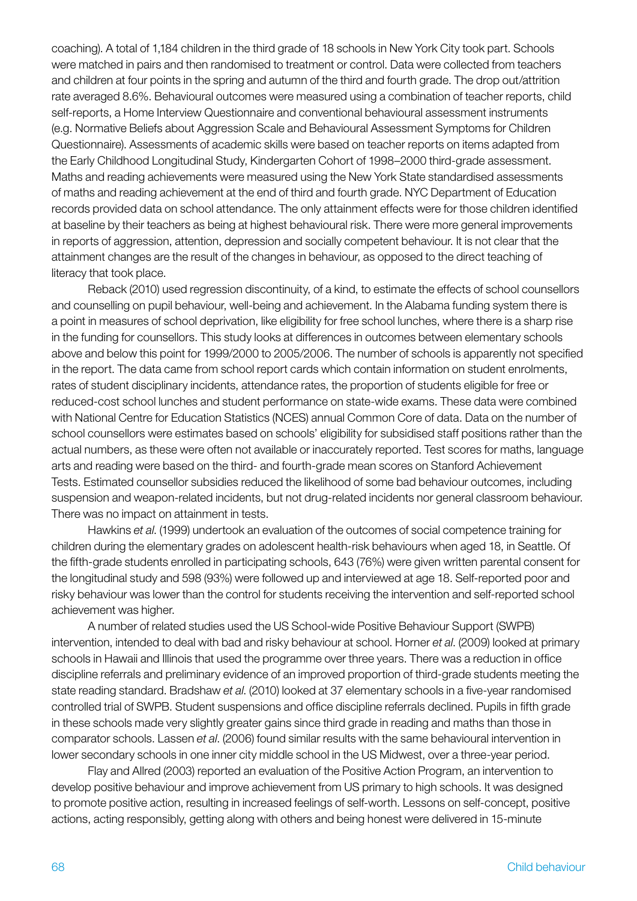coaching). A total of 1,184 children in the third grade of 18 schools in New York City took part. Schools were matched in pairs and then randomised to treatment or control. Data were collected from teachers and children at four points in the spring and autumn of the third and fourth grade. The drop out/attrition rate averaged 8.6%. Behavioural outcomes were measured using a combination of teacher reports, child self-reports, a Home Interview Questionnaire and conventional behavioural assessment instruments (e.g. Normative Beliefs about Aggression Scale and Behavioural Assessment Symptoms for Children Questionnaire). Assessments of academic skills were based on teacher reports on items adapted from the Early Childhood Longitudinal Study, Kindergarten Cohort of 1998–2000 third-grade assessment. Maths and reading achievements were measured using the New York State standardised assessments of maths and reading achievement at the end of third and fourth grade. NYC Department of Education records provided data on school attendance. The only attainment effects were for those children identified at baseline by their teachers as being at highest behavioural risk. There were more general improvements in reports of aggression, attention, depression and socially competent behaviour. It is not clear that the attainment changes are the result of the changes in behaviour, as opposed to the direct teaching of literacy that took place.

Reback (2010) used regression discontinuity, of a kind, to estimate the effects of school counsellors and counselling on pupil behaviour, well-being and achievement. In the Alabama funding system there is a point in measures of school deprivation, like eligibility for free school lunches, where there is a sharp rise in the funding for counsellors. This study looks at differences in outcomes between elementary schools above and below this point for 1999/2000 to 2005/2006. The number of schools is apparently not specified in the report. The data came from school report cards which contain information on student enrolments, rates of student disciplinary incidents, attendance rates, the proportion of students eligible for free or reduced-cost school lunches and student performance on state-wide exams. These data were combined with National Centre for Education Statistics (NCES) annual Common Core of data. Data on the number of school counsellors were estimates based on schools' eligibility for subsidised staff positions rather than the actual numbers, as these were often not available or inaccurately reported. Test scores for maths, language arts and reading were based on the third- and fourth-grade mean scores on Stanford Achievement Tests. Estimated counsellor subsidies reduced the likelihood of some bad behaviour outcomes, including suspension and weapon-related incidents, but not drug-related incidents nor general classroom behaviour. There was no impact on attainment in tests.

Hawkins *et al*. (1999) undertook an evaluation of the outcomes of social competence training for children during the elementary grades on adolescent health-risk behaviours when aged 18, in Seattle. Of the fifth-grade students enrolled in participating schools, 643 (76%) were given written parental consent for the longitudinal study and 598 (93%) were followed up and interviewed at age 18. Self-reported poor and risky behaviour was lower than the control for students receiving the intervention and self-reported school achievement was higher.

A number of related studies used the US School-wide Positive Behaviour Support (SWPB) intervention, intended to deal with bad and risky behaviour at school. Horner *et al*. (2009) looked at primary schools in Hawaii and Illinois that used the programme over three years. There was a reduction in office discipline referrals and preliminary evidence of an improved proportion of third-grade students meeting the state reading standard. Bradshaw *et al*. (2010) looked at 37 elementary schools in a five-year randomised controlled trial of SWPB. Student suspensions and office discipline referrals declined. Pupils in fifth grade in these schools made very slightly greater gains since third grade in reading and maths than those in comparator schools. Lassen *et al*. (2006) found similar results with the same behavioural intervention in lower secondary schools in one inner city middle school in the US Midwest, over a three-year period.

Flay and Allred (2003) reported an evaluation of the Positive Action Program, an intervention to develop positive behaviour and improve achievement from US primary to high schools. It was designed to promote positive action, resulting in increased feelings of self-worth. Lessons on self-concept, positive actions, acting responsibly, getting along with others and being honest were delivered in 15-minute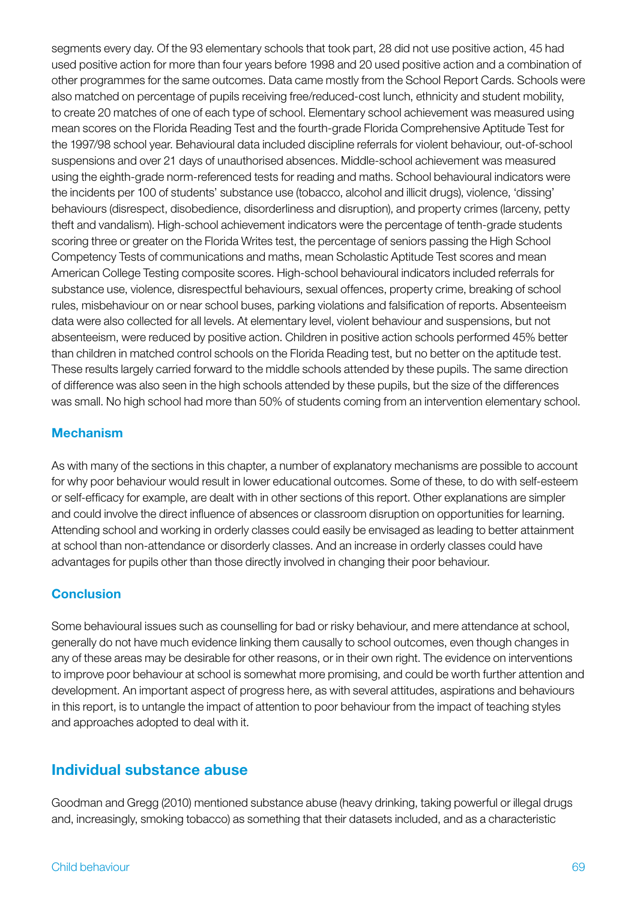segments every day. Of the 93 elementary schools that took part, 28 did not use positive action, 45 had used positive action for more than four years before 1998 and 20 used positive action and a combination of other programmes for the same outcomes. Data came mostly from the School Report Cards. Schools were also matched on percentage of pupils receiving free/reduced-cost lunch, ethnicity and student mobility, to create 20 matches of one of each type of school. Elementary school achievement was measured using mean scores on the Florida Reading Test and the fourth-grade Florida Comprehensive Aptitude Test for the 1997/98 school year. Behavioural data included discipline referrals for violent behaviour, out-of-school suspensions and over 21 days of unauthorised absences. Middle-school achievement was measured using the eighth-grade norm-referenced tests for reading and maths. School behavioural indicators were the incidents per 100 of students' substance use (tobacco, alcohol and illicit drugs), violence, 'dissing' behaviours (disrespect, disobedience, disorderliness and disruption), and property crimes (larceny, petty theft and vandalism). High-school achievement indicators were the percentage of tenth-grade students scoring three or greater on the Florida Writes test, the percentage of seniors passing the High School Competency Tests of communications and maths, mean Scholastic Aptitude Test scores and mean American College Testing composite scores. High-school behavioural indicators included referrals for substance use, violence, disrespectful behaviours, sexual offences, property crime, breaking of school rules, misbehaviour on or near school buses, parking violations and falsification of reports. Absenteeism data were also collected for all levels. At elementary level, violent behaviour and suspensions, but not absenteeism, were reduced by positive action. Children in positive action schools performed 45% better than children in matched control schools on the Florida Reading test, but no better on the aptitude test. These results largely carried forward to the middle schools attended by these pupils. The same direction of difference was also seen in the high schools attended by these pupils, but the size of the differences was small. No high school had more than 50% of students coming from an intervention elementary school.

# **Mechanism**

As with many of the sections in this chapter, a number of explanatory mechanisms are possible to account for why poor behaviour would result in lower educational outcomes. Some of these, to do with self-esteem or self-efficacy for example, are dealt with in other sections of this report. Other explanations are simpler and could involve the direct influence of absences or classroom disruption on opportunities for learning. Attending school and working in orderly classes could easily be envisaged as leading to better attainment at school than non-attendance or disorderly classes. And an increase in orderly classes could have advantages for pupils other than those directly involved in changing their poor behaviour.

# **Conclusion**

Some behavioural issues such as counselling for bad or risky behaviour, and mere attendance at school, generally do not have much evidence linking them causally to school outcomes, even though changes in any of these areas may be desirable for other reasons, or in their own right. The evidence on interventions to improve poor behaviour at school is somewhat more promising, and could be worth further attention and development. An important aspect of progress here, as with several attitudes, aspirations and behaviours in this report, is to untangle the impact of attention to poor behaviour from the impact of teaching styles and approaches adopted to deal with it.

# Individual substance abuse

Goodman and Gregg (2010) mentioned substance abuse (heavy drinking, taking powerful or illegal drugs and, increasingly, smoking tobacco) as something that their datasets included, and as a characteristic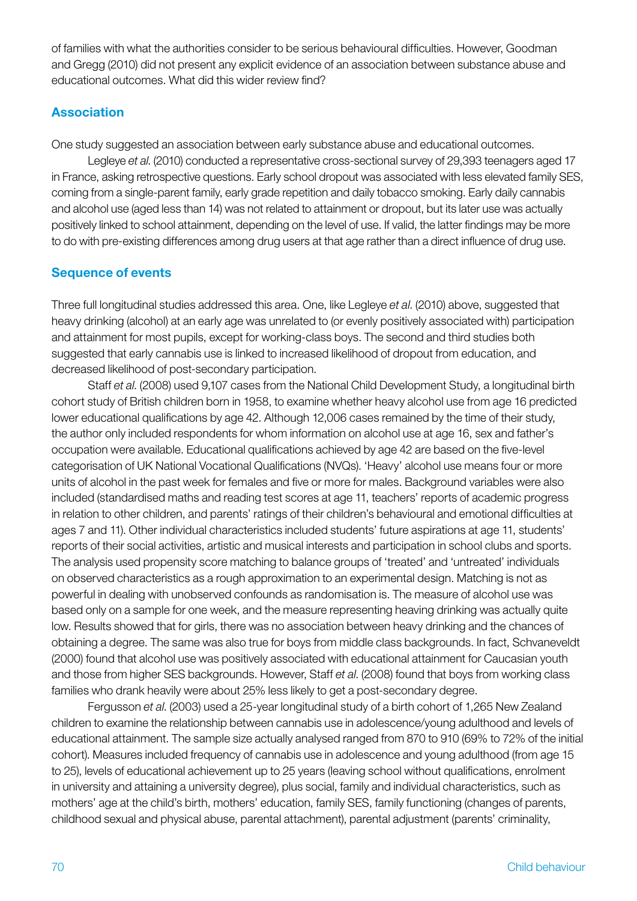of families with what the authorities consider to be serious behavioural difficulties. However, Goodman and Gregg (2010) did not present any explicit evidence of an association between substance abuse and educational outcomes. What did this wider review find?

# Association

One study suggested an association between early substance abuse and educational outcomes.

Legleye *et al*. (2010) conducted a representative cross-sectional survey of 29,393 teenagers aged 17 in France, asking retrospective questions. Early school dropout was associated with less elevated family SES, coming from a single-parent family, early grade repetition and daily tobacco smoking. Early daily cannabis and alcohol use (aged less than 14) was not related to attainment or dropout, but its later use was actually positively linked to school attainment, depending on the level of use. If valid, the latter findings may be more to do with pre-existing differences among drug users at that age rather than a direct influence of drug use.

# Sequence of events

Three full longitudinal studies addressed this area. One, like Legleye *et al*. (2010) above, suggested that heavy drinking (alcohol) at an early age was unrelated to (or evenly positively associated with) participation and attainment for most pupils, except for working-class boys. The second and third studies both suggested that early cannabis use is linked to increased likelihood of dropout from education, and decreased likelihood of post-secondary participation.

Staff *et al*. (2008) used 9,107 cases from the National Child Development Study, a longitudinal birth cohort study of British children born in 1958, to examine whether heavy alcohol use from age 16 predicted lower educational qualifications by age 42. Although 12,006 cases remained by the time of their study, the author only included respondents for whom information on alcohol use at age 16, sex and father's occupation were available. Educational qualifications achieved by age 42 are based on the five-level categorisation of UK National Vocational Qualifications (NVQs). 'Heavy' alcohol use means four or more units of alcohol in the past week for females and five or more for males. Background variables were also included (standardised maths and reading test scores at age 11, teachers' reports of academic progress in relation to other children, and parents' ratings of their children's behavioural and emotional difficulties at ages 7 and 11). Other individual characteristics included students' future aspirations at age 11, students' reports of their social activities, artistic and musical interests and participation in school clubs and sports. The analysis used propensity score matching to balance groups of 'treated' and 'untreated' individuals on observed characteristics as a rough approximation to an experimental design. Matching is not as powerful in dealing with unobserved confounds as randomisation is. The measure of alcohol use was based only on a sample for one week, and the measure representing heaving drinking was actually quite low. Results showed that for girls, there was no association between heavy drinking and the chances of obtaining a degree. The same was also true for boys from middle class backgrounds. In fact, Schvaneveldt (2000) found that alcohol use was positively associated with educational attainment for Caucasian youth and those from higher SES backgrounds. However, Staff *et al*. (2008) found that boys from working class families who drank heavily were about 25% less likely to get a post-secondary degree.

Fergusson *et al*. (2003) used a 25-year longitudinal study of a birth cohort of 1,265 New Zealand children to examine the relationship between cannabis use in adolescence/young adulthood and levels of educational attainment. The sample size actually analysed ranged from 870 to 910 (69% to 72% of the initial cohort). Measures included frequency of cannabis use in adolescence and young adulthood (from age 15 to 25), levels of educational achievement up to 25 years (leaving school without qualifications, enrolment in university and attaining a university degree), plus social, family and individual characteristics, such as mothers' age at the child's birth, mothers' education, family SES, family functioning (changes of parents, childhood sexual and physical abuse, parental attachment), parental adjustment (parents' criminality,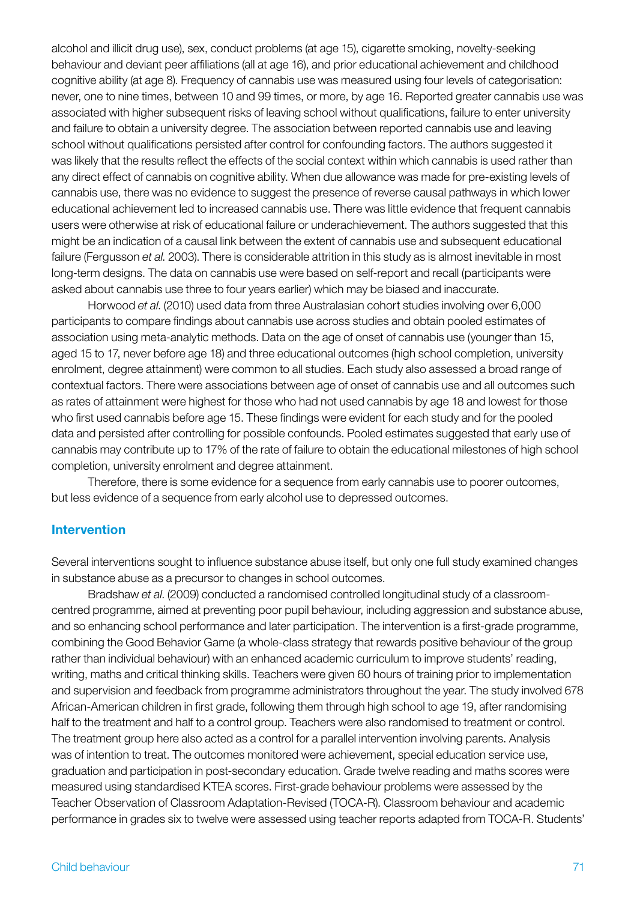alcohol and illicit drug use), sex, conduct problems (at age 15), cigarette smoking, novelty-seeking behaviour and deviant peer affiliations (all at age 16), and prior educational achievement and childhood cognitive ability (at age 8). Frequency of cannabis use was measured using four levels of categorisation: never, one to nine times, between 10 and 99 times, or more, by age 16. Reported greater cannabis use was associated with higher subsequent risks of leaving school without qualifications, failure to enter university and failure to obtain a university degree. The association between reported cannabis use and leaving school without qualifications persisted after control for confounding factors. The authors suggested it was likely that the results reflect the effects of the social context within which cannabis is used rather than any direct effect of cannabis on cognitive ability. When due allowance was made for pre-existing levels of cannabis use, there was no evidence to suggest the presence of reverse causal pathways in which lower educational achievement led to increased cannabis use. There was little evidence that frequent cannabis users were otherwise at risk of educational failure or underachievement. The authors suggested that this might be an indication of a causal link between the extent of cannabis use and subsequent educational failure (Fergusson *et al*. 2003). There is considerable attrition in this study as is almost inevitable in most long-term designs. The data on cannabis use were based on self-report and recall (participants were asked about cannabis use three to four years earlier) which may be biased and inaccurate.

Horwood *et al*. (2010) used data from three Australasian cohort studies involving over 6,000 participants to compare findings about cannabis use across studies and obtain pooled estimates of association using meta-analytic methods. Data on the age of onset of cannabis use (younger than 15, aged 15 to 17, never before age 18) and three educational outcomes (high school completion, university enrolment, degree attainment) were common to all studies. Each study also assessed a broad range of contextual factors. There were associations between age of onset of cannabis use and all outcomes such as rates of attainment were highest for those who had not used cannabis by age 18 and lowest for those who first used cannabis before age 15. These findings were evident for each study and for the pooled data and persisted after controlling for possible confounds. Pooled estimates suggested that early use of cannabis may contribute up to 17% of the rate of failure to obtain the educational milestones of high school completion, university enrolment and degree attainment.

Therefore, there is some evidence for a sequence from early cannabis use to poorer outcomes, but less evidence of a sequence from early alcohol use to depressed outcomes.

#### Intervention

Several interventions sought to influence substance abuse itself, but only one full study examined changes in substance abuse as a precursor to changes in school outcomes.

Bradshaw *et al*. (2009) conducted a randomised controlled longitudinal study of a classroomcentred programme, aimed at preventing poor pupil behaviour, including aggression and substance abuse, and so enhancing school performance and later participation. The intervention is a first-grade programme, combining the Good Behavior Game (a whole-class strategy that rewards positive behaviour of the group rather than individual behaviour) with an enhanced academic curriculum to improve students' reading, writing, maths and critical thinking skills. Teachers were given 60 hours of training prior to implementation and supervision and feedback from programme administrators throughout the year. The study involved 678 African-American children in first grade, following them through high school to age 19, after randomising half to the treatment and half to a control group. Teachers were also randomised to treatment or control. The treatment group here also acted as a control for a parallel intervention involving parents. Analysis was of intention to treat. The outcomes monitored were achievement, special education service use, graduation and participation in post-secondary education. Grade twelve reading and maths scores were measured using standardised KTEA scores. First-grade behaviour problems were assessed by the Teacher Observation of Classroom Adaptation-Revised (TOCA-R). Classroom behaviour and academic performance in grades six to twelve were assessed using teacher reports adapted from TOCA-R. Students'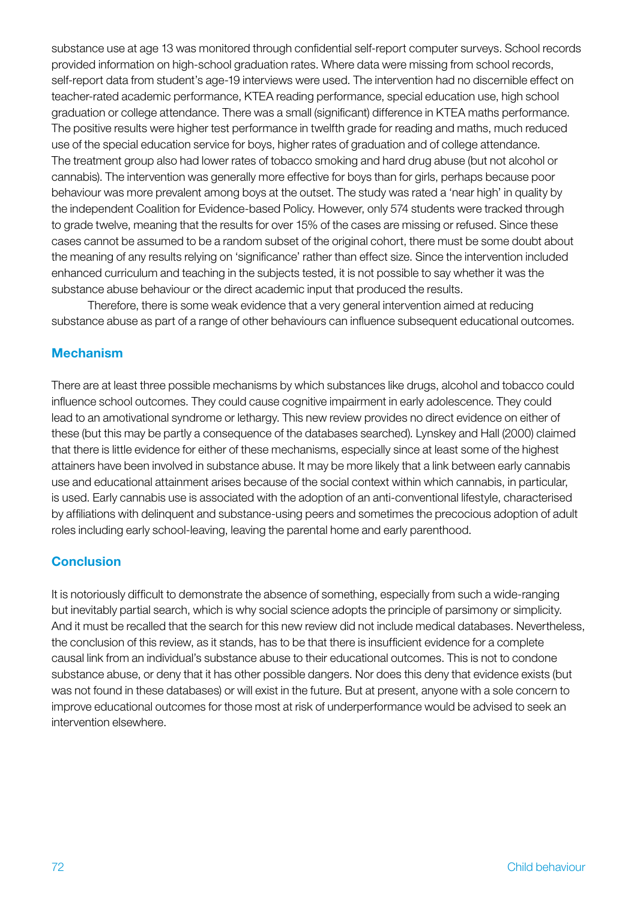substance use at age 13 was monitored through confidential self-report computer surveys. School records provided information on high-school graduation rates. Where data were missing from school records, self-report data from student's age-19 interviews were used. The intervention had no discernible effect on teacher-rated academic performance, KTEA reading performance, special education use, high school graduation or college attendance. There was a small (significant) difference in KTEA maths performance. The positive results were higher test performance in twelfth grade for reading and maths, much reduced use of the special education service for boys, higher rates of graduation and of college attendance. The treatment group also had lower rates of tobacco smoking and hard drug abuse (but not alcohol or cannabis). The intervention was generally more effective for boys than for girls, perhaps because poor behaviour was more prevalent among boys at the outset. The study was rated a 'near high' in quality by the independent Coalition for Evidence-based Policy. However, only 574 students were tracked through to grade twelve, meaning that the results for over 15% of the cases are missing or refused. Since these cases cannot be assumed to be a random subset of the original cohort, there must be some doubt about the meaning of any results relying on 'significance' rather than effect size. Since the intervention included enhanced curriculum and teaching in the subjects tested, it is not possible to say whether it was the substance abuse behaviour or the direct academic input that produced the results.

Therefore, there is some weak evidence that a very general intervention aimed at reducing substance abuse as part of a range of other behaviours can influence subsequent educational outcomes.

### Mechanism

There are at least three possible mechanisms by which substances like drugs, alcohol and tobacco could influence school outcomes. They could cause cognitive impairment in early adolescence. They could lead to an amotivational syndrome or lethargy. This new review provides no direct evidence on either of these (but this may be partly a consequence of the databases searched). Lynskey and Hall (2000) claimed that there is little evidence for either of these mechanisms, especially since at least some of the highest attainers have been involved in substance abuse. It may be more likely that a link between early cannabis use and educational attainment arises because of the social context within which cannabis, in particular, is used. Early cannabis use is associated with the adoption of an anti-conventional lifestyle, characterised by affiliations with delinquent and substance-using peers and sometimes the precocious adoption of adult roles including early school-leaving, leaving the parental home and early parenthood.

# **Conclusion**

It is notoriously difficult to demonstrate the absence of something, especially from such a wide-ranging but inevitably partial search, which is why social science adopts the principle of parsimony or simplicity. And it must be recalled that the search for this new review did not include medical databases. Nevertheless, the conclusion of this review, as it stands, has to be that there is insufficient evidence for a complete causal link from an individual's substance abuse to their educational outcomes. This is not to condone substance abuse, or deny that it has other possible dangers. Nor does this deny that evidence exists (but was not found in these databases) or will exist in the future. But at present, anyone with a sole concern to improve educational outcomes for those most at risk of underperformance would be advised to seek an intervention elsewhere.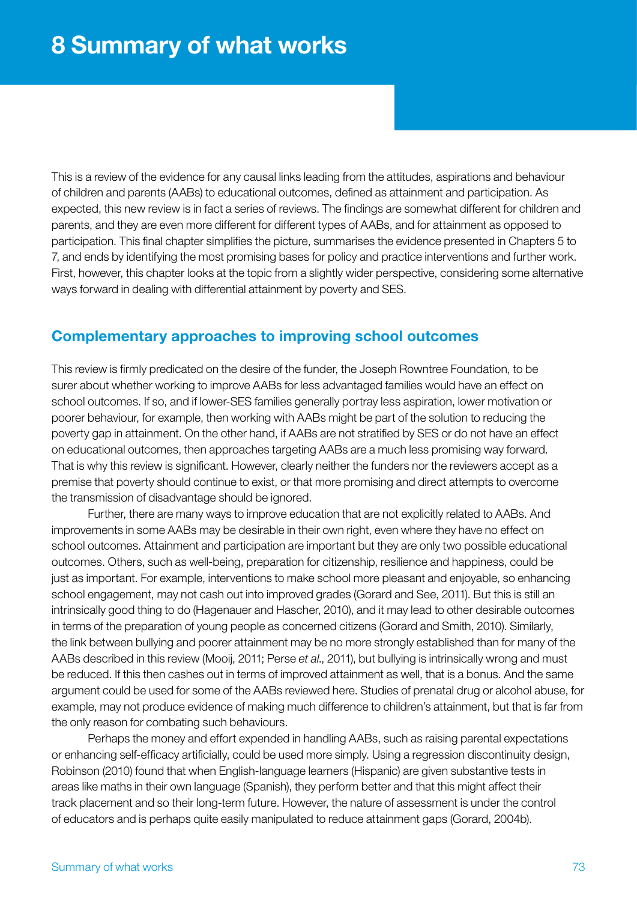This is a review of the evidence for any causal links leading from the attitudes, aspirations and behaviour of children and parents (AABs) to educational outcomes, defined as attainment and participation. As expected, this new review is in fact a series of reviews. The findings are somewhat different for children and parents, and they are even more different for different types of AABs, and for attainment as opposed to participation. This final chapter simplifies the picture, summarises the evidence presented in Chapters 5 to 7, and ends by identifying the most promising bases for policy and practice interventions and further work. First, however, this chapter looks at the topic from a slightly wider perspective, considering some alternative ways forward in dealing with differential attainment by poverty and SES.

# Complementary approaches to improving school outcomes

This review is firmly predicated on the desire of the funder, the Joseph Rowntree Foundation, to be surer about whether working to improve AABs for less advantaged families would have an effect on school outcomes. If so, and if lower-SES families generally portray less aspiration, lower motivation or poorer behaviour, for example, then working with AABs might be part of the solution to reducing the poverty gap in attainment. On the other hand, if AABs are not stratified by SES or do not have an effect on educational outcomes, then approaches targeting AABs are a much less promising way forward. That is why this review is significant. However, clearly neither the funders nor the reviewers accept as a premise that poverty should continue to exist, or that more promising and direct attempts to overcome the transmission of disadvantage should be ignored.

Further, there are many ways to improve education that are not explicitly related to AABs. And improvements in some AABs may be desirable in their own right, even where they have no effect on school outcomes. Attainment and participation are important but they are only two possible educational outcomes. Others, such as well-being, preparation for citizenship, resilience and happiness, could be just as important. For example, interventions to make school more pleasant and enjoyable, so enhancing school engagement, may not cash out into improved grades (Gorard and See, 2011). But this is still an intrinsically good thing to do (Hagenauer and Hascher, 2010), and it may lead to other desirable outcomes in terms of the preparation of young people as concerned citizens (Gorard and Smith, 2010). Similarly, the link between bullying and poorer attainment may be no more strongly established than for many of the AABs described in this review (Mooij, 2011; Perse *et al*., 2011), but bullying is intrinsically wrong and must be reduced. If this then cashes out in terms of improved attainment as well, that is a bonus. And the same argument could be used for some of the AABs reviewed here. Studies of prenatal drug or alcohol abuse, for example, may not produce evidence of making much difference to children's attainment, but that is far from the only reason for combating such behaviours.

Perhaps the money and effort expended in handling AABs, such as raising parental expectations or enhancing self-efficacy artificially, could be used more simply. Using a regression discontinuity design, Robinson (2010) found that when English-language learners (Hispanic) are given substantive tests in areas like maths in their own language (Spanish), they perform better and that this might affect their track placement and so their long-term future. However, the nature of assessment is under the control of educators and is perhaps quite easily manipulated to reduce attainment gaps (Gorard, 2004b).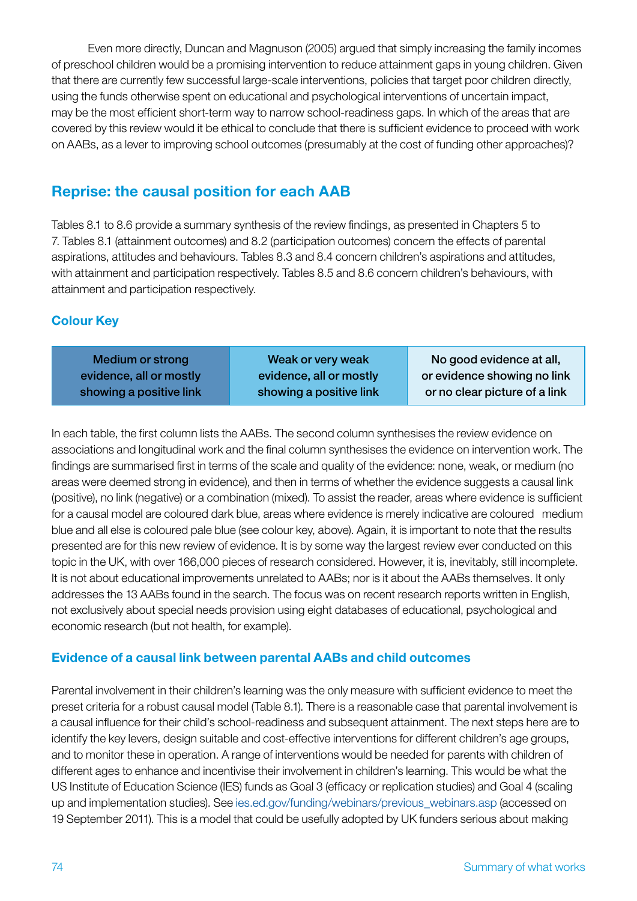Even more directly, Duncan and Magnuson (2005) argued that simply increasing the family incomes of preschool children would be a promising intervention to reduce attainment gaps in young children. Given that there are currently few successful large-scale interventions, policies that target poor children directly, using the funds otherwise spent on educational and psychological interventions of uncertain impact, may be the most efficient short-term way to narrow school-readiness gaps. In which of the areas that are covered by this review would it be ethical to conclude that there is sufficient evidence to proceed with work on AABs, as a lever to improving school outcomes (presumably at the cost of funding other approaches)?

# Reprise: the causal position for each AAB

Tables 8.1 to 8.6 provide a summary synthesis of the review findings, as presented in Chapters 5 to 7. Tables 8.1 (attainment outcomes) and 8.2 (participation outcomes) concern the effects of parental aspirations, attitudes and behaviours. Tables 8.3 and 8.4 concern children's aspirations and attitudes, with attainment and participation respectively. Tables 8.5 and 8.6 concern children's behaviours, with attainment and participation respectively.

# Colour Key

| Medium or strong        | Weak or very weak       | No good evidence at all,      |
|-------------------------|-------------------------|-------------------------------|
| evidence, all or mostly | evidence, all or mostly | or evidence showing no link   |
| showing a positive link | showing a positive link | or no clear picture of a link |

In each table, the first column lists the AABs. The second column synthesises the review evidence on associations and longitudinal work and the final column synthesises the evidence on intervention work. The findings are summarised first in terms of the scale and quality of the evidence: none, weak, or medium (no areas were deemed strong in evidence), and then in terms of whether the evidence suggests a causal link (positive), no link (negative) or a combination (mixed). To assist the reader, areas where evidence is sufficient for a causal model are coloured dark blue, areas where evidence is merely indicative are coloured medium blue and all else is coloured pale blue (see colour key, above). Again, it is important to note that the results presented are for this new review of evidence. It is by some way the largest review ever conducted on this topic in the UK, with over 166,000 pieces of research considered. However, it is, inevitably, still incomplete. It is not about educational improvements unrelated to AABs; nor is it about the AABs themselves. It only addresses the 13 AABs found in the search. The focus was on recent research reports written in English, not exclusively about special needs provision using eight databases of educational, psychological and economic research (but not health, for example).

## Evidence of a causal link between parental AABs and child outcomes

Parental involvement in their children's learning was the only measure with sufficient evidence to meet the preset criteria for a robust causal model (Table 8.1). There is a reasonable case that parental involvement is a causal influence for their child's school-readiness and subsequent attainment. The next steps here are to identify the key levers, design suitable and cost-effective interventions for different children's age groups, and to monitor these in operation. A range of interventions would be needed for parents with children of different ages to enhance and incentivise their involvement in children's learning. This would be what the US Institute of Education Science (IES) funds as Goal 3 (efficacy or replication studies) and Goal 4 (scaling up and implementation studies). See ies.ed.gov/funding/webinars/previous\_webinars.asp (accessed on 19 September 2011). This is a model that could be usefully adopted by UK funders serious about making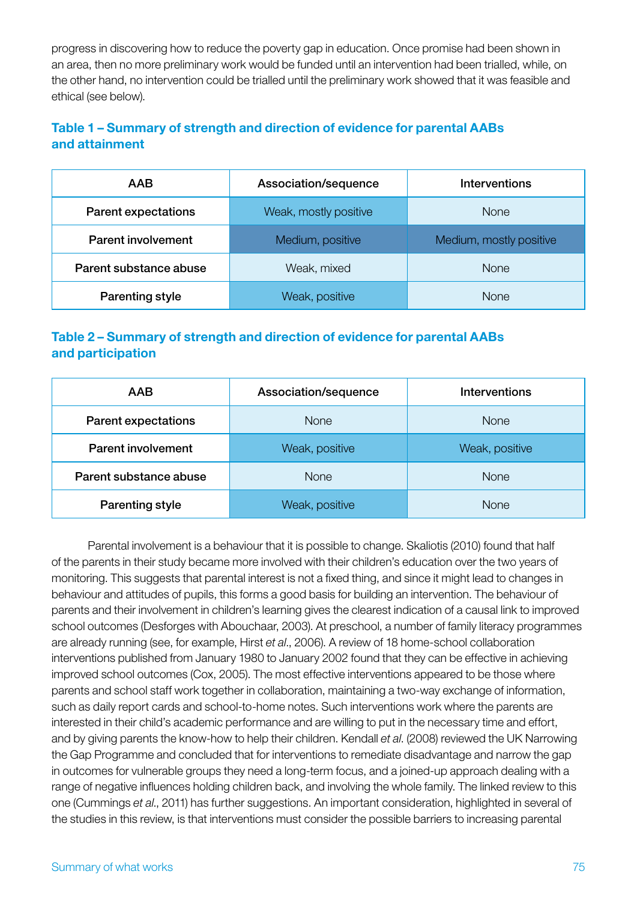progress in discovering how to reduce the poverty gap in education. Once promise had been shown in an area, then no more preliminary work would be funded until an intervention had been trialled, while, on the other hand, no intervention could be trialled until the preliminary work showed that it was feasible and ethical (see below).

## Table 1 – Summary of strength and direction of evidence for parental AABs and attainment

| <b>AAB</b>                 | Association/sequence  | Interventions           |
|----------------------------|-----------------------|-------------------------|
| <b>Parent expectations</b> | Weak, mostly positive | <b>None</b>             |
| <b>Parent involvement</b>  | Medium, positive      | Medium, mostly positive |
| Parent substance abuse     | Weak, mixed           | <b>None</b>             |
| Parenting style            | Weak, positive        | <b>None</b>             |

## Table 2 – Summary of strength and direction of evidence for parental AABs and participation

| <b>AAB</b>                 | Association/sequence | <b>Interventions</b> |
|----------------------------|----------------------|----------------------|
| <b>Parent expectations</b> | <b>None</b>          | <b>None</b>          |
| <b>Parent involvement</b>  | Weak, positive       | Weak, positive       |
| Parent substance abuse     | <b>None</b>          | <b>None</b>          |
| Parenting style            | Weak, positive       | <b>None</b>          |

Parental involvement is a behaviour that it is possible to change. Skaliotis (2010) found that half of the parents in their study became more involved with their children's education over the two years of monitoring. This suggests that parental interest is not a fixed thing, and since it might lead to changes in behaviour and attitudes of pupils, this forms a good basis for building an intervention. The behaviour of parents and their involvement in children's learning gives the clearest indication of a causal link to improved school outcomes (Desforges with Abouchaar, 2003). At preschool, a number of family literacy programmes are already running (see, for example, Hirst *et al*., 2006). A review of 18 home-school collaboration interventions published from January 1980 to January 2002 found that they can be effective in achieving improved school outcomes (Cox, 2005). The most effective interventions appeared to be those where parents and school staff work together in collaboration, maintaining a two-way exchange of information, such as daily report cards and school-to-home notes. Such interventions work where the parents are interested in their child's academic performance and are willing to put in the necessary time and effort, and by giving parents the know-how to help their children. Kendall *et al*. (2008) reviewed the UK Narrowing the Gap Programme and concluded that for interventions to remediate disadvantage and narrow the gap in outcomes for vulnerable groups they need a long-term focus, and a joined-up approach dealing with a range of negative influences holding children back, and involving the whole family. The linked review to this one (Cummings *et al*., 2011) has further suggestions. An important consideration, highlighted in several of the studies in this review, is that interventions must consider the possible barriers to increasing parental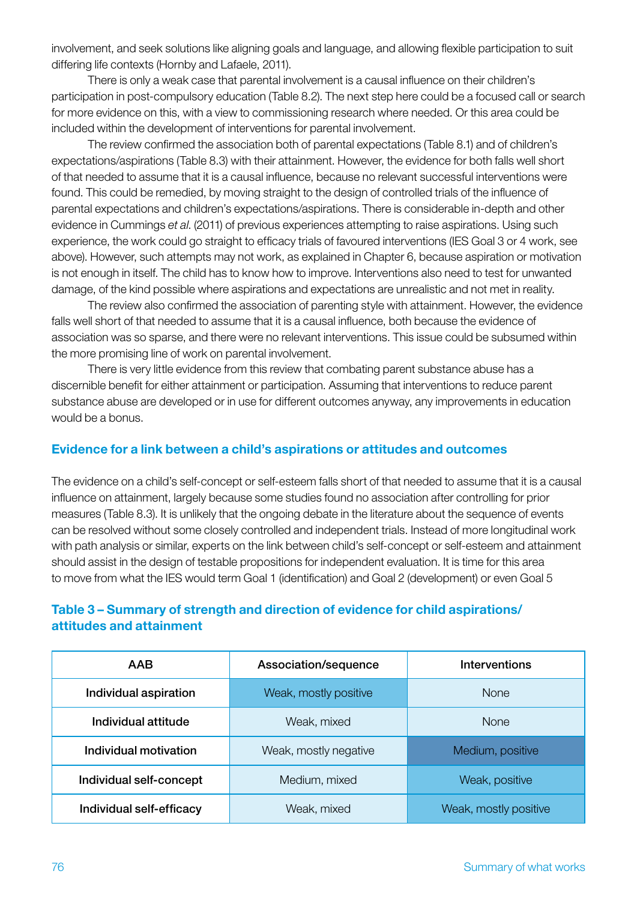involvement, and seek solutions like aligning goals and language, and allowing flexible participation to suit differing life contexts (Hornby and Lafaele, 2011).

There is only a weak case that parental involvement is a causal influence on their children's participation in post-compulsory education (Table 8.2). The next step here could be a focused call or search for more evidence on this, with a view to commissioning research where needed. Or this area could be included within the development of interventions for parental involvement.

The review confirmed the association both of parental expectations (Table 8.1) and of children's expectations/aspirations (Table 8.3) with their attainment. However, the evidence for both falls well short of that needed to assume that it is a causal influence, because no relevant successful interventions were found. This could be remedied, by moving straight to the design of controlled trials of the influence of parental expectations and children's expectations/aspirations. There is considerable in-depth and other evidence in Cummings *et al*. (2011) of previous experiences attempting to raise aspirations. Using such experience, the work could go straight to efficacy trials of favoured interventions (IES Goal 3 or 4 work, see above). However, such attempts may not work, as explained in Chapter 6, because aspiration or motivation is not enough in itself. The child has to know how to improve. Interventions also need to test for unwanted damage, of the kind possible where aspirations and expectations are unrealistic and not met in reality.

The review also confirmed the association of parenting style with attainment. However, the evidence falls well short of that needed to assume that it is a causal influence, both because the evidence of association was so sparse, and there were no relevant interventions. This issue could be subsumed within the more promising line of work on parental involvement.

There is very little evidence from this review that combating parent substance abuse has a discernible benefit for either attainment or participation. Assuming that interventions to reduce parent substance abuse are developed or in use for different outcomes anyway, any improvements in education would be a bonus.

#### Evidence for a link between a child's aspirations or attitudes and outcomes

The evidence on a child's self-concept or self-esteem falls short of that needed to assume that it is a causal influence on attainment, largely because some studies found no association after controlling for prior measures (Table 8.3). It is unlikely that the ongoing debate in the literature about the sequence of events can be resolved without some closely controlled and independent trials. Instead of more longitudinal work with path analysis or similar, experts on the link between child's self-concept or self-esteem and attainment should assist in the design of testable propositions for independent evaluation. It is time for this area to move from what the IES would term Goal 1 (identification) and Goal 2 (development) or even Goal 5

### Table 3 – Summary of strength and direction of evidence for child aspirations/ attitudes and attainment

| AAB                      | Association/sequence  | <b>Interventions</b>  |
|--------------------------|-----------------------|-----------------------|
| Individual aspiration    | Weak, mostly positive | <b>None</b>           |
| Individual attitude      | Weak, mixed           | <b>None</b>           |
| Individual motivation    | Weak, mostly negative | Medium, positive      |
| Individual self-concept  | Medium, mixed         | Weak, positive        |
| Individual self-efficacy | Weak, mixed           | Weak, mostly positive |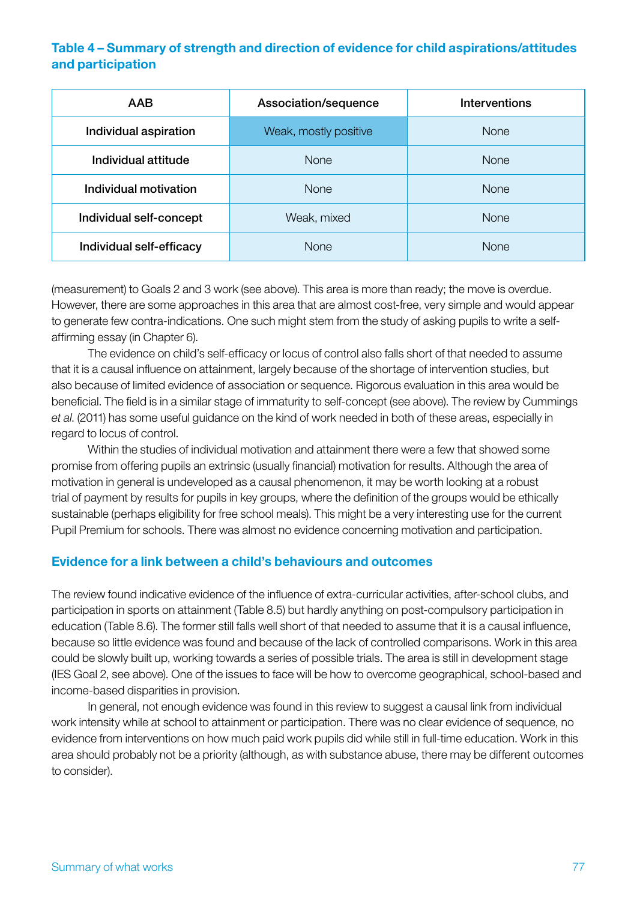### Table 4 – Summary of strength and direction of evidence for child aspirations/attitudes and participation

| <b>AAB</b>               | Association/sequence  | <b>Interventions</b> |
|--------------------------|-----------------------|----------------------|
| Individual aspiration    | Weak, mostly positive | <b>None</b>          |
| Individual attitude      | <b>None</b>           | <b>None</b>          |
| Individual motivation    | <b>None</b>           | <b>None</b>          |
| Individual self-concept  | Weak, mixed           | <b>None</b>          |
| Individual self-efficacy | <b>None</b>           | <b>None</b>          |

(measurement) to Goals 2 and 3 work (see above). This area is more than ready; the move is overdue. However, there are some approaches in this area that are almost cost-free, very simple and would appear to generate few contra-indications. One such might stem from the study of asking pupils to write a selfaffirming essay (in Chapter 6).

The evidence on child's self-efficacy or locus of control also falls short of that needed to assume that it is a causal influence on attainment, largely because of the shortage of intervention studies, but also because of limited evidence of association or sequence. Rigorous evaluation in this area would be beneficial. The field is in a similar stage of immaturity to self-concept (see above). The review by Cummings *et al*. (2011) has some useful guidance on the kind of work needed in both of these areas, especially in regard to locus of control.

Within the studies of individual motivation and attainment there were a few that showed some promise from offering pupils an extrinsic (usually financial) motivation for results. Although the area of motivation in general is undeveloped as a causal phenomenon, it may be worth looking at a robust trial of payment by results for pupils in key groups, where the definition of the groups would be ethically sustainable (perhaps eligibility for free school meals). This might be a very interesting use for the current Pupil Premium for schools. There was almost no evidence concerning motivation and participation.

#### Evidence for a link between a child's behaviours and outcomes

The review found indicative evidence of the influence of extra-curricular activities, after-school clubs, and participation in sports on attainment (Table 8.5) but hardly anything on post-compulsory participation in education (Table 8.6). The former still falls well short of that needed to assume that it is a causal influence, because so little evidence was found and because of the lack of controlled comparisons. Work in this area could be slowly built up, working towards a series of possible trials. The area is still in development stage (IES Goal 2, see above). One of the issues to face will be how to overcome geographical, school-based and income-based disparities in provision.

In general, not enough evidence was found in this review to suggest a causal link from individual work intensity while at school to attainment or participation. There was no clear evidence of sequence, no evidence from interventions on how much paid work pupils did while still in full-time education. Work in this area should probably not be a priority (although, as with substance abuse, there may be different outcomes to consider).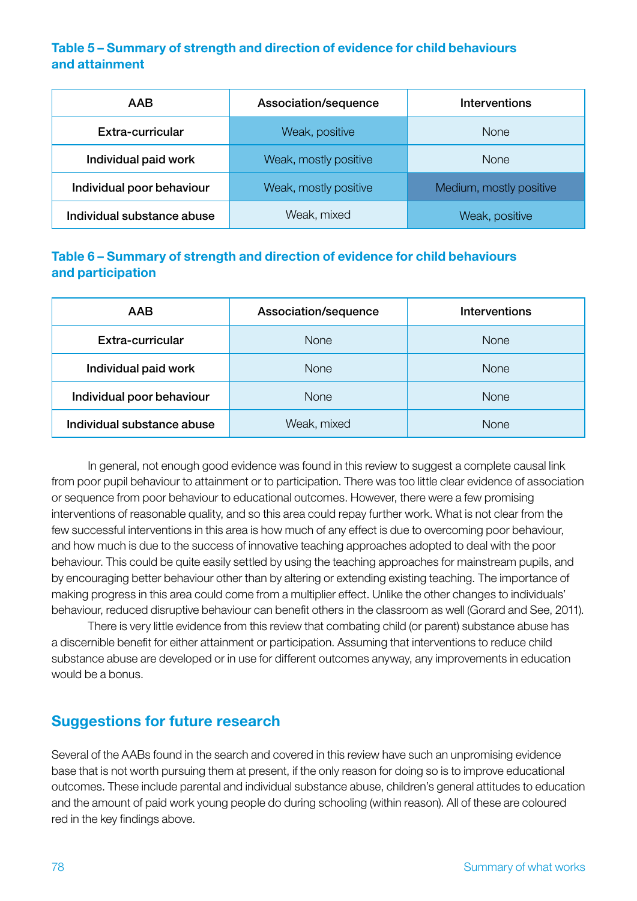### Table 5 – Summary of strength and direction of evidence for child behaviours and attainment

| <b>AAB</b>                 | Association/sequence  | <b>Interventions</b>    |
|----------------------------|-----------------------|-------------------------|
| Extra-curricular           | Weak, positive        | <b>None</b>             |
| Individual paid work       | Weak, mostly positive | <b>None</b>             |
| Individual poor behaviour  | Weak, mostly positive | Medium, mostly positive |
| Individual substance abuse | Weak, mixed           | Weak, positive          |

## Table 6 – Summary of strength and direction of evidence for child behaviours and participation

| <b>AAB</b>                 | Association/sequence | Interventions |
|----------------------------|----------------------|---------------|
| Extra-curricular           | <b>None</b>          | None          |
| Individual paid work       | <b>None</b>          | <b>None</b>   |
| Individual poor behaviour  | <b>None</b>          | <b>None</b>   |
| Individual substance abuse | Weak, mixed          | <b>None</b>   |

In general, not enough good evidence was found in this review to suggest a complete causal link from poor pupil behaviour to attainment or to participation. There was too little clear evidence of association or sequence from poor behaviour to educational outcomes. However, there were a few promising interventions of reasonable quality, and so this area could repay further work. What is not clear from the few successful interventions in this area is how much of any effect is due to overcoming poor behaviour, and how much is due to the success of innovative teaching approaches adopted to deal with the poor behaviour. This could be quite easily settled by using the teaching approaches for mainstream pupils, and by encouraging better behaviour other than by altering or extending existing teaching. The importance of making progress in this area could come from a multiplier effect. Unlike the other changes to individuals' behaviour, reduced disruptive behaviour can benefit others in the classroom as well (Gorard and See, 2011).

There is very little evidence from this review that combating child (or parent) substance abuse has a discernible benefit for either attainment or participation. Assuming that interventions to reduce child substance abuse are developed or in use for different outcomes anyway, any improvements in education would be a bonus.

# Suggestions for future research

Several of the AABs found in the search and covered in this review have such an unpromising evidence base that is not worth pursuing them at present, if the only reason for doing so is to improve educational outcomes. These include parental and individual substance abuse, children's general attitudes to education and the amount of paid work young people do during schooling (within reason). All of these are coloured red in the key findings above.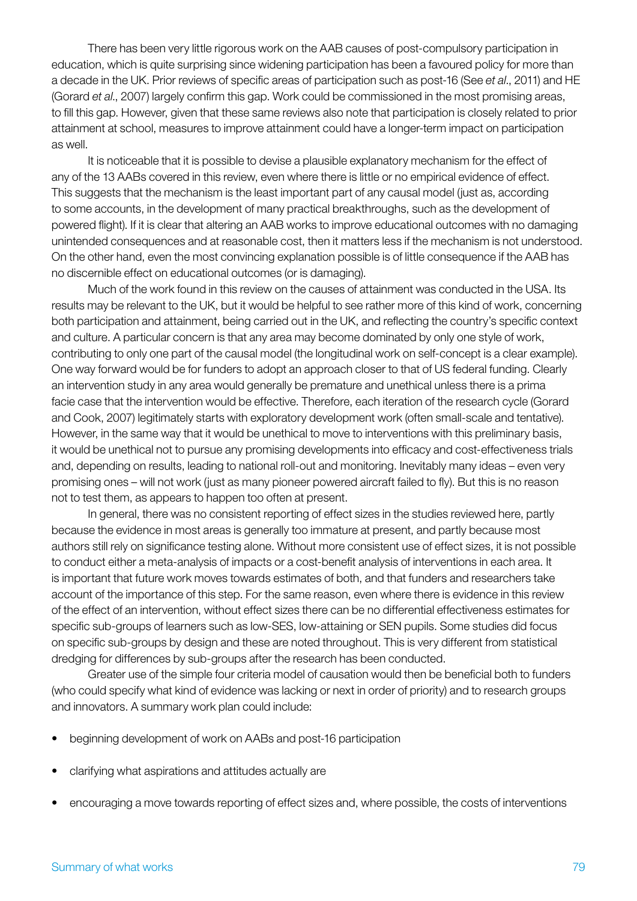There has been very little rigorous work on the AAB causes of post-compulsory participation in education, which is quite surprising since widening participation has been a favoured policy for more than a decade in the UK. Prior reviews of specific areas of participation such as post-16 (See *et al*., 2011) and HE (Gorard *et al*., 2007) largely confirm this gap. Work could be commissioned in the most promising areas, to fill this gap. However, given that these same reviews also note that participation is closely related to prior attainment at school, measures to improve attainment could have a longer-term impact on participation as well.

It is noticeable that it is possible to devise a plausible explanatory mechanism for the effect of any of the 13 AABs covered in this review, even where there is little or no empirical evidence of effect. This suggests that the mechanism is the least important part of any causal model (just as, according to some accounts, in the development of many practical breakthroughs, such as the development of powered flight). If it is clear that altering an AAB works to improve educational outcomes with no damaging unintended consequences and at reasonable cost, then it matters less if the mechanism is not understood. On the other hand, even the most convincing explanation possible is of little consequence if the AAB has no discernible effect on educational outcomes (or is damaging).

Much of the work found in this review on the causes of attainment was conducted in the USA. Its results may be relevant to the UK, but it would be helpful to see rather more of this kind of work, concerning both participation and attainment, being carried out in the UK, and reflecting the country's specific context and culture. A particular concern is that any area may become dominated by only one style of work, contributing to only one part of the causal model (the longitudinal work on self-concept is a clear example). One way forward would be for funders to adopt an approach closer to that of US federal funding. Clearly an intervention study in any area would generally be premature and unethical unless there is a prima facie case that the intervention would be effective. Therefore, each iteration of the research cycle (Gorard and Cook, 2007) legitimately starts with exploratory development work (often small-scale and tentative). However, in the same way that it would be unethical to move to interventions with this preliminary basis, it would be unethical not to pursue any promising developments into efficacy and cost-effectiveness trials and, depending on results, leading to national roll-out and monitoring. Inevitably many ideas – even very promising ones – will not work (just as many pioneer powered aircraft failed to fly). But this is no reason not to test them, as appears to happen too often at present.

In general, there was no consistent reporting of effect sizes in the studies reviewed here, partly because the evidence in most areas is generally too immature at present, and partly because most authors still rely on significance testing alone. Without more consistent use of effect sizes, it is not possible to conduct either a meta-analysis of impacts or a cost-benefit analysis of interventions in each area. It is important that future work moves towards estimates of both, and that funders and researchers take account of the importance of this step. For the same reason, even where there is evidence in this review of the effect of an intervention, without effect sizes there can be no differential effectiveness estimates for specific sub-groups of learners such as low-SES, low-attaining or SEN pupils. Some studies did focus on specific sub-groups by design and these are noted throughout. This is very different from statistical dredging for differences by sub-groups after the research has been conducted.

Greater use of the simple four criteria model of causation would then be beneficial both to funders (who could specify what kind of evidence was lacking or next in order of priority) and to research groups and innovators. A summary work plan could include:

- beginning development of work on AABs and post-16 participation
- clarifying what aspirations and attitudes actually are
- encouraging a move towards reporting of effect sizes and, where possible, the costs of interventions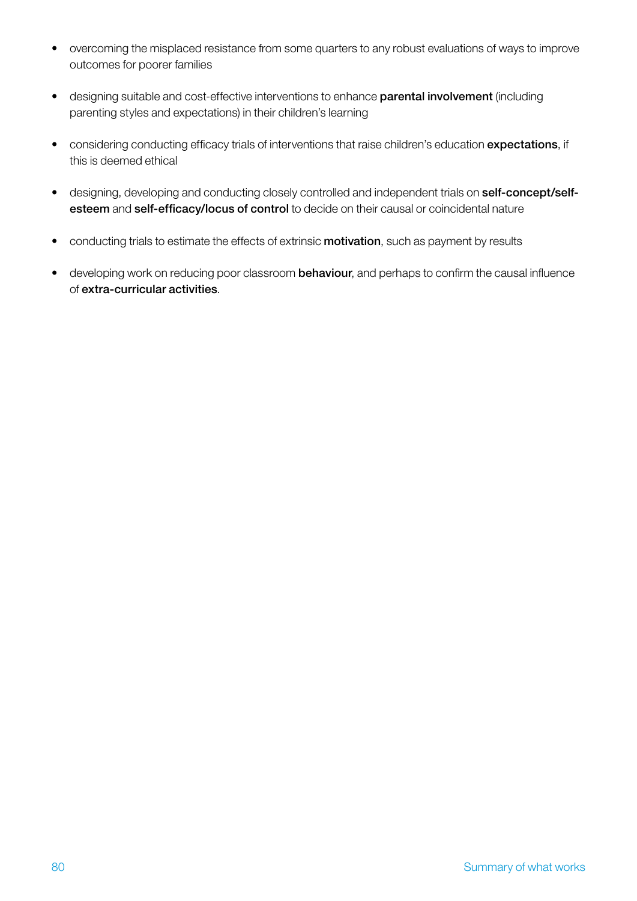- overcoming the misplaced resistance from some quarters to any robust evaluations of ways to improve outcomes for poorer families
- designing suitable and cost-effective interventions to enhance parental involvement (including parenting styles and expectations) in their children's learning
- considering conducting efficacy trials of interventions that raise children's education expectations, if this is deemed ethical
- designing, developing and conducting closely controlled and independent trials on self-concept/selfesteem and self-efficacy/locus of control to decide on their causal or coincidental nature
- conducting trials to estimate the effects of extrinsic **motivation**, such as payment by results
- developing work on reducing poor classroom behaviour, and perhaps to confirm the causal influence of extra-curricular activities.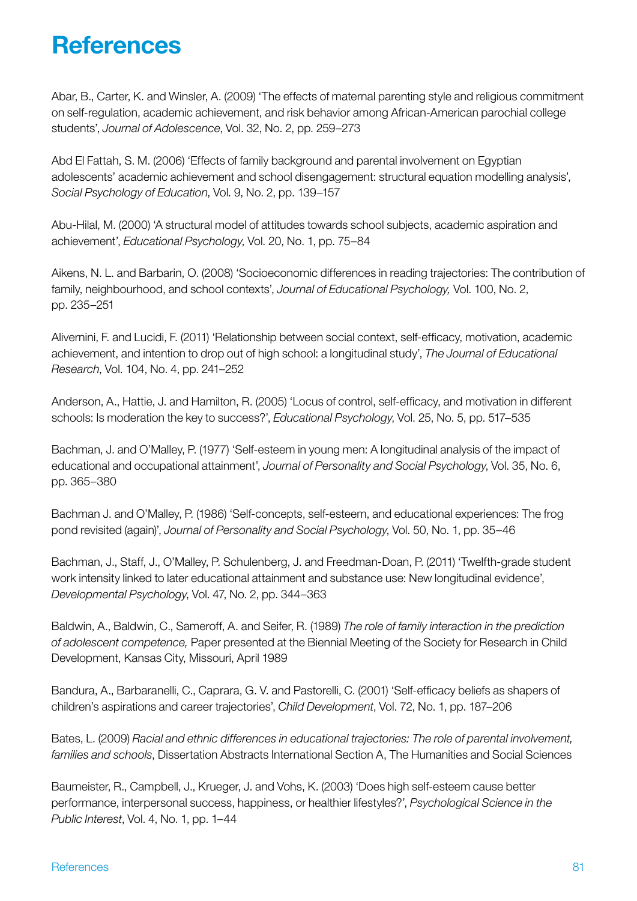# **References**

Abar, B., Carter, K. and Winsler, A. (2009) 'The effects of maternal parenting style and religious commitment on self-regulation, academic achievement, and risk behavior among African-American parochial college students', *Journal of Adolescence*, Vol. 32, No. 2, pp. 259–273

Abd El Fattah, S. M. (2006) 'Effects of family background and parental involvement on Egyptian adolescents' academic achievement and school disengagement: structural equation modelling analysis', *Social Psychology of Education*, Vol. 9, No. 2, pp. 139–157

Abu-Hilal, M. (2000) 'A structural model of attitudes towards school subjects, academic aspiration and achievement', *Educational Psychology*, Vol. 20, No. 1, pp. 75–84

Aikens, N. L. and Barbarin, O. (2008) 'Socioeconomic differences in reading trajectories: The contribution of family, neighbourhood, and school contexts', *Journal of Educational Psychology,* Vol. 100, No. 2, pp. 235–251

Alivernini, F. and Lucidi, F. (2011) 'Relationship between social context, self-efficacy, motivation, academic achievement, and intention to drop out of high school: a longitudinal study', *The Journal of Educational Research*, Vol. 104, No. 4, pp. 241–252

Anderson, A., Hattie, J. and Hamilton, R. (2005) 'Locus of control, self-efficacy, and motivation in different schools: Is moderation the key to success?', *Educational Psychology*, Vol. 25, No. 5, pp. 517–535

Bachman, J. and O'Malley, P. (1977) 'Self-esteem in young men: A longitudinal analysis of the impact of educational and occupational attainment', *Journal of Personality and Social Psychology*, Vol. 35, No. 6, pp. 365–380

Bachman J. and O'Malley, P. (1986) 'Self-concepts, self-esteem, and educational experiences: The frog pond revisited (again)', *Journal of Personality and Social Psychology*, Vol. 50, No. 1, pp. 35–46

Bachman, J., Staff, J., O'Malley, P. Schulenberg, J. and Freedman-Doan, P. (2011) 'Twelfth-grade student work intensity linked to later educational attainment and substance use: New longitudinal evidence', *Developmental Psychology*, Vol. 47, No. 2, pp. 344–363

Baldwin, A., Baldwin, C., Sameroff, A. and Seifer, R. (1989) *The role of family interaction in the prediction of adolescent competence,* Paper presented at the Biennial Meeting of the Society for Research in Child Development, Kansas City, Missouri, April 1989

Bandura, A., Barbaranelli, C., Caprara, G. V. and Pastorelli, C. (2001) 'Self-efficacy beliefs as shapers of children's aspirations and career trajectories', *Child Development*, Vol. 72, No. 1, pp. 187–206

Bates, L. (2009) *Racial and ethnic differences in educational trajectories: The role of parental involvement, families and schools*, Dissertation Abstracts International Section A, The Humanities and Social Sciences

Baumeister, R., Campbell, J., Krueger, J. and Vohs, K. (2003) 'Does high self-esteem cause better performance, interpersonal success, happiness, or healthier lifestyles?', *Psychological Science in the Public Interest*, Vol. 4, No. 1, pp. 1–44

#### References 81 and 2012 and 2013 and 2013 and 2013 and 2013 and 2013 and 2013 and 2013 and 2013 and 2013 and 20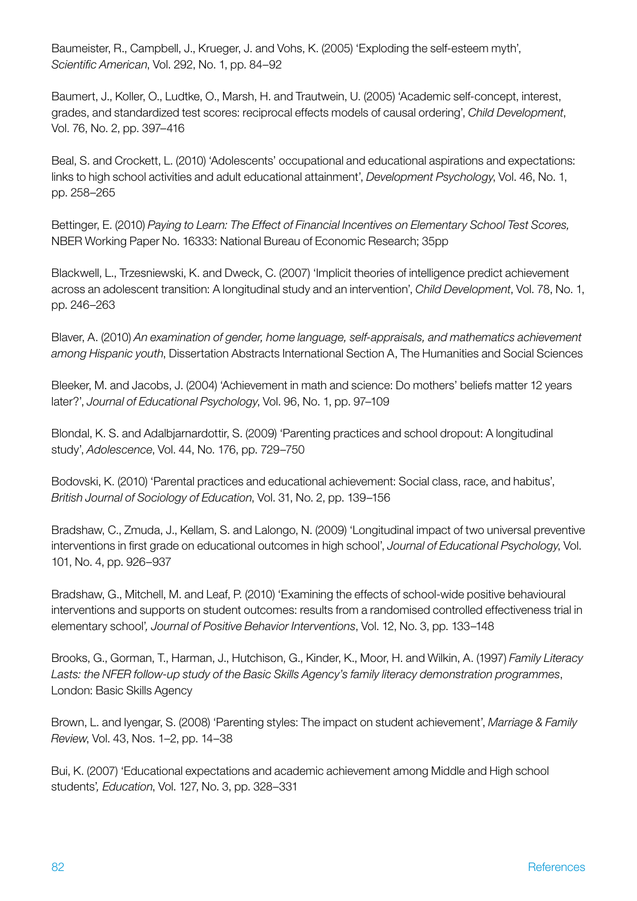Baumeister, R., Campbell, J., Krueger, J. and Vohs, K. (2005) 'Exploding the self-esteem myth', *Scientific American*, Vol. 292, No. 1, pp. 84–92

Baumert, J., Koller, O., Ludtke, O., Marsh, H. and Trautwein, U. (2005) 'Academic self-concept, interest, grades, and standardized test scores: reciprocal effects models of causal ordering', *Child Development*, Vol. 76, No. 2, pp. 397–416

Beal, S. and Crockett, L. (2010) 'Adolescents' occupational and educational aspirations and expectations: links to high school activities and adult educational attainment', *Development Psychology*, Vol. 46, No. 1, pp. 258–265

Bettinger, E. (2010) *Paying to Learn: The Effect of Financial Incentives on Elementary School Test Scores,* NBER Working Paper No. 16333: National Bureau of Economic Research; 35pp

Blackwell, L., Trzesniewski, K. and Dweck, C. (2007) 'Implicit theories of intelligence predict achievement across an adolescent transition: A longitudinal study and an intervention', *Child Development*, Vol. 78, No. 1, pp. 246–263

Blaver, A. (2010) *An examination of gender, home language, self-appraisals, and mathematics achievement among Hispanic youth*, Dissertation Abstracts International Section A, The Humanities and Social Sciences

Bleeker, M. and Jacobs, J. (2004) 'Achievement in math and science: Do mothers' beliefs matter 12 years later?', *Journal of Educational Psychology*, Vol. 96, No. 1, pp. 97–109

Blondal, K. S. and Adalbjarnardottir, S. (2009) 'Parenting practices and school dropout: A longitudinal study', *Adolescence*, Vol. 44, No. 176, pp. 729–750

Bodovski, K. (2010) 'Parental practices and educational achievement: Social class, race, and habitus', *British Journal of Sociology of Education*, Vol. 31, No. 2, pp. 139–156

Bradshaw, C., Zmuda, J., Kellam, S. and Lalongo, N. (2009) 'Longitudinal impact of two universal preventive interventions in first grade on educational outcomes in high school', *Journal of Educational Psychology*, Vol. 101, No. 4, pp. 926–937

Bradshaw, G., Mitchell, M. and Leaf, P. (2010) 'Examining the effects of school-wide positive behavioural interventions and supports on student outcomes: results from a randomised controlled effectiveness trial in elementary school'*, Journal of Positive Behavior Interventions*, Vol. 12, No. 3, pp. 133–148

Brooks, G., Gorman, T., Harman, J., Hutchison, G., Kinder, K., Moor, H. and Wilkin, A. (1997) *Family Literacy Lasts: the NFER follow-up study of the Basic Skills Agency's family literacy demonstration programmes*, London: Basic Skills Agency

Brown, L. and Iyengar, S. (2008) 'Parenting styles: The impact on student achievement', *Marriage & Family Review*, Vol. 43, Nos. 1–2, pp. 14–38

Bui, K. (2007) 'Educational expectations and academic achievement among Middle and High school students'*, Education*, Vol. 127, No. 3, pp. 328–331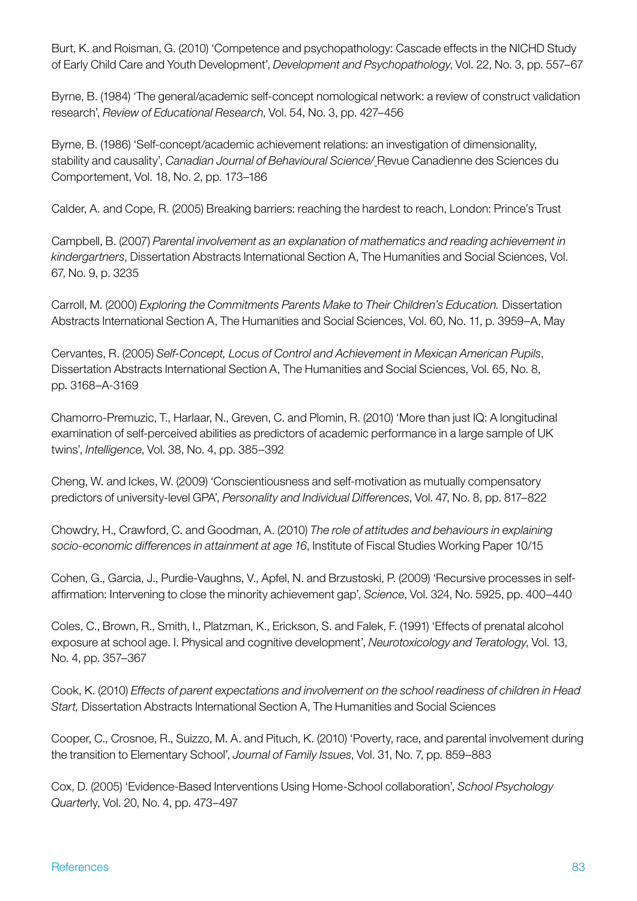Burt, K. and Roisman, G. (2010) 'Competence and psychopathology: Cascade effects in the NICHD Study of Early Child Care and Youth Development', *Development and Psychopathology*, Vol. 22, No. 3, pp. 557–67

Byrne, B. (1984) 'The general/academic self-concept nomological network: a review of construct validation research', *Review of Educational Research*, Vol. 54, No. 3, pp. 427–456

Byrne, B. (1986) 'Self-concept/academic achievement relations: an investigation of dimensionality, stability and causality', *Canadian Journal of Behavioural Science/* Revue Canadienne des Sciences du Comportement, Vol. 18, No. 2, pp. 173–186

Calder, A. and Cope, R. (2005) Breaking barriers: reaching the hardest to reach, London: Prince's Trust

Campbell, B. (2007) *Parental involvement as an explanation of mathematics and reading achievement in kindergartners*, Dissertation Abstracts International Section A, The Humanities and Social Sciences, Vol. 67, No. 9, p. 3235

Carroll, M. (2000) *Exploring the Commitments Parents Make to Their Children's Education.* Dissertation Abstracts International Section A, The Humanities and Social Sciences, Vol. 60, No. 11, p. 3959–A, May

Cervantes, R. (2005) *Self-Concept, Locus of Control and Achievement in Mexican American Pupils*, Dissertation Abstracts International Section A, The Humanities and Social Sciences, Vol. 65, No. 8, pp. 3168–A-3169

Chamorro-Premuzic, T., Harlaar, N., Greven, C. and Plomin, R. (2010) 'More than just IQ: A longitudinal examination of self-perceived abilities as predictors of academic performance in a large sample of UK twins', *Intelligence*, Vol. 38, No. 4, pp. 385–392

Cheng, W. and Ickes, W. (2009) 'Conscientiousness and self-motivation as mutually compensatory predictors of university-level GPA', *Personality and Individual Differences*, Vol. 47, No. 8, pp. 817–822

Chowdry, H., Crawford, C. and Goodman, A. (2010) *The role of attitudes and behaviours in explaining socio-economic differences in attainment at age 16*, Institute of Fiscal Studies Working Paper 10/15

Cohen, G., Garcia, J., Purdie-Vaughns, V., Apfel, N. and Brzustoski, P. (2009) 'Recursive processes in selfaffirmation: Intervening to close the minority achievement gap', *Science*, Vol. 324, No. 5925, pp. 400–440

Coles, C., Brown, R., Smith, I., Platzman, K., Erickson, S. and Falek, F. (1991) 'Effects of prenatal alcohol exposure at school age. I. Physical and cognitive development', *Neurotoxicology and Teratology*, Vol. 13, No. 4, pp. 357–367

Cook, K. (2010) *Effects of parent expectations and involvement on the school readiness of children in Head Start,* Dissertation Abstracts International Section A, The Humanities and Social Sciences

Cooper, C., Crosnoe, R., Suizzo, M. A. and Pituch, K. (2010) 'Poverty, race, and parental involvement during the transition to Elementary School', *Journal of Family Issues*, Vol. 31, No. 7, pp. 859–883

Cox, D. (2005) 'Evidence-Based Interventions Using Home-School collaboration', *School Psychology Quarter*ly, Vol. 20, No. 4, pp. 473–497

#### References 83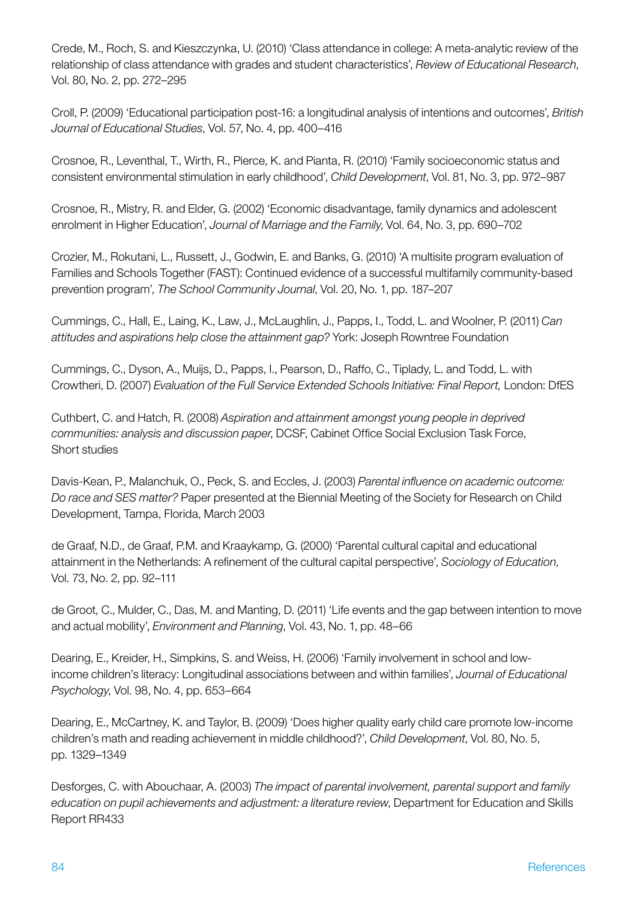Crede, M., Roch, S. and Kieszczynka, U. (2010) 'Class attendance in college: A meta-analytic review of the relationship of class attendance with grades and student characteristics', *Review of Educational Research*, Vol. 80, No. 2, pp. 272–295

Croll, P. (2009) 'Educational participation post-16: a longitudinal analysis of intentions and outcomes', *British Journal of Educational Studies*, Vol. 57, No. 4, pp. 400–416

Crosnoe, R., Leventhal, T., Wirth, R., Pierce, K. and Pianta, R. (2010) 'Family socioeconomic status and consistent environmental stimulation in early childhood', *Child Development*, Vol. 81, No. 3, pp. 972–987

Crosnoe, R., Mistry, R. and Elder, G. (2002) 'Economic disadvantage, family dynamics and adolescent enrolment in Higher Education', *Journal of Marriage and the Family*, Vol. 64, No. 3, pp. 690–702

Crozier, M., Rokutani, L., Russett, J., Godwin, E. and Banks, G. (2010) 'A multisite program evaluation of Families and Schools Together (FAST): Continued evidence of a successful multifamily community-based prevention program', *The School Community Journal*, Vol. 20, No. 1, pp. 187–207

Cummings, C., Hall, E., Laing, K., Law, J., McLaughlin, J., Papps, I., Todd, L. and Woolner, P. (2011) *Can attitudes and aspirations help close the attainment gap?* York: Joseph Rowntree Foundation

Cummings, C., Dyson, A., Muijs, D., Papps, I., Pearson, D., Raffo, C., Tiplady, L. and Todd, L. with Crowtheri, D. (2007) *Evaluation of the Full Service Extended Schools Initiative: Final Report,* London: DfES

Cuthbert, C. and Hatch, R. (2008) *Aspiration and attainment amongst young people in deprived communities: analysis and discussion paper*, DCSF, Cabinet Office Social Exclusion Task Force, Short studies

Davis-Kean, P., Malanchuk, O., Peck, S. and Eccles, J. (2003) *Parental influence on academic outcome: Do race and SES matter?* Paper presented at the Biennial Meeting of the Society for Research on Child Development, Tampa, Florida, March 2003

de Graaf, N.D., de Graaf, P.M. and Kraaykamp, G. (2000) 'Parental cultural capital and educational attainment in the Netherlands: A refinement of the cultural capital perspective', *Sociology of Education*, Vol. 73, No. 2, pp. 92–111

de Groot, C., Mulder, C., Das, M. and Manting, D. (2011) 'Life events and the gap between intention to move and actual mobility', *Environment and Planning*, Vol. 43, No. 1, pp. 48–66

Dearing, E., Kreider, H., Simpkins, S. and Weiss, H. (2006) 'Family involvement in school and lowincome children's literacy: Longitudinal associations between and within families', *Journal of Educational Psychology*, Vol. 98, No. 4, pp. 653–664

Dearing, E., McCartney, K. and Taylor, B. (2009) 'Does higher quality early child care promote low-income children's math and reading achievement in middle childhood?', *Child Development*, Vol. 80, No. 5, pp. 1329–1349

Desforges, C. with Abouchaar, A. (2003) *The impact of parental involvement, parental support and family education on pupil achievements and adjustment: a literature review*, Department for Education and Skills Report RR433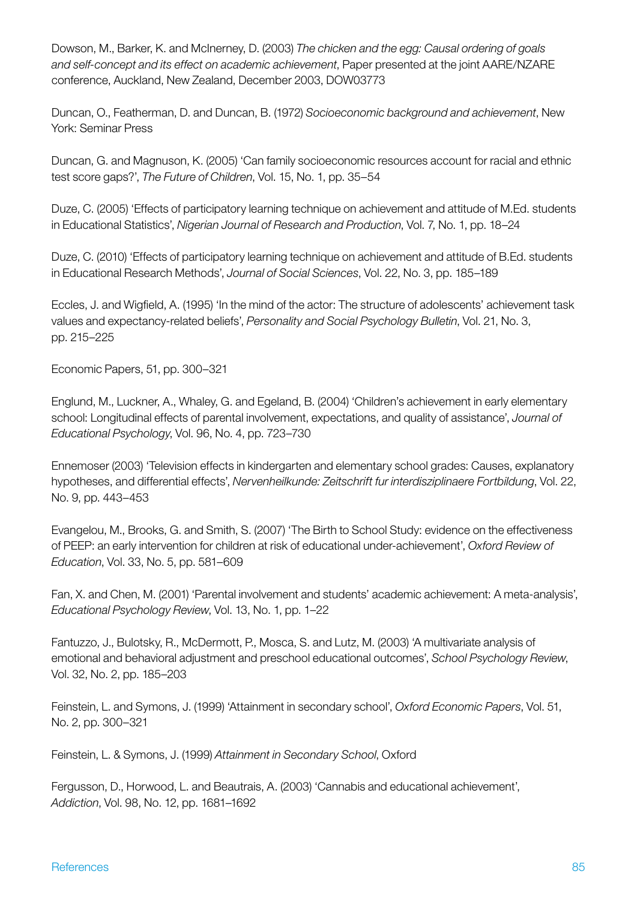Dowson, M., Barker, K. and McInerney, D. (2003) *The chicken and the egg: Causal ordering of goals and self-concept and its effect on academic achievement*, Paper presented at the joint AARE/NZARE conference, Auckland, New Zealand, December 2003, DOW03773

Duncan, O., Featherman, D. and Duncan, B. (1972) *Socioeconomic background and achievement*, New York: Seminar Press

Duncan, G. and Magnuson, K. (2005) 'Can family socioeconomic resources account for racial and ethnic test score gaps?', *The Future of Children*, Vol. 15, No. 1, pp. 35–54

Duze, C. (2005) 'Effects of participatory learning technique on achievement and attitude of M.Ed. students in Educational Statistics', *Nigerian Journal of Research and Production*, Vol. 7, No. 1, pp. 18–24

Duze, C. (2010) 'Effects of participatory learning technique on achievement and attitude of B.Ed. students in Educational Research Methods', *Journal of Social Sciences*, Vol. 22, No. 3, pp. 185–189

Eccles, J. and Wigfield, A. (1995) 'In the mind of the actor: The structure of adolescents' achievement task values and expectancy-related beliefs', *Personality and Social Psychology Bulletin*, Vol. 21, No. 3, pp. 215–225

Economic Papers, 51, pp. 300–321

Englund, M., Luckner, A., Whaley, G. and Egeland, B. (2004) 'Children's achievement in early elementary school: Longitudinal effects of parental involvement, expectations, and quality of assistance', *Journal of Educational Psychology*, Vol. 96, No. 4, pp. 723–730

Ennemoser (2003) 'Television effects in kindergarten and elementary school grades: Causes, explanatory hypotheses, and differential effects', *Nervenheilkunde: Zeitschrift fur interdisziplinaere Fortbildung*, Vol. 22, No. 9, pp. 443–453

Evangelou, M., Brooks, G. and Smith, S. (2007) 'The Birth to School Study: evidence on the effectiveness of PEEP: an early intervention for children at risk of educational under-achievement', *Oxford Review of Education*, Vol. 33, No. 5, pp. 581–609

Fan, X. and Chen, M. (2001) 'Parental involvement and students' academic achievement: A meta-analysis', *Educational Psychology Review*, Vol. 13, No. 1, pp. 1–22

Fantuzzo, J., Bulotsky, R., McDermott, P., Mosca, S. and Lutz, M. (2003) 'A multivariate analysis of emotional and behavioral adjustment and preschool educational outcomes', *School Psychology Review*, Vol. 32, No. 2, pp. 185–203

Feinstein, L. and Symons, J. (1999) 'Attainment in secondary school', *Oxford Economic Papers*, Vol. 51, No. 2, pp. 300–321

Feinstein, L. & Symons, J. (1999) *Attainment in Secondary School*, Oxford

Fergusson, D., Horwood, L. and Beautrais, A. (2003) 'Cannabis and educational achievement', *Addiction*, Vol. 98, No. 12, pp. 1681–1692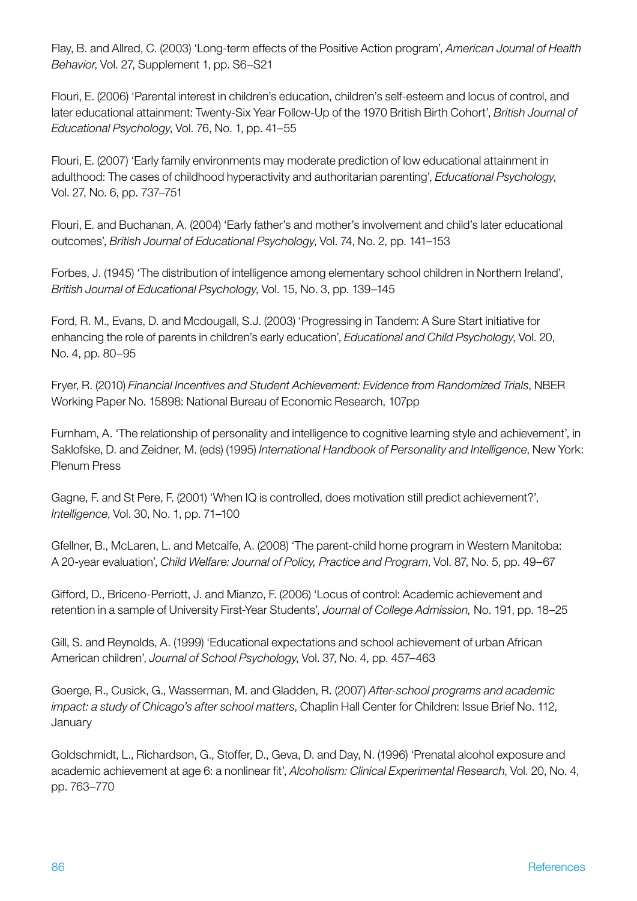Flay, B. and Allred, C. (2003) 'Long-term effects of the Positive Action program', *American Journal of Health Behavior*, Vol. 27, Supplement 1, pp. S6–S21

Flouri, E. (2006) 'Parental interest in children's education, children's self-esteem and locus of control, and later educational attainment: Twenty-Six Year Follow-Up of the 1970 British Birth Cohort', *British Journal of Educational Psychology*, Vol. 76, No. 1, pp. 41–55

Flouri, E. (2007) 'Early family environments may moderate prediction of low educational attainment in adulthood: The cases of childhood hyperactivity and authoritarian parenting', *Educational Psychology*, Vol. 27, No. 6, pp. 737–751

Flouri, E. and Buchanan, A. (2004) 'Early father's and mother's involvement and child's later educational outcomes', *British Journal of Educational Psychology*, Vol. 74, No. 2, pp. 141–153

Forbes, J. (1945) 'The distribution of intelligence among elementary school children in Northern Ireland', *British Journal of Educational Psychology*, Vol. 15, No. 3, pp. 139–145

Ford, R. M., Evans, D. and Mcdougall, S.J. (2003) 'Progressing in Tandem: A Sure Start initiative for enhancing the role of parents in children's early education', *Educational and Child Psychology*, Vol. 20, No. 4, pp. 80–95

Fryer, R. (2010) *Financial Incentives and Student Achievement: Evidence from Randomized Trials*, NBER Working Paper No. 15898: National Bureau of Economic Research, 107pp

Furnham, A. 'The relationship of personality and intelligence to cognitive learning style and achievement', in Saklofske, D. and Zeidner, M. (eds) (1995) *International Handbook of Personality and Intelligence*, New York: Plenum Press

Gagne, F. and St Pere, F. (2001) 'When IQ is controlled, does motivation still predict achievement?', *Intelligence*, Vol. 30, No. 1, pp. 71–100

Gfellner, B., McLaren, L. and Metcalfe, A. (2008) 'The parent-child home program in Western Manitoba: A 20-year evaluation', *Child Welfare: Journal of Policy, Practice and Program*, Vol. 87, No. 5, pp. 49–67

Gifford, D., Briceno-Perriott, J. and Mianzo, F. (2006) 'Locus of control: Academic achievement and retention in a sample of University First-Year Students', *Journal of College Admission,* No. 191, pp. 18–25

Gill, S. and Reynolds, A. (1999) 'Educational expectations and school achievement of urban African American children', *Journal of School Psychology*, Vol. 37, No. 4, pp. 457–463

Goerge, R., Cusick, G., Wasserman, M. and Gladden, R. (2007) *After-school programs and academic impact: a study of Chicago's after school matters*, Chaplin Hall Center for Children: Issue Brief No. 112, January

Goldschmidt, L., Richardson, G., Stoffer, D., Geva, D. and Day, N. (1996) 'Prenatal alcohol exposure and academic achievement at age 6: a nonlinear fit', *Alcoholism: Clinical Experimental Research*, Vol. 20, No. 4, pp. 763–770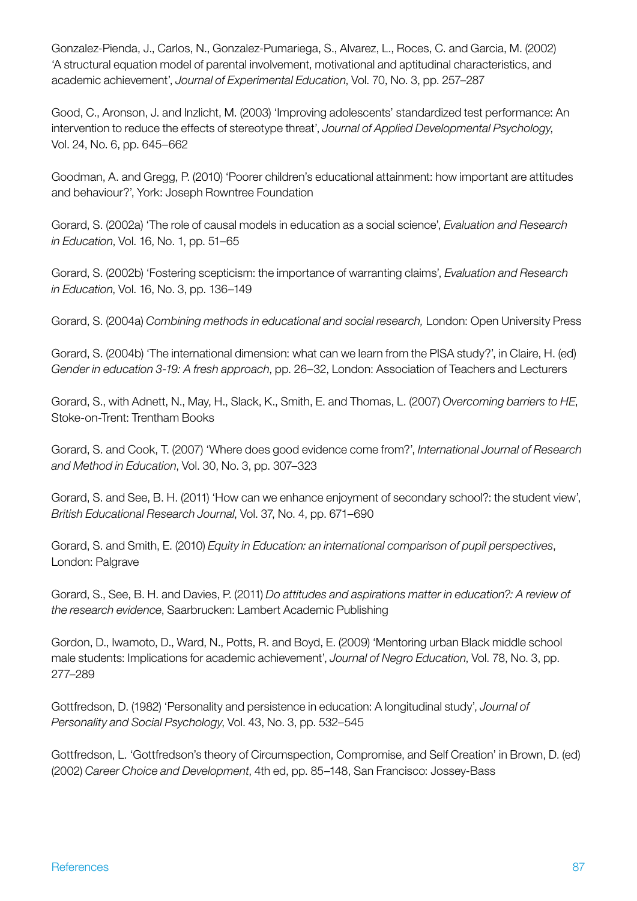Gonzalez-Pienda, J., Carlos, N., Gonzalez-Pumariega, S., Alvarez, L., Roces, C. and Garcia, M. (2002) 'A structural equation model of parental involvement, motivational and aptitudinal characteristics, and academic achievement', *Journal of Experimental Education*, Vol. 70, No. 3, pp. 257–287

Good, C., Aronson, J. and Inzlicht, M. (2003) 'Improving adolescents' standardized test performance: An intervention to reduce the effects of stereotype threat', *Journal of Applied Developmental Psychology*, Vol. 24, No. 6, pp. 645–662

Goodman, A. and Gregg, P. (2010) 'Poorer children's educational attainment: how important are attitudes and behaviour?', York: Joseph Rowntree Foundation

Gorard, S. (2002a) 'The role of causal models in education as a social science', *Evaluation and Research in Education*, Vol. 16, No. 1, pp. 51–65

Gorard, S. (2002b) 'Fostering scepticism: the importance of warranting claims', *Evaluation and Research in Education*, Vol. 16, No. 3, pp. 136–149

Gorard, S. (2004a) *Combining methods in educational and social research,* London: Open University Press

Gorard, S. (2004b) 'The international dimension: what can we learn from the PISA study?', in Claire, H. (ed) *Gender in education 3-19: A fresh approach*, pp. 26–32, London: Association of Teachers and Lecturers

Gorard, S., with Adnett, N., May, H., Slack, K., Smith, E. and Thomas, L. (2007) *Overcoming barriers to HE*, Stoke-on-Trent: Trentham Books

Gorard, S. and Cook, T. (2007) 'Where does good evidence come from?', *International Journal of Research and Method in Education*, Vol. 30, No. 3, pp. 307–323

Gorard, S. and See, B. H. (2011) 'How can we enhance enjoyment of secondary school?: the student view', *British Educational Research Journal*, Vol. 37, No. 4, pp. 671–690

Gorard, S. and Smith, E. (2010) *Equity in Education: an international comparison of pupil perspectives*, London: Palgrave

Gorard, S., See, B. H. and Davies, P. (2011) *Do attitudes and aspirations matter in education?: A review of the research evidence*, Saarbrucken: Lambert Academic Publishing

Gordon, D., Iwamoto, D., Ward, N., Potts, R. and Boyd, E. (2009) 'Mentoring urban Black middle school male students: Implications for academic achievement', *Journal of Negro Education*, Vol. 78, No. 3, pp. 277–289

Gottfredson, D. (1982) 'Personality and persistence in education: A longitudinal study', *Journal of Personality and Social Psychology*, Vol. 43, No. 3, pp. 532–545

Gottfredson, L. 'Gottfredson's theory of Circumspection, Compromise, and Self Creation' in Brown, D. (ed) (2002) *Career Choice and Development*, 4th ed, pp. 85–148, San Francisco: Jossey-Bass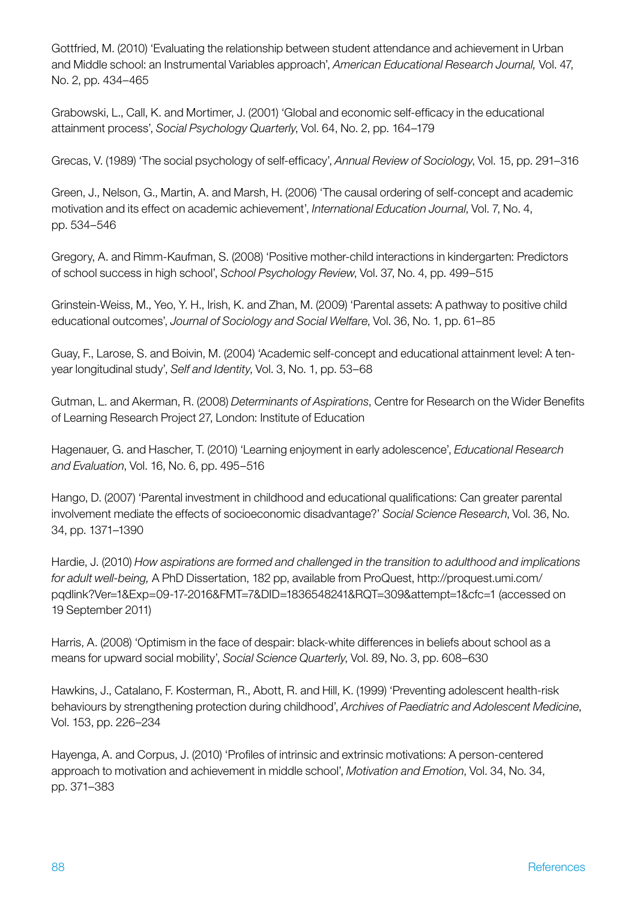Gottfried, M. (2010) 'Evaluating the relationship between student attendance and achievement in Urban and Middle school: an Instrumental Variables approach', *American Educational Research Journal,* Vol. 47, No. 2, pp. 434–465

Grabowski, L., Call, K. and Mortimer, J. (2001) 'Global and economic self-efficacy in the educational attainment process', *Social Psychology Quarterly*, Vol. 64, No. 2, pp. 164–179

Grecas, V. (1989) 'The social psychology of self-efficacy', *Annual Review of Sociology*, Vol. 15, pp. 291–316

Green, J., Nelson, G., Martin, A. and Marsh, H. (2006) 'The causal ordering of self-concept and academic motivation and its effect on academic achievement', *International Education Journal*, Vol. 7, No. 4, pp. 534–546

Gregory, A. and Rimm-Kaufman, S. (2008) 'Positive mother-child interactions in kindergarten: Predictors of school success in high school', *School Psychology Review*, Vol. 37, No. 4, pp. 499–515

Grinstein-Weiss, M., Yeo, Y. H., Irish, K. and Zhan, M. (2009) 'Parental assets: A pathway to positive child educational outcomes', *Journal of Sociology and Social Welfare*, Vol. 36, No. 1, pp. 61–85

Guay, F., Larose, S. and Boivin, M. (2004) 'Academic self-concept and educational attainment level: A tenyear longitudinal study', *Self and Identity*, Vol. 3, No. 1, pp. 53–68

Gutman, L. and Akerman, R. (2008) *Determinants of Aspirations*, Centre for Research on the Wider Benefits of Learning Research Project 27, London: Institute of Education

Hagenauer, G. and Hascher, T. (2010) 'Learning enjoyment in early adolescence', *Educational Research and Evaluation*, Vol. 16, No. 6, pp. 495–516

Hango, D. (2007) 'Parental investment in childhood and educational qualifications: Can greater parental involvement mediate the effects of socioeconomic disadvantage?' *Social Science Research*, Vol. 36, No. 34, pp. 1371–1390

Hardie, J. (2010) *How aspirations are formed and challenged in the transition to adulthood and implications for adult well-being,* A PhD Dissertation, 182 pp, available from ProQuest, http://proquest.umi.com/ pqdlink?Ver=1&Exp=09-17-2016&FMT=7&DID=1836548241&RQT=309&attempt=1&cfc=1 (accessed on 19 September 2011)

Harris, A. (2008) 'Optimism in the face of despair: black-white differences in beliefs about school as a means for upward social mobility', *Social Science Quarterly*, Vol. 89, No. 3, pp. 608–630

Hawkins, J., Catalano, F. Kosterman, R., Abott, R. and Hill, K. (1999) 'Preventing adolescent health-risk behaviours by strengthening protection during childhood', *Archives of Paediatric and Adolescent Medicine*, Vol. 153, pp. 226–234

Hayenga, A. and Corpus, J. (2010) 'Profiles of intrinsic and extrinsic motivations: A person-centered approach to motivation and achievement in middle school', *Motivation and Emotion*, Vol. 34, No. 34, pp. 371–383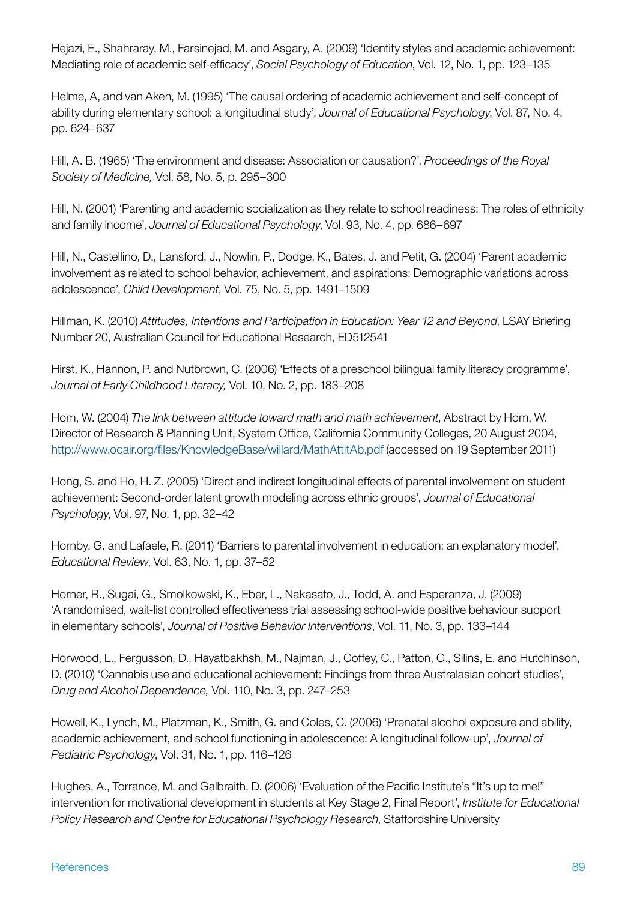Hejazi, E., Shahraray, M., Farsinejad, M. and Asgary, A. (2009) 'Identity styles and academic achievement: Mediating role of academic self-efficacy', *Social Psychology of Education*, Vol. 12, No. 1, pp. 123–135

Helme, A, and van Aken, M. (1995) 'The causal ordering of academic achievement and self-concept of ability during elementary school: a longitudinal study', *Journal of Educational Psychology*, Vol. 87, No. 4, pp. 624–637

Hill, A. B. (1965) 'The environment and disease: Association or causation?', *Proceedings of the Royal Society of Medicine,* Vol. 58, No. 5, p. 295–300

Hill, N. (2001) 'Parenting and academic socialization as they relate to school readiness: The roles of ethnicity and family income', *Journal of Educational Psychology*, Vol. 93, No. 4, pp. 686–697

Hill, N., Castellino, D., Lansford, J., Nowlin, P., Dodge, K., Bates, J. and Petit, G. (2004) 'Parent academic involvement as related to school behavior, achievement, and aspirations: Demographic variations across adolescence', *Child Development*, Vol. 75, No. 5, pp. 1491–1509

Hillman, K. (2010) *Attitudes, Intentions and Participation in Education: Year 12 and Beyond*, LSAY Briefing Number 20, Australian Council for Educational Research, ED512541

Hirst, K., Hannon, P. and Nutbrown, C. (2006) 'Effects of a preschool bilingual family literacy programme', *Journal of Early Childhood Literacy,* Vol. 10, No. 2, pp. 183–208

Hom, W. (2004) *The link between attitude toward math and math achievement*, Abstract by Hom, W. Director of Research & Planning Unit, System Office, California Community Colleges, 20 August 2004, <http://www.ocair.org/files/KnowledgeBase/willard/MathAttitAb.pdf>(accessed on 19 September 2011)

Hong, S. and Ho, H. Z. (2005) 'Direct and indirect longitudinal effects of parental involvement on student achievement: Second-order latent growth modeling across ethnic groups', *Journal of Educational Psychology*, Vol. 97, No. 1, pp. 32–42

Hornby, G. and Lafaele, R. (2011) 'Barriers to parental involvement in education: an explanatory model', *Educational Review*, Vol. 63, No. 1, pp. 37–52

Horner, R., Sugai, G., Smolkowski, K., Eber, L., Nakasato, J., Todd, A. and Esperanza, J. (2009) 'A randomised, wait-list controlled effectiveness trial assessing school-wide positive behaviour support in elementary schools', *Journal of Positive Behavior Interventions*, Vol. 11, No. 3, pp. 133–144

Horwood, L., Fergusson, D., Hayatbakhsh, M., Najman, J., Coffey, C., Patton, G., Silins, E. and Hutchinson, D. (2010) 'Cannabis use and educational achievement: Findings from three Australasian cohort studies', *Drug and Alcohol Dependence,* Vol. 110, No. 3, pp. 247–253

Howell, K., Lynch, M., Platzman, K., Smith, G. and Coles, C. (2006) 'Prenatal alcohol exposure and ability, academic achievement, and school functioning in adolescence: A longitudinal follow-up', *Journal of Pediatric Psychology*, Vol. 31, No. 1, pp. 116–126

Hughes, A., Torrance, M. and Galbraith, D. (2006) 'Evaluation of the Pacific Institute's "It's up to me!" intervention for motivational development in students at Key Stage 2, Final Report', *Institute for Educational Policy Research and Centre for Educational Psychology Research*, Staffordshire University

#### References 89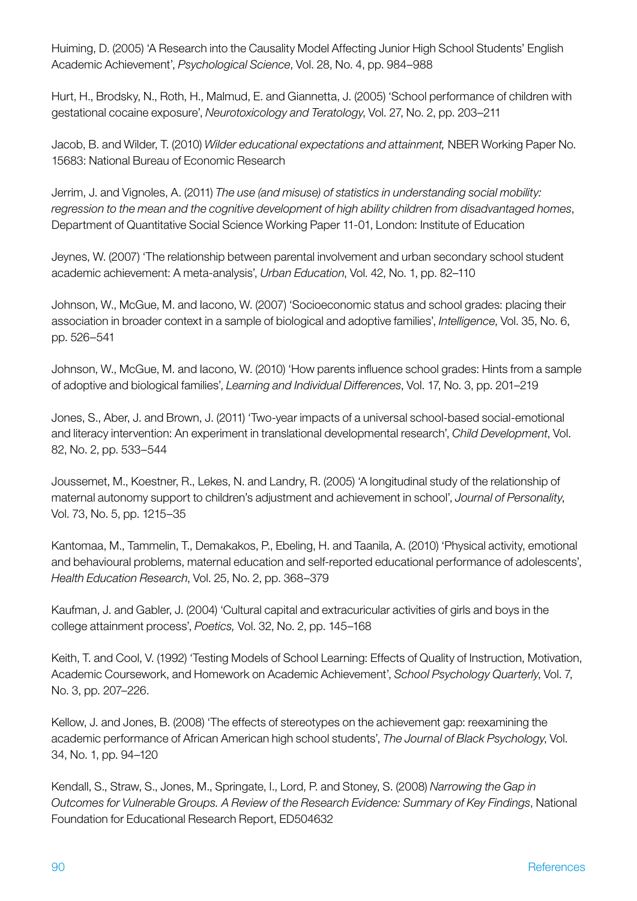Huiming, D. (2005) 'A Research into the Causality Model Affecting Junior High School Students' English Academic Achievement', *Psychological Science*, Vol. 28, No. 4, pp. 984–988

Hurt, H., Brodsky, N., Roth, H., Malmud, E. and Giannetta, J. (2005) 'School performance of children with gestational cocaine exposure', *Neurotoxicology and Teratology*, Vol. 27, No. 2, pp. 203–211

Jacob, B. and Wilder, T. (2010) *Wilder educational expectations and attainment,* NBER Working Paper No. 15683: National Bureau of Economic Research

Jerrim, J. and Vignoles, A. (2011) *The use (and misuse) of statistics in understanding social mobility: regression to the mean and the cognitive development of high ability children from disadvantaged homes*, Department of Quantitative Social Science Working Paper 11-01, London: Institute of Education

Jeynes, W. (2007) 'The relationship between parental involvement and urban secondary school student academic achievement: A meta-analysis', *Urban Education*, Vol. 42, No. 1, pp. 82–110

Johnson, W., McGue, M. and Iacono, W. (2007) 'Socioeconomic status and school grades: placing their association in broader context in a sample of biological and adoptive families', *Intelligence*, Vol. 35, No. 6, pp. 526–541

Johnson, W., McGue, M. and Iacono, W. (2010) 'How parents influence school grades: Hints from a sample of adoptive and biological families', *Learning and Individual Differences*, Vol. 17, No. 3, pp. 201–219

Jones, S., Aber, J. and Brown, J. (2011) 'Two-year impacts of a universal school-based social-emotional and literacy intervention: An experiment in translational developmental research', *Child Development*, Vol. 82, No. 2, pp. 533–544

Joussemet, M., Koestner, R., Lekes, N. and Landry, R. (2005) 'A longitudinal study of the relationship of maternal autonomy support to children's adjustment and achievement in school', *Journal of Personality*, Vol. 73, No. 5, pp. 1215–35

Kantomaa, M., Tammelin, T., Demakakos, P., Ebeling, H. and Taanila, A. (2010) 'Physical activity, emotional and behavioural problems, maternal education and self-reported educational performance of adolescents', *Health Education Research*, Vol. 25, No. 2, pp. 368–379

Kaufman, J. and Gabler, J. (2004) 'Cultural capital and extracuricular activities of girls and boys in the college attainment process', *Poetics,* Vol. 32, No. 2, pp. 145–168

Keith, T. and Cool, V. (1992) 'Testing Models of School Learning: Effects of Quality of Instruction, Motivation, Academic Coursework, and Homework on Academic Achievement', *School Psychology Quarterly*, Vol. 7, No. 3, pp. 207–226.

Kellow, J. and Jones, B. (2008) 'The effects of stereotypes on the achievement gap: reexamining the academic performance of African American high school students', *The Journal of Black Psychology*, Vol. 34, No. 1, pp. 94–120

Kendall, S., Straw, S., Jones, M., Springate, I., Lord, P. and Stoney, S. (2008) *Narrowing the Gap in Outcomes for Vulnerable Groups. A Review of the Research Evidence: Summary of Key Findings*, National Foundation for Educational Research Report, ED504632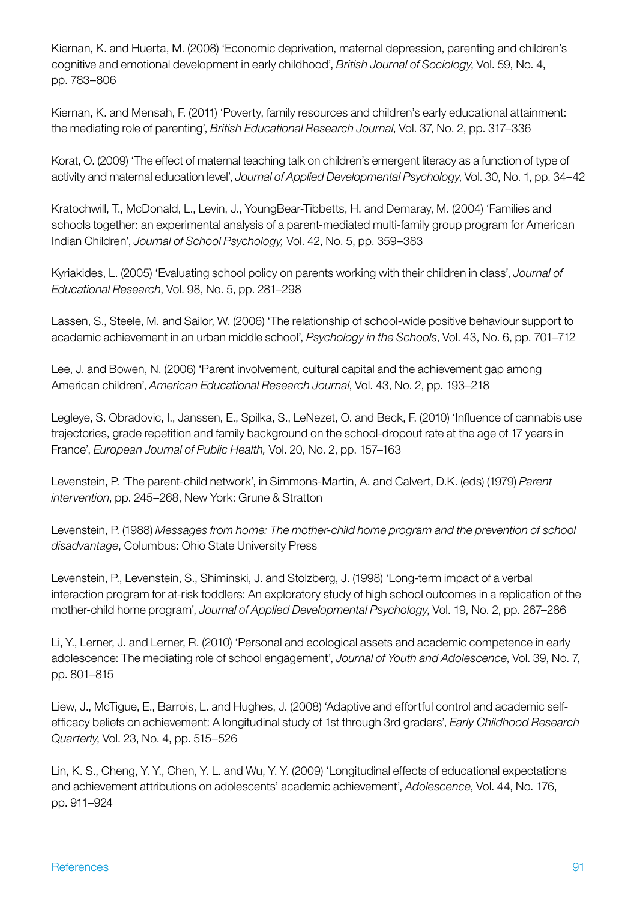Kiernan, K. and Huerta, M. (2008) 'Economic deprivation, maternal depression, parenting and children's cognitive and emotional development in early childhood', *British Journal of Sociology*, Vol. 59, No. 4, pp. 783–806

Kiernan, K. and Mensah, F. (2011) 'Poverty, family resources and children's early educational attainment: the mediating role of parenting', *British Educational Research Journal*, Vol. 37, No. 2, pp. 317–336

Korat, O. (2009) 'The effect of maternal teaching talk on children's emergent literacy as a function of type of activity and maternal education level', *Journal of Applied Developmental Psychology*, Vol. 30, No. 1, pp. 34–42

Kratochwill, T., McDonald, L., Levin, J., YoungBear-Tibbetts, H. and Demaray, M. (2004) 'Families and schools together: an experimental analysis of a parent-mediated multi-family group program for American Indian Children', *Journal of School Psychology,* Vol. 42, No. 5, pp. 359–383

Kyriakides, L. (2005) 'Evaluating school policy on parents working with their children in class', *Journal of Educational Research*, Vol. 98, No. 5, pp. 281–298

Lassen, S., Steele, M. and Sailor, W. (2006) 'The relationship of school-wide positive behaviour support to academic achievement in an urban middle school', *Psychology in the Schools*, Vol. 43, No. 6, pp. 701–712

Lee, J. and Bowen, N. (2006) 'Parent involvement, cultural capital and the achievement gap among American children', *American Educational Research Journal*, Vol. 43, No. 2, pp. 193–218

Legleye, S. Obradovic, I., Janssen, E., Spilka, S., LeNezet, O. and Beck, F. (2010) 'Influence of cannabis use trajectories, grade repetition and family background on the school-dropout rate at the age of 17 years in France', *European Journal of Public Health,* Vol. 20, No. 2, pp. 157–163

Levenstein, P. 'The parent-child network', in Simmons-Martin, A. and Calvert, D.K. (eds) (1979) *Parent intervention*, pp. 245–268, New York: Grune & Stratton

Levenstein, P. (1988) *Messages from home: The mother-child home program and the prevention of school disadvantage*, Columbus: Ohio State University Press

Levenstein, P., Levenstein, S., Shiminski, J. and Stolzberg, J. (1998) 'Long-term impact of a verbal interaction program for at-risk toddlers: An exploratory study of high school outcomes in a replication of the mother-child home program', *Journal of Applied Developmental Psychology*, Vol. 19, No. 2, pp. 267–286

Li, Y., Lerner, J. and Lerner, R. (2010) 'Personal and ecological assets and academic competence in early adolescence: The mediating role of school engagement', *Journal of Youth and Adolescence*, Vol. 39, No. 7, pp. 801–815

Liew, J., McTigue, E., Barrois, L. and Hughes, J. (2008) 'Adaptive and effortful control and academic selfefficacy beliefs on achievement: A longitudinal study of 1st through 3rd graders', *Early Childhood Research Quarterly*, Vol. 23, No. 4, pp. 515–526

Lin, K. S., Cheng, Y. Y., Chen, Y. L. and Wu, Y. Y. (2009) 'Longitudinal effects of educational expectations and achievement attributions on adolescents' academic achievement', *Adolescence*, Vol. 44, No. 176, pp. 911–924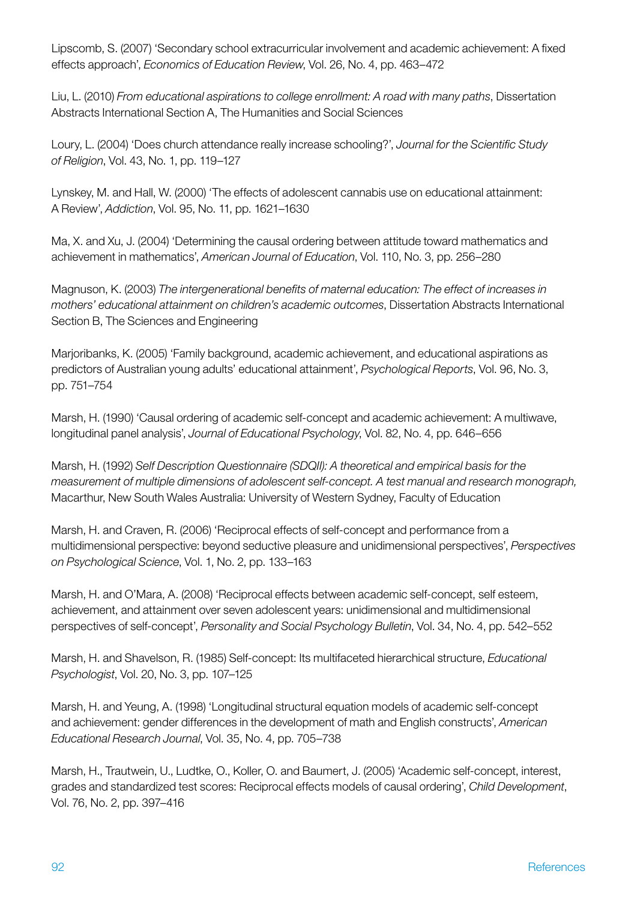Lipscomb, S. (2007) 'Secondary school extracurricular involvement and academic achievement: A fixed effects approach', *Economics of Education Review*, Vol. 26, No. 4, pp. 463–472

Liu, L. (2010) *From educational aspirations to college enrollment: A road with many paths*, Dissertation Abstracts International Section A, The Humanities and Social Sciences

Loury, L. (2004) 'Does church attendance really increase schooling?', *Journal for the Scientific Study of Religion*, Vol. 43, No. 1, pp. 119–127

Lynskey, M. and Hall, W. (2000) 'The effects of adolescent cannabis use on educational attainment: A Review', *Addiction*, Vol. 95, No. 11, pp. 1621–1630

Ma, X. and Xu, J. (2004) 'Determining the causal ordering between attitude toward mathematics and achievement in mathematics', *American Journal of Education*, Vol. 110, No. 3, pp. 256–280

Magnuson, K. (2003) *The intergenerational benefits of maternal education: The effect of increases in mothers' educational attainment on children's academic outcomes*, Dissertation Abstracts International Section B, The Sciences and Engineering

Marjoribanks, K. (2005) 'Family background, academic achievement, and educational aspirations as predictors of Australian young adults' educational attainment', *Psychological Reports*, Vol. 96, No. 3, pp. 751–754

Marsh, H. (1990) 'Causal ordering of academic self-concept and academic achievement: A multiwave, longitudinal panel analysis', *Journal of Educational Psychology*, Vol. 82, No. 4, pp. 646–656

Marsh, H. (1992) *Self Description Questionnaire (SDQII): A theoretical and empirical basis for the measurement of multiple dimensions of adolescent self-concept. A test manual and research monograph,* Macarthur, New South Wales Australia: University of Western Sydney, Faculty of Education

Marsh, H. and Craven, R. (2006) 'Reciprocal effects of self-concept and performance from a multidimensional perspective: beyond seductive pleasure and unidimensional perspectives', *Perspectives on Psychological Science*, Vol. 1, No. 2, pp. 133–163

Marsh, H. and O'Mara, A. (2008) 'Reciprocal effects between academic self-concept, self esteem, achievement, and attainment over seven adolescent years: unidimensional and multidimensional perspectives of self-concept', *Personality and Social Psychology Bulletin*, Vol. 34, No. 4, pp. 542–552

Marsh, H. and Shavelson, R. (1985) Self-concept: Its multifaceted hierarchical structure, *Educational Psychologist*, Vol. 20, No. 3, pp. 107–125

Marsh, H. and Yeung, A. (1998) 'Longitudinal structural equation models of academic self-concept and achievement: gender differences in the development of math and English constructs', *American Educational Research Journal*, Vol. 35, No. 4, pp. 705–738

Marsh, H., Trautwein, U., Ludtke, O., Koller, O. and Baumert, J. (2005) 'Academic self-concept, interest, grades and standardized test scores: Reciprocal effects models of causal ordering', *Child Development*, Vol. 76, No. 2, pp. 397–416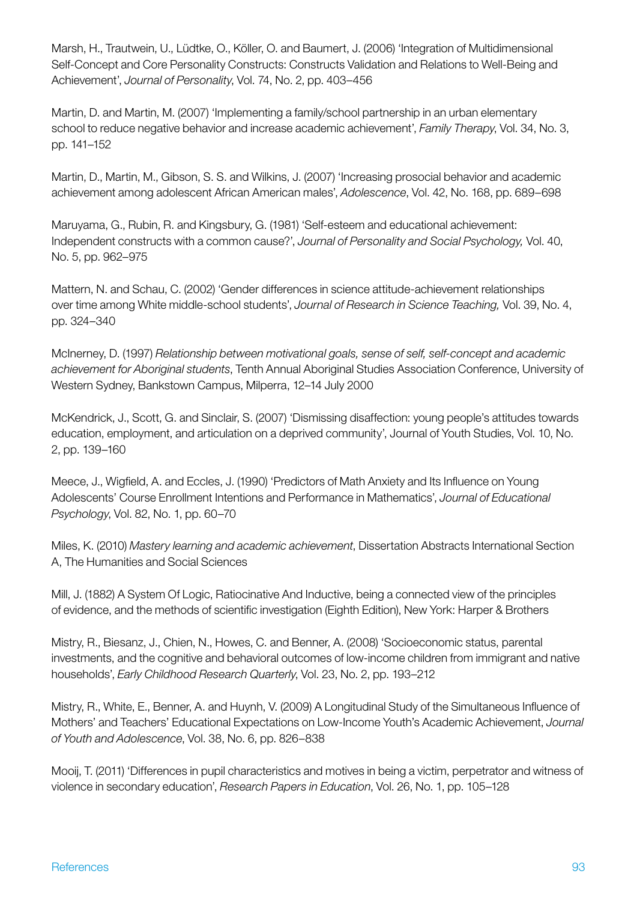Marsh, H., Trautwein, U., Lüdtke, O., Köller, O. and Baumert, J. (2006) 'Integration of Multidimensional Self-Concept and Core Personality Constructs: Constructs Validation and Relations to Well-Being and Achievement', *Journal of Personality*, Vol. 74, No. 2, pp. 403–456

Martin, D. and Martin, M. (2007) 'Implementing a family/school partnership in an urban elementary school to reduce negative behavior and increase academic achievement', *Family Therapy*, Vol. 34, No. 3, pp. 141–152

Martin, D., Martin, M., Gibson, S. S. and Wilkins, J. (2007) 'Increasing prosocial behavior and academic achievement among adolescent African American males', *Adolescence*, Vol. 42, No. 168, pp. 689–698

Maruyama, G., Rubin, R. and Kingsbury, G. (1981) 'Self-esteem and educational achievement: Independent constructs with a common cause?', *Journal of Personality and Social Psychology,* Vol. 40, No. 5, pp. 962–975

Mattern, N. and Schau, C. (2002) 'Gender differences in science attitude-achievement relationships over time among White middle-school students', *Journal of Research in Science Teaching,* Vol. 39, No. 4, pp. 324–340

McInerney, D. (1997) *Relationship between motivational goals, sense of self, self-concept and academic achievement for Aboriginal students*, Tenth Annual Aboriginal Studies Association Conference, University of Western Sydney, Bankstown Campus, Milperra, 12–14 July 2000

McKendrick, J., Scott, G. and Sinclair, S. (2007) 'Dismissing disaffection: young people's attitudes towards education, employment, and articulation on a deprived community', Journal of Youth Studies, Vol. 10, No. 2, pp. 139–160

Meece, J., Wigfield, A. and Eccles, J. (1990) 'Predictors of Math Anxiety and Its Influence on Young Adolescents' Course Enrollment Intentions and Performance in Mathematics', *Journal of Educational Psychology*, Vol. 82, No. 1, pp. 60–70

Miles, K. (2010) *Mastery learning and academic achievement*, Dissertation Abstracts International Section A, The Humanities and Social Sciences

Mill, J. (1882) A System Of Logic, Ratiocinative And Inductive, being a connected view of the principles of evidence, and the methods of scientific investigation (Eighth Edition), New York: Harper & Brothers

Mistry, R., Biesanz, J., Chien, N., Howes, C. and Benner, A. (2008) 'Socioeconomic status, parental investments, and the cognitive and behavioral outcomes of low-income children from immigrant and native households', *Early Childhood Research Quarterly*, Vol. 23, No. 2, pp. 193–212

Mistry, R., White, E., Benner, A. and Huynh, V. (2009) A Longitudinal Study of the Simultaneous Influence of Mothers' and Teachers' Educational Expectations on Low-Income Youth's Academic Achievement, *Journal of Youth and Adolescence*, Vol. 38, No. 6, pp. 826–838

Mooij, T. (2011) 'Differences in pupil characteristics and motives in being a victim, perpetrator and witness of violence in secondary education', *Research Papers in Education*, Vol. 26, No. 1, pp. 105–128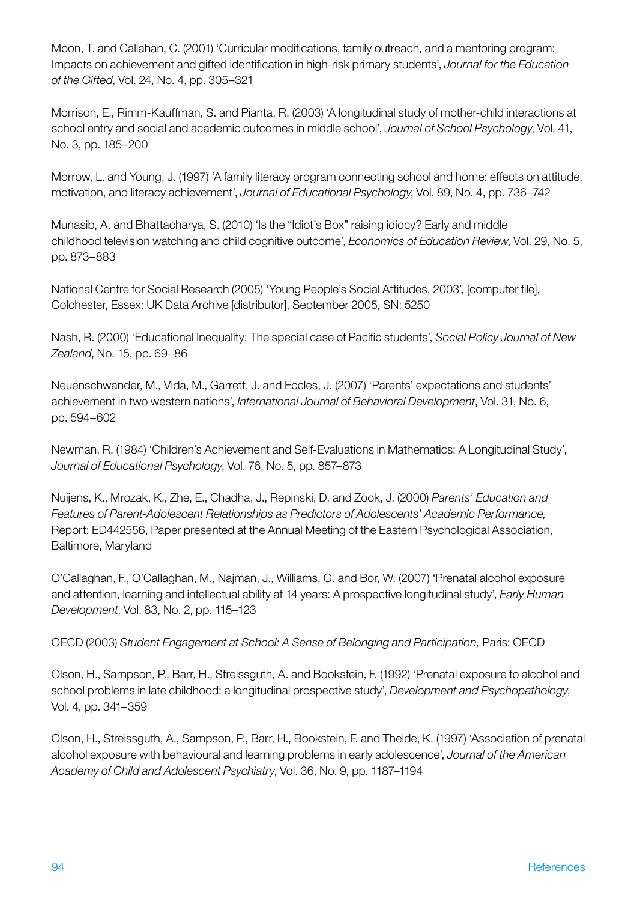Moon, T. and Callahan, C. (2001) 'Curricular modifications, family outreach, and a mentoring program: Impacts on achievement and gifted identification in high-risk primary students', *Journal for the Education of the Gifted*, Vol. 24, No. 4, pp. 305–321

Morrison, E., Rimm-Kauffman, S. and Pianta, R. (2003) 'A longitudinal study of mother-child interactions at school entry and social and academic outcomes in middle school', *Journal of School Psychology*, Vol. 41, No. 3, pp. 185–200

Morrow, L. and Young, J. (1997) 'A family literacy program connecting school and home: effects on attitude, motivation, and literacy achievement', *Journal of Educational Psychology*, Vol. 89, No. 4, pp. 736–742

Munasib, A. and Bhattacharya, S. (2010) 'Is the "Idiot's Box" raising idiocy? Early and middle childhood television watching and child cognitive outcome', *Economics of Education Review*, Vol. 29, No. 5, pp. 873–883

National Centre for Social Research (2005) 'Young People's Social Attitudes, 2003', [computer file], Colchester, Essex: UK Data Archive [distributor], September 2005, SN: 5250

Nash, R. (2000) 'Educational Inequality: The special case of Pacific students', *Social Policy Journal of New Zealand*, No. 15, pp. 69–86

Neuenschwander, M., Vida, M., Garrett, J. and Eccles, J. (2007) 'Parents' expectations and students' achievement in two western nations', *International Journal of Behavioral Development*, Vol. 31, No. 6, pp. 594–602

Newman, R. (1984) 'Children's Achievement and Self-Evaluations in Mathematics: A Longitudinal Study', *Journal of Educational Psychology*, Vol. 76, No. 5, pp. 857–873

Nuijens, K., Mrozak, K., Zhe, E., Chadha, J., Repinski, D. and Zook, J. (2000) *Parents' Education and Features of Parent-Adolescent Relationships as Predictors of Adolescents' Academic Performance,* Report: ED442556, Paper presented at the Annual Meeting of the Eastern Psychological Association, Baltimore, Maryland

O'Callaghan, F., O'Callaghan, M., Najman, J., Williams, G. and Bor, W. (2007) 'Prenatal alcohol exposure and attention, learning and intellectual ability at 14 years: A prospective longitudinal study', *Early Human Development*, Vol. 83, No. 2, pp. 115–123

OECD (2003) *Student Engagement at School: A Sense of Belonging and Participation,* Paris: OECD

Olson, H., Sampson, P., Barr, H., Streissguth, A. and Bookstein, F. (1992) 'Prenatal exposure to alcohol and school problems in late childhood: a longitudinal prospective study', *Development and Psychopathology*, Vol. 4, pp. 341–359

Olson, H., Streissguth, A., Sampson, P., Barr, H., Bookstein, F. and Theide, K. (1997) 'Association of prenatal alcohol exposure with behavioural and learning problems in early adolescence', *Journal of the American Academy of Child and Adolescent Psychiatry*, Vol. 36, No. 9, pp. 1187–1194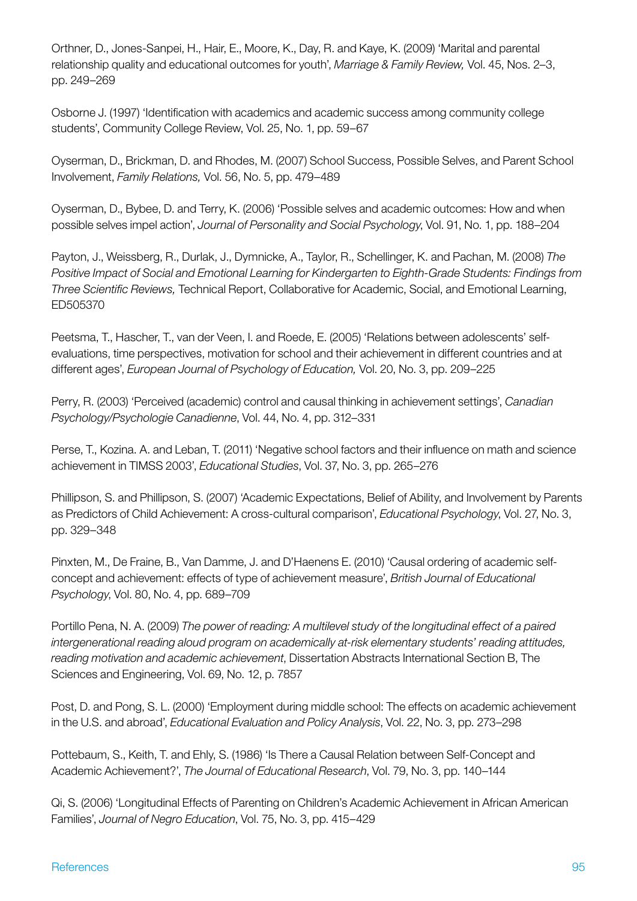Orthner, D., Jones-Sanpei, H., Hair, E., Moore, K., Day, R. and Kaye, K. (2009) 'Marital and parental relationship quality and educational outcomes for youth', *Marriage & Family Review,* Vol. 45, Nos. 2–3, pp. 249–269

Osborne J. (1997) 'Identification with academics and academic success among community college students', Community College Review, Vol. 25, No. 1, pp. 59–67

Oyserman, D., Brickman, D. and Rhodes, M. (2007) School Success, Possible Selves, and Parent School Involvement, *Family Relations,* Vol. 56, No. 5, pp. 479–489

Oyserman, D., Bybee, D. and Terry, K. (2006) 'Possible selves and academic outcomes: How and when possible selves impel action', *Journal of Personality and Social Psychology*, Vol. 91, No. 1, pp. 188–204

Payton, J., Weissberg, R., Durlak, J., Dymnicke, A., Taylor, R., Schellinger, K. and Pachan, M. (2008) *The Positive Impact of Social and Emotional Learning for Kindergarten to Eighth-Grade Students: Findings from Three Scientific Reviews,* Technical Report, Collaborative for Academic, Social, and Emotional Learning, ED505370

Peetsma, T., Hascher, T., van der Veen, I. and Roede, E. (2005) 'Relations between adolescents' selfevaluations, time perspectives, motivation for school and their achievement in different countries and at different ages', *European Journal of Psychology of Education,* Vol. 20, No. 3, pp. 209–225

Perry, R. (2003) 'Perceived (academic) control and causal thinking in achievement settings', *Canadian Psychology/Psychologie Canadienne*, Vol. 44, No. 4, pp. 312–331

Perse, T., Kozina. A. and Leban, T. (2011) 'Negative school factors and their influence on math and science achievement in TIMSS 2003', *Educational Studies*, Vol. 37, No. 3, pp. 265–276

Phillipson, S. and Phillipson, S. (2007) 'Academic Expectations, Belief of Ability, and Involvement by Parents as Predictors of Child Achievement: A cross-cultural comparison', *Educational Psychology*, Vol. 27, No. 3, pp. 329–348

Pinxten, M., De Fraine, B., Van Damme, J. and D'Haenens E. (2010) 'Causal ordering of academic selfconcept and achievement: effects of type of achievement measure', *British Journal of Educational Psychology*, Vol. 80, No. 4, pp. 689–709

Portillo Pena, N. A. (2009) *The power of reading: A multilevel study of the longitudinal effect of a paired intergenerational reading aloud program on academically at-risk elementary students' reading attitudes, reading motivation and academic achievement*, Dissertation Abstracts International Section B, The Sciences and Engineering, Vol. 69, No. 12, p. 7857

Post, D. and Pong, S. L. (2000) 'Employment during middle school: The effects on academic achievement in the U.S. and abroad', *Educational Evaluation and Policy Analysis*, Vol. 22, No. 3, pp. 273–298

Pottebaum, S., Keith, T. and Ehly, S. (1986) 'Is There a Causal Relation between Self-Concept and Academic Achievement?', *The Journal of Educational Research*, Vol. 79, No. 3, pp. 140–144

Qi, S. (2006) 'Longitudinal Effects of Parenting on Children's Academic Achievement in African American Families', *Journal of Negro Education*, Vol. 75, No. 3, pp. 415–429

#### References 95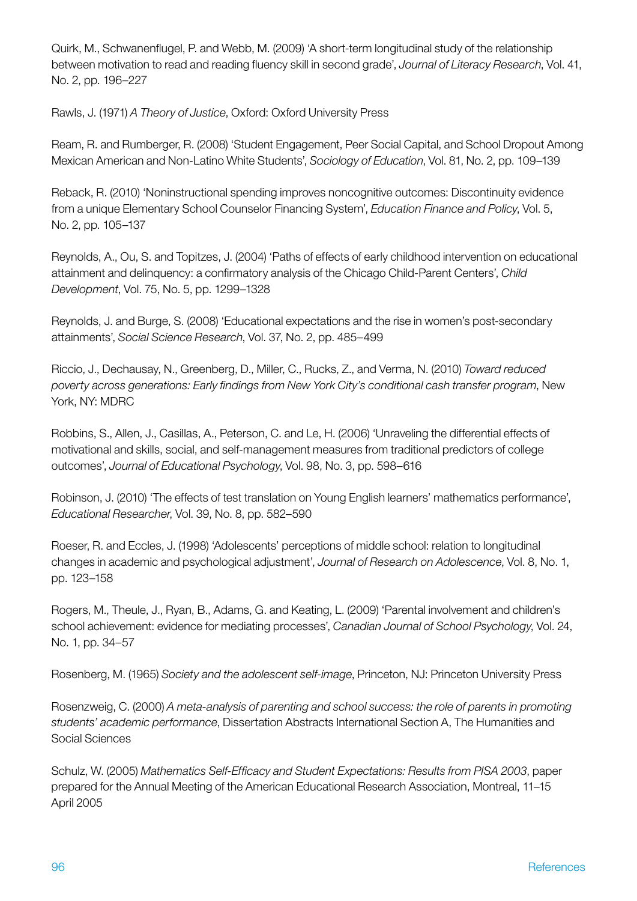Quirk, M., Schwanenflugel, P. and Webb, M. (2009) 'A short-term longitudinal study of the relationship between motivation to read and reading fluency skill in second grade', *Journal of Literacy Research*, Vol. 41, No. 2, pp. 196–227

Rawls, J. (1971) *A Theory of Justice*, Oxford: Oxford University Press

Ream, R. and Rumberger, R. (2008) 'Student Engagement, Peer Social Capital, and School Dropout Among Mexican American and Non-Latino White Students', *Sociology of Education*, Vol. 81, No. 2, pp. 109–139

Reback, R. (2010) 'Noninstructional spending improves noncognitive outcomes: Discontinuity evidence from a unique Elementary School Counselor Financing System', *Education Finance and Policy*, Vol. 5, No. 2, pp. 105–137

Reynolds, A., Ou, S. and Topitzes, J. (2004) 'Paths of effects of early childhood intervention on educational attainment and delinquency: a confirmatory analysis of the Chicago Child-Parent Centers', *Child Development*, Vol. 75, No. 5, pp. 1299–1328

Reynolds, J. and Burge, S. (2008) 'Educational expectations and the rise in women's post-secondary attainments', *Social Science Research*, Vol. 37, No. 2, pp. 485–499

Riccio, J., Dechausay, N., Greenberg, D., Miller, C., Rucks, Z., and Verma, N. (2010) *Toward reduced poverty across generations: Early findings from New York City's conditional cash transfer program*, New York, NY: MDRC

Robbins, S., Allen, J., Casillas, A., Peterson, C. and Le, H. (2006) 'Unraveling the differential effects of motivational and skills, social, and self-management measures from traditional predictors of college outcomes', *Journal of Educational Psychology*, Vol. 98, No. 3, pp. 598–616

Robinson, J. (2010) 'The effects of test translation on Young English learners' mathematics performance', *Educational Researcher*, Vol. 39, No. 8, pp. 582–590

Roeser, R. and Eccles, J. (1998) 'Adolescents' perceptions of middle school: relation to longitudinal changes in academic and psychological adjustment', *Journal of Research on Adolescence*, Vol. 8, No. 1, pp. 123–158

Rogers, M., Theule, J., Ryan, B., Adams, G. and Keating, L. (2009) 'Parental involvement and children's school achievement: evidence for mediating processes', *Canadian Journal of School Psychology*, Vol. 24, No. 1, pp. 34–57

Rosenberg, M. (1965) *Society and the adolescent self-image*, Princeton, NJ: Princeton University Press

Rosenzweig, C. (2000) *A meta-analysis of parenting and school success: the role of parents in promoting students' academic performance*, Dissertation Abstracts International Section A, The Humanities and Social Sciences

Schulz, W. (2005) *Mathematics Self-Efficacy and Student Expectations: Results from PISA 2003*, paper prepared for the Annual Meeting of the American Educational Research Association, Montreal, 11–15 April 2005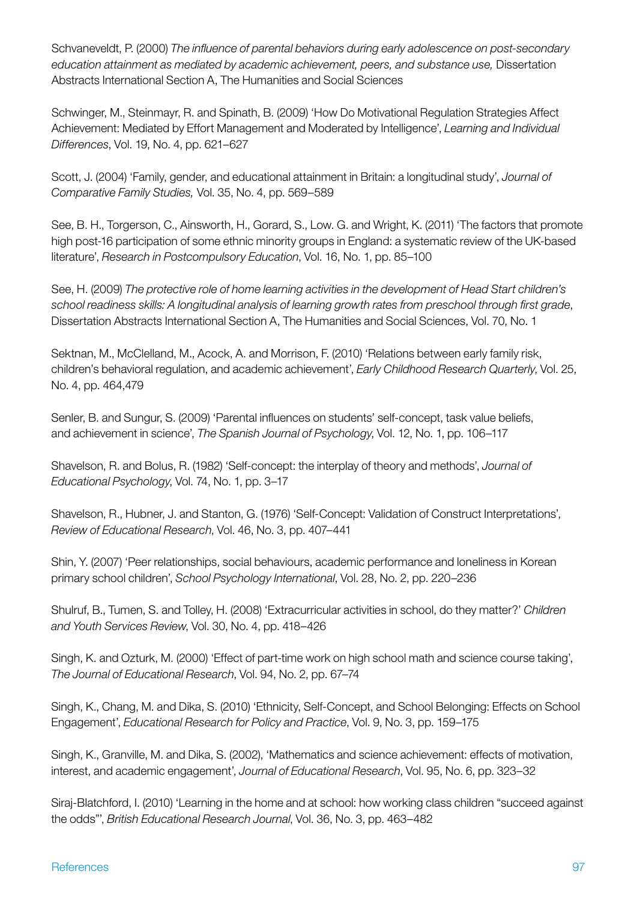Schvaneveldt, P. (2000) *The influence of parental behaviors during early adolescence on post-secondary education attainment as mediated by academic achievement, peers, and substance use,* Dissertation Abstracts International Section A, The Humanities and Social Sciences

Schwinger, M., Steinmayr, R. and Spinath, B. (2009) 'How Do Motivational Regulation Strategies Affect Achievement: Mediated by Effort Management and Moderated by Intelligence', *Learning and Individual Differences*, Vol. 19, No. 4, pp. 621–627

Scott, J. (2004) 'Family, gender, and educational attainment in Britain: a longitudinal study', *Journal of Comparative Family Studies,* Vol. 35, No. 4, pp. 569–589

See, B. H., Torgerson, C., Ainsworth, H., Gorard, S., Low. G. and Wright, K. (2011) 'The factors that promote high post-16 participation of some ethnic minority groups in England: a systematic review of the UK-based literature', *Research in Postcompulsory Education*, Vol. 16, No. 1, pp. 85–100

See, H. (2009) *The protective role of home learning activities in the development of Head Start children's school readiness skills: A longitudinal analysis of learning growth rates from preschool through first grade*, Dissertation Abstracts International Section A, The Humanities and Social Sciences, Vol. 70, No. 1

Sektnan, M., McClelland, M., Acock, A. and Morrison, F. (2010) 'Relations between early family risk, children's behavioral regulation, and academic achievement', *Early Childhood Research Quarterly*, Vol. 25, No. 4, pp. 464,479

Senler, B. and Sungur, S. (2009) 'Parental influences on students' self-concept, task value beliefs, and achievement in science', *The Spanish Journal of Psychology*, Vol. 12, No. 1, pp. 106–117

Shavelson, R. and Bolus, R. (1982) 'Self-concept: the interplay of theory and methods', *Journal of Educational Psychology*, Vol. 74, No. 1, pp. 3–17

Shavelson, R., Hubner, J. and Stanton, G. (1976) 'Self-Concept: Validation of Construct Interpretations', *Review of Educational Research*, Vol. 46, No. 3, pp. 407–441

Shin, Y. (2007) 'Peer relationships, social behaviours, academic performance and loneliness in Korean primary school children', *School Psychology International*, Vol. 28, No. 2, pp. 220–236

Shulruf, B., Tumen, S. and Tolley, H. (2008) 'Extracurricular activities in school, do they matter?' *Children and Youth Services Review*, Vol. 30, No. 4, pp. 418–426

Singh, K. and Ozturk, M. (2000) 'Effect of part-time work on high school math and science course taking', *The Journal of Educational Research*, Vol. 94, No. 2, pp. 67–74

Singh, K., Chang, M. and Dika, S. (2010) 'Ethnicity, Self-Concept, and School Belonging: Effects on School Engagement', *Educational Research for Policy and Practice*, Vol. 9, No. 3, pp. 159–175

Singh, K., Granville, M. and Dika, S. (2002), 'Mathematics and science achievement: effects of motivation, interest, and academic engagement', *Journal of Educational Research*, Vol. 95, No. 6, pp. 323–32

Siraj-Blatchford, I. (2010) 'Learning in the home and at school: how working class children "succeed against the odds"', *British Educational Research Journal*, Vol. 36, No. 3, pp. 463–482

#### References 97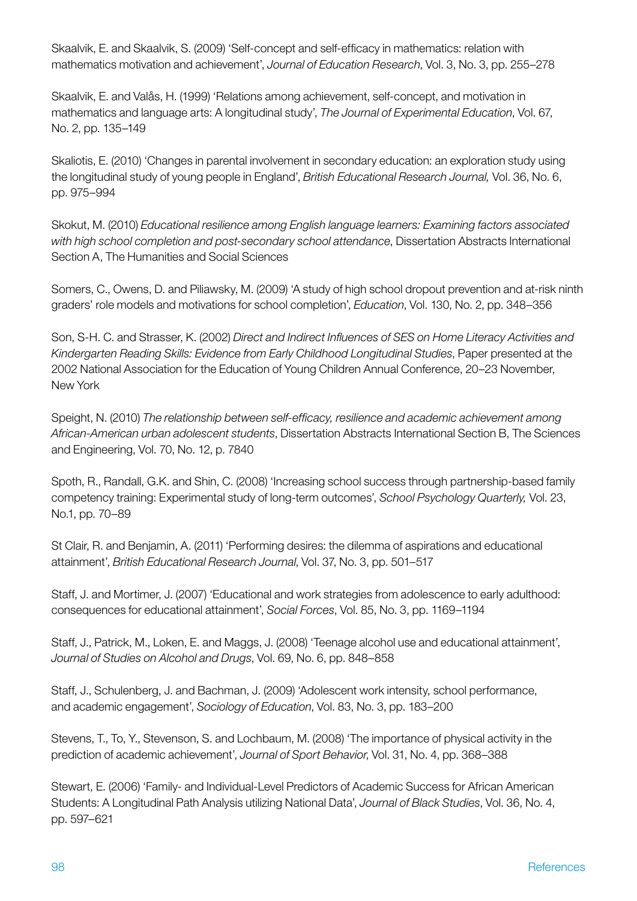Skaalvik, E. and Skaalvik, S. (2009) 'Self-concept and self-efficacy in mathematics: relation with mathematics motivation and achievement', *Journal of Education Research*, Vol. 3, No. 3, pp. 255–278

Skaalvik, E. and Valås, H. (1999) 'Relations among achievement, self-concept, and motivation in mathematics and language arts: A longitudinal study', *The Journal of Experimental Education*, Vol. 67, No. 2, pp. 135–149

Skaliotis, E. (2010) 'Changes in parental involvement in secondary education: an exploration study using the longitudinal study of young people in England', *British Educational Research Journal,* Vol. 36, No. 6, pp. 975–994

Skokut, M. (2010) *Educational resilience among English language learners: Examining factors associated with high school completion and post-secondary school attendance*, Dissertation Abstracts International Section A, The Humanities and Social Sciences

Somers, C., Owens, D. and Piliawsky, M. (2009) 'A study of high school dropout prevention and at-risk ninth graders' role models and motivations for school completion', *Education*, Vol. 130, No. 2, pp. 348–356

Son, S-H. C. and Strasser, K. (2002) *Direct and Indirect Influences of SES on Home Literacy Activities and Kindergarten Reading Skills: Evidence from Early Childhood Longitudinal Studies*, Paper presented at the 2002 National Association for the Education of Young Children Annual Conference, 20–23 November, New York

Speight, N. (2010) *The relationship between self-efficacy, resilience and academic achievement among African-American urban adolescent students*, Dissertation Abstracts International Section B, The Sciences and Engineering, Vol. 70, No. 12, p. 7840

Spoth, R., Randall, G.K. and Shin, C. (2008) 'Increasing school success through partnership-based family competency training: Experimental study of long-term outcomes', *School Psychology Quarterly,* Vol. 23, No.1, pp. 70–89

St Clair, R. and Benjamin, A. (2011) 'Performing desires: the dilemma of aspirations and educational attainment', *British Educational Research Journal*, Vol. 37, No. 3, pp. 501–517

Staff, J. and Mortimer, J. (2007) 'Educational and work strategies from adolescence to early adulthood: consequences for educational attainment', *Social Forces*, Vol. 85, No. 3, pp. 1169–1194

Staff, J., Patrick, M., Loken, E. and Maggs, J. (2008) 'Teenage alcohol use and educational attainment', *Journal of Studies on Alcohol and Drugs*, Vol. 69, No. 6, pp. 848–858

Staff, J., Schulenberg, J. and Bachman, J. (2009) 'Adolescent work intensity, school performance, and academic engagement', *Sociology of Education*, Vol. 83, No. 3, pp. 183–200

Stevens, T., To, Y., Stevenson, S. and Lochbaum, M. (2008) 'The importance of physical activity in the prediction of academic achievement', *Journal of Sport Behavior*, Vol. 31, No. 4, pp. 368–388

Stewart, E. (2006) 'Family- and Individual-Level Predictors of Academic Success for African American Students: A Longitudinal Path Analysis utilizing National Data', *Journal of Black Studies*, Vol. 36, No. 4, pp. 597–621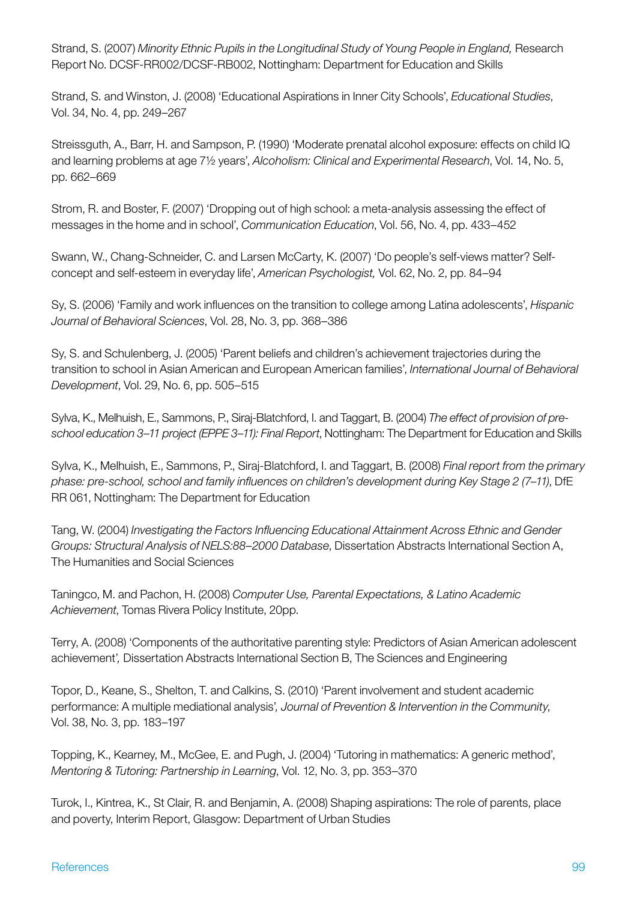Strand, S. (2007) *Minority Ethnic Pupils in the Longitudinal Study of Young People in England,* Research Report No. DCSF-RR002/DCSF-RB002, Nottingham: Department for Education and Skills

Strand, S. and Winston, J. (2008) 'Educational Aspirations in Inner City Schools', *Educational Studies*, Vol. 34, No. 4, pp. 249–267

Streissguth, A., Barr, H. and Sampson, P. (1990) 'Moderate prenatal alcohol exposure: effects on child IQ and learning problems at age 7½ years', *Alcoholism: Clinical and Experimental Research*, Vol. 14, No. 5, pp. 662–669

Strom, R. and Boster, F. (2007) 'Dropping out of high school: a meta-analysis assessing the effect of messages in the home and in school', *Communication Education*, Vol. 56, No. 4, pp. 433–452

Swann, W., Chang-Schneider, C. and Larsen McCarty, K. (2007) 'Do people's self-views matter? Selfconcept and self-esteem in everyday life', *American Psychologist,* Vol. 62, No. 2, pp. 84–94

Sy, S. (2006) 'Family and work influences on the transition to college among Latina adolescents', *Hispanic Journal of Behavioral Sciences*, Vol. 28, No. 3, pp. 368–386

Sy, S. and Schulenberg, J. (2005) 'Parent beliefs and children's achievement trajectories during the transition to school in Asian American and European American families', *International Journal of Behavioral Development*, Vol. 29, No. 6, pp. 505–515

Sylva, K., Melhuish, E., Sammons, P., Siraj-Blatchford, I. and Taggart, B. (2004) *The effect of provision of preschool education 3–11 project (EPPE 3–11): Final Report*, Nottingham: The Department for Education and Skills

Sylva, K., Melhuish, E., Sammons, P., Siraj-Blatchford, I. and Taggart, B. (2008) *Final report from the primary phase: pre-school, school and family influences on children's development during Key Stage 2 (7–11)*, DfE RR 061, Nottingham: The Department for Education

Tang, W. (2004) *Investigating the Factors Influencing Educational Attainment Across Ethnic and Gender Groups: Structural Analysis of NELS:88–2000 Database*, Dissertation Abstracts International Section A, The Humanities and Social Sciences

Taningco, M. and Pachon, H. (2008) *Computer Use, Parental Expectations, & Latino Academic Achievement*, Tomas Rivera Policy Institute, 20pp.

Terry, A. (2008) 'Components of the authoritative parenting style: Predictors of Asian American adolescent achievement'*,* Dissertation Abstracts International Section B, The Sciences and Engineering

Topor, D., Keane, S., Shelton, T. and Calkins, S. (2010) 'Parent involvement and student academic performance: A multiple mediational analysis'*, Journal of Prevention & Intervention in the Community*, Vol. 38, No. 3, pp. 183–197

Topping, K., Kearney, M., McGee, E. and Pugh, J. (2004) 'Tutoring in mathematics: A generic method', *Mentoring & Tutoring: Partnership in Learning*, Vol. 12, No. 3, pp. 353–370

Turok, I., Kintrea, K., St Clair, R. and Benjamin, A. (2008) Shaping aspirations: The role of parents, place and poverty, Interim Report, Glasgow: Department of Urban Studies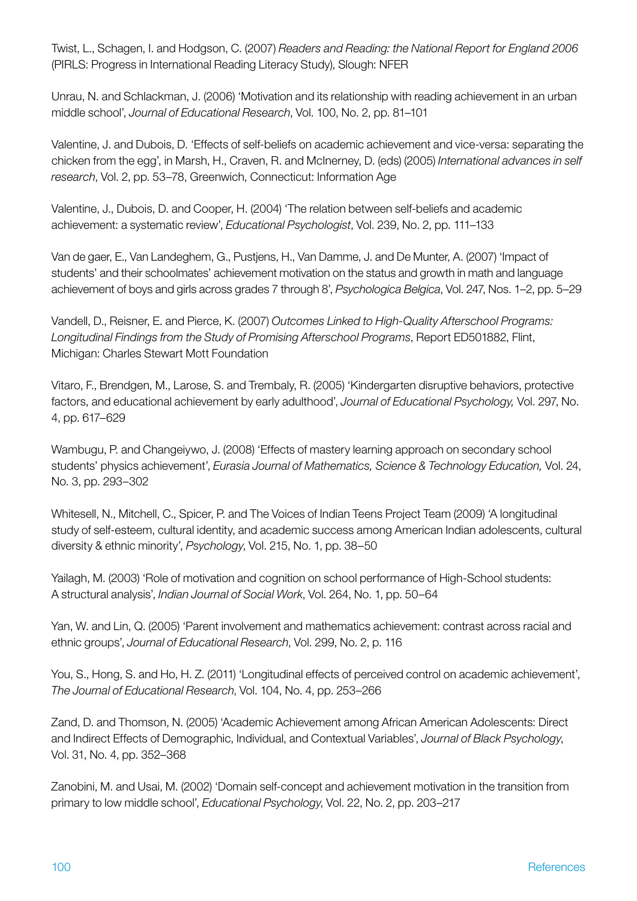Twist, L., Schagen, I. and Hodgson, C. (2007) *Readers and Reading: the National Report for England 2006* (PIRLS: Progress in International Reading Literacy Study), Slough: NFER

Unrau, N. and Schlackman, J. (2006) 'Motivation and its relationship with reading achievement in an urban middle school', *Journal of Educational Research*, Vol. 100, No. 2, pp. 81–101

Valentine, J. and Dubois, D. 'Effects of self-beliefs on academic achievement and vice-versa: separating the chicken from the egg', in Marsh, H., Craven, R. and McInerney, D. (eds) (2005) *International advances in self research*, Vol. 2, pp. 53–78, Greenwich, Connecticut: Information Age

Valentine, J., Dubois, D. and Cooper, H. (2004) 'The relation between self-beliefs and academic achievement: a systematic review', *Educational Psychologist*, Vol. 239, No. 2, pp. 111–133

Van de gaer, E., Van Landeghem, G., Pustjens, H., Van Damme, J. and De Munter, A. (2007) 'Impact of students' and their schoolmates' achievement motivation on the status and growth in math and language achievement of boys and girls across grades 7 through 8', *Psychologica Belgica*, Vol. 247, Nos. 1–2, pp. 5–29

Vandell, D., Reisner, E. and Pierce, K. (2007) *Outcomes Linked to High-Quality Afterschool Programs: Longitudinal Findings from the Study of Promising Afterschool Programs*, Report ED501882, Flint, Michigan: Charles Stewart Mott Foundation

Vitaro, F., Brendgen, M., Larose, S. and Trembaly, R. (2005) 'Kindergarten disruptive behaviors, protective factors, and educational achievement by early adulthood', *Journal of Educational Psychology,* Vol. 297, No. 4, pp. 617–629

Wambugu, P. and Changeiywo, J. (2008) 'Effects of mastery learning approach on secondary school students' physics achievement', *Eurasia Journal of Mathematics, Science & Technology Education,* Vol. 24, No. 3, pp. 293–302

Whitesell, N., Mitchell, C., Spicer, P. and The Voices of Indian Teens Project Team (2009) 'A longitudinal study of self-esteem, cultural identity, and academic success among American Indian adolescents, cultural diversity & ethnic minority', *Psychology*, Vol. 215, No. 1, pp. 38–50

Yailagh, M. (2003) 'Role of motivation and cognition on school performance of High-School students: A structural analysis', *Indian Journal of Social Work*, Vol. 264, No. 1, pp. 50–64

Yan, W. and Lin, Q. (2005) 'Parent involvement and mathematics achievement: contrast across racial and ethnic groups', *Journal of Educational Research*, Vol. 299, No. 2, p. 116

You, S., Hong, S. and Ho, H. Z. (2011) 'Longitudinal effects of perceived control on academic achievement', *The Journal of Educational Research*, Vol. 104, No. 4, pp. 253–266

Zand, D. and Thomson, N. (2005) 'Academic Achievement among African American Adolescents: Direct and Indirect Effects of Demographic, Individual, and Contextual Variables', *Journal of Black Psychology*, Vol. 31, No. 4, pp. 352–368

Zanobini, M. and Usai, M. (2002) 'Domain self-concept and achievement motivation in the transition from primary to low middle school', *Educational Psychology*, Vol. 22, No. 2, pp. 203–217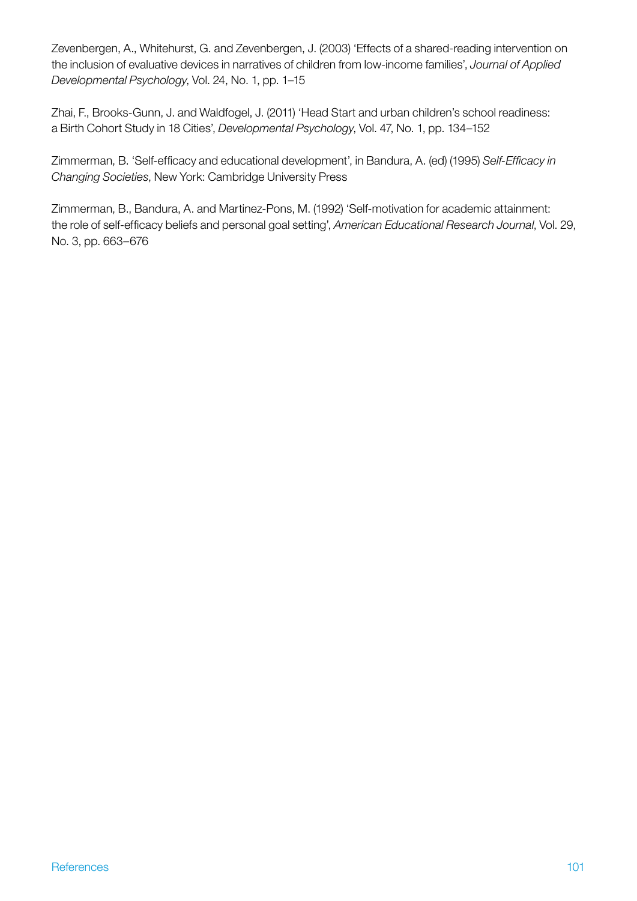Zevenbergen, A., Whitehurst, G. and Zevenbergen, J. (2003) 'Effects of a shared-reading intervention on the inclusion of evaluative devices in narratives of children from low-income families', *Journal of Applied Developmental Psychology*, Vol. 24, No. 1, pp. 1–15

Zhai, F., Brooks-Gunn, J. and Waldfogel, J. (2011) 'Head Start and urban children's school readiness: a Birth Cohort Study in 18 Cities', *Developmental Psychology*, Vol. 47, No. 1, pp. 134–152

Zimmerman, B. 'Self-efficacy and educational development', in Bandura, A. (ed) (1995) *Self-Efficacy in Changing Societies*, New York: Cambridge University Press

Zimmerman, B., Bandura, A. and Martinez-Pons, M. (1992) 'Self-motivation for academic attainment: the role of self-efficacy beliefs and personal goal setting', *American Educational Research Journal*, Vol. 29, No. 3, pp. 663–676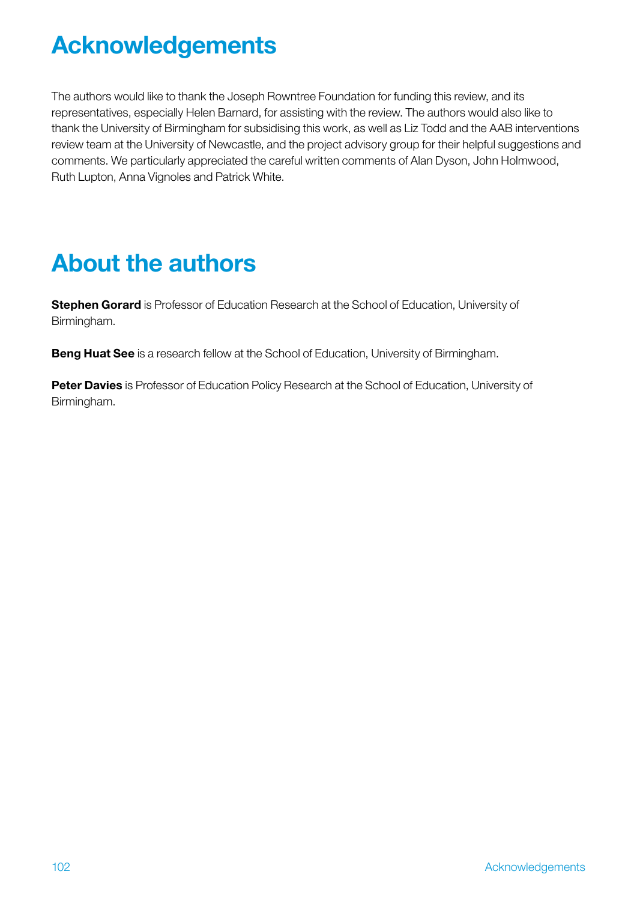# Acknowledgements

The authors would like to thank the Joseph Rowntree Foundation for funding this review, and its representatives, especially Helen Barnard, for assisting with the review. The authors would also like to thank the University of Birmingham for subsidising this work, as well as Liz Todd and the AAB interventions review team at the University of Newcastle, and the project advisory group for their helpful suggestions and comments. We particularly appreciated the careful written comments of Alan Dyson, John Holmwood, Ruth Lupton, Anna Vignoles and Patrick White.

# About the authors

Stephen Gorard is Professor of Education Research at the School of Education, University of Birmingham.

**Beng Huat See** is a research fellow at the School of Education, University of Birmingham.

Peter Davies is Professor of Education Policy Research at the School of Education, University of Birmingham.